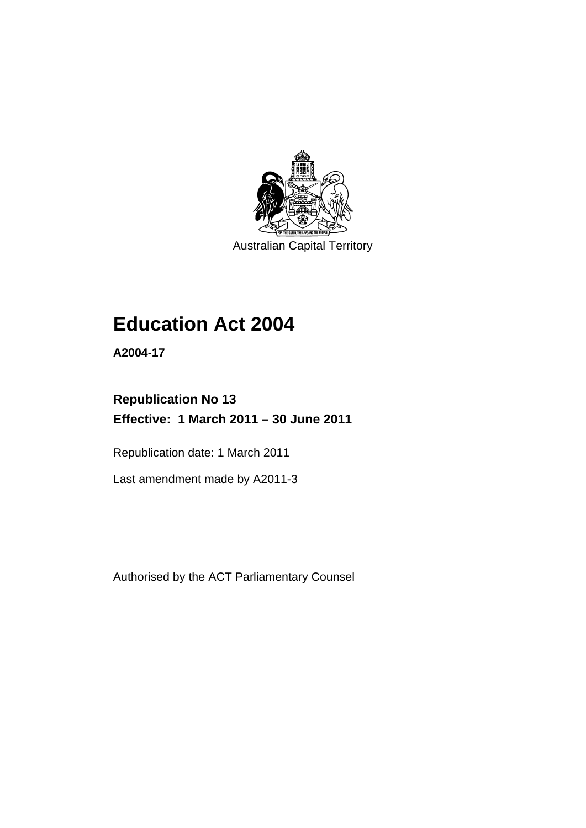

Australian Capital Territory

# **Education Act 2004**

**A2004-17** 

## **Republication No 13 Effective: 1 March 2011 – 30 June 2011**

Republication date: 1 March 2011

Last amendment made by A2011-3

Authorised by the ACT Parliamentary Counsel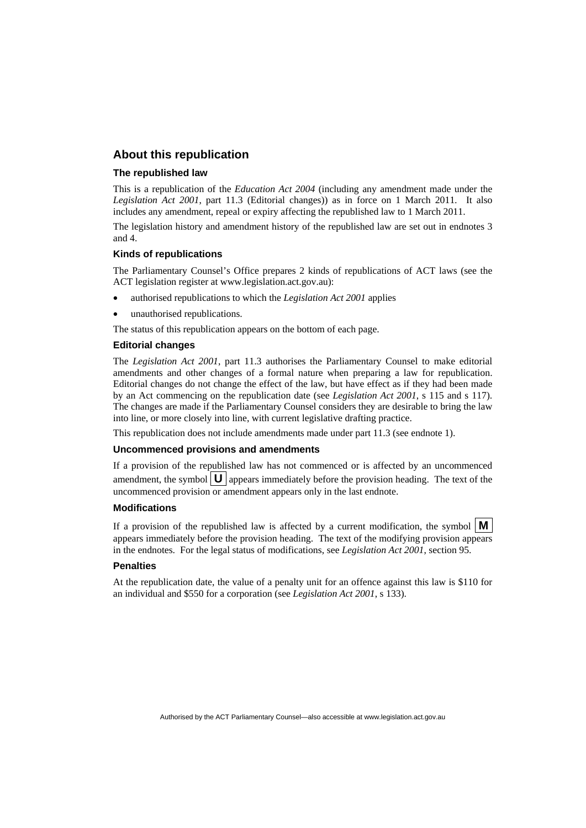## **About this republication**

#### **The republished law**

This is a republication of the *Education Act 2004* (including any amendment made under the *Legislation Act 2001*, part 11.3 (Editorial changes)) as in force on 1 March 2011*.* It also includes any amendment, repeal or expiry affecting the republished law to 1 March 2011.

The legislation history and amendment history of the republished law are set out in endnotes 3 and 4.

#### **Kinds of republications**

The Parliamentary Counsel's Office prepares 2 kinds of republications of ACT laws (see the ACT legislation register at www.legislation.act.gov.au):

- authorised republications to which the *Legislation Act 2001* applies
- unauthorised republications.

The status of this republication appears on the bottom of each page.

#### **Editorial changes**

The *Legislation Act 2001*, part 11.3 authorises the Parliamentary Counsel to make editorial amendments and other changes of a formal nature when preparing a law for republication. Editorial changes do not change the effect of the law, but have effect as if they had been made by an Act commencing on the republication date (see *Legislation Act 2001*, s 115 and s 117). The changes are made if the Parliamentary Counsel considers they are desirable to bring the law into line, or more closely into line, with current legislative drafting practice.

This republication does not include amendments made under part 11.3 (see endnote 1).

#### **Uncommenced provisions and amendments**

If a provision of the republished law has not commenced or is affected by an uncommenced amendment, the symbol  $\mathbf{U}$  appears immediately before the provision heading. The text of the uncommenced provision or amendment appears only in the last endnote.

#### **Modifications**

If a provision of the republished law is affected by a current modification, the symbol  $\mathbf{M}$ appears immediately before the provision heading. The text of the modifying provision appears in the endnotes. For the legal status of modifications, see *Legislation Act 2001*, section 95.

#### **Penalties**

At the republication date, the value of a penalty unit for an offence against this law is \$110 for an individual and \$550 for a corporation (see *Legislation Act 2001*, s 133).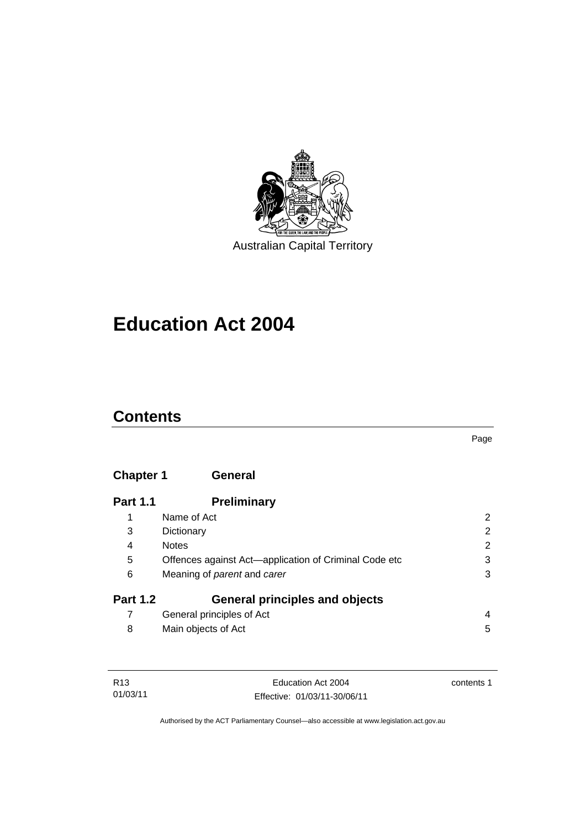

# **Education Act 2004**

## **Contents**

## **Chapter 1 General**

| <b>Part 1.1</b> | <b>Preliminary</b>                                    |                |
|-----------------|-------------------------------------------------------|----------------|
| 1               | Name of Act                                           | 2              |
| 3               | Dictionary                                            | $\overline{2}$ |
| 4               | <b>Notes</b>                                          | 2              |
| 5               | Offences against Act-application of Criminal Code etc | 3              |
| 6               | Meaning of <i>parent</i> and <i>carer</i>             | 3              |
| <b>Part 1.2</b> | <b>General principles and objects</b>                 |                |
|                 | General principles of Act                             | 4              |
| 8               | Main objects of Act                                   | 5              |

| R13      | Education Act 2004           | contents 1 |
|----------|------------------------------|------------|
| 01/03/11 | Effective: 01/03/11-30/06/11 |            |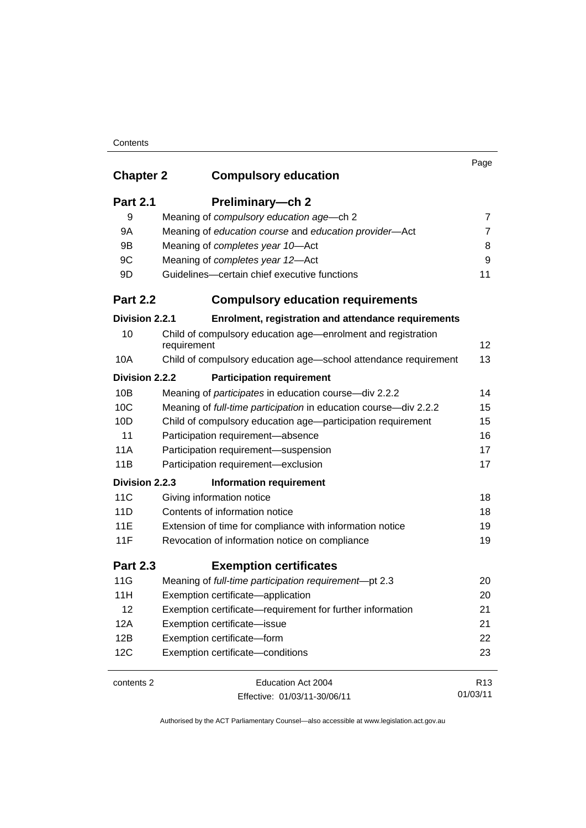## **Contents**

|                  |                                                                             | Page            |
|------------------|-----------------------------------------------------------------------------|-----------------|
| <b>Chapter 2</b> | <b>Compulsory education</b>                                                 |                 |
| <b>Part 2.1</b>  | Preliminary-ch 2                                                            |                 |
| 9                | Meaning of compulsory education age-ch 2                                    | 7               |
| 9A               | Meaning of education course and education provider-Act                      | $\overline{7}$  |
| 9B               | Meaning of completes year 10-Act                                            | 8               |
| 9C               | Meaning of completes year 12-Act                                            | 9               |
| 9D               | Guidelines-certain chief executive functions                                | 11              |
| <b>Part 2.2</b>  | <b>Compulsory education requirements</b>                                    |                 |
| Division 2.2.1   | Enrolment, registration and attendance requirements                         |                 |
| 10               | Child of compulsory education age—enrolment and registration<br>requirement | 12              |
| 10A              | Child of compulsory education age-school attendance requirement             | 13              |
| Division 2.2.2   | <b>Participation requirement</b>                                            |                 |
| 10B              | Meaning of participates in education course-div 2.2.2                       | 14              |
| 10C              | Meaning of full-time participation in education course-div 2.2.2            | 15              |
| 10D              | Child of compulsory education age-participation requirement                 | 15              |
| 11               | Participation requirement-absence                                           | 16              |
| 11A              | Participation requirement-suspension                                        | 17              |
| 11B              | Participation requirement-exclusion                                         | 17              |
| Division 2.2.3   | <b>Information requirement</b>                                              |                 |
| 11C              | Giving information notice                                                   | 18              |
| 11D              | Contents of information notice                                              | 18              |
| 11E              | Extension of time for compliance with information notice                    | 19              |
| 11F              | Revocation of information notice on compliance                              | 19              |
| <b>Part 2.3</b>  | <b>Exemption certificates</b>                                               |                 |
| 11G              | Meaning of full-time participation requirement-pt 2.3                       | 20              |
| 11H              | Exemption certificate-application                                           | 20              |
| 12               | Exemption certificate—requirement for further information                   | 21              |
| 12A              | Exemption certificate-issue                                                 | 21              |
| 12B              | Exemption certificate-form                                                  | 22              |
| 12C              | Exemption certificate-conditions                                            | 23              |
| contents 2       | Education Act 2004                                                          | R <sub>13</sub> |
|                  | Effective: 01/03/11-30/06/11                                                | 01/03/11        |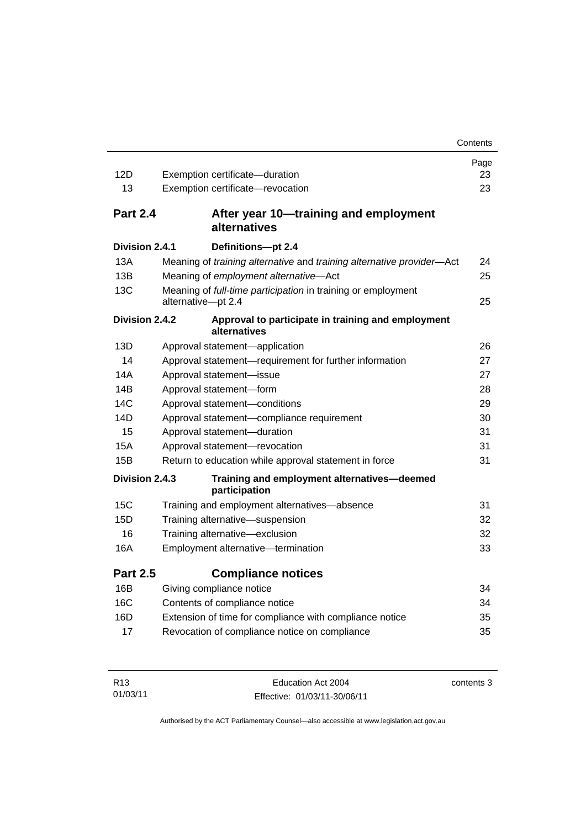|                 |                                                                                    | Contents |  |
|-----------------|------------------------------------------------------------------------------------|----------|--|
|                 |                                                                                    | Page     |  |
| 12D             | Exemption certificate-duration                                                     | 23       |  |
| 13              | Exemption certificate-revocation                                                   | 23       |  |
| <b>Part 2.4</b> | After year 10-training and employment<br>alternatives                              |          |  |
| Division 2.4.1  | Definitions-pt 2.4                                                                 |          |  |
| 13A             | Meaning of training alternative and training alternative provider-Act              | 24       |  |
| 13B             | Meaning of employment alternative-Act                                              | 25       |  |
| 13C             | Meaning of full-time participation in training or employment<br>alternative-pt 2.4 | 25       |  |
| Division 2.4.2  | Approval to participate in training and employment<br>alternatives                 |          |  |
| 13D             | Approval statement-application                                                     | 26       |  |
| 14              | Approval statement-requirement for further information                             | 27       |  |
| 14A             | Approval statement-issue                                                           | 27       |  |
| 14B             | Approval statement-form                                                            |          |  |
| 14C             | Approval statement-conditions                                                      | 29       |  |
| 14D             | Approval statement-compliance requirement                                          | 30       |  |
| 15              | Approval statement-duration                                                        | 31       |  |
| 15A             | Approval statement-revocation                                                      | 31       |  |
| 15B             | Return to education while approval statement in force                              | 31       |  |
| Division 2.4.3  | Training and employment alternatives-deemed<br>participation                       |          |  |
| 15C             | Training and employment alternatives-absence                                       | 31       |  |
| 15D             | Training alternative-suspension                                                    | 32       |  |
| 16              | Training alternative-exclusion                                                     | 32       |  |
| 16A             | Employment alternative-termination                                                 | 33       |  |
| <b>Part 2.5</b> | <b>Compliance notices</b>                                                          |          |  |
| 16B             | Giving compliance notice                                                           | 34       |  |
| 16C             | Contents of compliance notice                                                      | 34       |  |
| 16D             | Extension of time for compliance with compliance notice                            | 35       |  |
| 17              | Revocation of compliance notice on compliance                                      | 35       |  |

| R <sub>13</sub> | Education Act 2004           | contents 3 |
|-----------------|------------------------------|------------|
| 01/03/11        | Effective: 01/03/11-30/06/11 |            |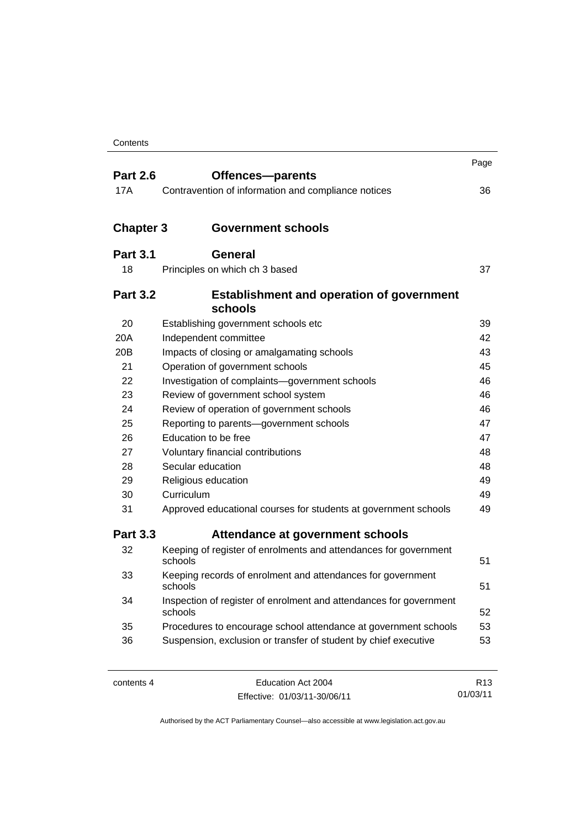| <b>Part 2.6</b>  | Offences-parents                                                              | Page |  |
|------------------|-------------------------------------------------------------------------------|------|--|
| 17A              | Contravention of information and compliance notices                           | 36   |  |
|                  |                                                                               |      |  |
| <b>Chapter 3</b> | <b>Government schools</b>                                                     |      |  |
| <b>Part 3.1</b>  | <b>General</b>                                                                |      |  |
| 18               | Principles on which ch 3 based                                                | 37   |  |
|                  |                                                                               |      |  |
| <b>Part 3.2</b>  | <b>Establishment and operation of government</b><br>schools                   |      |  |
| 20               | Establishing government schools etc                                           | 39   |  |
| 20A              | Independent committee                                                         | 42   |  |
| 20 <sub>B</sub>  | Impacts of closing or amalgamating schools                                    | 43   |  |
| 21               | Operation of government schools                                               | 45   |  |
| 22               | Investigation of complaints-government schools                                | 46   |  |
| 23               | Review of government school system                                            | 46   |  |
| 24               | Review of operation of government schools                                     |      |  |
| 25               | Reporting to parents-government schools                                       |      |  |
| 26               | Education to be free                                                          | 47   |  |
| 27               | Voluntary financial contributions                                             | 48   |  |
| 28               | Secular education                                                             | 48   |  |
| 29               | Religious education                                                           | 49   |  |
| 30               | Curriculum                                                                    | 49   |  |
| 31               | Approved educational courses for students at government schools               | 49   |  |
| <b>Part 3.3</b>  | Attendance at government schools                                              |      |  |
| 32               | Keeping of register of enrolments and attendances for government<br>schools   | 51   |  |
| 33               | Keeping records of enrolment and attendances for government<br>schools        | 51   |  |
| 34               | Inspection of register of enrolment and attendances for government<br>schools | 52   |  |
| 35               | Procedures to encourage school attendance at government schools               | 53   |  |
| 36               | Suspension, exclusion or transfer of student by chief executive               | 53   |  |
|                  |                                                                               |      |  |

| contents 4 |  |
|------------|--|
|------------|--|

Education Act 2004 Effective: 01/03/11-30/06/11

R13 01/03/11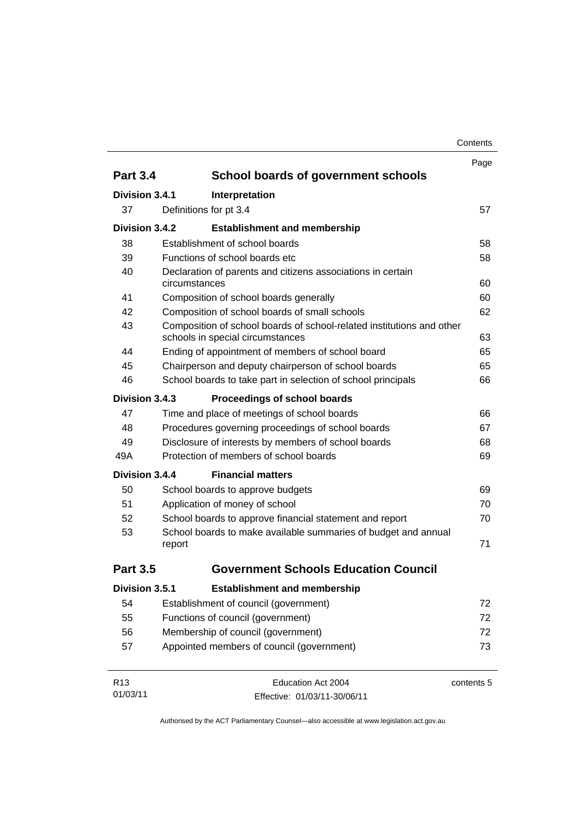| Contents |
|----------|
|----------|

|                                                           |                                                              |                                                                                                           | Page       |  |
|-----------------------------------------------------------|--------------------------------------------------------------|-----------------------------------------------------------------------------------------------------------|------------|--|
| <b>Part 3.4</b>                                           |                                                              | School boards of government schools                                                                       |            |  |
| Division 3.4.1                                            |                                                              | Interpretation                                                                                            |            |  |
| 37                                                        |                                                              | Definitions for pt 3.4                                                                                    | 57         |  |
| Division 3.4.2                                            |                                                              | <b>Establishment and membership</b>                                                                       |            |  |
| 38                                                        |                                                              | Establishment of school boards                                                                            | 58         |  |
| 39                                                        |                                                              | Functions of school boards etc.                                                                           | 58         |  |
| 40                                                        |                                                              | Declaration of parents and citizens associations in certain                                               |            |  |
|                                                           | circumstances                                                |                                                                                                           |            |  |
| 41                                                        |                                                              | Composition of school boards generally                                                                    | 60         |  |
| 42                                                        |                                                              | Composition of school boards of small schools                                                             | 62         |  |
| 43                                                        |                                                              | Composition of school boards of school-related institutions and other<br>schools in special circumstances | 63         |  |
| 44                                                        |                                                              | Ending of appointment of members of school board                                                          | 65         |  |
| 45                                                        |                                                              | Chairperson and deputy chairperson of school boards                                                       | 65         |  |
| 46                                                        | School boards to take part in selection of school principals |                                                                                                           |            |  |
| Division 3.4.3                                            |                                                              | Proceedings of school boards                                                                              |            |  |
| 47                                                        |                                                              | Time and place of meetings of school boards                                                               | 66         |  |
| 48                                                        |                                                              | Procedures governing proceedings of school boards                                                         | 67         |  |
| 49<br>Disclosure of interests by members of school boards |                                                              |                                                                                                           | 68         |  |
| 49A                                                       | Protection of members of school boards                       | 69                                                                                                        |            |  |
| Division 3.4.4                                            |                                                              | <b>Financial matters</b>                                                                                  |            |  |
| 50                                                        |                                                              | School boards to approve budgets                                                                          | 69         |  |
| 51                                                        |                                                              | Application of money of school                                                                            | 70         |  |
| 52                                                        |                                                              | School boards to approve financial statement and report                                                   | 70         |  |
| 53                                                        |                                                              | School boards to make available summaries of budget and annual                                            |            |  |
|                                                           | report                                                       |                                                                                                           | 71         |  |
| <b>Part 3.5</b>                                           |                                                              | <b>Government Schools Education Council</b>                                                               |            |  |
| Division 3.5.1                                            |                                                              | <b>Establishment and membership</b>                                                                       |            |  |
| 54                                                        |                                                              | Establishment of council (government)                                                                     | 72         |  |
| 55                                                        |                                                              | Functions of council (government)                                                                         | 72         |  |
| 56                                                        | Membership of council (government)                           |                                                                                                           | 72         |  |
| 57                                                        | Appointed members of council (government)<br>73              |                                                                                                           |            |  |
| R <sub>13</sub>                                           |                                                              | Education Act 2004                                                                                        | contents 5 |  |
| 01/03/11                                                  |                                                              | Effective: 01/03/11-30/06/11                                                                              |            |  |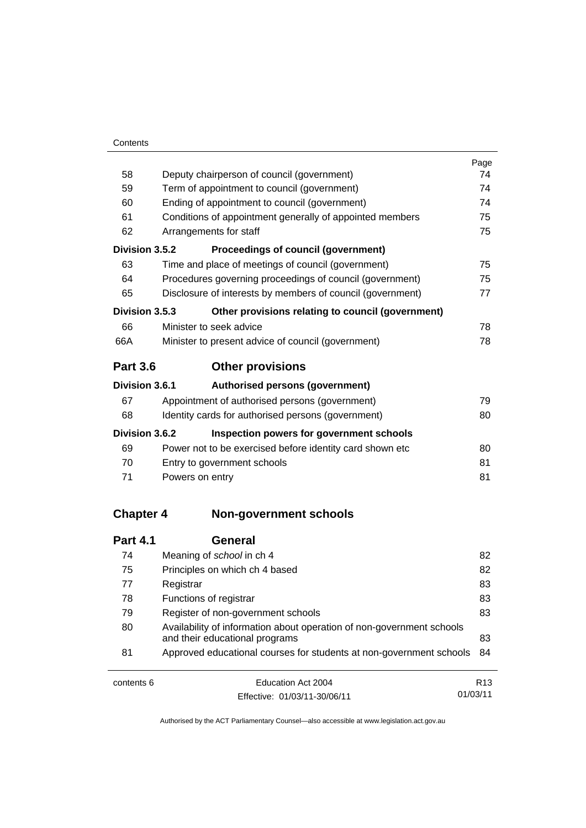|                  |                                                                       | Page |  |
|------------------|-----------------------------------------------------------------------|------|--|
| 58               | Deputy chairperson of council (government)                            |      |  |
| 59               | Term of appointment to council (government)                           |      |  |
| 60               | Ending of appointment to council (government)                         | 74   |  |
| 61               | Conditions of appointment generally of appointed members              | 75   |  |
| 62               | Arrangements for staff                                                | 75   |  |
| Division 3.5.2   | Proceedings of council (government)                                   |      |  |
| 63               | Time and place of meetings of council (government)                    | 75   |  |
| 64               | Procedures governing proceedings of council (government)              | 75   |  |
| 65               | Disclosure of interests by members of council (government)            | 77   |  |
| Division 3.5.3   | Other provisions relating to council (government)                     |      |  |
| 66               | Minister to seek advice                                               | 78   |  |
| 66A              | Minister to present advice of council (government)                    | 78   |  |
| <b>Part 3.6</b>  | <b>Other provisions</b>                                               |      |  |
| Division 3.6.1   | Authorised persons (government)                                       |      |  |
| 67               | Appointment of authorised persons (government)                        | 79   |  |
| 68               | Identity cards for authorised persons (government)                    | 80   |  |
| Division 3.6.2   | Inspection powers for government schools                              |      |  |
| 69               | Power not to be exercised before identity card shown etc              | 80   |  |
| 70               | Entry to government schools                                           | 81   |  |
| 71               | Powers on entry                                                       | 81   |  |
| <b>Chapter 4</b> | <b>Non-government schools</b>                                         |      |  |
|                  |                                                                       |      |  |
| <b>Part 4.1</b>  | <b>General</b>                                                        |      |  |
| 74               | Meaning of school in ch 4                                             | 82   |  |
| 75               | Principles on which ch 4 based                                        | 82   |  |
| 77               | Registrar                                                             | 83   |  |
| 78               | Functions of registrar                                                | 83   |  |
| 79               | Register of non-government schools                                    | 83   |  |
| RΛ               | Availability of information about operation of non-government schools |      |  |

| 79 | Register of non-government schools                                     | 83 |
|----|------------------------------------------------------------------------|----|
| 80 | Availability of information about operation of non-government schools  |    |
|    | and their educational programs                                         | 83 |
| 81 | Approved educational courses for students at non-government schools 84 |    |
|    |                                                                        |    |

| contents 6 | Education Act 2004           | R <sub>13</sub> |
|------------|------------------------------|-----------------|
|            | Effective: 01/03/11-30/06/11 | 01/03/11        |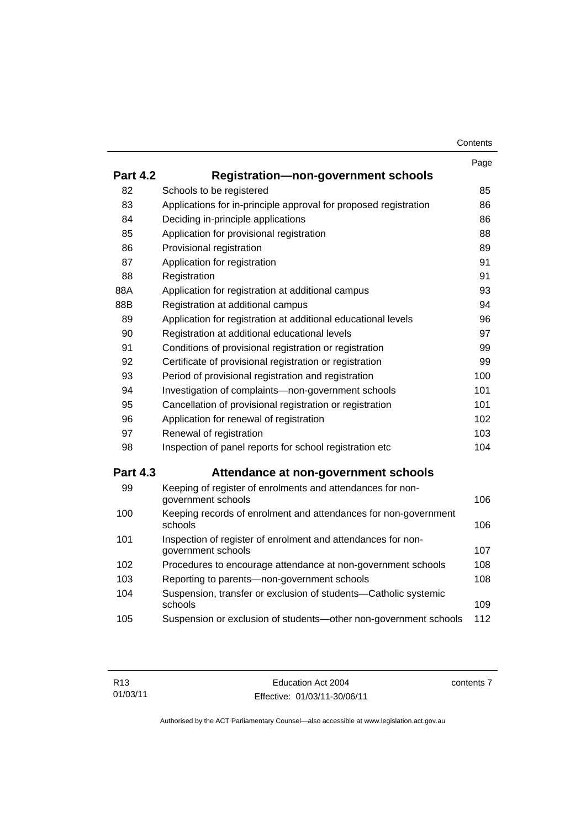|                 |                                                                                    | Page |
|-----------------|------------------------------------------------------------------------------------|------|
| <b>Part 4.2</b> | <b>Registration-non-government schools</b>                                         |      |
| 82              | Schools to be registered                                                           | 85   |
| 83              | Applications for in-principle approval for proposed registration                   | 86   |
| 84              | Deciding in-principle applications                                                 | 86   |
| 85              | Application for provisional registration                                           | 88   |
| 86              | Provisional registration                                                           | 89   |
| 87              | Application for registration                                                       | 91   |
| 88              | Registration                                                                       | 91   |
| 88A             | Application for registration at additional campus                                  | 93   |
| 88B             | Registration at additional campus                                                  | 94   |
| 89              | Application for registration at additional educational levels                      | 96   |
| 90              | Registration at additional educational levels                                      | 97   |
| 91              | Conditions of provisional registration or registration                             | 99   |
| 92              | Certificate of provisional registration or registration                            | 99   |
| 93              | Period of provisional registration and registration                                | 100  |
| 94              | Investigation of complaints-non-government schools                                 | 101  |
| 95              | Cancellation of provisional registration or registration                           | 101  |
| 96              | Application for renewal of registration                                            | 102  |
| 97              | Renewal of registration                                                            | 103  |
| 98              | Inspection of panel reports for school registration etc.                           | 104  |
| <b>Part 4.3</b> | Attendance at non-government schools                                               |      |
| 99              | Keeping of register of enrolments and attendances for non-<br>government schools   | 106  |
| 100             | Keeping records of enrolment and attendances for non-government<br>schools         | 106  |
| 101             | Inspection of register of enrolment and attendances for non-<br>government schools | 107  |
| 102             | Procedures to encourage attendance at non-government schools                       | 108  |
| 103             | Reporting to parents-non-government schools                                        | 108  |
| 104             | Suspension, transfer or exclusion of students-Catholic systemic<br>schools         | 109  |
| 105             | Suspension or exclusion of students-other non-government schools                   | 112  |

contents 7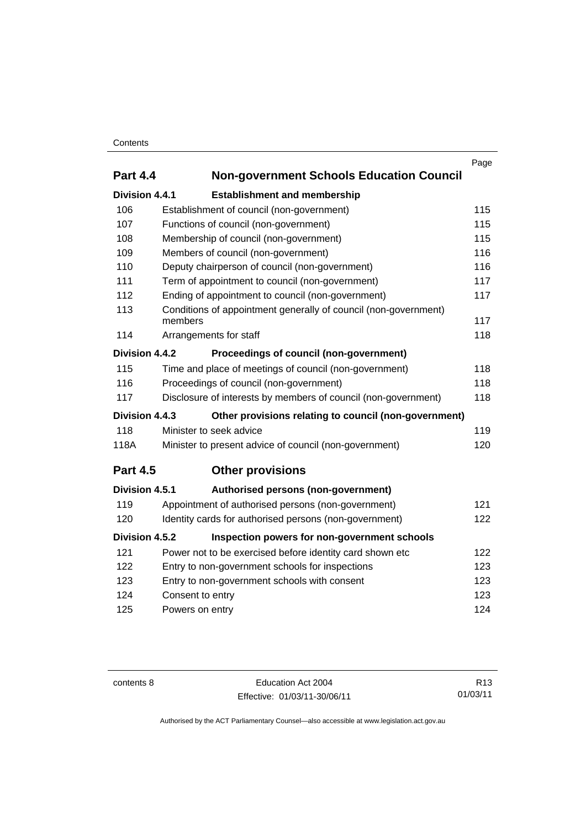## **Contents**

|                                                                      | Page                                                                                                                                                                                                                                                                                                                                |  |
|----------------------------------------------------------------------|-------------------------------------------------------------------------------------------------------------------------------------------------------------------------------------------------------------------------------------------------------------------------------------------------------------------------------------|--|
| <b>Part 4.4</b>                                                      |                                                                                                                                                                                                                                                                                                                                     |  |
| Division 4.4.1                                                       |                                                                                                                                                                                                                                                                                                                                     |  |
|                                                                      | 115                                                                                                                                                                                                                                                                                                                                 |  |
|                                                                      | 115                                                                                                                                                                                                                                                                                                                                 |  |
|                                                                      | 115                                                                                                                                                                                                                                                                                                                                 |  |
| Members of council (non-government)                                  | 116                                                                                                                                                                                                                                                                                                                                 |  |
| Deputy chairperson of council (non-government)                       | 116                                                                                                                                                                                                                                                                                                                                 |  |
| Term of appointment to council (non-government)                      | 117                                                                                                                                                                                                                                                                                                                                 |  |
| Ending of appointment to council (non-government)                    | 117                                                                                                                                                                                                                                                                                                                                 |  |
| Conditions of appointment generally of council (non-government)      |                                                                                                                                                                                                                                                                                                                                     |  |
|                                                                      | 117                                                                                                                                                                                                                                                                                                                                 |  |
|                                                                      | 118                                                                                                                                                                                                                                                                                                                                 |  |
| Proceedings of council (non-government)                              |                                                                                                                                                                                                                                                                                                                                     |  |
| Time and place of meetings of council (non-government)               | 118                                                                                                                                                                                                                                                                                                                                 |  |
| Proceedings of council (non-government)                              | 118                                                                                                                                                                                                                                                                                                                                 |  |
| Disclosure of interests by members of council (non-government)       | 118                                                                                                                                                                                                                                                                                                                                 |  |
| Other provisions relating to council (non-government)                |                                                                                                                                                                                                                                                                                                                                     |  |
| Minister to seek advice                                              | 119                                                                                                                                                                                                                                                                                                                                 |  |
| Minister to present advice of council (non-government)               | 120                                                                                                                                                                                                                                                                                                                                 |  |
| <b>Other provisions</b>                                              |                                                                                                                                                                                                                                                                                                                                     |  |
| Authorised persons (non-government)                                  |                                                                                                                                                                                                                                                                                                                                     |  |
| Appointment of authorised persons (non-government)                   | 121                                                                                                                                                                                                                                                                                                                                 |  |
| 122<br>120<br>Identity cards for authorised persons (non-government) |                                                                                                                                                                                                                                                                                                                                     |  |
| Inspection powers for non-government schools                         |                                                                                                                                                                                                                                                                                                                                     |  |
| Power not to be exercised before identity card shown etc             | 122                                                                                                                                                                                                                                                                                                                                 |  |
| Entry to non-government schools for inspections                      | 123                                                                                                                                                                                                                                                                                                                                 |  |
| 123<br>123<br>Entry to non-government schools with consent           |                                                                                                                                                                                                                                                                                                                                     |  |
| 123<br>Consent to entry                                              |                                                                                                                                                                                                                                                                                                                                     |  |
| Powers on entry                                                      | 124                                                                                                                                                                                                                                                                                                                                 |  |
|                                                                      | <b>Non-government Schools Education Council</b><br><b>Establishment and membership</b><br>Establishment of council (non-government)<br>Functions of council (non-government)<br>Membership of council (non-government)<br>members<br>Arrangements for staff<br>Division 4.4.2<br>Division 4.4.3<br>Division 4.5.1<br>Division 4.5.2 |  |

contents 8 Education Act 2004 Effective: 01/03/11-30/06/11

R13 01/03/11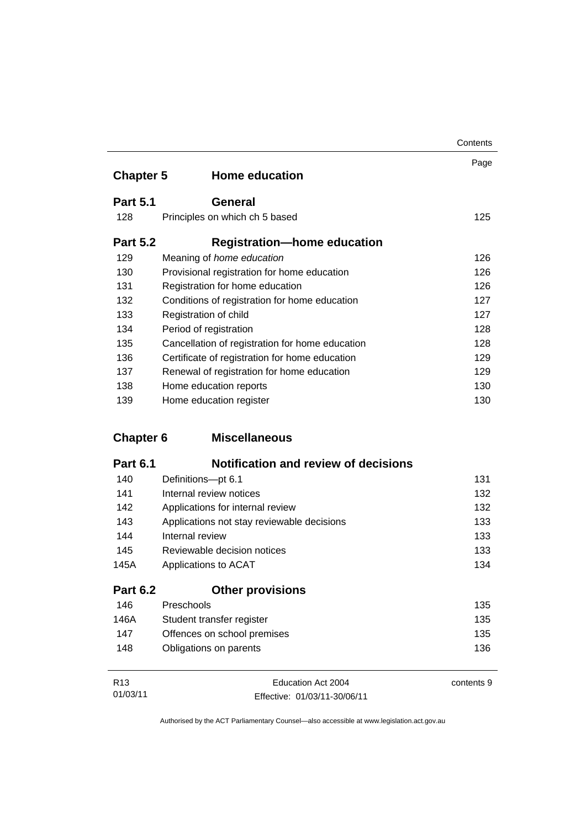| <b>Chapter 5</b> | <b>Home education</b>                           | Page |
|------------------|-------------------------------------------------|------|
| <b>Part 5.1</b>  | General                                         |      |
| 128              | Principles on which ch 5 based                  | 125  |
| <b>Part 5.2</b>  | <b>Registration-home education</b>              |      |
| 129              | Meaning of home education                       | 126  |
| 130              | Provisional registration for home education     | 126  |
| 131              | Registration for home education                 | 126  |
| 132              | Conditions of registration for home education   | 127  |
| 133              | Registration of child                           |      |
| 134              | Period of registration                          | 128  |
| 135              | Cancellation of registration for home education | 128  |
| 136              | Certificate of registration for home education  | 129  |
| 137              | Renewal of registration for home education      | 129  |
| 138              | Home education reports                          | 130  |
| 139              | Home education register                         | 130  |

## **Chapter 6 Miscellaneous**

| <b>Part 6.1</b> | <b>Notification and review of decisions</b> |     |
|-----------------|---------------------------------------------|-----|
| 140             | Definitions-pt 6.1                          | 131 |
| 141             | Internal review notices                     | 132 |
| 142             | Applications for internal review            | 132 |
| 143             | Applications not stay reviewable decisions  | 133 |
| 144             | Internal review                             | 133 |
| 145             | Reviewable decision notices                 | 133 |
| 145A            | Applications to ACAT                        | 134 |
| <b>Part 6.2</b> | <b>Other provisions</b>                     |     |
| 146             | Preschools                                  | 135 |
| 146A            | Student transfer register                   | 135 |
| 147             | Offences on school premises                 | 135 |
| 148             | Obligations on parents                      | 136 |

| R13      | Education Act 2004           | contents 9 |
|----------|------------------------------|------------|
| 01/03/11 | Effective: 01/03/11-30/06/11 |            |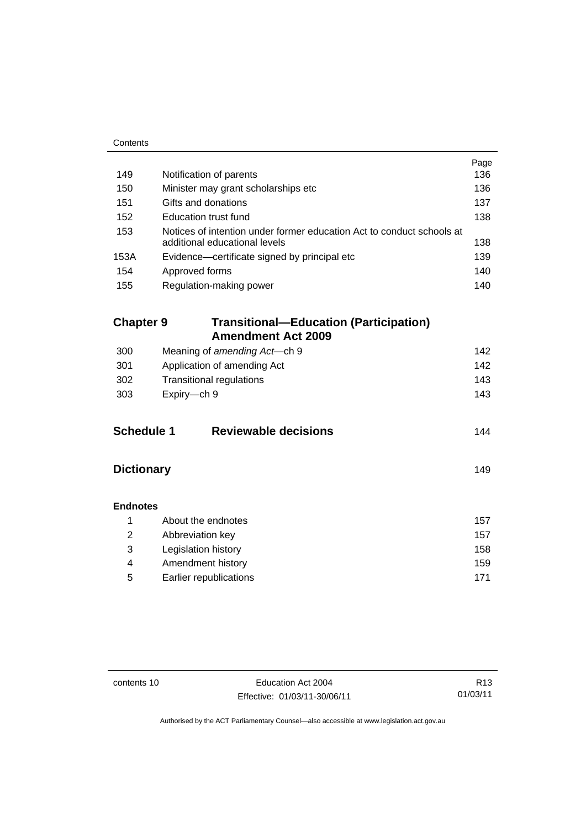| Contents                                                |                                                                                                        |            |  |  |
|---------------------------------------------------------|--------------------------------------------------------------------------------------------------------|------------|--|--|
|                                                         |                                                                                                        | Page       |  |  |
| 149                                                     | Notification of parents                                                                                | 136        |  |  |
| 150                                                     | Minister may grant scholarships etc                                                                    | 136        |  |  |
| 151                                                     | Gifts and donations                                                                                    | 137        |  |  |
| 152                                                     | Education trust fund                                                                                   | 138        |  |  |
| 153                                                     | Notices of intention under former education Act to conduct schools at<br>additional educational levels | 138        |  |  |
| 153A                                                    | Evidence-certificate signed by principal etc                                                           | 139        |  |  |
| 154                                                     | Approved forms                                                                                         | 140        |  |  |
| 155                                                     | Regulation-making power                                                                                | 140        |  |  |
|                                                         |                                                                                                        |            |  |  |
| <b>Chapter 9</b>                                        | <b>Transitional-Education (Participation)</b>                                                          |            |  |  |
|                                                         | <b>Amendment Act 2009</b>                                                                              |            |  |  |
| 300                                                     | Meaning of amending Act-ch 9                                                                           | 142        |  |  |
| 301                                                     | Application of amending Act                                                                            | 142        |  |  |
| 302                                                     | <b>Transitional regulations</b>                                                                        | 143        |  |  |
| 303                                                     | Expiry-ch 9                                                                                            | 143        |  |  |
|                                                         |                                                                                                        |            |  |  |
| <b>Schedule 1</b><br><b>Reviewable decisions</b><br>144 |                                                                                                        |            |  |  |
|                                                         |                                                                                                        |            |  |  |
| <b>Dictionary</b>                                       |                                                                                                        |            |  |  |
|                                                         |                                                                                                        | 149        |  |  |
|                                                         |                                                                                                        |            |  |  |
| <b>Endnotes</b>                                         |                                                                                                        |            |  |  |
| 1                                                       | About the endnotes                                                                                     | 157        |  |  |
| 2                                                       | Abbreviation key                                                                                       | 157        |  |  |
| 3                                                       | Legislation history                                                                                    | 158        |  |  |
| 4                                                       | Amendment history                                                                                      | 159<br>171 |  |  |
|                                                         | 5<br>Earlier republications                                                                            |            |  |  |

contents 10 Education Act 2004 Effective: 01/03/11-30/06/11

R13 01/03/11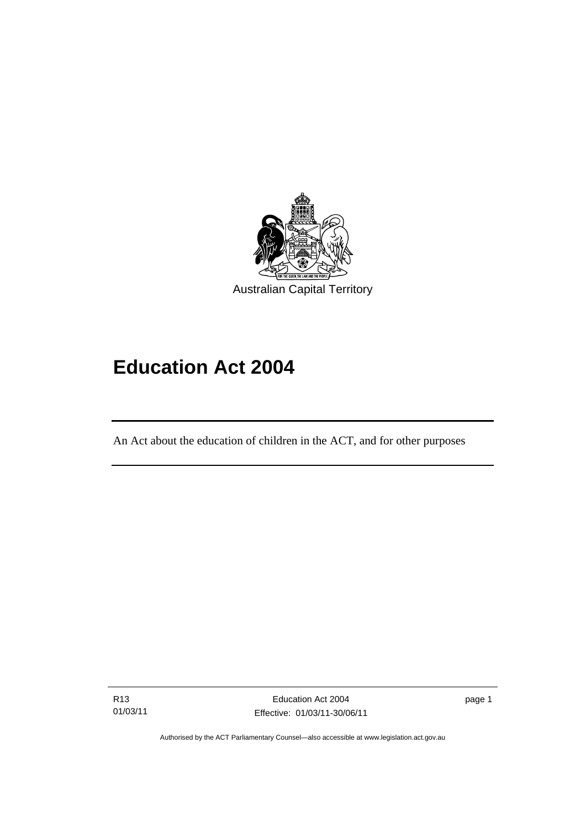

# **Education Act 2004**

An Act about the education of children in the ACT, and for other purposes

R13 01/03/11

l

Education Act 2004 Effective: 01/03/11-30/06/11 page 1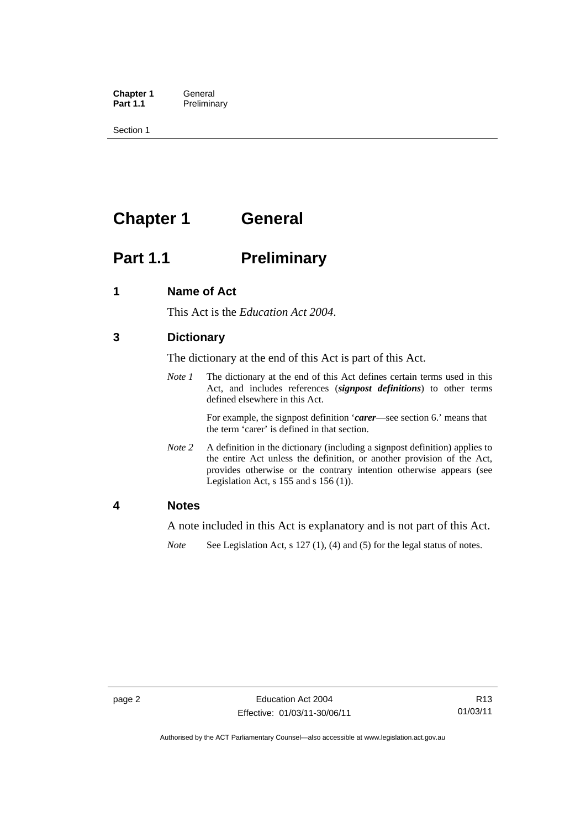**Chapter 1 General**<br>**Part 1.1 Prelimina Preliminary** 

Section 1

## **Chapter 1 General**

## **Part 1.1** Preliminary

## **1 Name of Act**

This Act is the *Education Act 2004*.

## **3 Dictionary**

The dictionary at the end of this Act is part of this Act.

*Note 1* The dictionary at the end of this Act defines certain terms used in this Act, and includes references (*signpost definitions*) to other terms defined elsewhere in this Act.

> For example, the signpost definition '*carer*—see section 6.' means that the term 'carer' is defined in that section.

*Note 2* A definition in the dictionary (including a signpost definition) applies to the entire Act unless the definition, or another provision of the Act, provides otherwise or the contrary intention otherwise appears (see Legislation Act,  $s$  155 and  $s$  156 (1)).

#### **4 Notes**

A note included in this Act is explanatory and is not part of this Act.

*Note* See Legislation Act, s 127 (1), (4) and (5) for the legal status of notes.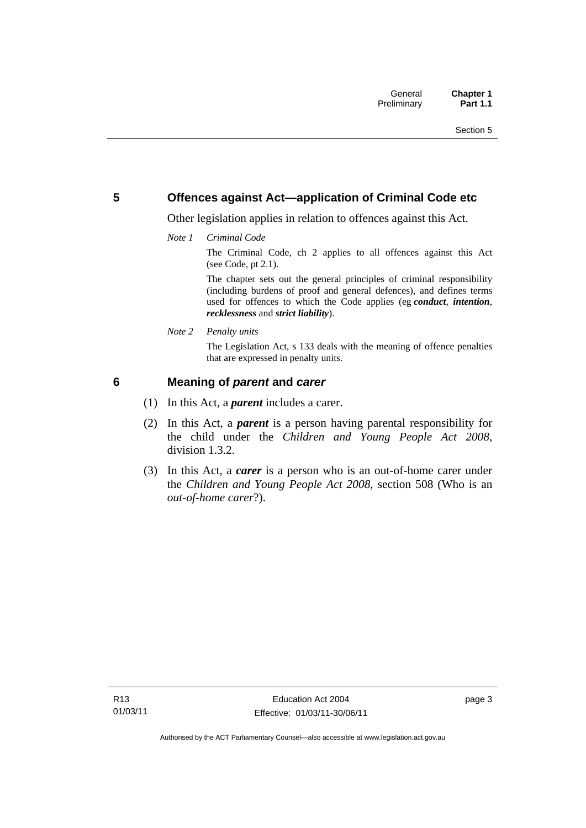## **5 Offences against Act—application of Criminal Code etc**

Other legislation applies in relation to offences against this Act.

*Note 1 Criminal Code*

The Criminal Code, ch 2 applies to all offences against this Act (see Code, pt 2.1).

The chapter sets out the general principles of criminal responsibility (including burdens of proof and general defences), and defines terms used for offences to which the Code applies (eg *conduct*, *intention*, *recklessness* and *strict liability*).

*Note 2 Penalty units* 

The Legislation Act, s 133 deals with the meaning of offence penalties that are expressed in penalty units.

## **6 Meaning of** *parent* **and** *carer*

- (1) In this Act, a *parent* includes a carer.
- (2) In this Act, a *parent* is a person having parental responsibility for the child under the *Children and Young People Act 2008*, division 1.3.2.
- (3) In this Act, a *carer* is a person who is an out-of-home carer under the *Children and Young People Act 2008*, section 508 (Who is an *out-of-home carer*?).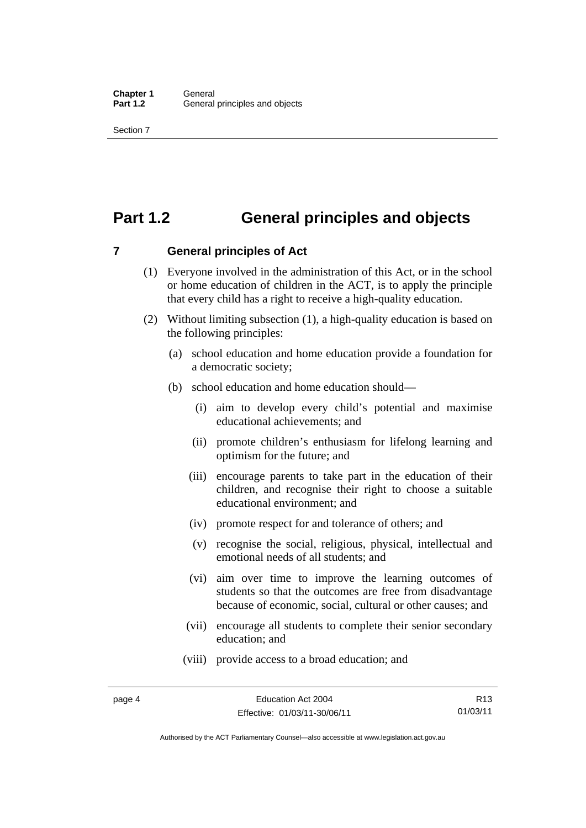## **Part 1.2 General principles and objects**

**7 General principles of Act** 

- (1) Everyone involved in the administration of this Act, or in the school or home education of children in the ACT, is to apply the principle that every child has a right to receive a high-quality education.
- (2) Without limiting subsection (1), a high-quality education is based on the following principles:
	- (a) school education and home education provide a foundation for a democratic society;
	- (b) school education and home education should—
		- (i) aim to develop every child's potential and maximise educational achievements; and
		- (ii) promote children's enthusiasm for lifelong learning and optimism for the future; and
		- (iii) encourage parents to take part in the education of their children, and recognise their right to choose a suitable educational environment; and
		- (iv) promote respect for and tolerance of others; and
		- (v) recognise the social, religious, physical, intellectual and emotional needs of all students; and
		- (vi) aim over time to improve the learning outcomes of students so that the outcomes are free from disadvantage because of economic, social, cultural or other causes; and
		- (vii) encourage all students to complete their senior secondary education; and
		- (viii) provide access to a broad education; and

Authorised by the ACT Parliamentary Counsel—also accessible at www.legislation.act.gov.au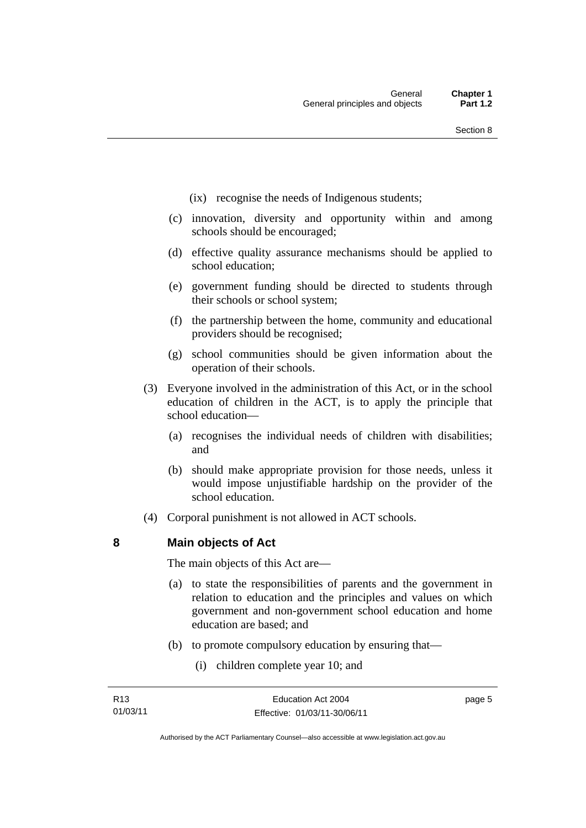- (ix) recognise the needs of Indigenous students;
- (c) innovation, diversity and opportunity within and among schools should be encouraged;
- (d) effective quality assurance mechanisms should be applied to school education;
- (e) government funding should be directed to students through their schools or school system;
- (f) the partnership between the home, community and educational providers should be recognised;
- (g) school communities should be given information about the operation of their schools.
- (3) Everyone involved in the administration of this Act, or in the school education of children in the ACT, is to apply the principle that school education—
	- (a) recognises the individual needs of children with disabilities; and
	- (b) should make appropriate provision for those needs, unless it would impose unjustifiable hardship on the provider of the school education.
- (4) Corporal punishment is not allowed in ACT schools.

**8 Main objects of Act** 

The main objects of this Act are—

- (a) to state the responsibilities of parents and the government in relation to education and the principles and values on which government and non-government school education and home education are based; and
- (b) to promote compulsory education by ensuring that—
	- (i) children complete year 10; and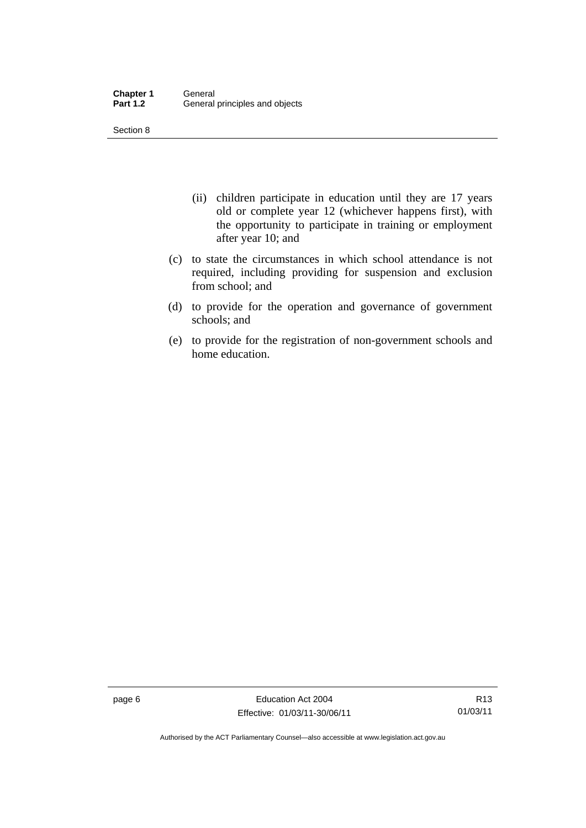Section 8

- (ii) children participate in education until they are 17 years old or complete year 12 (whichever happens first), with the opportunity to participate in training or employment after year 10; and
- (c) to state the circumstances in which school attendance is not required, including providing for suspension and exclusion from school; and
- (d) to provide for the operation and governance of government schools; and
- (e) to provide for the registration of non-government schools and home education.

page 6 **Education Act 2004** Effective: 01/03/11-30/06/11

R13 01/03/11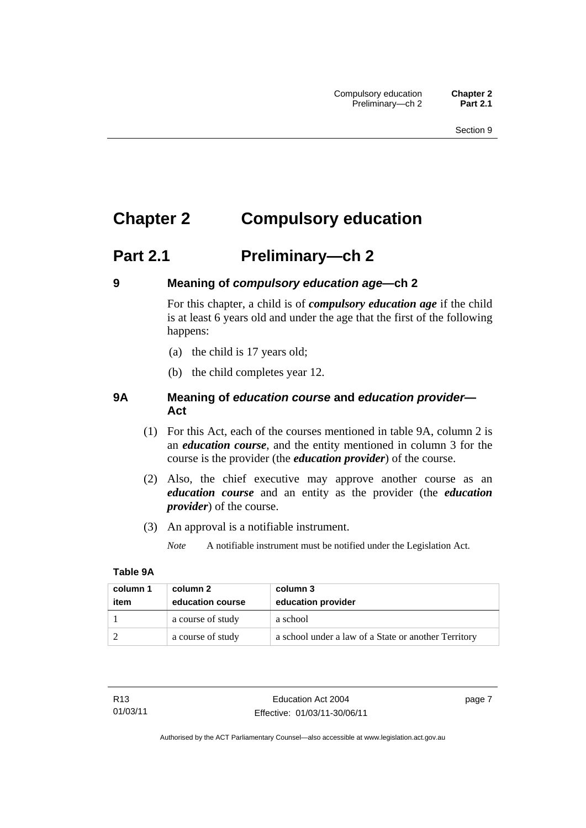## **Chapter 2 Compulsory education**

## **Part 2.1 Preliminary—ch 2**

## **9 Meaning of** *compulsory education age***—ch 2**

For this chapter, a child is of *compulsory education age* if the child is at least 6 years old and under the age that the first of the following happens:

- (a) the child is 17 years old;
- (b) the child completes year 12.

## **9A Meaning of** *education course* **and** *education provider***— Act**

- (1) For this Act, each of the courses mentioned in table 9A, column 2 is an *education course*, and the entity mentioned in column 3 for the course is the provider (the *education provider*) of the course.
- (2) Also, the chief executive may approve another course as an *education course* and an entity as the provider (the *education provider*) of the course.
- (3) An approval is a notifiable instrument.

*Note* A notifiable instrument must be notified under the Legislation Act.

#### **Table 9A**

| column 1<br>item | column 2<br>education course | column 3<br>education provider                       |
|------------------|------------------------------|------------------------------------------------------|
|                  | a course of study            | a school                                             |
|                  | a course of study            | a school under a law of a State or another Territory |

page 7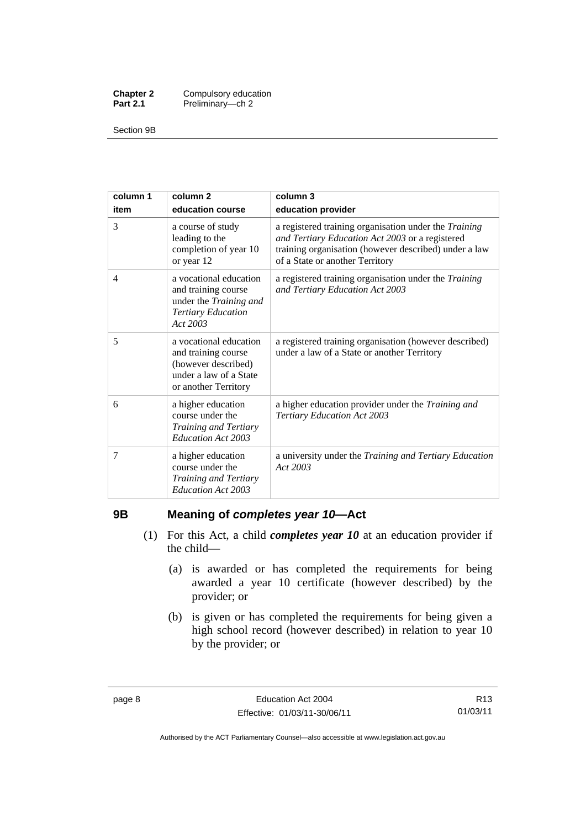| <b>Chapter 2</b> | Compulsory education |
|------------------|----------------------|
| <b>Part 2.1</b>  | Preliminary-ch 2     |

Section 9B

| column 1<br>item | column <sub>2</sub><br>education course                                                                                | column 3<br>education provider                                                                                                                                                                       |
|------------------|------------------------------------------------------------------------------------------------------------------------|------------------------------------------------------------------------------------------------------------------------------------------------------------------------------------------------------|
| 3                | a course of study<br>leading to the<br>completion of year 10<br>or year 12                                             | a registered training organisation under the Training<br>and Tertiary Education Act 2003 or a registered<br>training organisation (however described) under a law<br>of a State or another Territory |
| 4                | a vocational education<br>and training course<br>under the Training and<br><b>Tertiary Education</b><br>Act 2003       | a registered training organisation under the <i>Training</i><br>and Tertiary Education Act 2003                                                                                                      |
| 5                | a vocational education<br>and training course<br>(however described)<br>under a law of a State<br>or another Territory | a registered training organisation (however described)<br>under a law of a State or another Territory                                                                                                |
| 6                | a higher education<br>course under the<br>Training and Tertiary<br>Education Act 2003                                  | a higher education provider under the Training and<br><b>Tertiary Education Act 2003</b>                                                                                                             |
| 7                | a higher education<br>course under the<br>Training and Tertiary<br>Education Act 2003                                  | a university under the Training and Tertiary Education<br>Act 2003                                                                                                                                   |

## **9B Meaning of** *completes year 10***—Act**

- (1) For this Act, a child *completes year 10* at an education provider if the child—
	- (a) is awarded or has completed the requirements for being awarded a year 10 certificate (however described) by the provider; or
	- (b) is given or has completed the requirements for being given a high school record (however described) in relation to year 10 by the provider; or

R13 01/03/11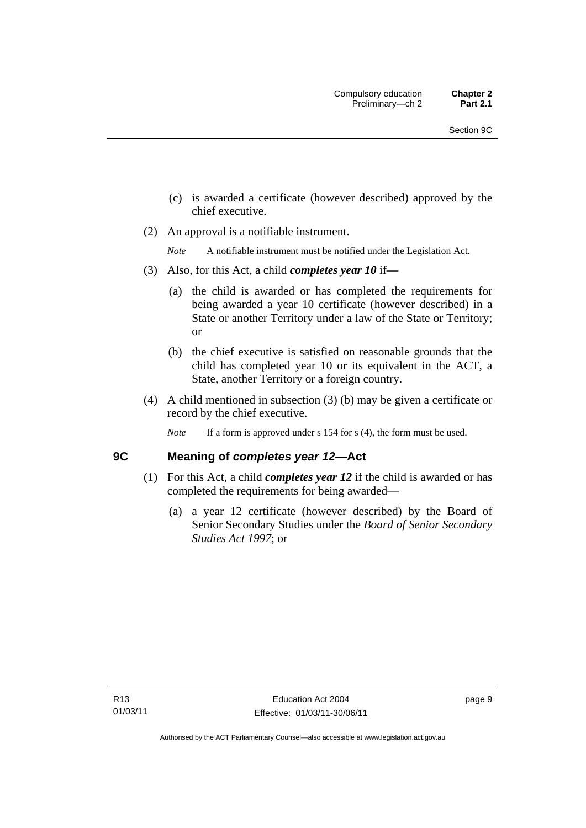- (c) is awarded a certificate (however described) approved by the chief executive.
- (2) An approval is a notifiable instrument.

*Note* A notifiable instrument must be notified under the Legislation Act.

- (3) Also, for this Act, a child *completes year 10* if*—*
	- (a) the child is awarded or has completed the requirements for being awarded a year 10 certificate (however described) in a State or another Territory under a law of the State or Territory; or
	- (b) the chief executive is satisfied on reasonable grounds that the child has completed year 10 or its equivalent in the ACT, a State, another Territory or a foreign country.
- (4) A child mentioned in subsection (3) (b) may be given a certificate or record by the chief executive.
	- *Note* If a form is approved under s 154 for s (4), the form must be used.

## **9C Meaning of** *completes year 12***—Act**

- (1) For this Act, a child *completes year 12* if the child is awarded or has completed the requirements for being awarded—
	- (a) a year 12 certificate (however described) by the Board of Senior Secondary Studies under the *Board of Senior Secondary Studies Act 1997*; or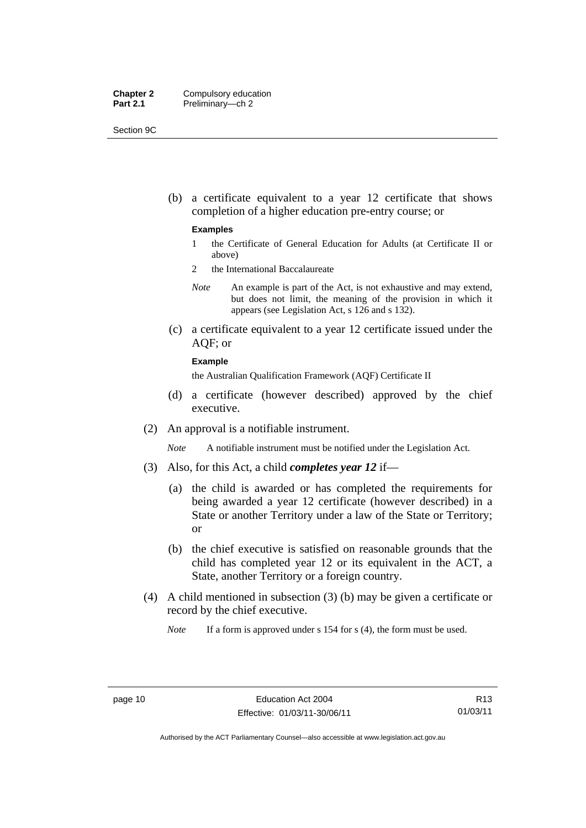| <b>Chapter 2</b> | Compulsory education |
|------------------|----------------------|
| <b>Part 2.1</b>  | Preliminary-ch 2     |

Section 9C

 (b) a certificate equivalent to a year 12 certificate that shows completion of a higher education pre-entry course; or

#### **Examples**

- 1 the Certificate of General Education for Adults (at Certificate II or above)
- 2 the International Baccalaureate
- *Note* An example is part of the Act, is not exhaustive and may extend, but does not limit, the meaning of the provision in which it appears (see Legislation Act, s 126 and s 132).
- (c) a certificate equivalent to a year 12 certificate issued under the AQF; or

#### **Example**

the Australian Qualification Framework (AQF) Certificate II

- (d) a certificate (however described) approved by the chief executive.
- (2) An approval is a notifiable instrument.

*Note* A notifiable instrument must be notified under the Legislation Act.

- (3) Also, for this Act, a child *completes year 12* if—
	- (a) the child is awarded or has completed the requirements for being awarded a year 12 certificate (however described) in a State or another Territory under a law of the State or Territory; or
	- (b) the chief executive is satisfied on reasonable grounds that the child has completed year 12 or its equivalent in the ACT, a State, another Territory or a foreign country.
- (4) A child mentioned in subsection (3) (b) may be given a certificate or record by the chief executive.

*Note* If a form is approved under s 154 for s (4), the form must be used.

R13 01/03/11

Authorised by the ACT Parliamentary Counsel—also accessible at www.legislation.act.gov.au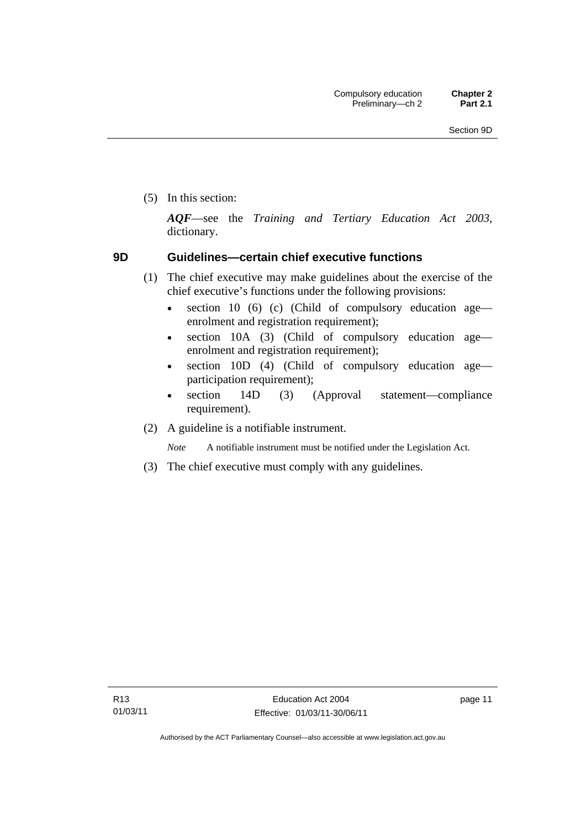(5) In this section:

*AQF*—see the *Training and Tertiary Education Act 2003*, dictionary.

## **9D Guidelines—certain chief executive functions**

- (1) The chief executive may make guidelines about the exercise of the chief executive's functions under the following provisions:
	- $\bullet$  section 10 (6) (c) (Child of compulsory education age enrolment and registration requirement);
	- section 10A (3) (Child of compulsory education age enrolment and registration requirement);
	- section 10D (4) (Child of compulsory education age participation requirement);
	- section 14D (3) (Approval statement—compliance requirement).
- (2) A guideline is a notifiable instrument.

*Note* A notifiable instrument must be notified under the Legislation Act.

(3) The chief executive must comply with any guidelines.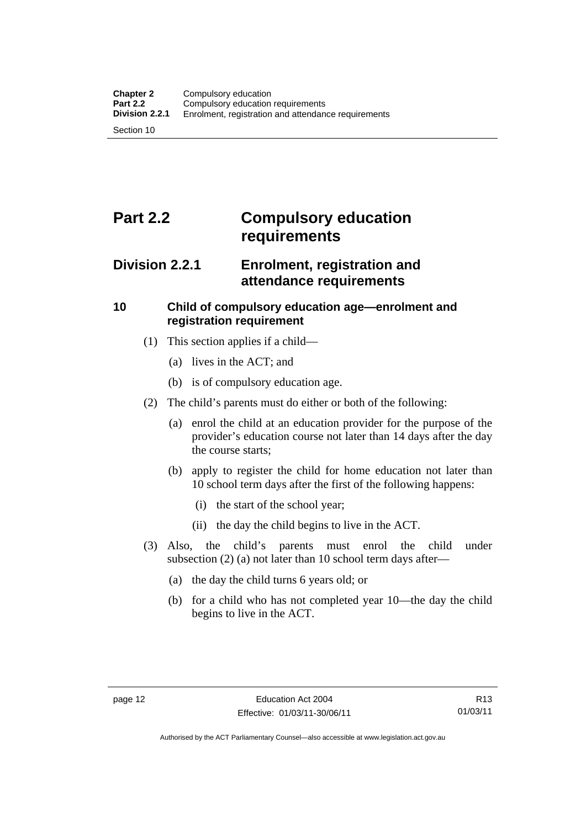## **Part 2.2 Compulsory education requirements**

## **Division 2.2.1 Enrolment, registration and attendance requirements**

## **10 Child of compulsory education age—enrolment and registration requirement**

- (1) This section applies if a child—
	- (a) lives in the ACT; and
	- (b) is of compulsory education age.
- (2) The child's parents must do either or both of the following:
	- (a) enrol the child at an education provider for the purpose of the provider's education course not later than 14 days after the day the course starts;
	- (b) apply to register the child for home education not later than 10 school term days after the first of the following happens:
		- (i) the start of the school year;
		- (ii) the day the child begins to live in the ACT.
- (3) Also, the child's parents must enrol the child under subsection (2) (a) not later than 10 school term days after—
	- (a) the day the child turns 6 years old; or
	- (b) for a child who has not completed year 10—the day the child begins to live in the ACT.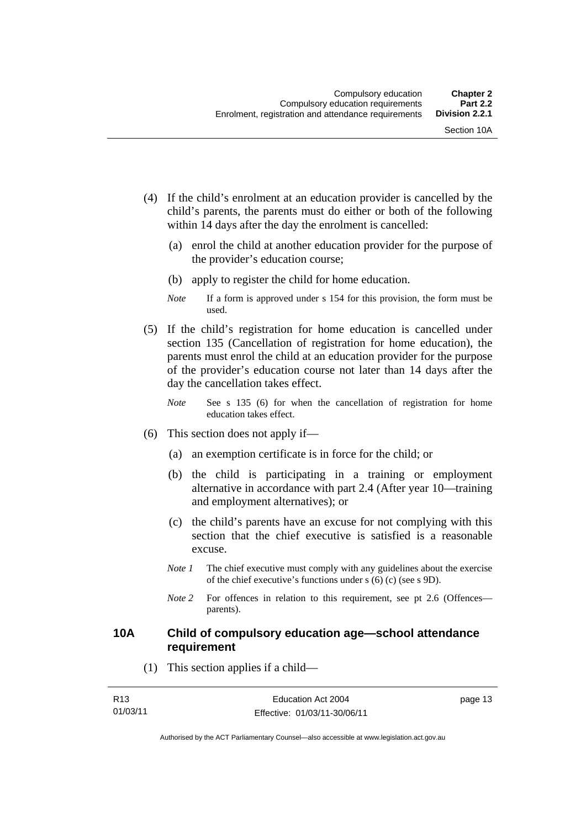- (4) If the child's enrolment at an education provider is cancelled by the child's parents, the parents must do either or both of the following within 14 days after the day the enrolment is cancelled:
	- (a) enrol the child at another education provider for the purpose of the provider's education course;
	- (b) apply to register the child for home education.
	- *Note* If a form is approved under s 154 for this provision, the form must be used.
- (5) If the child's registration for home education is cancelled under section 135 (Cancellation of registration for home education), the parents must enrol the child at an education provider for the purpose of the provider's education course not later than 14 days after the day the cancellation takes effect.
	- *Note* See s 135 (6) for when the cancellation of registration for home education takes effect.
- (6) This section does not apply if—
	- (a) an exemption certificate is in force for the child; or
	- (b) the child is participating in a training or employment alternative in accordance with part 2.4 (After year 10—training and employment alternatives); or
	- (c) the child's parents have an excuse for not complying with this section that the chief executive is satisfied is a reasonable excuse.
	- *Note 1* The chief executive must comply with any guidelines about the exercise of the chief executive's functions under s (6) (c) (see s 9D).
	- *Note 2* For offences in relation to this requirement, see pt 2.6 (Offences parents).

## **10A Child of compulsory education age—school attendance requirement**

(1) This section applies if a child—

| R <sub>13</sub> | Education Act 2004           | page 13 |
|-----------------|------------------------------|---------|
| 01/03/11        | Effective: 01/03/11-30/06/11 |         |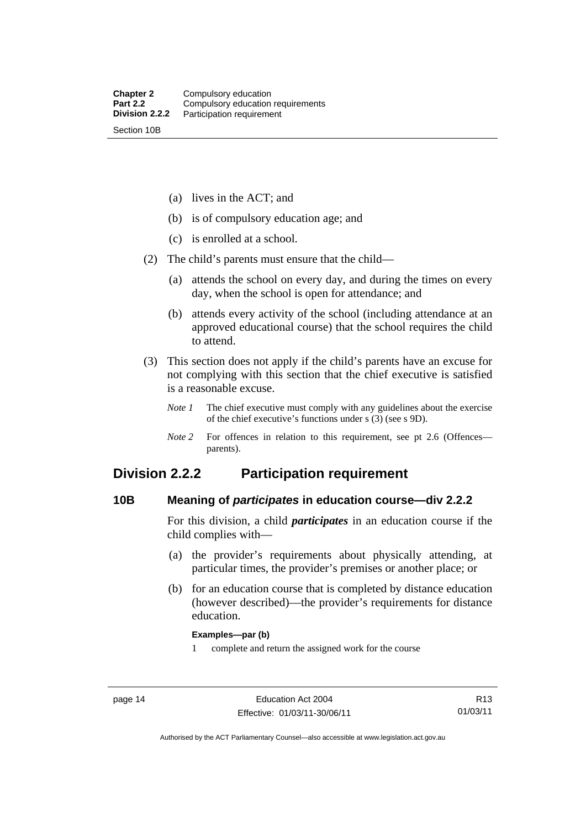(a) lives in the ACT; and

(b) is of compulsory education age; and

(c) is enrolled at a school.

(2) The child's parents must ensure that the child—

- (a) attends the school on every day, and during the times on every day, when the school is open for attendance; and
- (b) attends every activity of the school (including attendance at an approved educational course) that the school requires the child to attend.
- (3) This section does not apply if the child's parents have an excuse for not complying with this section that the chief executive is satisfied is a reasonable excuse.
	- *Note 1* The chief executive must comply with any guidelines about the exercise of the chief executive's functions under s (3) (see s 9D).
	- *Note 2* For offences in relation to this requirement, see pt 2.6 (Offences parents).

## **Division 2.2.2 Participation requirement**

## **10B Meaning of** *participates* **in education course—div 2.2.2**

For this division, a child *participates* in an education course if the child complies with—

- (a) the provider's requirements about physically attending, at particular times, the provider's premises or another place; or
- (b) for an education course that is completed by distance education (however described)—the provider's requirements for distance education.

#### **Examples—par (b)**

1 complete and return the assigned work for the course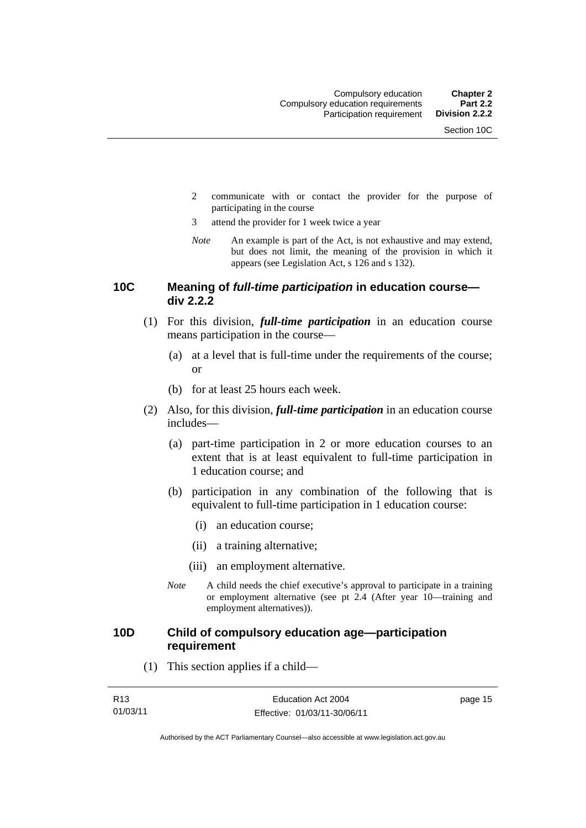- 2 communicate with or contact the provider for the purpose of participating in the course
- 3 attend the provider for 1 week twice a year
- *Note* An example is part of the Act, is not exhaustive and may extend, but does not limit, the meaning of the provision in which it appears (see Legislation Act, s 126 and s 132).

## **10C Meaning of** *full-time participation* **in education course div 2.2.2**

- (1) For this division, *full-time participation* in an education course means participation in the course—
	- (a) at a level that is full-time under the requirements of the course; or
	- (b) for at least 25 hours each week.
- (2) Also, for this division, *full-time participation* in an education course includes—
	- (a) part-time participation in 2 or more education courses to an extent that is at least equivalent to full-time participation in 1 education course; and
	- (b) participation in any combination of the following that is equivalent to full-time participation in 1 education course:
		- (i) an education course;
		- (ii) a training alternative;
		- (iii) an employment alternative.
	- *Note* A child needs the chief executive's approval to participate in a training or employment alternative (see pt 2.4 (After year 10—training and employment alternatives)).

## **10D Child of compulsory education age—participation requirement**

(1) This section applies if a child—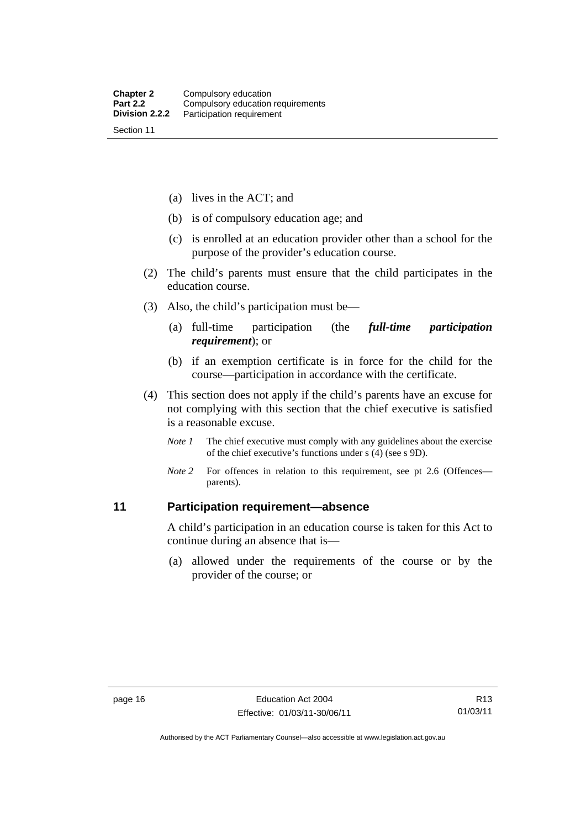(a) lives in the ACT; and

- (b) is of compulsory education age; and
- (c) is enrolled at an education provider other than a school for the purpose of the provider's education course.
- (2) The child's parents must ensure that the child participates in the education course.
- (3) Also, the child's participation must be—
	- (a) full-time participation (the *full-time participation requirement*); or
	- (b) if an exemption certificate is in force for the child for the course—participation in accordance with the certificate.
- (4) This section does not apply if the child's parents have an excuse for not complying with this section that the chief executive is satisfied is a reasonable excuse.
	- *Note 1* The chief executive must comply with any guidelines about the exercise of the chief executive's functions under s (4) (see s 9D).
	- *Note* 2 For offences in relation to this requirement, see pt 2.6 (Offences parents).

## **11 Participation requirement—absence**

A child's participation in an education course is taken for this Act to continue during an absence that is—

 (a) allowed under the requirements of the course or by the provider of the course; or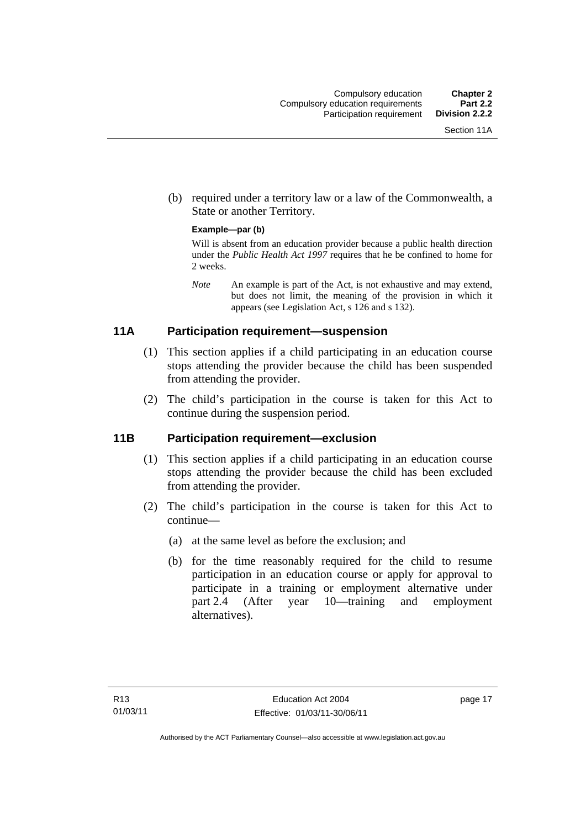(b) required under a territory law or a law of the Commonwealth, a State or another Territory.

#### **Example—par (b)**

Will is absent from an education provider because a public health direction under the *Public Health Act 1997* requires that he be confined to home for 2 weeks.

*Note* An example is part of the Act, is not exhaustive and may extend, but does not limit, the meaning of the provision in which it appears (see Legislation Act, s 126 and s 132).

## **11A Participation requirement—suspension**

- (1) This section applies if a child participating in an education course stops attending the provider because the child has been suspended from attending the provider.
- (2) The child's participation in the course is taken for this Act to continue during the suspension period.

## **11B Participation requirement—exclusion**

- (1) This section applies if a child participating in an education course stops attending the provider because the child has been excluded from attending the provider.
- (2) The child's participation in the course is taken for this Act to continue—
	- (a) at the same level as before the exclusion; and
	- (b) for the time reasonably required for the child to resume participation in an education course or apply for approval to participate in a training or employment alternative under part 2.4 (After year 10—training and employment alternatives).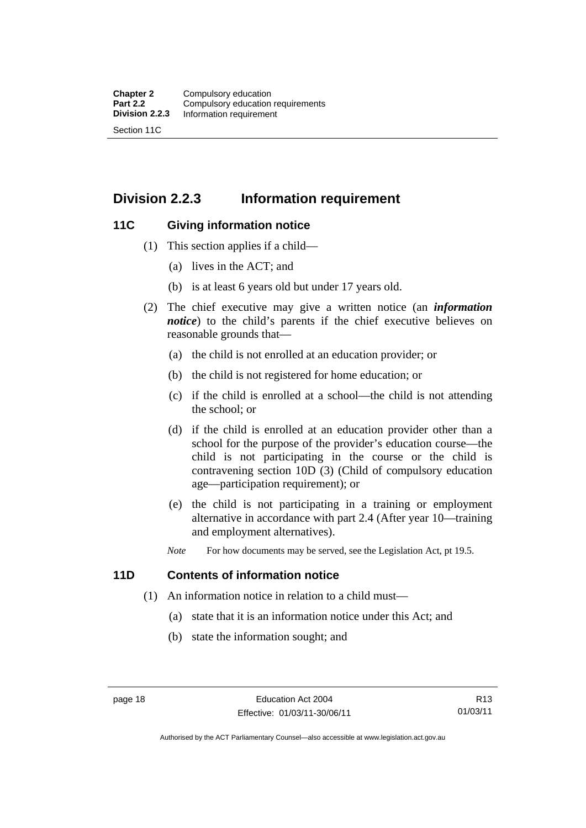## **Division 2.2.3 Information requirement**

## **11C Giving information notice**

- (1) This section applies if a child—
	- (a) lives in the ACT; and
	- (b) is at least 6 years old but under 17 years old.
- (2) The chief executive may give a written notice (an *information notice*) to the child's parents if the chief executive believes on reasonable grounds that—
	- (a) the child is not enrolled at an education provider; or
	- (b) the child is not registered for home education; or
	- (c) if the child is enrolled at a school—the child is not attending the school; or
	- (d) if the child is enrolled at an education provider other than a school for the purpose of the provider's education course—the child is not participating in the course or the child is contravening section 10D (3) (Child of compulsory education age—participation requirement); or
	- (e) the child is not participating in a training or employment alternative in accordance with part 2.4 (After year 10—training and employment alternatives).
	- *Note* For how documents may be served, see the Legislation Act, pt 19.5.

## **11D Contents of information notice**

- (1) An information notice in relation to a child must—
	- (a) state that it is an information notice under this Act; and
	- (b) state the information sought; and

Authorised by the ACT Parliamentary Counsel—also accessible at www.legislation.act.gov.au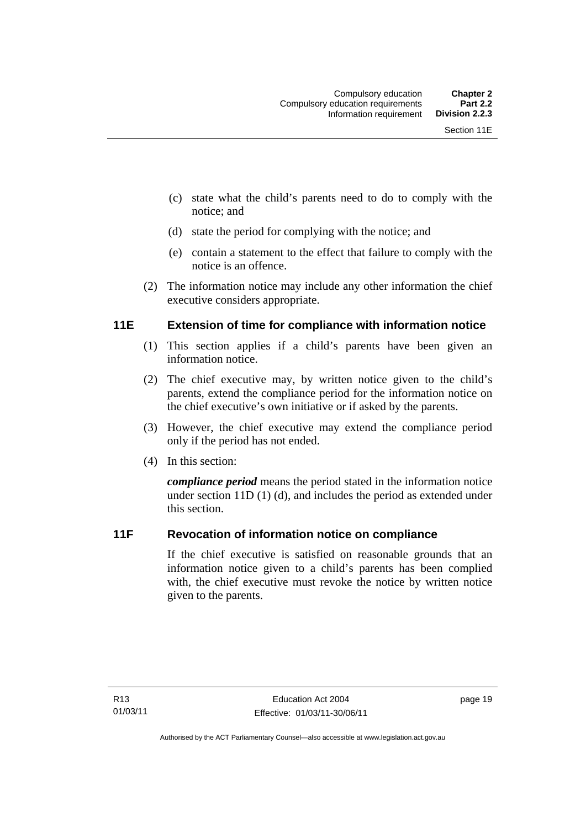- (c) state what the child's parents need to do to comply with the notice; and
- (d) state the period for complying with the notice; and
- (e) contain a statement to the effect that failure to comply with the notice is an offence.
- (2) The information notice may include any other information the chief executive considers appropriate.

## **11E Extension of time for compliance with information notice**

- (1) This section applies if a child's parents have been given an information notice.
- (2) The chief executive may, by written notice given to the child's parents, extend the compliance period for the information notice on the chief executive's own initiative or if asked by the parents.
- (3) However, the chief executive may extend the compliance period only if the period has not ended.
- (4) In this section:

*compliance period* means the period stated in the information notice under section 11D (1) (d), and includes the period as extended under this section.

## **11F Revocation of information notice on compliance**

If the chief executive is satisfied on reasonable grounds that an information notice given to a child's parents has been complied with, the chief executive must revoke the notice by written notice given to the parents.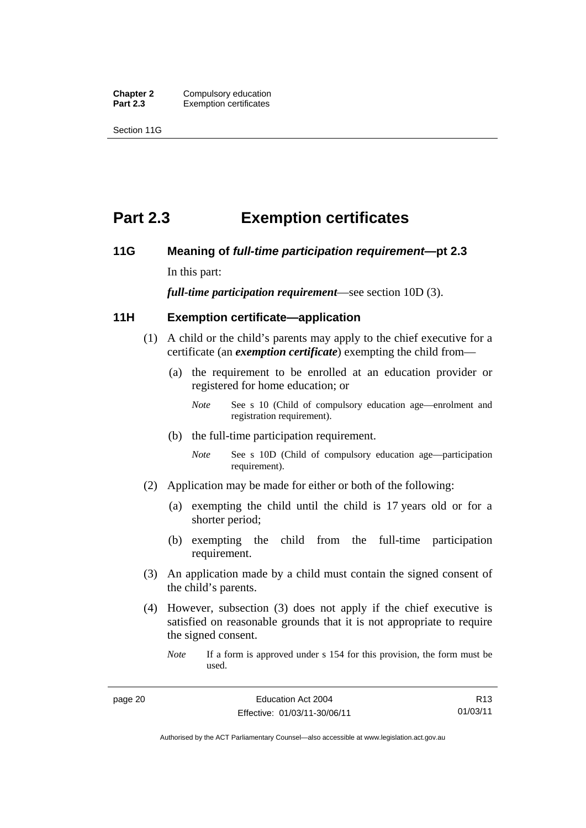**Chapter 2 Compulsory education**<br>**Part 2.3 Exemption certificates Exemption certificates** 

Section 11G

## **Part 2.3 Exemption certificates**

## **11G Meaning of** *full-time participation requirement***—pt 2.3**

In this part:

*full-time participation requirement*—see section 10D (3).

## **11H Exemption certificate—application**

- (1) A child or the child's parents may apply to the chief executive for a certificate (an *exemption certificate*) exempting the child from—
	- (a) the requirement to be enrolled at an education provider or registered for home education; or
		- *Note* See s 10 (Child of compulsory education age—enrolment and registration requirement).
	- (b) the full-time participation requirement.
		- *Note* See s 10D (Child of compulsory education age—participation requirement).
- (2) Application may be made for either or both of the following:
	- (a) exempting the child until the child is 17 years old or for a shorter period;
	- (b) exempting the child from the full-time participation requirement.
- (3) An application made by a child must contain the signed consent of the child's parents.
- (4) However, subsection (3) does not apply if the chief executive is satisfied on reasonable grounds that it is not appropriate to require the signed consent.
	- *Note* If a form is approved under s 154 for this provision, the form must be used.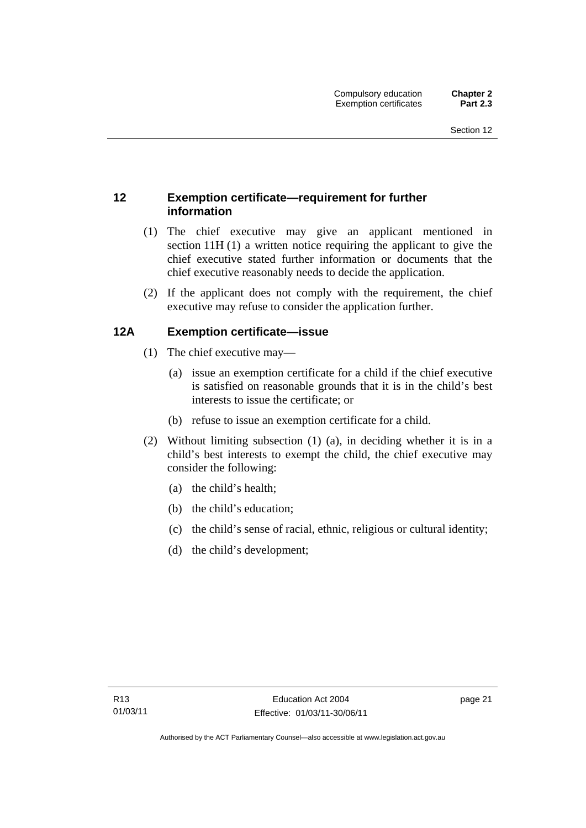## **12 Exemption certificate—requirement for further information**

- (1) The chief executive may give an applicant mentioned in section 11H (1) a written notice requiring the applicant to give the chief executive stated further information or documents that the chief executive reasonably needs to decide the application.
- (2) If the applicant does not comply with the requirement, the chief executive may refuse to consider the application further.

## **12A Exemption certificate—issue**

- (1) The chief executive may—
	- (a) issue an exemption certificate for a child if the chief executive is satisfied on reasonable grounds that it is in the child's best interests to issue the certificate; or
	- (b) refuse to issue an exemption certificate for a child.
- (2) Without limiting subsection (1) (a), in deciding whether it is in a child's best interests to exempt the child, the chief executive may consider the following:
	- (a) the child's health;
	- (b) the child's education;
	- (c) the child's sense of racial, ethnic, religious or cultural identity;
	- (d) the child's development;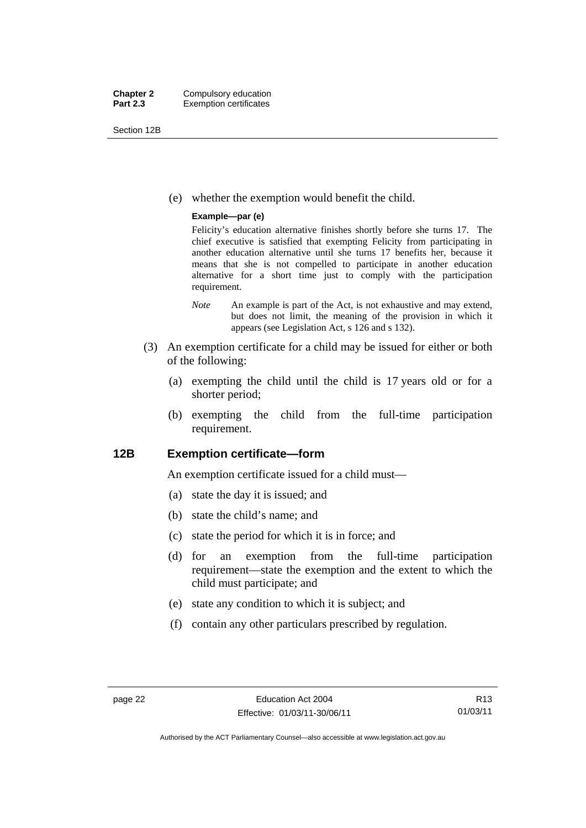Section 12B

(e) whether the exemption would benefit the child.

#### **Example—par (e)**

Felicity's education alternative finishes shortly before she turns 17. The chief executive is satisfied that exempting Felicity from participating in another education alternative until she turns 17 benefits her, because it means that she is not compelled to participate in another education alternative for a short time just to comply with the participation requirement.

- *Note* An example is part of the Act, is not exhaustive and may extend, but does not limit, the meaning of the provision in which it appears (see Legislation Act, s 126 and s 132).
- (3) An exemption certificate for a child may be issued for either or both of the following:
	- (a) exempting the child until the child is 17 years old or for a shorter period;
	- (b) exempting the child from the full-time participation requirement.

## **12B Exemption certificate—form**

An exemption certificate issued for a child must—

- (a) state the day it is issued; and
- (b) state the child's name; and
- (c) state the period for which it is in force; and
- (d) for an exemption from the full-time participation requirement—state the exemption and the extent to which the child must participate; and
- (e) state any condition to which it is subject; and
- (f) contain any other particulars prescribed by regulation.

R13 01/03/11

Authorised by the ACT Parliamentary Counsel—also accessible at www.legislation.act.gov.au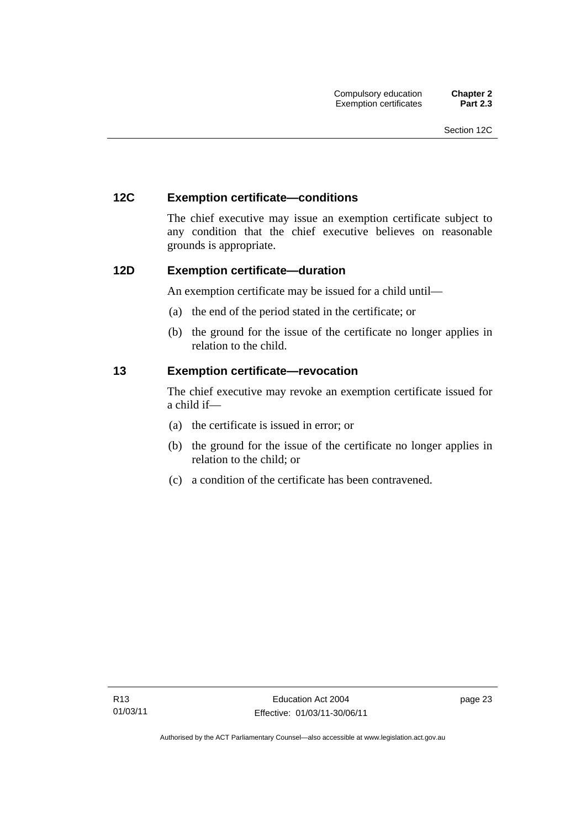## **12C Exemption certificate—conditions**

The chief executive may issue an exemption certificate subject to any condition that the chief executive believes on reasonable grounds is appropriate.

## **12D Exemption certificate—duration**

An exemption certificate may be issued for a child until—

- (a) the end of the period stated in the certificate; or
- (b) the ground for the issue of the certificate no longer applies in relation to the child.

## **13 Exemption certificate—revocation**

The chief executive may revoke an exemption certificate issued for a child if—

- (a) the certificate is issued in error; or
- (b) the ground for the issue of the certificate no longer applies in relation to the child; or
- (c) a condition of the certificate has been contravened.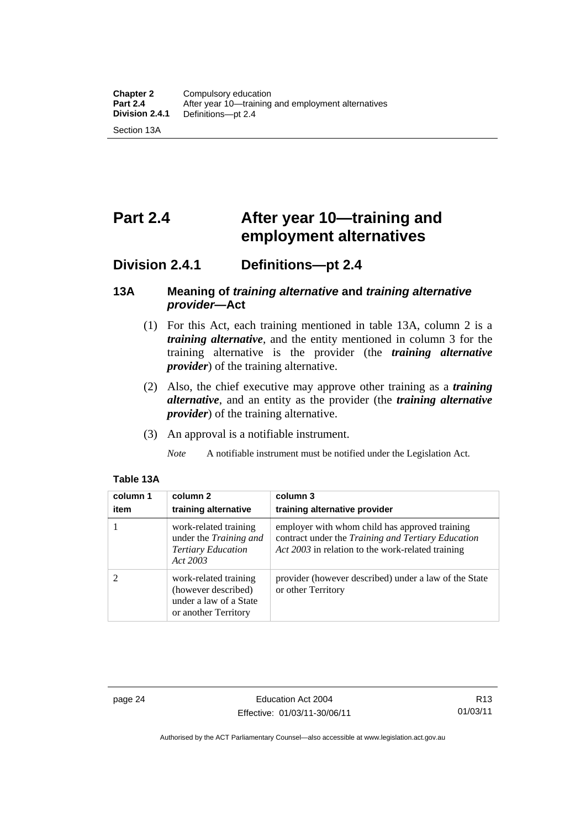## **Part 2.4 After year 10—training and employment alternatives**

## **Division 2.4.1 Definitions—pt 2.4**

## **13A Meaning of** *training alternative* **and** *training alternative provider***—Act**

- (1) For this Act, each training mentioned in table 13A, column 2 is a *training alternative*, and the entity mentioned in column 3 for the training alternative is the provider (the *training alternative provider*) of the training alternative.
- (2) Also, the chief executive may approve other training as a *training alternative*, and an entity as the provider (the *training alternative provider*) of the training alternative.
- (3) An approval is a notifiable instrument.
	- *Note* A notifiable instrument must be notified under the Legislation Act.

| column 1<br>item | column 2<br>training alternative                                                               | column 3<br>training alternative provider                                                                                                                 |
|------------------|------------------------------------------------------------------------------------------------|-----------------------------------------------------------------------------------------------------------------------------------------------------------|
|                  | work-related training<br>under the Training and<br><b>Tertiary Education</b><br>Act 2003       | employer with whom child has approved training<br>contract under the Training and Tertiary Education<br>Act 2003 in relation to the work-related training |
|                  | work-related training<br>(however described)<br>under a law of a State<br>or another Territory | provider (however described) under a law of the State<br>or other Territory                                                                               |

#### **Table 13A**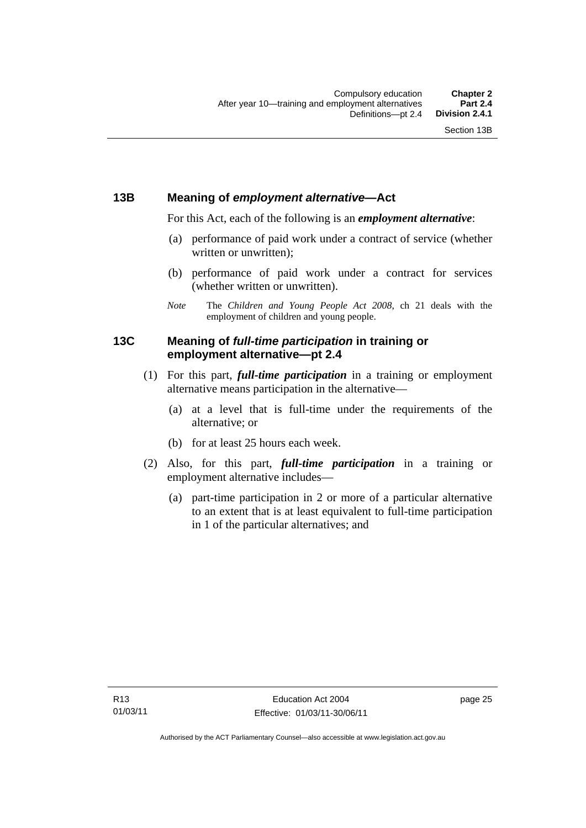## **13B Meaning of** *employment alternative***—Act**

For this Act, each of the following is an *employment alternative*:

- (a) performance of paid work under a contract of service (whether written or unwritten);
- (b) performance of paid work under a contract for services (whether written or unwritten).
- *Note* The *Children and Young People Act 2008*, ch 21 deals with the employment of children and young people.

## **13C Meaning of** *full-time participation* **in training or employment alternative—pt 2.4**

- (1) For this part, *full-time participation* in a training or employment alternative means participation in the alternative—
	- (a) at a level that is full-time under the requirements of the alternative; or
	- (b) for at least 25 hours each week.
- (2) Also, for this part, *full-time participation* in a training or employment alternative includes—
	- (a) part-time participation in 2 or more of a particular alternative to an extent that is at least equivalent to full-time participation in 1 of the particular alternatives; and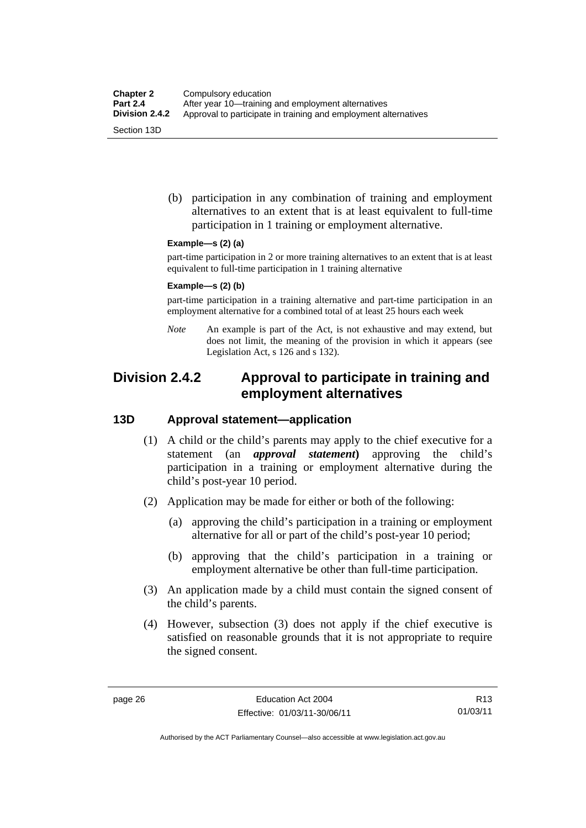(b) participation in any combination of training and employment alternatives to an extent that is at least equivalent to full-time participation in 1 training or employment alternative.

#### **Example—s (2) (a)**

part-time participation in 2 or more training alternatives to an extent that is at least equivalent to full-time participation in 1 training alternative

#### **Example—s (2) (b)**

part-time participation in a training alternative and part-time participation in an employment alternative for a combined total of at least 25 hours each week

*Note* An example is part of the Act, is not exhaustive and may extend, but does not limit, the meaning of the provision in which it appears (see Legislation Act, s 126 and s 132).

# **Division 2.4.2 Approval to participate in training and employment alternatives**

## **13D Approval statement—application**

- (1) A child or the child's parents may apply to the chief executive for a statement (an *approval statement***)** approving the child's participation in a training or employment alternative during the child's post-year 10 period.
- (2) Application may be made for either or both of the following:
	- (a) approving the child's participation in a training or employment alternative for all or part of the child's post-year 10 period;
	- (b) approving that the child's participation in a training or employment alternative be other than full-time participation.
- (3) An application made by a child must contain the signed consent of the child's parents.
- (4) However, subsection (3) does not apply if the chief executive is satisfied on reasonable grounds that it is not appropriate to require the signed consent.

R13 01/03/11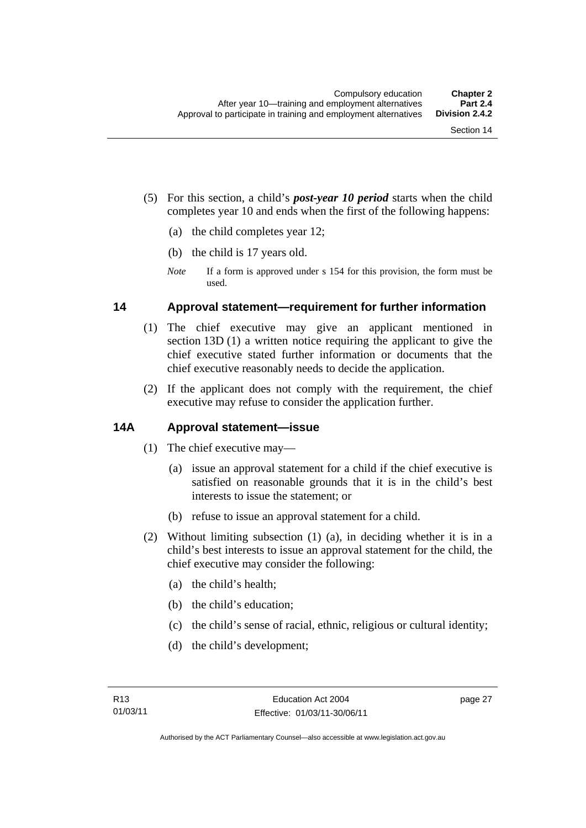- (5) For this section, a child's *post-year 10 period* starts when the child completes year 10 and ends when the first of the following happens:
	- (a) the child completes year 12;
	- (b) the child is 17 years old.
	- *Note* If a form is approved under s 154 for this provision, the form must be used.

## **14 Approval statement—requirement for further information**

- (1) The chief executive may give an applicant mentioned in section 13D (1) a written notice requiring the applicant to give the chief executive stated further information or documents that the chief executive reasonably needs to decide the application.
- (2) If the applicant does not comply with the requirement, the chief executive may refuse to consider the application further.

## **14A Approval statement—issue**

- (1) The chief executive may—
	- (a) issue an approval statement for a child if the chief executive is satisfied on reasonable grounds that it is in the child's best interests to issue the statement; or
	- (b) refuse to issue an approval statement for a child.
- (2) Without limiting subsection (1) (a), in deciding whether it is in a child's best interests to issue an approval statement for the child, the chief executive may consider the following:
	- (a) the child's health;
	- (b) the child's education;
	- (c) the child's sense of racial, ethnic, religious or cultural identity;
	- (d) the child's development;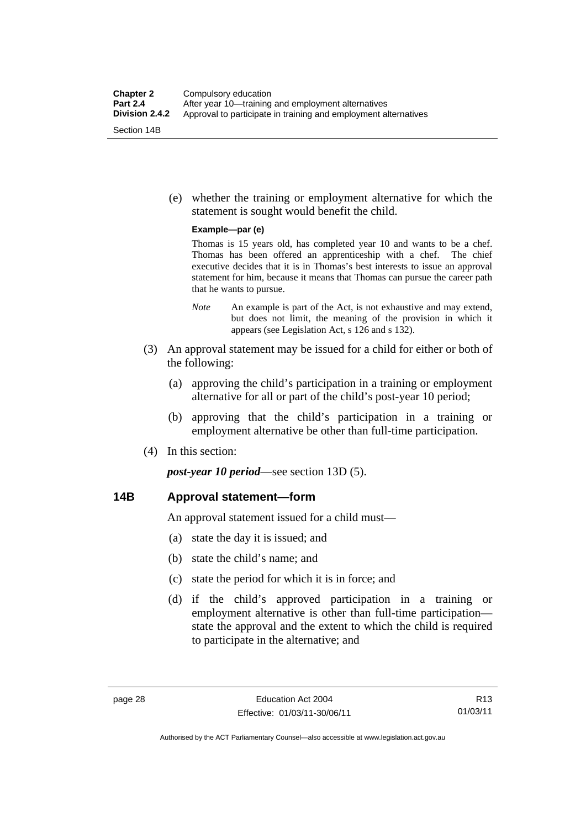(e) whether the training or employment alternative for which the statement is sought would benefit the child.

#### **Example—par (e)**

Thomas is 15 years old, has completed year 10 and wants to be a chef. Thomas has been offered an apprenticeship with a chef. The chief executive decides that it is in Thomas's best interests to issue an approval statement for him, because it means that Thomas can pursue the career path that he wants to pursue.

- *Note* An example is part of the Act, is not exhaustive and may extend, but does not limit, the meaning of the provision in which it appears (see Legislation Act, s 126 and s 132).
- (3) An approval statement may be issued for a child for either or both of the following:
	- (a) approving the child's participation in a training or employment alternative for all or part of the child's post-year 10 period;
	- (b) approving that the child's participation in a training or employment alternative be other than full-time participation.
- (4) In this section:

*post-year 10 period*—see section 13D (5).

## **14B Approval statement—form**

An approval statement issued for a child must—

- (a) state the day it is issued; and
- (b) state the child's name; and
- (c) state the period for which it is in force; and
- (d) if the child's approved participation in a training or employment alternative is other than full-time participation state the approval and the extent to which the child is required to participate in the alternative; and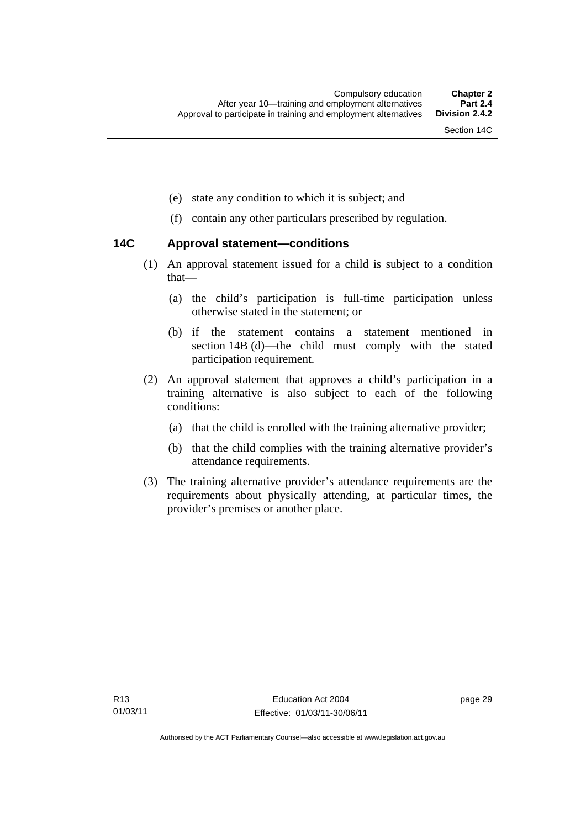- (e) state any condition to which it is subject; and
- (f) contain any other particulars prescribed by regulation.

## **14C Approval statement—conditions**

- (1) An approval statement issued for a child is subject to a condition that—
	- (a) the child's participation is full-time participation unless otherwise stated in the statement; or
	- (b) if the statement contains a statement mentioned in section 14B (d)—the child must comply with the stated participation requirement.
- (2) An approval statement that approves a child's participation in a training alternative is also subject to each of the following conditions:
	- (a) that the child is enrolled with the training alternative provider;
	- (b) that the child complies with the training alternative provider's attendance requirements.
- (3) The training alternative provider's attendance requirements are the requirements about physically attending, at particular times, the provider's premises or another place.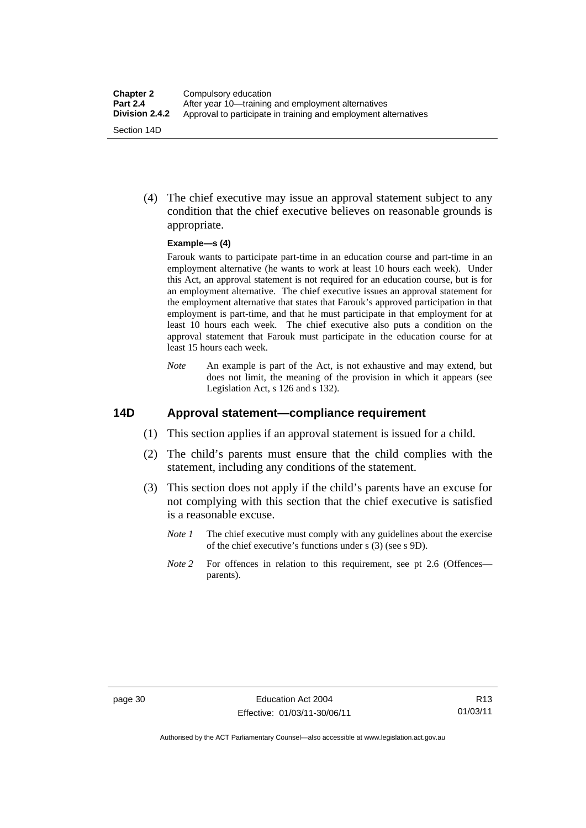(4) The chief executive may issue an approval statement subject to any condition that the chief executive believes on reasonable grounds is appropriate.

#### **Example—s (4)**

Farouk wants to participate part-time in an education course and part-time in an employment alternative (he wants to work at least 10 hours each week). Under this Act, an approval statement is not required for an education course, but is for an employment alternative. The chief executive issues an approval statement for the employment alternative that states that Farouk's approved participation in that employment is part-time, and that he must participate in that employment for at least 10 hours each week. The chief executive also puts a condition on the approval statement that Farouk must participate in the education course for at least 15 hours each week.

*Note* An example is part of the Act, is not exhaustive and may extend, but does not limit, the meaning of the provision in which it appears (see Legislation Act, s 126 and s 132).

## **14D Approval statement—compliance requirement**

- (1) This section applies if an approval statement is issued for a child.
- (2) The child's parents must ensure that the child complies with the statement, including any conditions of the statement.
- (3) This section does not apply if the child's parents have an excuse for not complying with this section that the chief executive is satisfied is a reasonable excuse.
	- *Note 1* The chief executive must comply with any guidelines about the exercise of the chief executive's functions under s (3) (see s 9D).
	- *Note 2* For offences in relation to this requirement, see pt 2.6 (Offences parents).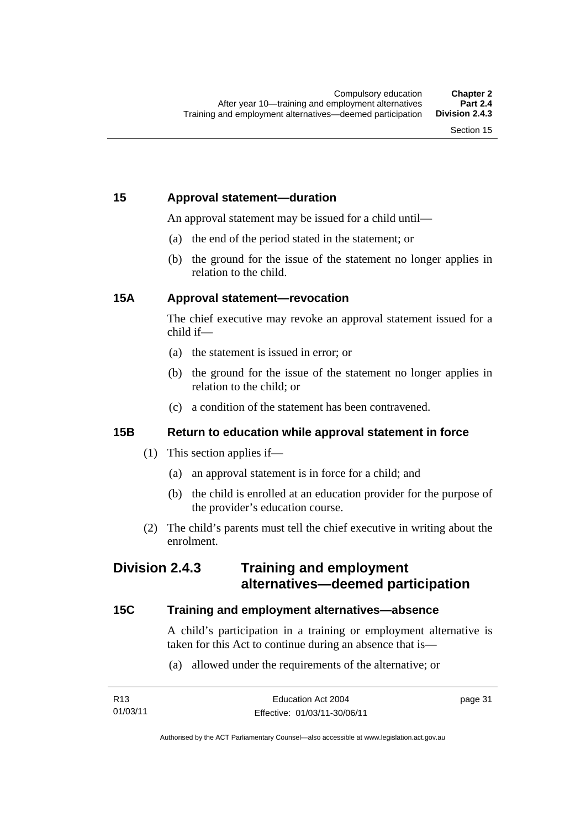# **15 Approval statement—duration**

An approval statement may be issued for a child until—

- (a) the end of the period stated in the statement; or
- (b) the ground for the issue of the statement no longer applies in relation to the child.

## **15A Approval statement—revocation**

The chief executive may revoke an approval statement issued for a child if—

- (a) the statement is issued in error; or
- (b) the ground for the issue of the statement no longer applies in relation to the child; or
- (c) a condition of the statement has been contravened.

## **15B Return to education while approval statement in force**

- (1) This section applies if—
	- (a) an approval statement is in force for a child; and
	- (b) the child is enrolled at an education provider for the purpose of the provider's education course.
- (2) The child's parents must tell the chief executive in writing about the enrolment.

# **Division 2.4.3 Training and employment alternatives—deemed participation**

## **15C Training and employment alternatives—absence**

A child's participation in a training or employment alternative is taken for this Act to continue during an absence that is—

(a) allowed under the requirements of the alternative; or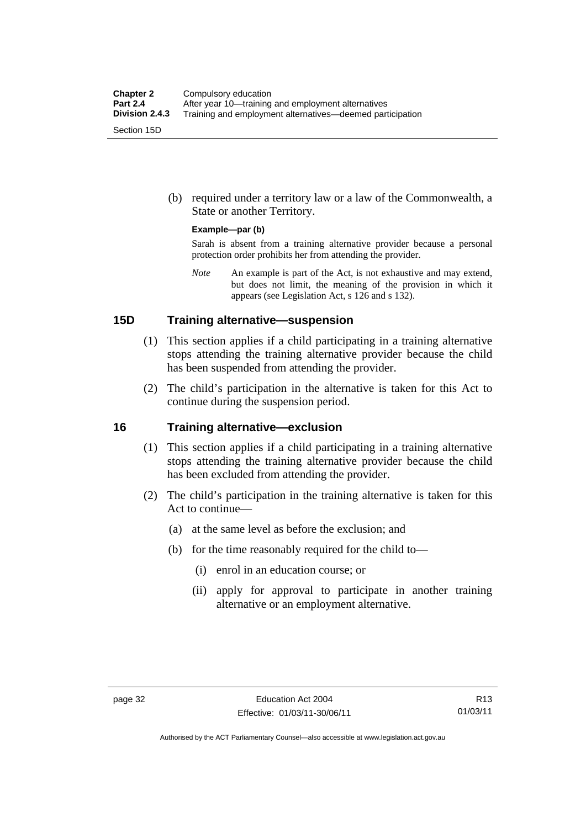(b) required under a territory law or a law of the Commonwealth, a State or another Territory.

#### **Example—par (b)**

Sarah is absent from a training alternative provider because a personal protection order prohibits her from attending the provider.

*Note* An example is part of the Act, is not exhaustive and may extend, but does not limit, the meaning of the provision in which it appears (see Legislation Act, s 126 and s 132).

## **15D Training alternative—suspension**

- (1) This section applies if a child participating in a training alternative stops attending the training alternative provider because the child has been suspended from attending the provider.
- (2) The child's participation in the alternative is taken for this Act to continue during the suspension period.

#### **16 Training alternative—exclusion**

- (1) This section applies if a child participating in a training alternative stops attending the training alternative provider because the child has been excluded from attending the provider.
- (2) The child's participation in the training alternative is taken for this Act to continue—
	- (a) at the same level as before the exclusion; and
	- (b) for the time reasonably required for the child to—
		- (i) enrol in an education course; or
		- (ii) apply for approval to participate in another training alternative or an employment alternative.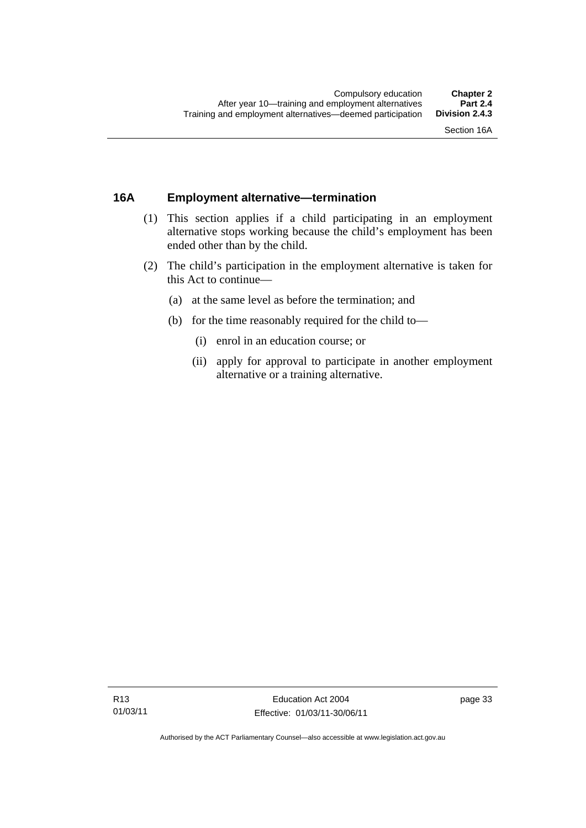## **16A Employment alternative—termination**

- (1) This section applies if a child participating in an employment alternative stops working because the child's employment has been ended other than by the child.
- (2) The child's participation in the employment alternative is taken for this Act to continue—
	- (a) at the same level as before the termination; and
	- (b) for the time reasonably required for the child to—
		- (i) enrol in an education course; or
		- (ii) apply for approval to participate in another employment alternative or a training alternative.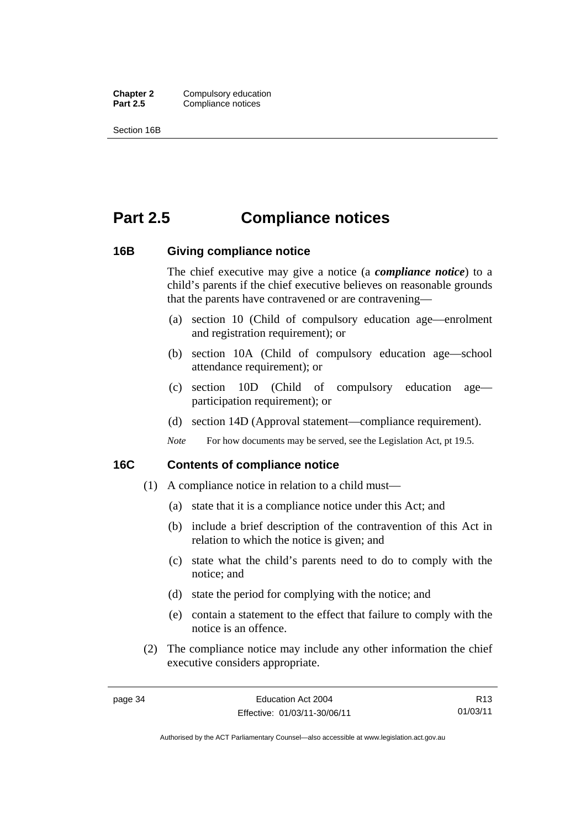**Chapter 2** Compulsory education<br>**Part 2.5** Compliance notices **Compliance notices** 

Section 16B

# **Part 2.5 Compliance notices**

### **16B Giving compliance notice**

The chief executive may give a notice (a *compliance notice*) to a child's parents if the chief executive believes on reasonable grounds that the parents have contravened or are contravening—

- (a) section 10 (Child of compulsory education age—enrolment and registration requirement); or
- (b) section 10A (Child of compulsory education age—school attendance requirement); or
- (c) section 10D (Child of compulsory education age participation requirement); or
- (d) section 14D (Approval statement—compliance requirement).
- *Note* For how documents may be served, see the Legislation Act, pt 19.5.

## **16C Contents of compliance notice**

- (1) A compliance notice in relation to a child must—
	- (a) state that it is a compliance notice under this Act; and
	- (b) include a brief description of the contravention of this Act in relation to which the notice is given; and
	- (c) state what the child's parents need to do to comply with the notice; and
	- (d) state the period for complying with the notice; and
	- (e) contain a statement to the effect that failure to comply with the notice is an offence.
- (2) The compliance notice may include any other information the chief executive considers appropriate.

R13 01/03/11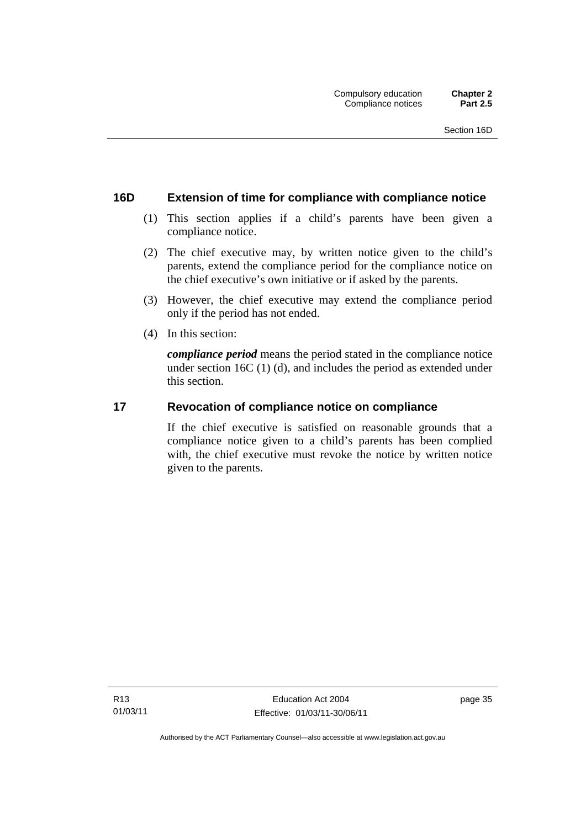## **16D Extension of time for compliance with compliance notice**

- (1) This section applies if a child's parents have been given a compliance notice.
- (2) The chief executive may, by written notice given to the child's parents, extend the compliance period for the compliance notice on the chief executive's own initiative or if asked by the parents.
- (3) However, the chief executive may extend the compliance period only if the period has not ended.
- (4) In this section:

*compliance period* means the period stated in the compliance notice under section 16C (1) (d), and includes the period as extended under this section.

### **17 Revocation of compliance notice on compliance**

If the chief executive is satisfied on reasonable grounds that a compliance notice given to a child's parents has been complied with, the chief executive must revoke the notice by written notice given to the parents.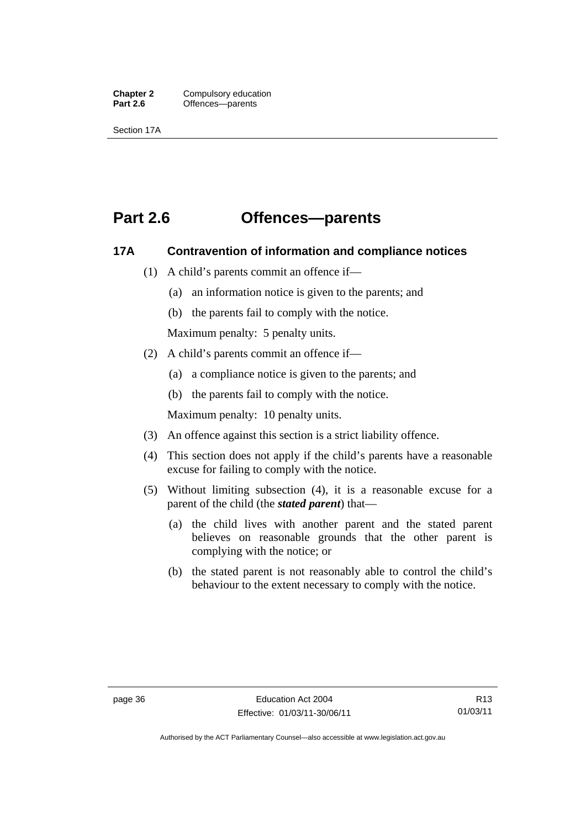**Chapter 2** Compulsory education<br>**Part 2.6 C** Offences—parents **Offences—parents** 

Section 17A

# **Part 2.6 Offences—parents**

## **17A Contravention of information and compliance notices**

- (1) A child's parents commit an offence if—
	- (a) an information notice is given to the parents; and
	- (b) the parents fail to comply with the notice.

Maximum penalty: 5 penalty units.

- (2) A child's parents commit an offence if—
	- (a) a compliance notice is given to the parents; and
	- (b) the parents fail to comply with the notice.

Maximum penalty: 10 penalty units.

- (3) An offence against this section is a strict liability offence.
- (4) This section does not apply if the child's parents have a reasonable excuse for failing to comply with the notice.
- (5) Without limiting subsection (4), it is a reasonable excuse for a parent of the child (the *stated parent*) that—
	- (a) the child lives with another parent and the stated parent believes on reasonable grounds that the other parent is complying with the notice; or
	- (b) the stated parent is not reasonably able to control the child's behaviour to the extent necessary to comply with the notice.

R13 01/03/11

Authorised by the ACT Parliamentary Counsel—also accessible at www.legislation.act.gov.au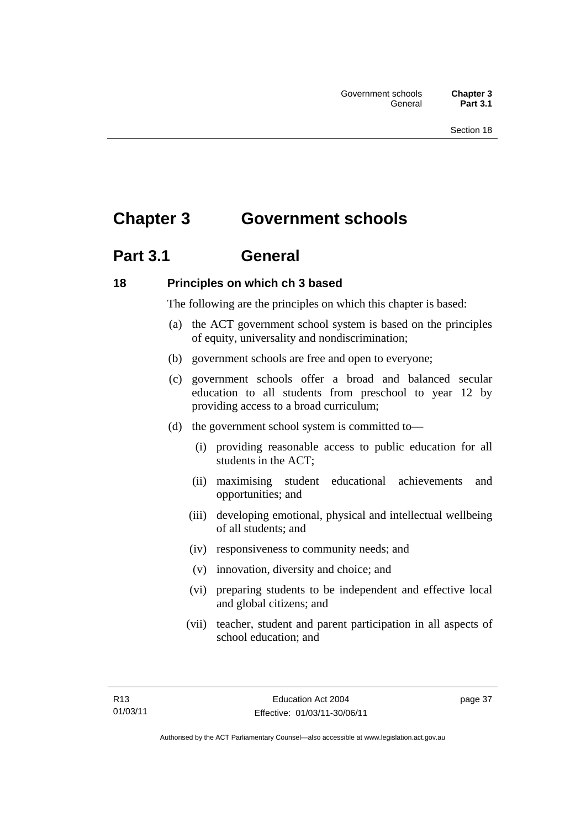# **Chapter 3 Government schools**

# **Part 3.1 General**

## **18 Principles on which ch 3 based**

The following are the principles on which this chapter is based:

- (a) the ACT government school system is based on the principles of equity, universality and nondiscrimination;
- (b) government schools are free and open to everyone;
- (c) government schools offer a broad and balanced secular education to all students from preschool to year 12 by providing access to a broad curriculum;
- (d) the government school system is committed to—
	- (i) providing reasonable access to public education for all students in the ACT;
	- (ii) maximising student educational achievements and opportunities; and
	- (iii) developing emotional, physical and intellectual wellbeing of all students; and
	- (iv) responsiveness to community needs; and
	- (v) innovation, diversity and choice; and
	- (vi) preparing students to be independent and effective local and global citizens; and
	- (vii) teacher, student and parent participation in all aspects of school education; and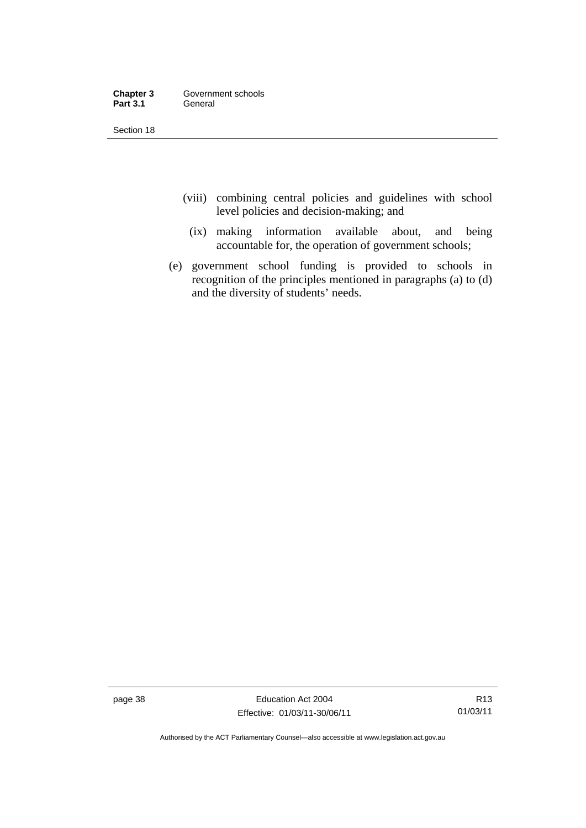| Chapter 3       | Government schools |
|-----------------|--------------------|
| <b>Part 3.1</b> | General            |

- (viii) combining central policies and guidelines with school level policies and decision-making; and
	- (ix) making information available about, and being accountable for, the operation of government schools;
- (e) government school funding is provided to schools in recognition of the principles mentioned in paragraphs (a) to (d) and the diversity of students' needs.

page 38 Education Act 2004 Effective: 01/03/11-30/06/11

R13 01/03/11

Authorised by the ACT Parliamentary Counsel—also accessible at www.legislation.act.gov.au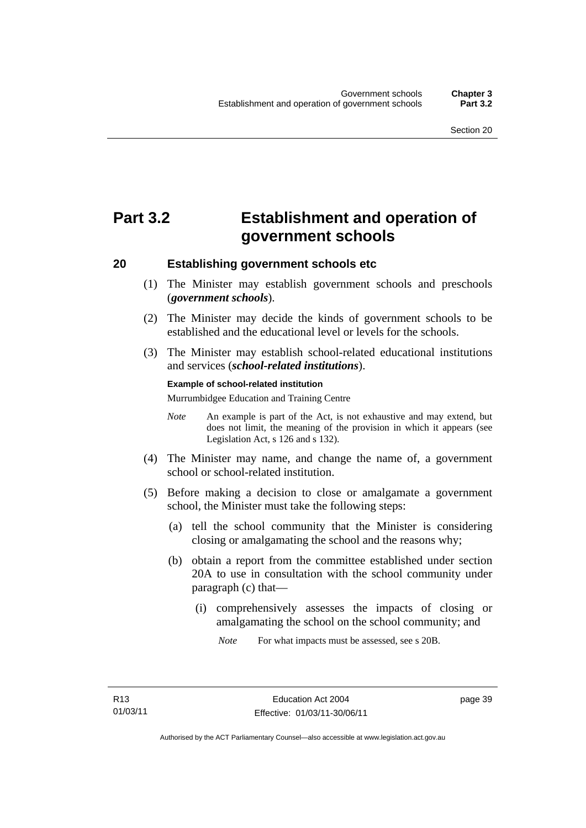# **Part 3.2 Establishment and operation of government schools**

## **20 Establishing government schools etc**

- (1) The Minister may establish government schools and preschools (*government schools*).
- (2) The Minister may decide the kinds of government schools to be established and the educational level or levels for the schools.
- (3) The Minister may establish school-related educational institutions and services (*school-related institutions*).

#### **Example of school-related institution**

Murrumbidgee Education and Training Centre

- *Note* An example is part of the Act, is not exhaustive and may extend, but does not limit, the meaning of the provision in which it appears (see Legislation Act, s 126 and s 132).
- (4) The Minister may name, and change the name of, a government school or school-related institution.
- (5) Before making a decision to close or amalgamate a government school, the Minister must take the following steps:
	- (a) tell the school community that the Minister is considering closing or amalgamating the school and the reasons why;
	- (b) obtain a report from the committee established under section 20A to use in consultation with the school community under paragraph (c) that—
		- (i) comprehensively assesses the impacts of closing or amalgamating the school on the school community; and

*Note* For what impacts must be assessed, see s 20B.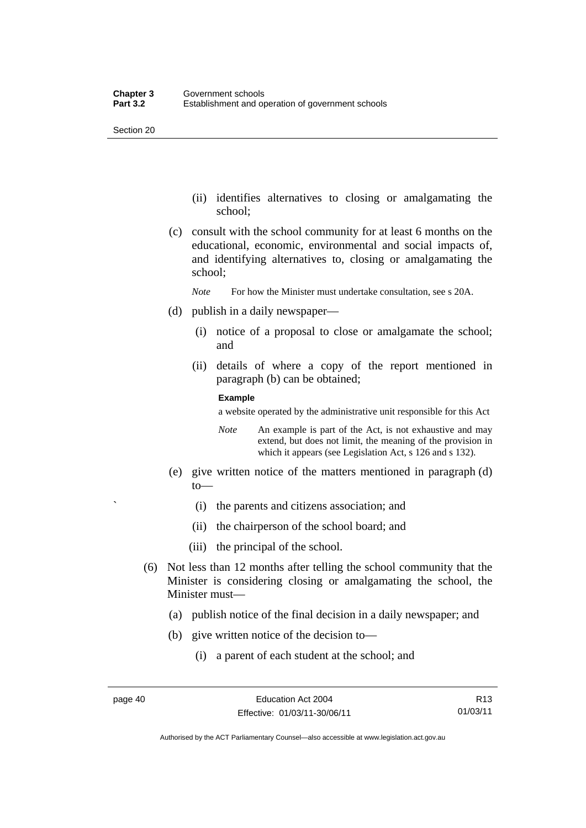- (ii) identifies alternatives to closing or amalgamating the school;
- (c) consult with the school community for at least 6 months on the educational, economic, environmental and social impacts of, and identifying alternatives to, closing or amalgamating the school;
	- *Note* For how the Minister must undertake consultation, see s 20A.
- (d) publish in a daily newspaper—
	- (i) notice of a proposal to close or amalgamate the school; and
	- (ii) details of where a copy of the report mentioned in paragraph (b) can be obtained;

#### **Example**

a website operated by the administrative unit responsible for this Act

- *Note* An example is part of the Act, is not exhaustive and may extend, but does not limit, the meaning of the provision in which it appears (see Legislation Act, s 126 and s 132).
- (e) give written notice of the matters mentioned in paragraph (d) to—
	- ` (i) the parents and citizens association; and
	- (ii) the chairperson of the school board; and
	- (iii) the principal of the school.
- (6) Not less than 12 months after telling the school community that the Minister is considering closing or amalgamating the school, the Minister must—
	- (a) publish notice of the final decision in a daily newspaper; and
	- (b) give written notice of the decision to—
		- (i) a parent of each student at the school; and

R13 01/03/11

Authorised by the ACT Parliamentary Counsel—also accessible at www.legislation.act.gov.au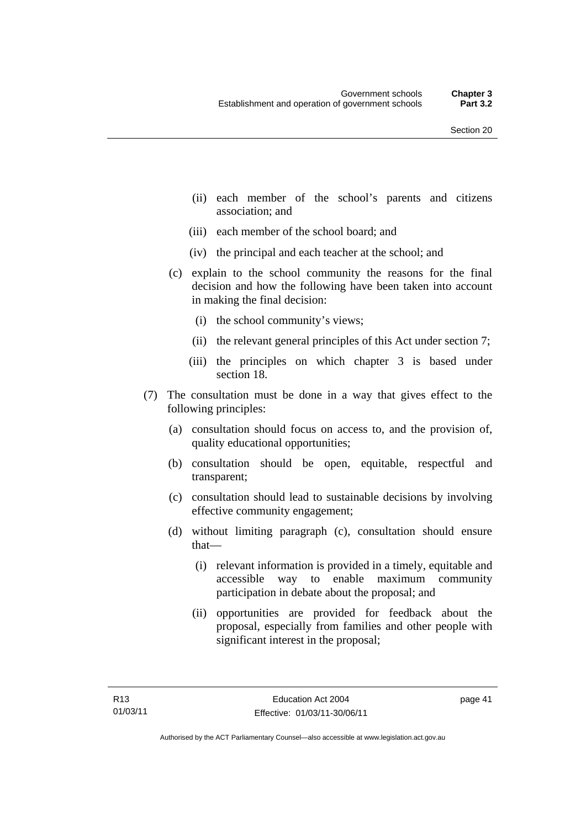- (ii) each member of the school's parents and citizens association; and
- (iii) each member of the school board; and
- (iv) the principal and each teacher at the school; and
- (c) explain to the school community the reasons for the final decision and how the following have been taken into account in making the final decision:
	- (i) the school community's views;
	- (ii) the relevant general principles of this Act under section 7;
	- (iii) the principles on which chapter 3 is based under section 18.
- (7) The consultation must be done in a way that gives effect to the following principles:
	- (a) consultation should focus on access to, and the provision of, quality educational opportunities;
	- (b) consultation should be open, equitable, respectful and transparent;
	- (c) consultation should lead to sustainable decisions by involving effective community engagement;
	- (d) without limiting paragraph (c), consultation should ensure that—
		- (i) relevant information is provided in a timely, equitable and accessible way to enable maximum community participation in debate about the proposal; and
		- (ii) opportunities are provided for feedback about the proposal, especially from families and other people with significant interest in the proposal;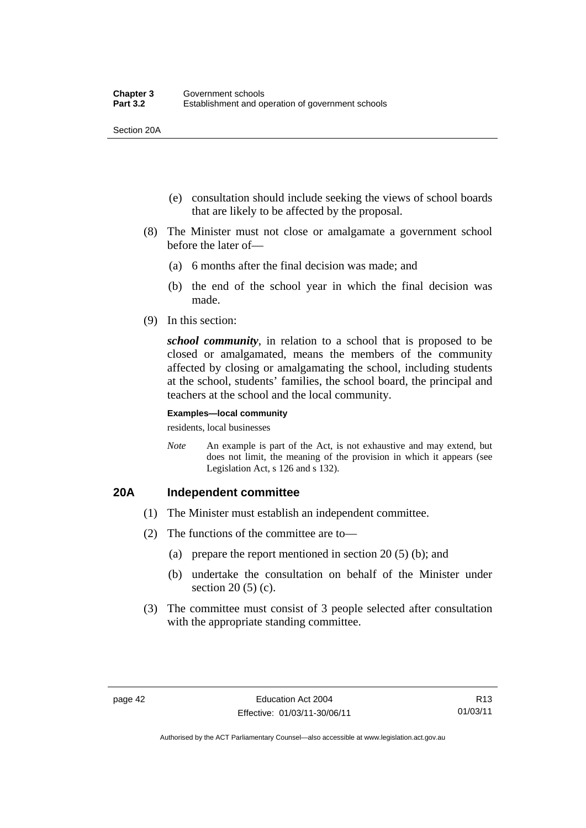Section 20A

- (e) consultation should include seeking the views of school boards that are likely to be affected by the proposal.
- (8) The Minister must not close or amalgamate a government school before the later of—
	- (a) 6 months after the final decision was made; and
	- (b) the end of the school year in which the final decision was made.
- (9) In this section:

*school community*, in relation to a school that is proposed to be closed or amalgamated, means the members of the community affected by closing or amalgamating the school, including students at the school, students' families, the school board, the principal and teachers at the school and the local community.

#### **Examples—local community**

residents, local businesses

*Note* An example is part of the Act, is not exhaustive and may extend, but does not limit, the meaning of the provision in which it appears (see Legislation Act, s 126 and s 132).

## **20A Independent committee**

- (1) The Minister must establish an independent committee.
- (2) The functions of the committee are to—
	- (a) prepare the report mentioned in section 20 (5) (b); and
	- (b) undertake the consultation on behalf of the Minister under section 20 (5) (c).
- (3) The committee must consist of 3 people selected after consultation with the appropriate standing committee.

R13 01/03/11

Authorised by the ACT Parliamentary Counsel—also accessible at www.legislation.act.gov.au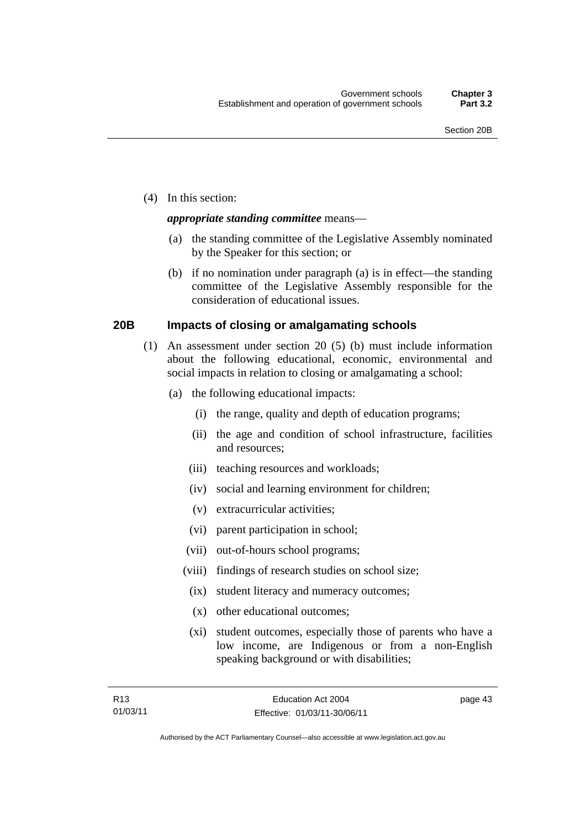(4) In this section:

## *appropriate standing committee* means—

- (a) the standing committee of the Legislative Assembly nominated by the Speaker for this section; or
- (b) if no nomination under paragraph (a) is in effect—the standing committee of the Legislative Assembly responsible for the consideration of educational issues.

## **20B Impacts of closing or amalgamating schools**

- (1) An assessment under section 20 (5) (b) must include information about the following educational, economic, environmental and social impacts in relation to closing or amalgamating a school:
	- (a) the following educational impacts:
		- (i) the range, quality and depth of education programs;
		- (ii) the age and condition of school infrastructure, facilities and resources;
		- (iii) teaching resources and workloads;
		- (iv) social and learning environment for children;
		- (v) extracurricular activities;
		- (vi) parent participation in school;
		- (vii) out-of-hours school programs;
		- (viii) findings of research studies on school size;
		- (ix) student literacy and numeracy outcomes;
		- (x) other educational outcomes;
		- (xi) student outcomes, especially those of parents who have a low income, are Indigenous or from a non-English speaking background or with disabilities;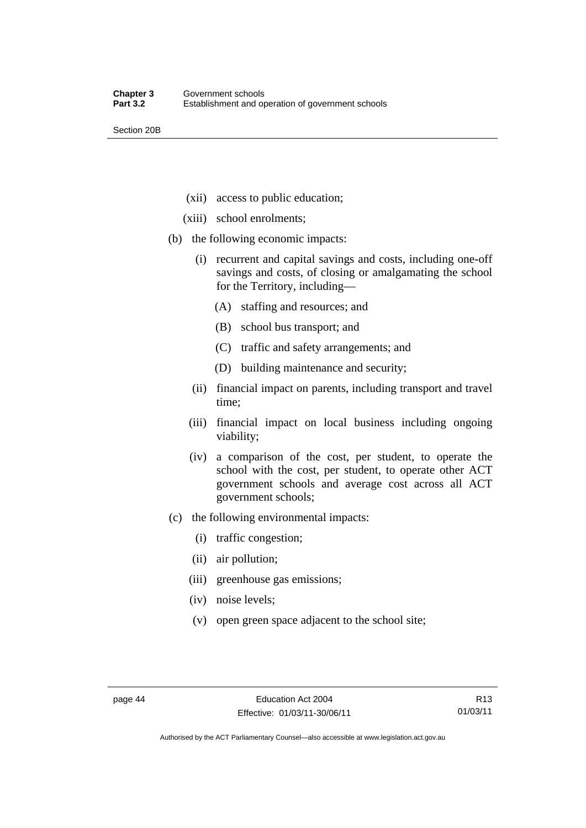Section 20B

- (xii) access to public education;
- (xiii) school enrolments;
- (b) the following economic impacts:
	- (i) recurrent and capital savings and costs, including one-off savings and costs, of closing or amalgamating the school for the Territory, including—
		- (A) staffing and resources; and
		- (B) school bus transport; and
		- (C) traffic and safety arrangements; and
		- (D) building maintenance and security;
	- (ii) financial impact on parents, including transport and travel time;
	- (iii) financial impact on local business including ongoing viability;
	- (iv) a comparison of the cost, per student, to operate the school with the cost, per student, to operate other ACT government schools and average cost across all ACT government schools;
- (c) the following environmental impacts:
	- (i) traffic congestion;
	- (ii) air pollution;
	- (iii) greenhouse gas emissions;
	- (iv) noise levels;
	- (v) open green space adjacent to the school site;

Authorised by the ACT Parliamentary Counsel—also accessible at www.legislation.act.gov.au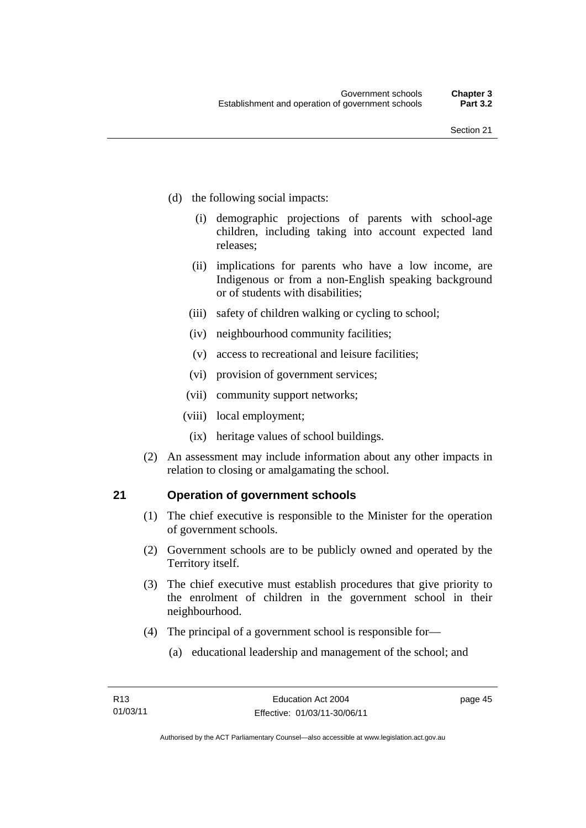- (d) the following social impacts:
	- (i) demographic projections of parents with school-age children, including taking into account expected land releases;
	- (ii) implications for parents who have a low income, are Indigenous or from a non-English speaking background or of students with disabilities;
	- (iii) safety of children walking or cycling to school;
	- (iv) neighbourhood community facilities;
	- (v) access to recreational and leisure facilities;
	- (vi) provision of government services;
	- (vii) community support networks;
	- (viii) local employment;
		- (ix) heritage values of school buildings.
- (2) An assessment may include information about any other impacts in relation to closing or amalgamating the school.

## **21 Operation of government schools**

- (1) The chief executive is responsible to the Minister for the operation of government schools.
- (2) Government schools are to be publicly owned and operated by the Territory itself.
- (3) The chief executive must establish procedures that give priority to the enrolment of children in the government school in their neighbourhood.
- (4) The principal of a government school is responsible for—
	- (a) educational leadership and management of the school; and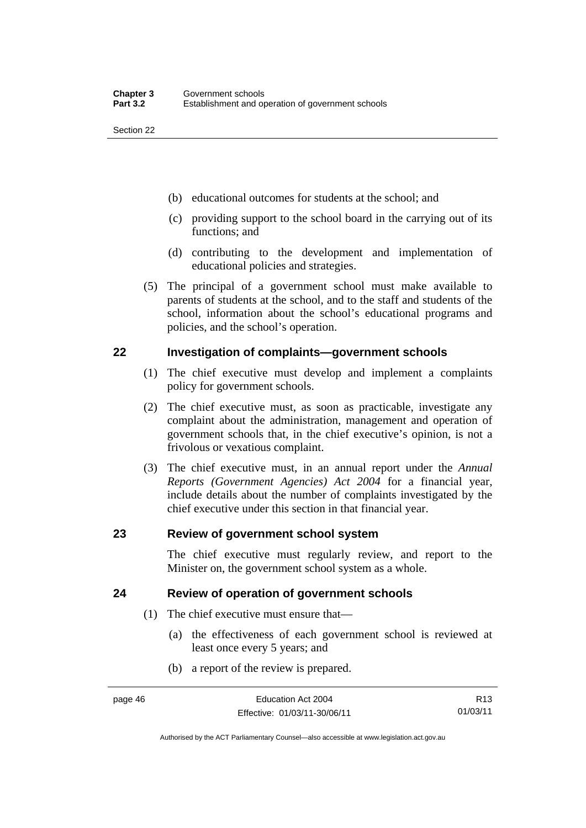- (b) educational outcomes for students at the school; and
- (c) providing support to the school board in the carrying out of its functions; and
- (d) contributing to the development and implementation of educational policies and strategies.
- (5) The principal of a government school must make available to parents of students at the school, and to the staff and students of the school, information about the school's educational programs and policies, and the school's operation.

## **22 Investigation of complaints—government schools**

- (1) The chief executive must develop and implement a complaints policy for government schools.
- (2) The chief executive must, as soon as practicable, investigate any complaint about the administration, management and operation of government schools that, in the chief executive's opinion, is not a frivolous or vexatious complaint.
- (3) The chief executive must, in an annual report under the *Annual Reports (Government Agencies) Act 2004* for a financial year, include details about the number of complaints investigated by the chief executive under this section in that financial year.

## **23 Review of government school system**

The chief executive must regularly review, and report to the Minister on, the government school system as a whole.

## **24 Review of operation of government schools**

- (1) The chief executive must ensure that—
	- (a) the effectiveness of each government school is reviewed at least once every 5 years; and
	- (b) a report of the review is prepared.

R13 01/03/11

Authorised by the ACT Parliamentary Counsel—also accessible at www.legislation.act.gov.au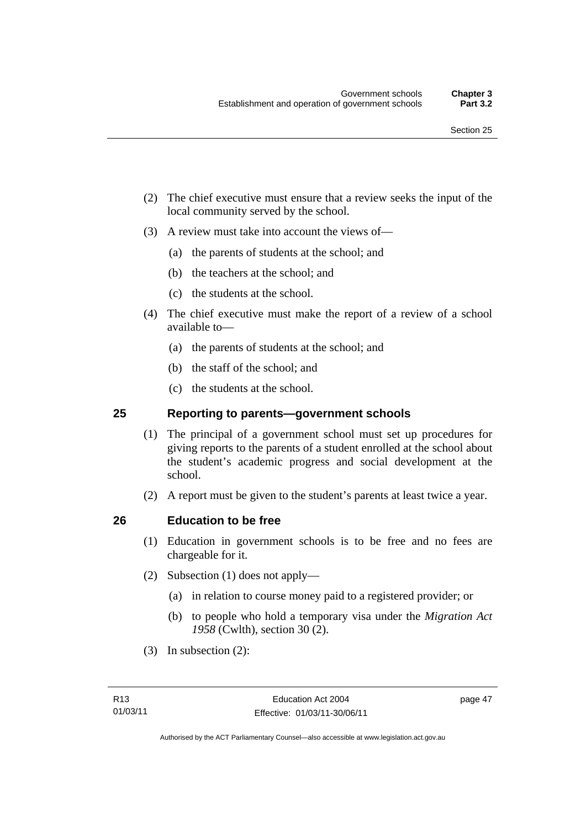- (2) The chief executive must ensure that a review seeks the input of the local community served by the school.
- (3) A review must take into account the views of—
	- (a) the parents of students at the school; and
	- (b) the teachers at the school; and
	- (c) the students at the school.
- (4) The chief executive must make the report of a review of a school available to—
	- (a) the parents of students at the school; and
	- (b) the staff of the school; and
	- (c) the students at the school.

## **25 Reporting to parents—government schools**

- (1) The principal of a government school must set up procedures for giving reports to the parents of a student enrolled at the school about the student's academic progress and social development at the school.
- (2) A report must be given to the student's parents at least twice a year.

## **26 Education to be free**

- (1) Education in government schools is to be free and no fees are chargeable for it.
- (2) Subsection (1) does not apply—
	- (a) in relation to course money paid to a registered provider; or
	- (b) to people who hold a temporary visa under the *Migration Act 1958* (Cwlth), section 30 (2).
- (3) In subsection (2):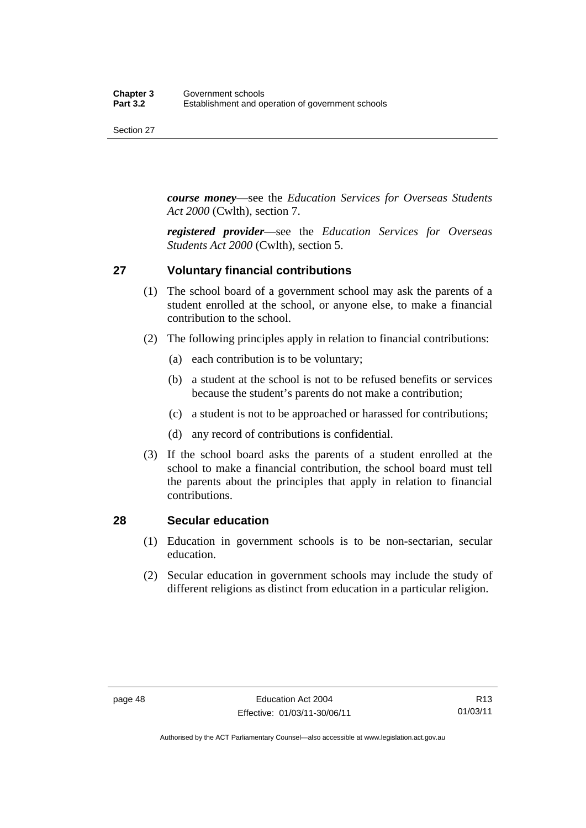*course money*—see the *Education Services for Overseas Students Act 2000* (Cwlth), section 7.

*registered provider*—see the *Education Services for Overseas Students Act 2000* (Cwlth), section 5.

## **27 Voluntary financial contributions**

- (1) The school board of a government school may ask the parents of a student enrolled at the school, or anyone else, to make a financial contribution to the school.
- (2) The following principles apply in relation to financial contributions:
	- (a) each contribution is to be voluntary;
	- (b) a student at the school is not to be refused benefits or services because the student's parents do not make a contribution;
	- (c) a student is not to be approached or harassed for contributions;
	- (d) any record of contributions is confidential.
- (3) If the school board asks the parents of a student enrolled at the school to make a financial contribution, the school board must tell the parents about the principles that apply in relation to financial contributions.

## **28 Secular education**

- (1) Education in government schools is to be non-sectarian, secular education.
- (2) Secular education in government schools may include the study of different religions as distinct from education in a particular religion.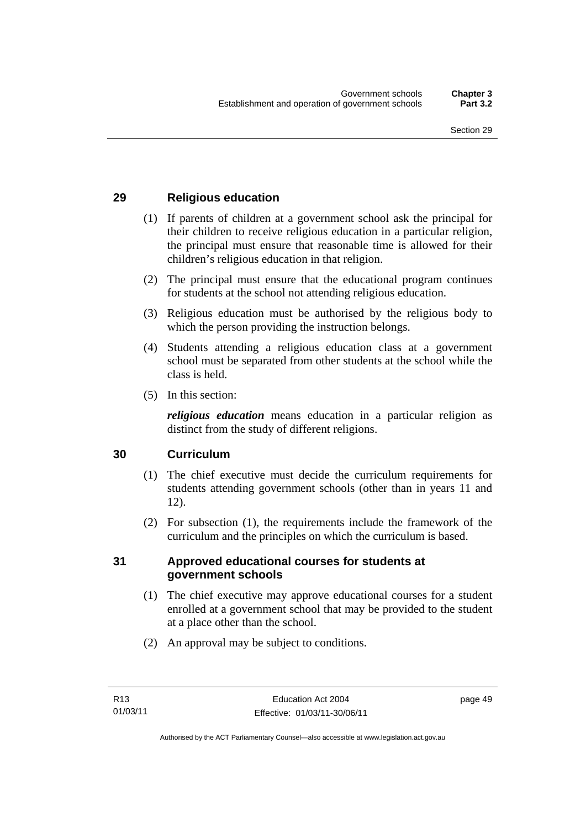## **29 Religious education**

- (1) If parents of children at a government school ask the principal for their children to receive religious education in a particular religion, the principal must ensure that reasonable time is allowed for their children's religious education in that religion.
- (2) The principal must ensure that the educational program continues for students at the school not attending religious education.
- (3) Religious education must be authorised by the religious body to which the person providing the instruction belongs.
- (4) Students attending a religious education class at a government school must be separated from other students at the school while the class is held.
- (5) In this section:

*religious education* means education in a particular religion as distinct from the study of different religions.

## **30 Curriculum**

- (1) The chief executive must decide the curriculum requirements for students attending government schools (other than in years 11 and 12).
- (2) For subsection (1), the requirements include the framework of the curriculum and the principles on which the curriculum is based.

### **31 Approved educational courses for students at government schools**

- (1) The chief executive may approve educational courses for a student enrolled at a government school that may be provided to the student at a place other than the school.
- (2) An approval may be subject to conditions.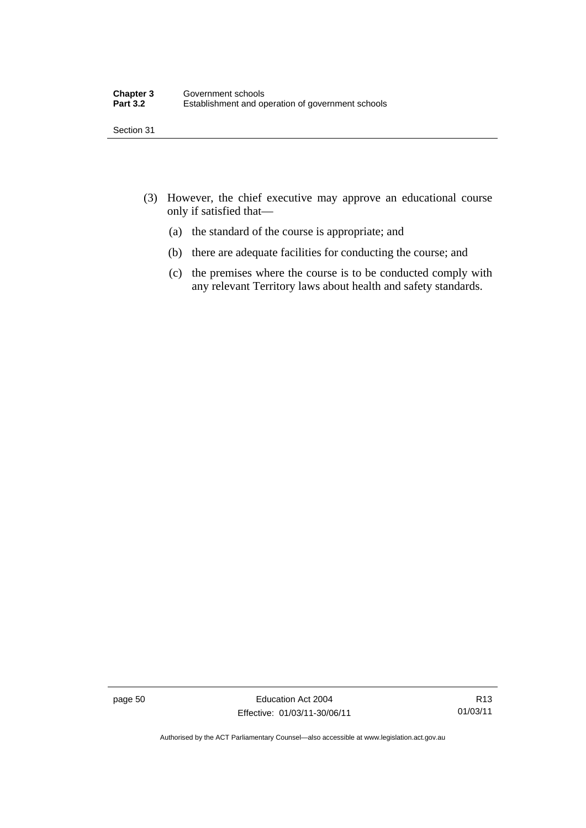- (3) However, the chief executive may approve an educational course only if satisfied that—
	- (a) the standard of the course is appropriate; and
	- (b) there are adequate facilities for conducting the course; and
	- (c) the premises where the course is to be conducted comply with any relevant Territory laws about health and safety standards.

page 50 Education Act 2004 Effective: 01/03/11-30/06/11

R13 01/03/11

Authorised by the ACT Parliamentary Counsel—also accessible at www.legislation.act.gov.au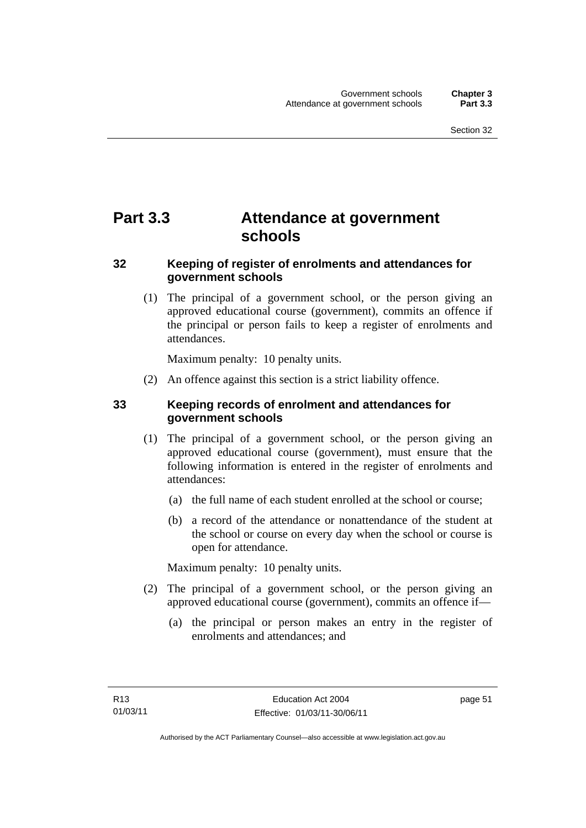# **Part 3.3 Attendance at government schools**

# **32 Keeping of register of enrolments and attendances for government schools**

 (1) The principal of a government school, or the person giving an approved educational course (government), commits an offence if the principal or person fails to keep a register of enrolments and attendances.

Maximum penalty: 10 penalty units.

(2) An offence against this section is a strict liability offence.

# **33 Keeping records of enrolment and attendances for government schools**

- (1) The principal of a government school, or the person giving an approved educational course (government), must ensure that the following information is entered in the register of enrolments and attendances:
	- (a) the full name of each student enrolled at the school or course;
	- (b) a record of the attendance or nonattendance of the student at the school or course on every day when the school or course is open for attendance.

Maximum penalty: 10 penalty units.

- (2) The principal of a government school, or the person giving an approved educational course (government), commits an offence if—
	- (a) the principal or person makes an entry in the register of enrolments and attendances; and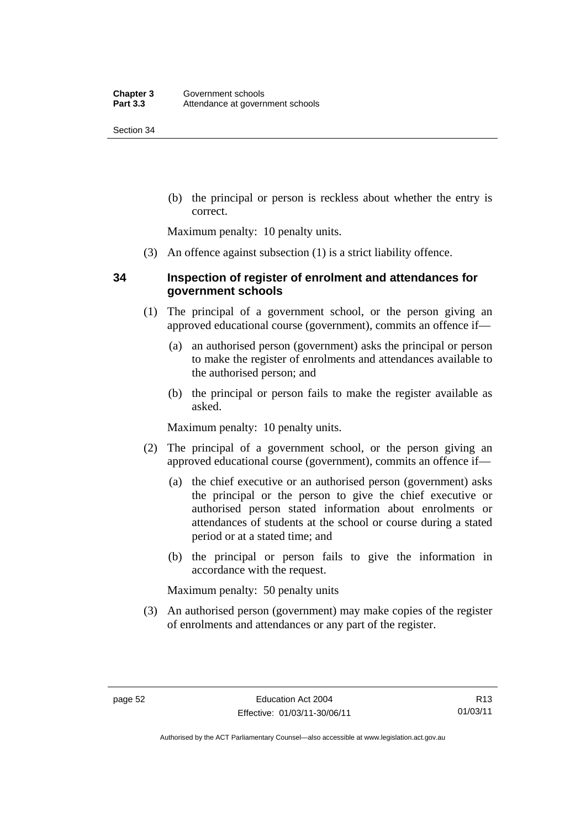(b) the principal or person is reckless about whether the entry is correct.

Maximum penalty: 10 penalty units.

(3) An offence against subsection (1) is a strict liability offence.

## **34 Inspection of register of enrolment and attendances for government schools**

- (1) The principal of a government school, or the person giving an approved educational course (government), commits an offence if—
	- (a) an authorised person (government) asks the principal or person to make the register of enrolments and attendances available to the authorised person; and
	- (b) the principal or person fails to make the register available as asked.

Maximum penalty: 10 penalty units.

- (2) The principal of a government school, or the person giving an approved educational course (government), commits an offence if—
	- (a) the chief executive or an authorised person (government) asks the principal or the person to give the chief executive or authorised person stated information about enrolments or attendances of students at the school or course during a stated period or at a stated time; and
	- (b) the principal or person fails to give the information in accordance with the request.

Maximum penalty: 50 penalty units

 (3) An authorised person (government) may make copies of the register of enrolments and attendances or any part of the register.

R13 01/03/11

Authorised by the ACT Parliamentary Counsel—also accessible at www.legislation.act.gov.au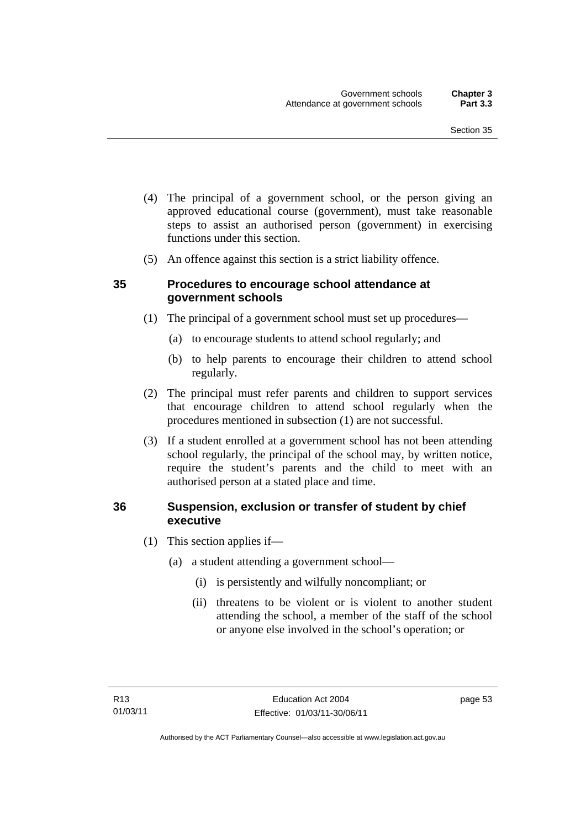- (4) The principal of a government school, or the person giving an approved educational course (government), must take reasonable steps to assist an authorised person (government) in exercising functions under this section.
- (5) An offence against this section is a strict liability offence.

## **35 Procedures to encourage school attendance at government schools**

- (1) The principal of a government school must set up procedures—
	- (a) to encourage students to attend school regularly; and
	- (b) to help parents to encourage their children to attend school regularly.
- (2) The principal must refer parents and children to support services that encourage children to attend school regularly when the procedures mentioned in subsection (1) are not successful.
- (3) If a student enrolled at a government school has not been attending school regularly, the principal of the school may, by written notice, require the student's parents and the child to meet with an authorised person at a stated place and time.

## **36 Suspension, exclusion or transfer of student by chief executive**

- (1) This section applies if—
	- (a) a student attending a government school—
		- (i) is persistently and wilfully noncompliant; or
		- (ii) threatens to be violent or is violent to another student attending the school, a member of the staff of the school or anyone else involved in the school's operation; or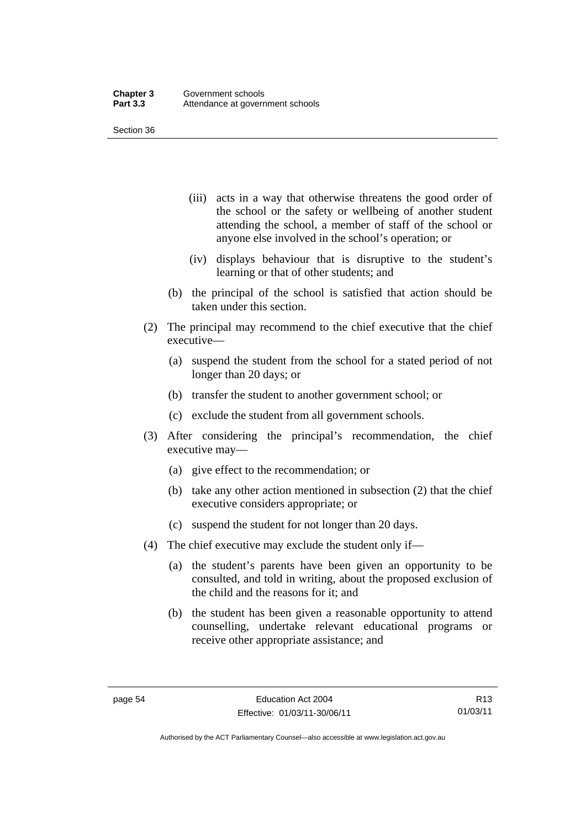- (iii) acts in a way that otherwise threatens the good order of the school or the safety or wellbeing of another student attending the school, a member of staff of the school or anyone else involved in the school's operation; or
- (iv) displays behaviour that is disruptive to the student's learning or that of other students; and
- (b) the principal of the school is satisfied that action should be taken under this section.
- (2) The principal may recommend to the chief executive that the chief executive—
	- (a) suspend the student from the school for a stated period of not longer than 20 days; or
	- (b) transfer the student to another government school; or
	- (c) exclude the student from all government schools.
- (3) After considering the principal's recommendation, the chief executive may—
	- (a) give effect to the recommendation; or
	- (b) take any other action mentioned in subsection (2) that the chief executive considers appropriate; or
	- (c) suspend the student for not longer than 20 days.
- (4) The chief executive may exclude the student only if—
	- (a) the student's parents have been given an opportunity to be consulted, and told in writing, about the proposed exclusion of the child and the reasons for it; and
	- (b) the student has been given a reasonable opportunity to attend counselling, undertake relevant educational programs or receive other appropriate assistance; and

Authorised by the ACT Parliamentary Counsel—also accessible at www.legislation.act.gov.au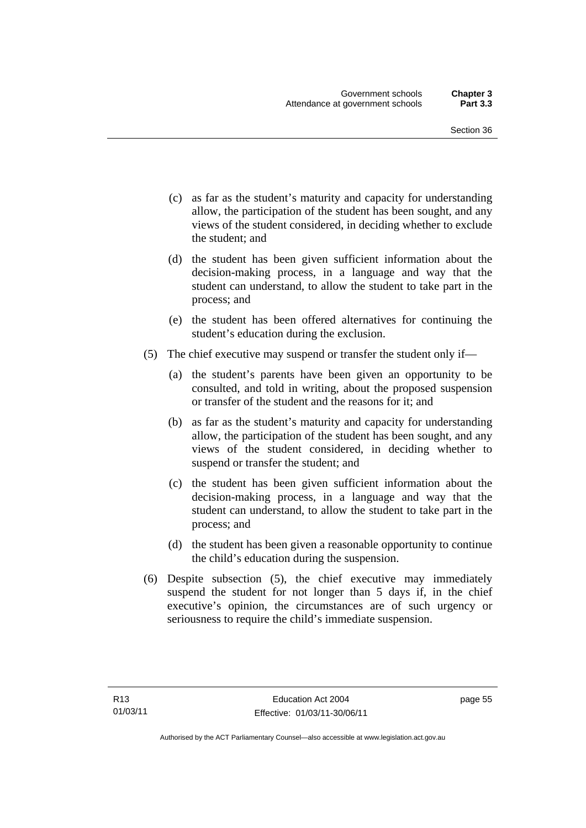- (c) as far as the student's maturity and capacity for understanding allow, the participation of the student has been sought, and any views of the student considered, in deciding whether to exclude the student; and
- (d) the student has been given sufficient information about the decision-making process, in a language and way that the student can understand, to allow the student to take part in the process; and
- (e) the student has been offered alternatives for continuing the student's education during the exclusion.
- (5) The chief executive may suspend or transfer the student only if—
	- (a) the student's parents have been given an opportunity to be consulted, and told in writing, about the proposed suspension or transfer of the student and the reasons for it; and
	- (b) as far as the student's maturity and capacity for understanding allow, the participation of the student has been sought, and any views of the student considered, in deciding whether to suspend or transfer the student; and
	- (c) the student has been given sufficient information about the decision-making process, in a language and way that the student can understand, to allow the student to take part in the process; and
	- (d) the student has been given a reasonable opportunity to continue the child's education during the suspension.
- (6) Despite subsection (5), the chief executive may immediately suspend the student for not longer than 5 days if, in the chief executive's opinion, the circumstances are of such urgency or seriousness to require the child's immediate suspension.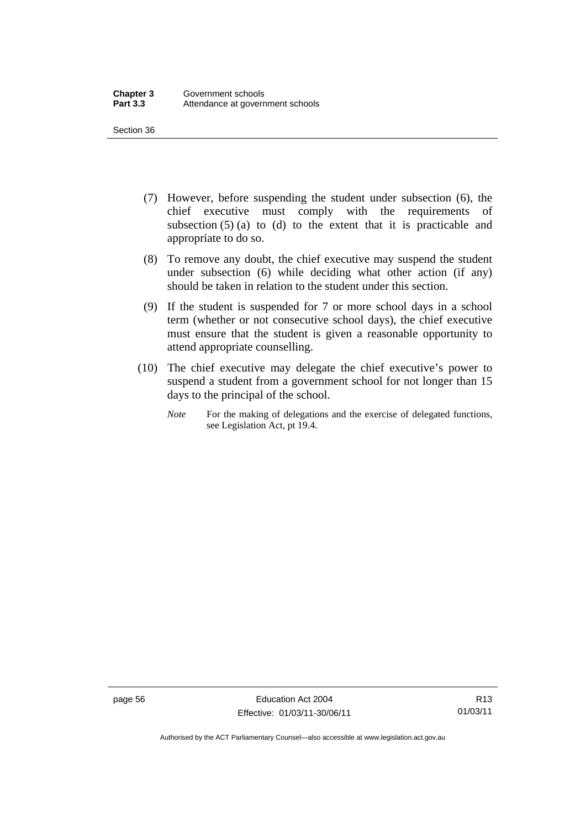- (7) However, before suspending the student under subsection (6), the chief executive must comply with the requirements of subsection  $(5)$  (a) to (d) to the extent that it is practicable and appropriate to do so.
- (8) To remove any doubt, the chief executive may suspend the student under subsection (6) while deciding what other action (if any) should be taken in relation to the student under this section.
- (9) If the student is suspended for 7 or more school days in a school term (whether or not consecutive school days), the chief executive must ensure that the student is given a reasonable opportunity to attend appropriate counselling.
- (10) The chief executive may delegate the chief executive's power to suspend a student from a government school for not longer than 15 days to the principal of the school.
	- *Note* For the making of delegations and the exercise of delegated functions, see Legislation Act, pt 19.4.

page 56 Education Act 2004 Effective: 01/03/11-30/06/11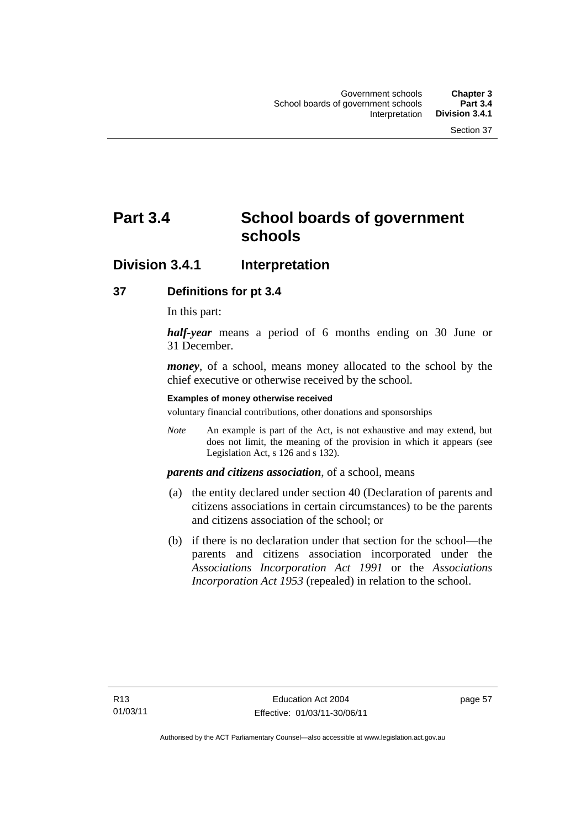# **Part 3.4 School boards of government schools**

# **Division 3.4.1 Interpretation**

## **37 Definitions for pt 3.4**

In this part:

*half-year* means a period of 6 months ending on 30 June or 31 December.

*money*, of a school, means money allocated to the school by the chief executive or otherwise received by the school.

#### **Examples of money otherwise received**

voluntary financial contributions, other donations and sponsorships

*Note* An example is part of the Act, is not exhaustive and may extend, but does not limit, the meaning of the provision in which it appears (see Legislation Act, s 126 and s 132).

### *parents and citizens association*, of a school, means

- (a) the entity declared under section 40 (Declaration of parents and citizens associations in certain circumstances) to be the parents and citizens association of the school; or
- (b) if there is no declaration under that section for the school—the parents and citizens association incorporated under the *Associations Incorporation Act 1991* or the *Associations Incorporation Act 1953* (repealed) in relation to the school.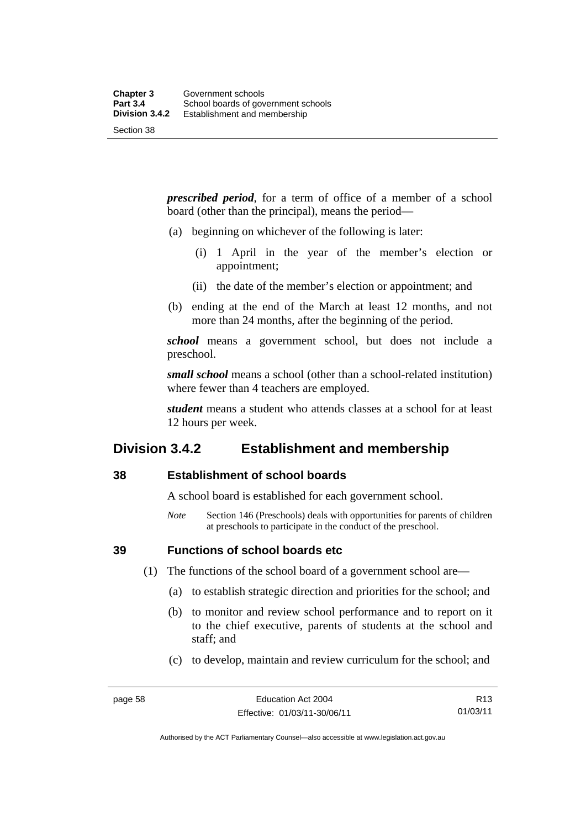*prescribed period*, for a term of office of a member of a school board (other than the principal), means the period—

- (a) beginning on whichever of the following is later:
	- (i) 1 April in the year of the member's election or appointment;
	- (ii) the date of the member's election or appointment; and
- (b) ending at the end of the March at least 12 months, and not more than 24 months, after the beginning of the period.

*school* means a government school, but does not include a preschool.

*small school* means a school (other than a school-related institution) where fewer than 4 teachers are employed.

*student* means a student who attends classes at a school for at least 12 hours per week.

# **Division 3.4.2 Establishment and membership**

## **38 Establishment of school boards**

A school board is established for each government school.

*Note* Section 146 (Preschools) deals with opportunities for parents of children at preschools to participate in the conduct of the preschool.

**39 Functions of school boards etc** 

- (1) The functions of the school board of a government school are—
	- (a) to establish strategic direction and priorities for the school; and
	- (b) to monitor and review school performance and to report on it to the chief executive, parents of students at the school and staff; and
	- (c) to develop, maintain and review curriculum for the school; and

Authorised by the ACT Parliamentary Counsel—also accessible at www.legislation.act.gov.au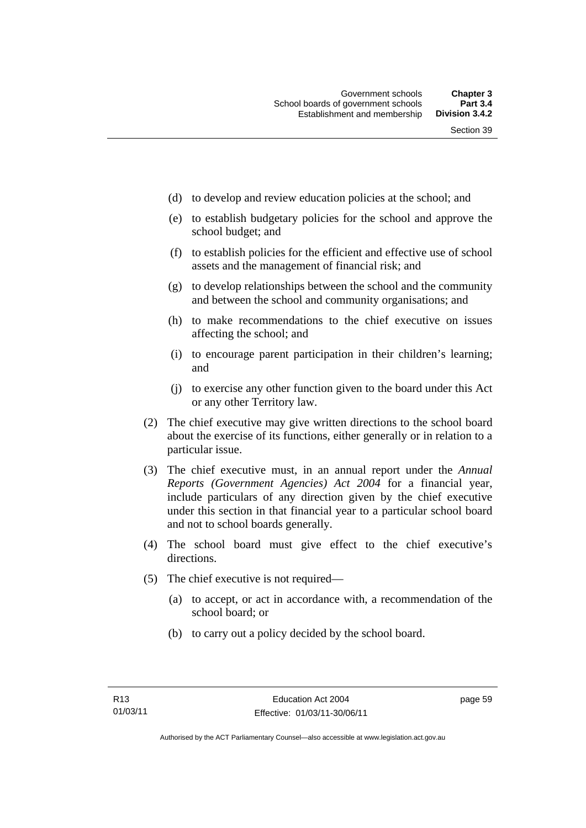- (d) to develop and review education policies at the school; and
- (e) to establish budgetary policies for the school and approve the school budget; and
- (f) to establish policies for the efficient and effective use of school assets and the management of financial risk; and
- (g) to develop relationships between the school and the community and between the school and community organisations; and
- (h) to make recommendations to the chief executive on issues affecting the school; and
- (i) to encourage parent participation in their children's learning; and
- (j) to exercise any other function given to the board under this Act or any other Territory law.
- (2) The chief executive may give written directions to the school board about the exercise of its functions, either generally or in relation to a particular issue.
- (3) The chief executive must, in an annual report under the *Annual Reports (Government Agencies) Act 2004* for a financial year, include particulars of any direction given by the chief executive under this section in that financial year to a particular school board and not to school boards generally.
- (4) The school board must give effect to the chief executive's directions.
- (5) The chief executive is not required—
	- (a) to accept, or act in accordance with, a recommendation of the school board; or
	- (b) to carry out a policy decided by the school board.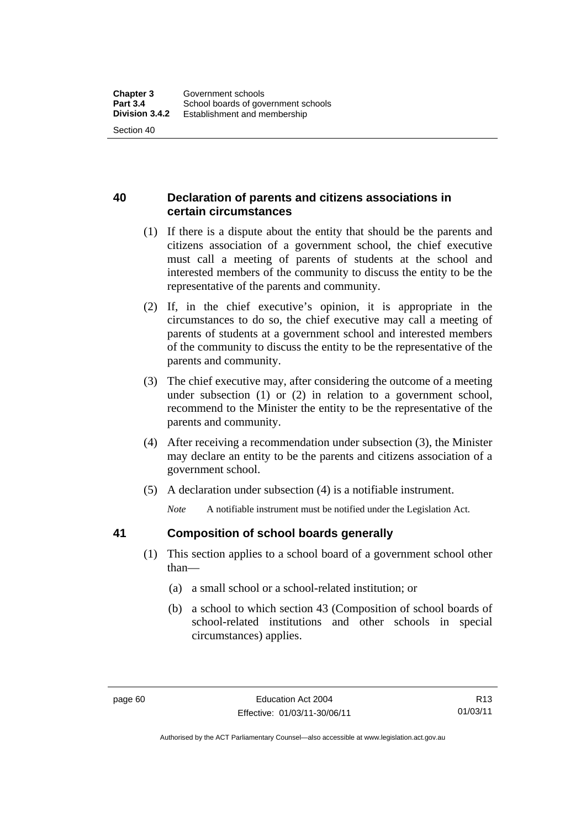# **40 Declaration of parents and citizens associations in certain circumstances**

- (1) If there is a dispute about the entity that should be the parents and citizens association of a government school, the chief executive must call a meeting of parents of students at the school and interested members of the community to discuss the entity to be the representative of the parents and community.
- (2) If, in the chief executive's opinion, it is appropriate in the circumstances to do so, the chief executive may call a meeting of parents of students at a government school and interested members of the community to discuss the entity to be the representative of the parents and community.
- (3) The chief executive may, after considering the outcome of a meeting under subsection (1) or (2) in relation to a government school, recommend to the Minister the entity to be the representative of the parents and community.
- (4) After receiving a recommendation under subsection (3), the Minister may declare an entity to be the parents and citizens association of a government school.
- (5) A declaration under subsection (4) is a notifiable instrument.

*Note* A notifiable instrument must be notified under the Legislation Act.

# **41 Composition of school boards generally**

- (1) This section applies to a school board of a government school other than—
	- (a) a small school or a school-related institution; or
	- (b) a school to which section 43 (Composition of school boards of school-related institutions and other schools in special circumstances) applies.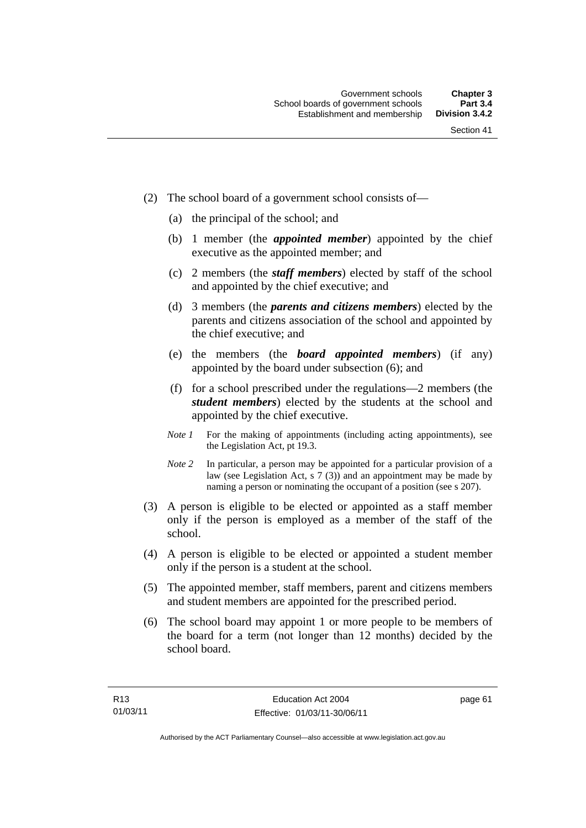- (2) The school board of a government school consists of—
	- (a) the principal of the school; and
	- (b) 1 member (the *appointed member*) appointed by the chief executive as the appointed member; and
	- (c) 2 members (the *staff members*) elected by staff of the school and appointed by the chief executive; and
	- (d) 3 members (the *parents and citizens members*) elected by the parents and citizens association of the school and appointed by the chief executive; and
	- (e) the members (the *board appointed members*) (if any) appointed by the board under subsection (6); and
	- (f) for a school prescribed under the regulations—2 members (the *student members*) elected by the students at the school and appointed by the chief executive.
	- *Note 1* For the making of appointments (including acting appointments), see the Legislation Act, pt 19.3.
	- *Note* 2 In particular, a person may be appointed for a particular provision of a law (see Legislation Act, s 7 (3)) and an appointment may be made by naming a person or nominating the occupant of a position (see s 207).
- (3) A person is eligible to be elected or appointed as a staff member only if the person is employed as a member of the staff of the school.
- (4) A person is eligible to be elected or appointed a student member only if the person is a student at the school.
- (5) The appointed member, staff members, parent and citizens members and student members are appointed for the prescribed period.
- (6) The school board may appoint 1 or more people to be members of the board for a term (not longer than 12 months) decided by the school board.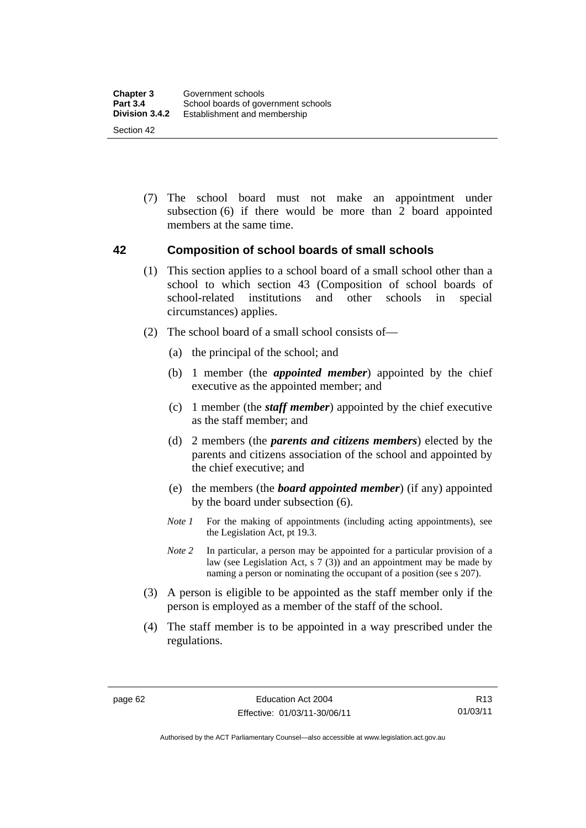(7) The school board must not make an appointment under subsection (6) if there would be more than 2 board appointed members at the same time.

### **42 Composition of school boards of small schools**

- (1) This section applies to a school board of a small school other than a school to which section 43 (Composition of school boards of school-related institutions and other schools in special circumstances) applies.
- (2) The school board of a small school consists of—
	- (a) the principal of the school; and
	- (b) 1 member (the *appointed member*) appointed by the chief executive as the appointed member; and
	- (c) 1 member (the *staff member*) appointed by the chief executive as the staff member; and
	- (d) 2 members (the *parents and citizens members*) elected by the parents and citizens association of the school and appointed by the chief executive; and
	- (e) the members (the *board appointed member*) (if any) appointed by the board under subsection (6).
	- *Note 1* For the making of appointments (including acting appointments), see the Legislation Act, pt 19.3.
	- *Note* 2 In particular, a person may be appointed for a particular provision of a law (see Legislation Act, s 7 (3)) and an appointment may be made by naming a person or nominating the occupant of a position (see s 207).
- (3) A person is eligible to be appointed as the staff member only if the person is employed as a member of the staff of the school.
- (4) The staff member is to be appointed in a way prescribed under the regulations.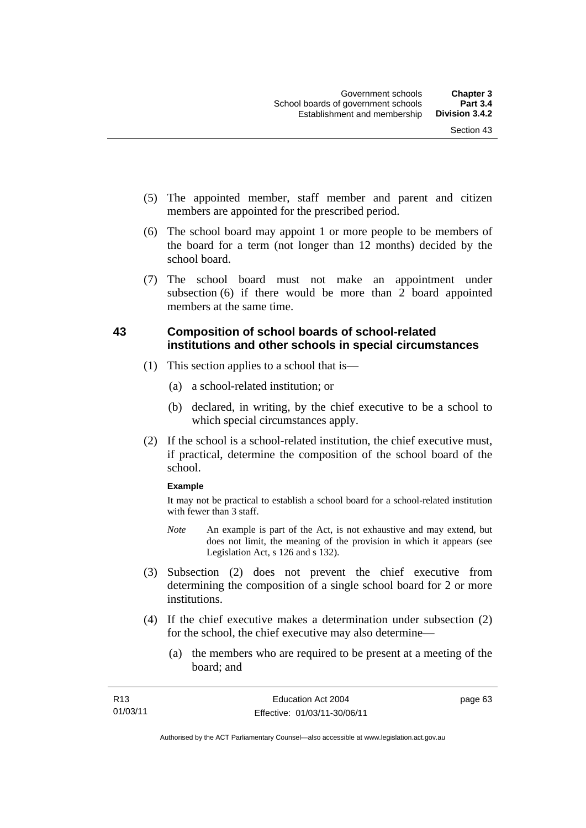- (5) The appointed member, staff member and parent and citizen members are appointed for the prescribed period.
- (6) The school board may appoint 1 or more people to be members of the board for a term (not longer than 12 months) decided by the school board.
- (7) The school board must not make an appointment under subsection (6) if there would be more than 2 board appointed members at the same time.

### **43 Composition of school boards of school-related institutions and other schools in special circumstances**

- (1) This section applies to a school that is—
	- (a) a school-related institution; or
	- (b) declared, in writing, by the chief executive to be a school to which special circumstances apply.
- (2) If the school is a school-related institution, the chief executive must, if practical, determine the composition of the school board of the school.

#### **Example**

It may not be practical to establish a school board for a school-related institution with fewer than 3 staff.

- *Note* An example is part of the Act, is not exhaustive and may extend, but does not limit, the meaning of the provision in which it appears (see Legislation Act, s 126 and s 132).
- (3) Subsection (2) does not prevent the chief executive from determining the composition of a single school board for 2 or more institutions.
- (4) If the chief executive makes a determination under subsection (2) for the school, the chief executive may also determine—
	- (a) the members who are required to be present at a meeting of the board; and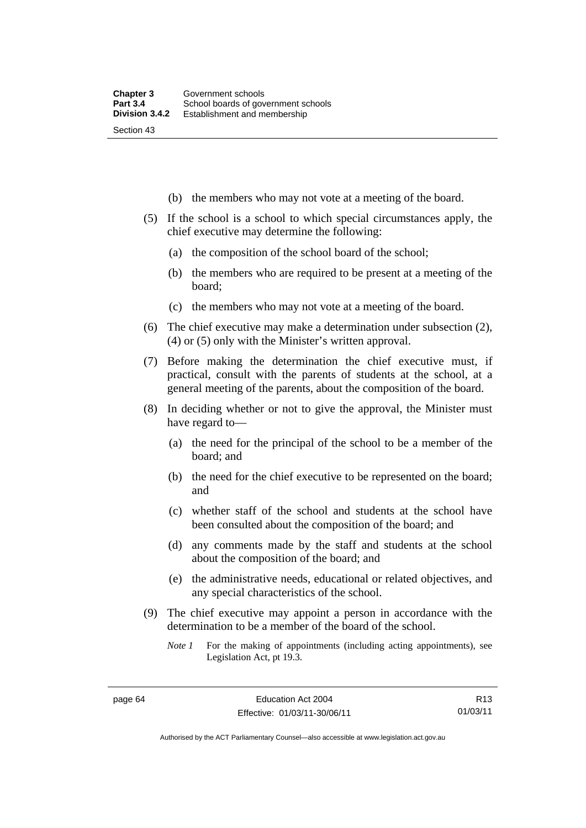- (b) the members who may not vote at a meeting of the board.
- (5) If the school is a school to which special circumstances apply, the chief executive may determine the following:
	- (a) the composition of the school board of the school;
	- (b) the members who are required to be present at a meeting of the board;
	- (c) the members who may not vote at a meeting of the board.
- (6) The chief executive may make a determination under subsection (2), (4) or (5) only with the Minister's written approval.
- (7) Before making the determination the chief executive must, if practical, consult with the parents of students at the school, at a general meeting of the parents, about the composition of the board.
- (8) In deciding whether or not to give the approval, the Minister must have regard to—
	- (a) the need for the principal of the school to be a member of the board; and
	- (b) the need for the chief executive to be represented on the board; and
	- (c) whether staff of the school and students at the school have been consulted about the composition of the board; and
	- (d) any comments made by the staff and students at the school about the composition of the board; and
	- (e) the administrative needs, educational or related objectives, and any special characteristics of the school.
- (9) The chief executive may appoint a person in accordance with the determination to be a member of the board of the school.
	- *Note 1* For the making of appointments (including acting appointments), see Legislation Act, pt 19.3.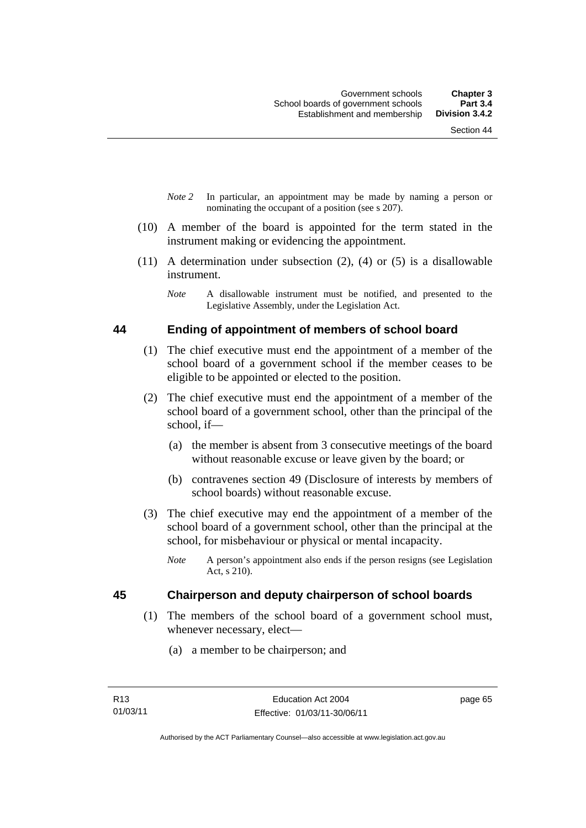- *Note 2* In particular, an appointment may be made by naming a person or nominating the occupant of a position (see s 207).
- (10) A member of the board is appointed for the term stated in the instrument making or evidencing the appointment.
- (11) A determination under subsection (2), (4) or (5) is a disallowable instrument.
	- *Note* A disallowable instrument must be notified, and presented to the Legislative Assembly, under the Legislation Act.

#### **44 Ending of appointment of members of school board**

- (1) The chief executive must end the appointment of a member of the school board of a government school if the member ceases to be eligible to be appointed or elected to the position.
- (2) The chief executive must end the appointment of a member of the school board of a government school, other than the principal of the school, if—
	- (a) the member is absent from 3 consecutive meetings of the board without reasonable excuse or leave given by the board; or
	- (b) contravenes section 49 (Disclosure of interests by members of school boards) without reasonable excuse.
- (3) The chief executive may end the appointment of a member of the school board of a government school, other than the principal at the school, for misbehaviour or physical or mental incapacity.
	- *Note* A person's appointment also ends if the person resigns (see Legislation Act, s 210).

### **45 Chairperson and deputy chairperson of school boards**

- (1) The members of the school board of a government school must, whenever necessary, elect—
	- (a) a member to be chairperson; and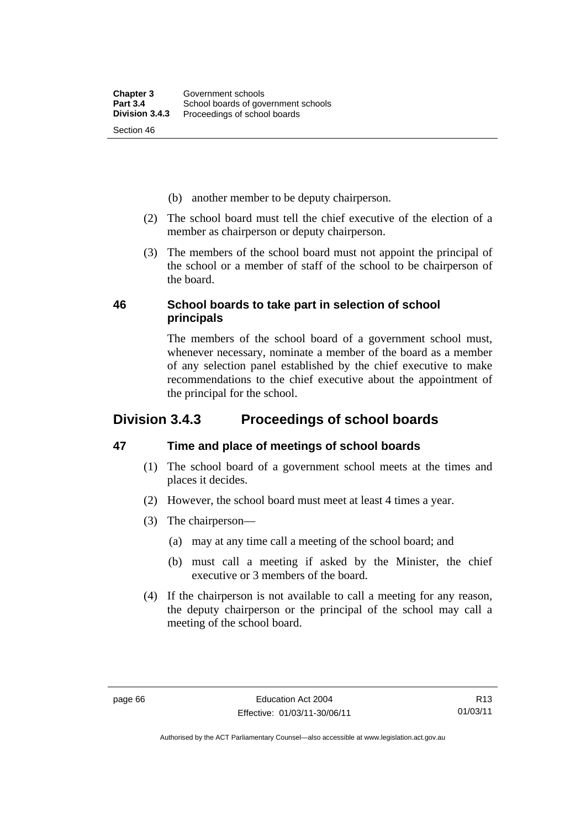- (b) another member to be deputy chairperson.
- (2) The school board must tell the chief executive of the election of a member as chairperson or deputy chairperson.
- (3) The members of the school board must not appoint the principal of the school or a member of staff of the school to be chairperson of the board.

### **46 School boards to take part in selection of school principals**

The members of the school board of a government school must, whenever necessary, nominate a member of the board as a member of any selection panel established by the chief executive to make recommendations to the chief executive about the appointment of the principal for the school.

### **Division 3.4.3 Proceedings of school boards**

### **47 Time and place of meetings of school boards**

- (1) The school board of a government school meets at the times and places it decides.
- (2) However, the school board must meet at least 4 times a year.
- (3) The chairperson—
	- (a) may at any time call a meeting of the school board; and
	- (b) must call a meeting if asked by the Minister, the chief executive or 3 members of the board.
- (4) If the chairperson is not available to call a meeting for any reason, the deputy chairperson or the principal of the school may call a meeting of the school board.

R13 01/03/11

Authorised by the ACT Parliamentary Counsel—also accessible at www.legislation.act.gov.au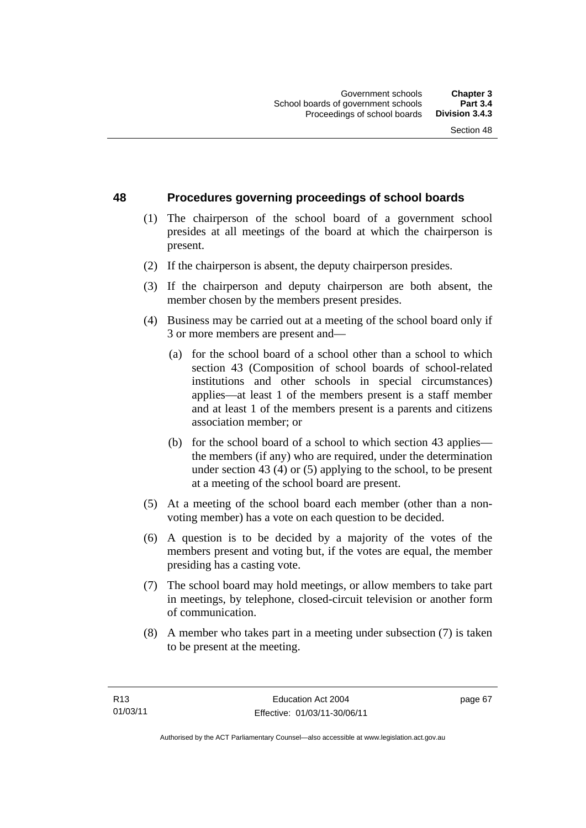### **48 Procedures governing proceedings of school boards**

- (1) The chairperson of the school board of a government school presides at all meetings of the board at which the chairperson is present.
- (2) If the chairperson is absent, the deputy chairperson presides.
- (3) If the chairperson and deputy chairperson are both absent, the member chosen by the members present presides.
- (4) Business may be carried out at a meeting of the school board only if 3 or more members are present and—
	- (a) for the school board of a school other than a school to which section 43 (Composition of school boards of school-related institutions and other schools in special circumstances) applies—at least 1 of the members present is a staff member and at least 1 of the members present is a parents and citizens association member; or
	- (b) for the school board of a school to which section 43 applies the members (if any) who are required, under the determination under section 43 (4) or (5) applying to the school, to be present at a meeting of the school board are present.
- (5) At a meeting of the school board each member (other than a nonvoting member) has a vote on each question to be decided.
- (6) A question is to be decided by a majority of the votes of the members present and voting but, if the votes are equal, the member presiding has a casting vote.
- (7) The school board may hold meetings, or allow members to take part in meetings, by telephone, closed-circuit television or another form of communication.
- (8) A member who takes part in a meeting under subsection (7) is taken to be present at the meeting.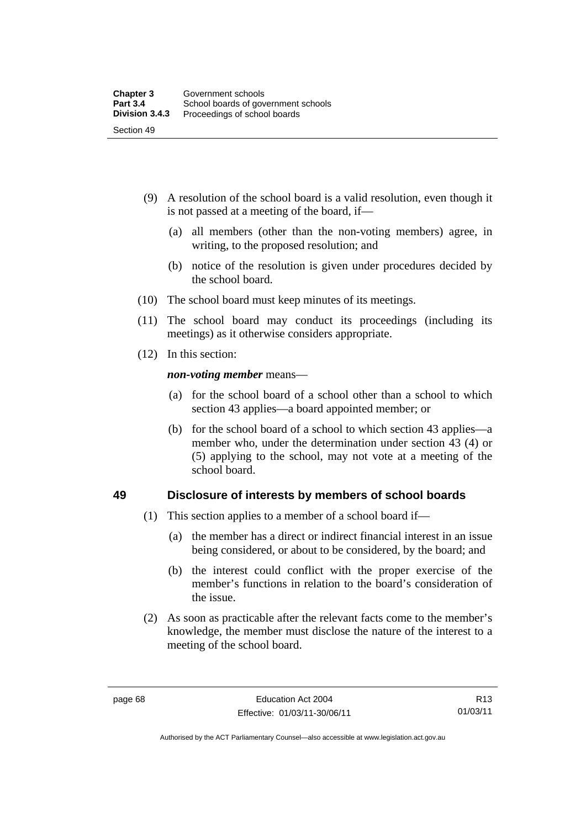- (9) A resolution of the school board is a valid resolution, even though it is not passed at a meeting of the board, if—
	- (a) all members (other than the non-voting members) agree, in writing, to the proposed resolution; and
	- (b) notice of the resolution is given under procedures decided by the school board.
- (10) The school board must keep minutes of its meetings.
- (11) The school board may conduct its proceedings (including its meetings) as it otherwise considers appropriate.
- (12) In this section:

*non-voting member* means—

- (a) for the school board of a school other than a school to which section 43 applies—a board appointed member; or
- (b) for the school board of a school to which section 43 applies—a member who, under the determination under section 43 (4) or (5) applying to the school, may not vote at a meeting of the school board.

### **49 Disclosure of interests by members of school boards**

- (1) This section applies to a member of a school board if—
	- (a) the member has a direct or indirect financial interest in an issue being considered, or about to be considered, by the board; and
	- (b) the interest could conflict with the proper exercise of the member's functions in relation to the board's consideration of the issue.
- (2) As soon as practicable after the relevant facts come to the member's knowledge, the member must disclose the nature of the interest to a meeting of the school board.

R13 01/03/11

Authorised by the ACT Parliamentary Counsel—also accessible at www.legislation.act.gov.au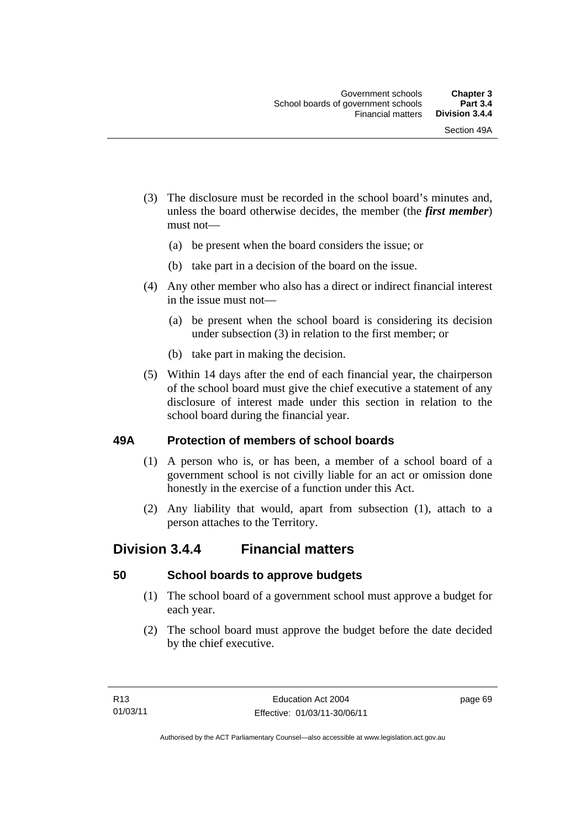- (3) The disclosure must be recorded in the school board's minutes and, unless the board otherwise decides, the member (the *first member*) must not—
	- (a) be present when the board considers the issue; or
	- (b) take part in a decision of the board on the issue.
- (4) Any other member who also has a direct or indirect financial interest in the issue must not—
	- (a) be present when the school board is considering its decision under subsection (3) in relation to the first member; or
	- (b) take part in making the decision.
- (5) Within 14 days after the end of each financial year, the chairperson of the school board must give the chief executive a statement of any disclosure of interest made under this section in relation to the school board during the financial year.

### **49A Protection of members of school boards**

- (1) A person who is, or has been, a member of a school board of a government school is not civilly liable for an act or omission done honestly in the exercise of a function under this Act.
- (2) Any liability that would, apart from subsection (1), attach to a person attaches to the Territory.

### **Division 3.4.4 Financial matters**

### **50 School boards to approve budgets**

- (1) The school board of a government school must approve a budget for each year.
- (2) The school board must approve the budget before the date decided by the chief executive.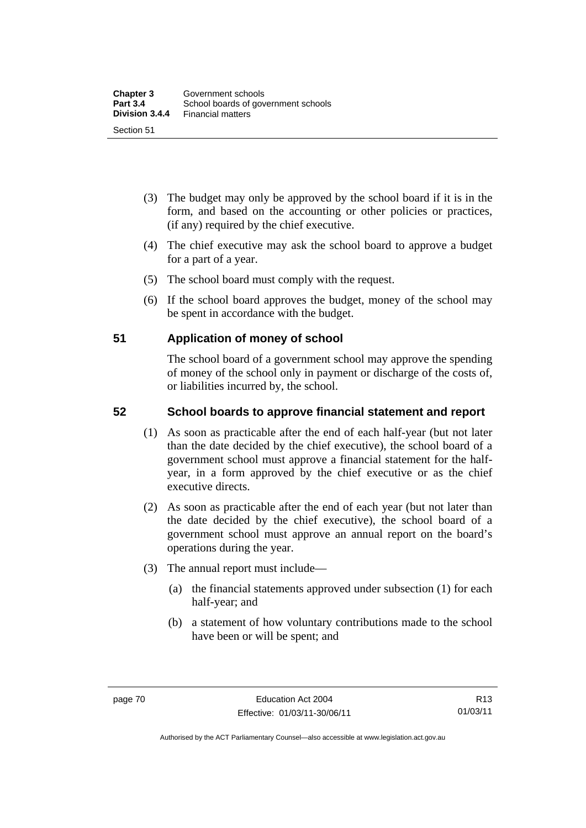- (3) The budget may only be approved by the school board if it is in the form, and based on the accounting or other policies or practices, (if any) required by the chief executive.
- (4) The chief executive may ask the school board to approve a budget for a part of a year.
- (5) The school board must comply with the request.
- (6) If the school board approves the budget, money of the school may be spent in accordance with the budget.

### **51 Application of money of school**

The school board of a government school may approve the spending of money of the school only in payment or discharge of the costs of, or liabilities incurred by, the school.

### **52 School boards to approve financial statement and report**

- (1) As soon as practicable after the end of each half-year (but not later than the date decided by the chief executive), the school board of a government school must approve a financial statement for the halfyear, in a form approved by the chief executive or as the chief executive directs.
- (2) As soon as practicable after the end of each year (but not later than the date decided by the chief executive), the school board of a government school must approve an annual report on the board's operations during the year.
- (3) The annual report must include—
	- (a) the financial statements approved under subsection (1) for each half-year; and
	- (b) a statement of how voluntary contributions made to the school have been or will be spent; and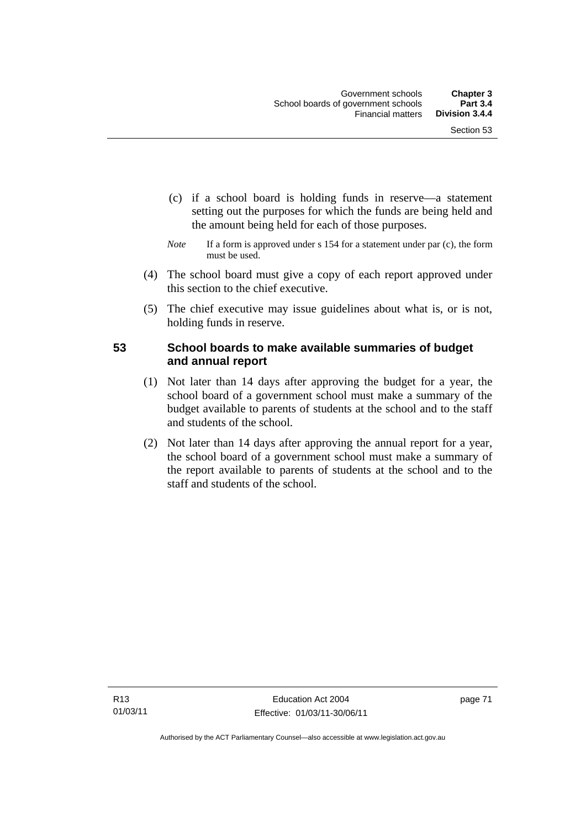- (c) if a school board is holding funds in reserve—a statement setting out the purposes for which the funds are being held and the amount being held for each of those purposes.
- *Note* If a form is approved under s 154 for a statement under par (c), the form must be used.
- (4) The school board must give a copy of each report approved under this section to the chief executive.
- (5) The chief executive may issue guidelines about what is, or is not, holding funds in reserve.

### **53 School boards to make available summaries of budget and annual report**

- (1) Not later than 14 days after approving the budget for a year, the school board of a government school must make a summary of the budget available to parents of students at the school and to the staff and students of the school.
- (2) Not later than 14 days after approving the annual report for a year, the school board of a government school must make a summary of the report available to parents of students at the school and to the staff and students of the school.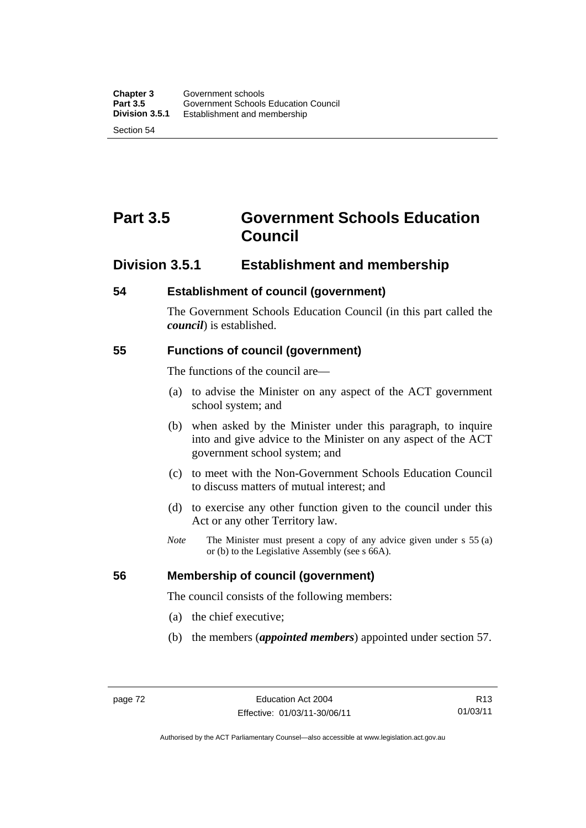Section 54

# **Part 3.5 Government Schools Education Council**

### **Division 3.5.1 Establishment and membership**

### **54 Establishment of council (government)**

The Government Schools Education Council (in this part called the *council*) is established.

### **55 Functions of council (government)**

The functions of the council are—

- (a) to advise the Minister on any aspect of the ACT government school system; and
- (b) when asked by the Minister under this paragraph, to inquire into and give advice to the Minister on any aspect of the ACT government school system; and
- (c) to meet with the Non-Government Schools Education Council to discuss matters of mutual interest; and
- (d) to exercise any other function given to the council under this Act or any other Territory law.
- *Note* The Minister must present a copy of any advice given under s 55 (a) or (b) to the Legislative Assembly (see s 66A).

### **56 Membership of council (government)**

The council consists of the following members:

- (a) the chief executive;
- (b) the members (*appointed members*) appointed under section 57.

R13 01/03/11

Authorised by the ACT Parliamentary Counsel—also accessible at www.legislation.act.gov.au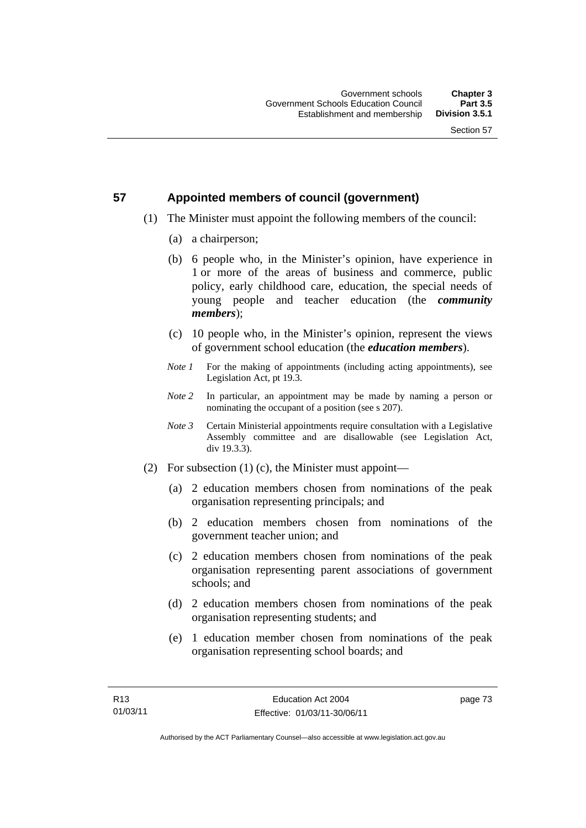### **57 Appointed members of council (government)**

- (1) The Minister must appoint the following members of the council:
	- (a) a chairperson;
	- (b) 6 people who, in the Minister's opinion, have experience in 1 or more of the areas of business and commerce, public policy, early childhood care, education, the special needs of young people and teacher education (the *community members*);
	- (c) 10 people who, in the Minister's opinion, represent the views of government school education (the *education members*).
	- *Note 1* For the making of appointments (including acting appointments), see Legislation Act, pt 19.3.
	- *Note 2* In particular, an appointment may be made by naming a person or nominating the occupant of a position (see s 207).
	- *Note 3* Certain Ministerial appointments require consultation with a Legislative Assembly committee and are disallowable (see Legislation Act, div 19.3.3).
- (2) For subsection (1) (c), the Minister must appoint—
	- (a) 2 education members chosen from nominations of the peak organisation representing principals; and
	- (b) 2 education members chosen from nominations of the government teacher union; and
	- (c) 2 education members chosen from nominations of the peak organisation representing parent associations of government schools; and
	- (d) 2 education members chosen from nominations of the peak organisation representing students; and
	- (e) 1 education member chosen from nominations of the peak organisation representing school boards; and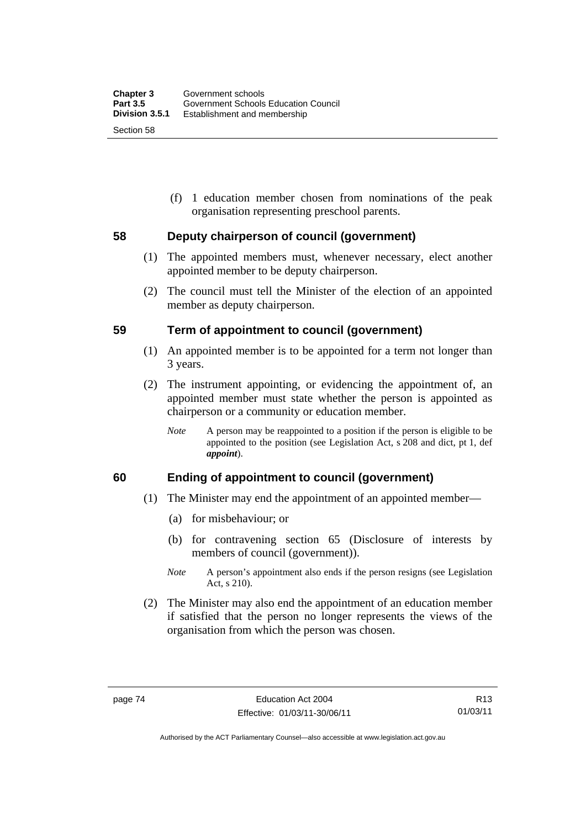(f) 1 education member chosen from nominations of the peak organisation representing preschool parents.

### **58 Deputy chairperson of council (government)**

- (1) The appointed members must, whenever necessary, elect another appointed member to be deputy chairperson.
- (2) The council must tell the Minister of the election of an appointed member as deputy chairperson.

#### **59 Term of appointment to council (government)**

- (1) An appointed member is to be appointed for a term not longer than 3 years.
- (2) The instrument appointing, or evidencing the appointment of, an appointed member must state whether the person is appointed as chairperson or a community or education member.
	- *Note* A person may be reappointed to a position if the person is eligible to be appointed to the position (see Legislation Act, s 208 and dict, pt 1, def *appoint*).

### **60 Ending of appointment to council (government)**

- (1) The Minister may end the appointment of an appointed member—
	- (a) for misbehaviour; or
	- (b) for contravening section 65 (Disclosure of interests by members of council (government)).
	- *Note* A person's appointment also ends if the person resigns (see Legislation Act, s 210).
- (2) The Minister may also end the appointment of an education member if satisfied that the person no longer represents the views of the organisation from which the person was chosen.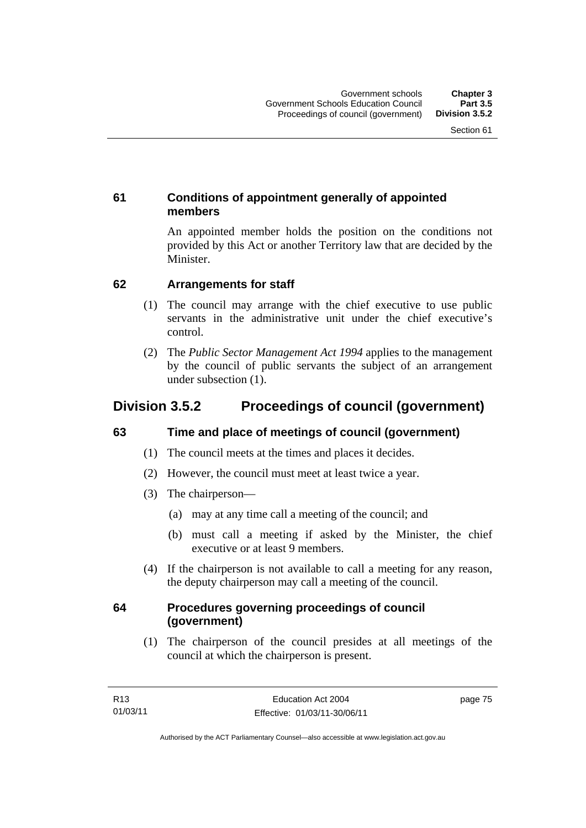### **61 Conditions of appointment generally of appointed members**

An appointed member holds the position on the conditions not provided by this Act or another Territory law that are decided by the Minister.

### **62 Arrangements for staff**

- (1) The council may arrange with the chief executive to use public servants in the administrative unit under the chief executive's control.
- (2) The *Public Sector Management Act 1994* applies to the management by the council of public servants the subject of an arrangement under subsection (1).

### **Division 3.5.2 Proceedings of council (government)**

### **63 Time and place of meetings of council (government)**

- (1) The council meets at the times and places it decides.
- (2) However, the council must meet at least twice a year.
- (3) The chairperson—
	- (a) may at any time call a meeting of the council; and
	- (b) must call a meeting if asked by the Minister, the chief executive or at least 9 members.
- (4) If the chairperson is not available to call a meeting for any reason, the deputy chairperson may call a meeting of the council.

### **64 Procedures governing proceedings of council (government)**

(1) The chairperson of the council presides at all meetings of the council at which the chairperson is present.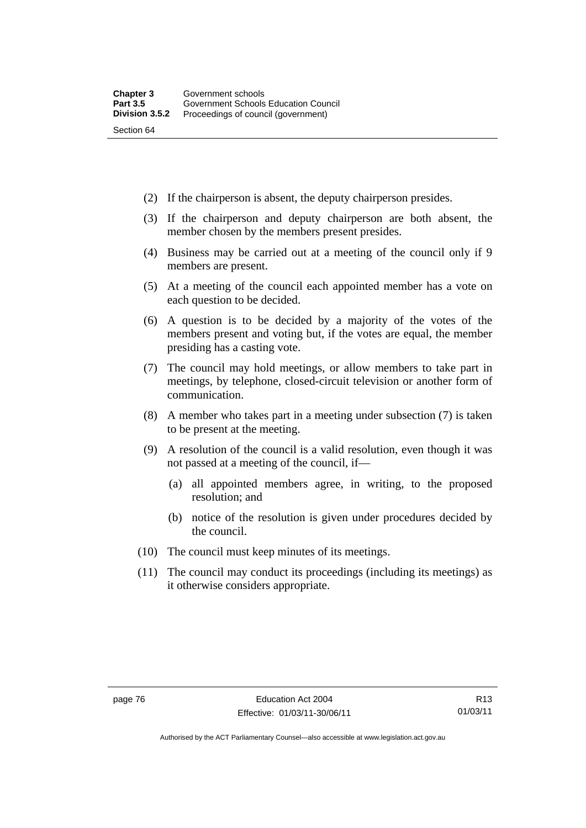- (2) If the chairperson is absent, the deputy chairperson presides.
- (3) If the chairperson and deputy chairperson are both absent, the member chosen by the members present presides.
- (4) Business may be carried out at a meeting of the council only if 9 members are present.
- (5) At a meeting of the council each appointed member has a vote on each question to be decided.
- (6) A question is to be decided by a majority of the votes of the members present and voting but, if the votes are equal, the member presiding has a casting vote.
- (7) The council may hold meetings, or allow members to take part in meetings, by telephone, closed-circuit television or another form of communication.
- (8) A member who takes part in a meeting under subsection (7) is taken to be present at the meeting.
- (9) A resolution of the council is a valid resolution, even though it was not passed at a meeting of the council, if—
	- (a) all appointed members agree, in writing, to the proposed resolution; and
	- (b) notice of the resolution is given under procedures decided by the council.
- (10) The council must keep minutes of its meetings.
- (11) The council may conduct its proceedings (including its meetings) as it otherwise considers appropriate.

Authorised by the ACT Parliamentary Counsel—also accessible at www.legislation.act.gov.au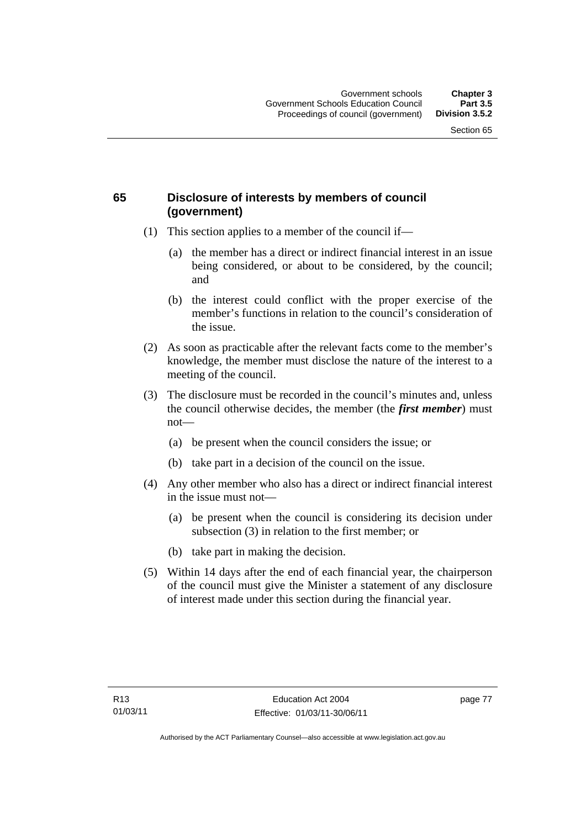### **65 Disclosure of interests by members of council (government)**

- (1) This section applies to a member of the council if—
	- (a) the member has a direct or indirect financial interest in an issue being considered, or about to be considered, by the council; and
	- (b) the interest could conflict with the proper exercise of the member's functions in relation to the council's consideration of the issue.
- (2) As soon as practicable after the relevant facts come to the member's knowledge, the member must disclose the nature of the interest to a meeting of the council.
- (3) The disclosure must be recorded in the council's minutes and, unless the council otherwise decides, the member (the *first member*) must not—
	- (a) be present when the council considers the issue; or
	- (b) take part in a decision of the council on the issue.
- (4) Any other member who also has a direct or indirect financial interest in the issue must not—
	- (a) be present when the council is considering its decision under subsection (3) in relation to the first member; or
	- (b) take part in making the decision.
- (5) Within 14 days after the end of each financial year, the chairperson of the council must give the Minister a statement of any disclosure of interest made under this section during the financial year.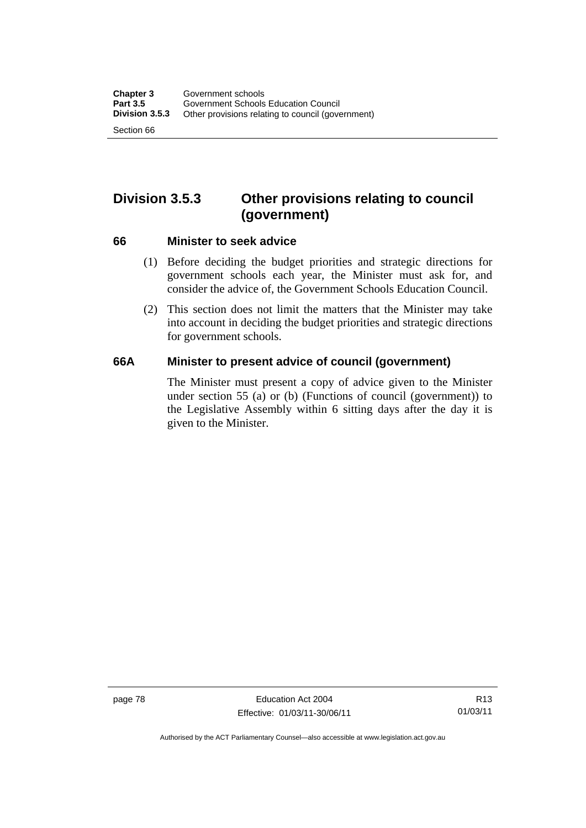## **Division 3.5.3 Other provisions relating to council (government)**

#### **66 Minister to seek advice**

- (1) Before deciding the budget priorities and strategic directions for government schools each year, the Minister must ask for, and consider the advice of, the Government Schools Education Council.
- (2) This section does not limit the matters that the Minister may take into account in deciding the budget priorities and strategic directions for government schools.

### **66A Minister to present advice of council (government)**

The Minister must present a copy of advice given to the Minister under section 55 (a) or (b) (Functions of council (government)) to the Legislative Assembly within 6 sitting days after the day it is given to the Minister.

page 78 Education Act 2004 Effective: 01/03/11-30/06/11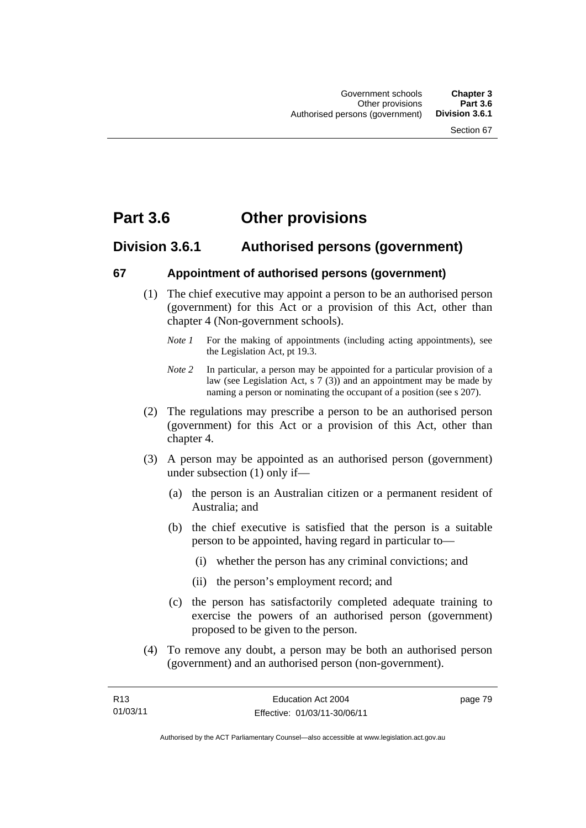## **Part 3.6 Other provisions**

### **Division 3.6.1 Authorised persons (government)**

### **67 Appointment of authorised persons (government)**

- (1) The chief executive may appoint a person to be an authorised person (government) for this Act or a provision of this Act, other than chapter 4 (Non-government schools).
	- *Note 1* For the making of appointments (including acting appointments), see the Legislation Act, pt 19.3.
	- *Note 2* In particular, a person may be appointed for a particular provision of a law (see Legislation Act, s 7 (3)) and an appointment may be made by naming a person or nominating the occupant of a position (see s 207).
- (2) The regulations may prescribe a person to be an authorised person (government) for this Act or a provision of this Act, other than chapter 4.
- (3) A person may be appointed as an authorised person (government) under subsection (1) only if—
	- (a) the person is an Australian citizen or a permanent resident of Australia; and
	- (b) the chief executive is satisfied that the person is a suitable person to be appointed, having regard in particular to—
		- (i) whether the person has any criminal convictions; and
		- (ii) the person's employment record; and
	- (c) the person has satisfactorily completed adequate training to exercise the powers of an authorised person (government) proposed to be given to the person.
- (4) To remove any doubt, a person may be both an authorised person (government) and an authorised person (non-government).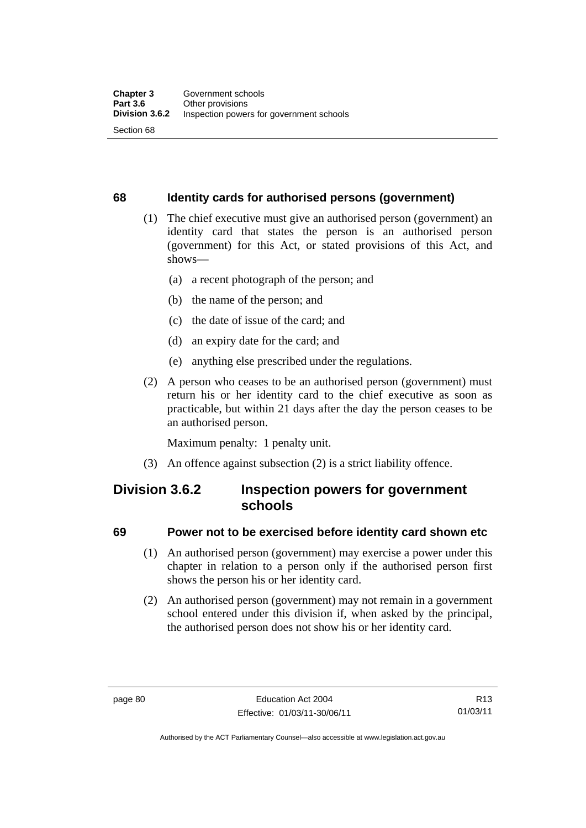### **68 Identity cards for authorised persons (government)**

- (1) The chief executive must give an authorised person (government) an identity card that states the person is an authorised person (government) for this Act, or stated provisions of this Act, and shows—
	- (a) a recent photograph of the person; and
	- (b) the name of the person; and
	- (c) the date of issue of the card; and
	- (d) an expiry date for the card; and
	- (e) anything else prescribed under the regulations.
- (2) A person who ceases to be an authorised person (government) must return his or her identity card to the chief executive as soon as practicable, but within 21 days after the day the person ceases to be an authorised person.

Maximum penalty: 1 penalty unit.

(3) An offence against subsection (2) is a strict liability offence.

### **Division 3.6.2 Inspection powers for government schools**

### **69 Power not to be exercised before identity card shown etc**

- (1) An authorised person (government) may exercise a power under this chapter in relation to a person only if the authorised person first shows the person his or her identity card.
- (2) An authorised person (government) may not remain in a government school entered under this division if, when asked by the principal, the authorised person does not show his or her identity card.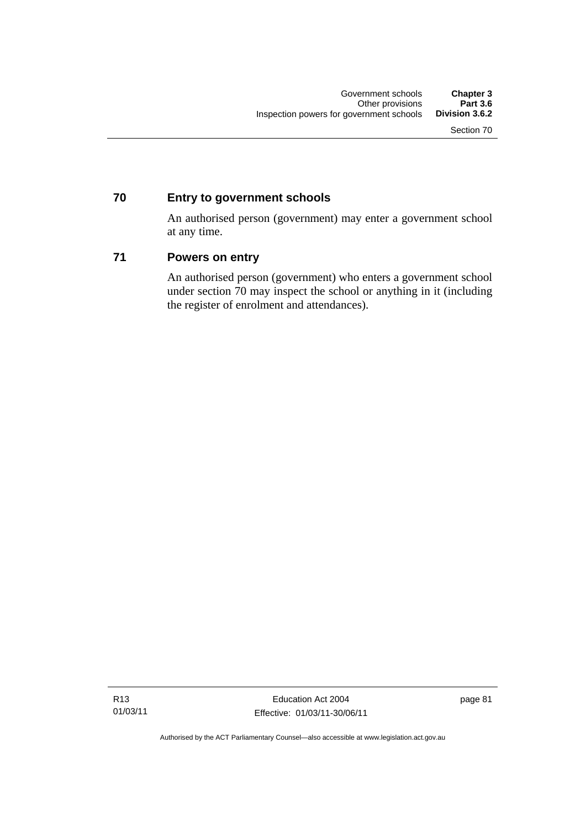### **70 Entry to government schools**

An authorised person (government) may enter a government school at any time.

### **71 Powers on entry**

An authorised person (government) who enters a government school under section 70 may inspect the school or anything in it (including the register of enrolment and attendances).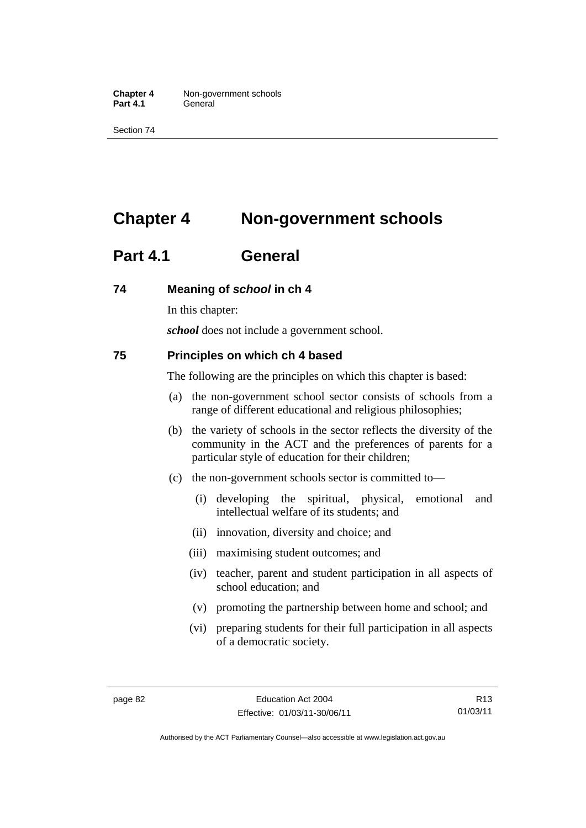**Chapter 4** Non-government schools Part 4.1 **General** 

Section 74

# **Chapter 4 Non-government schools**

### **Part 4.1 General**

#### **74 Meaning of** *school* **in ch 4**

In this chapter:

*school* does not include a government school.

#### **75 Principles on which ch 4 based**

The following are the principles on which this chapter is based:

- (a) the non-government school sector consists of schools from a range of different educational and religious philosophies;
- (b) the variety of schools in the sector reflects the diversity of the community in the ACT and the preferences of parents for a particular style of education for their children;
- (c) the non-government schools sector is committed to—
	- (i) developing the spiritual, physical, emotional and intellectual welfare of its students; and
	- (ii) innovation, diversity and choice; and
	- (iii) maximising student outcomes; and
	- (iv) teacher, parent and student participation in all aspects of school education; and
	- (v) promoting the partnership between home and school; and
	- (vi) preparing students for their full participation in all aspects of a democratic society.

Authorised by the ACT Parliamentary Counsel—also accessible at www.legislation.act.gov.au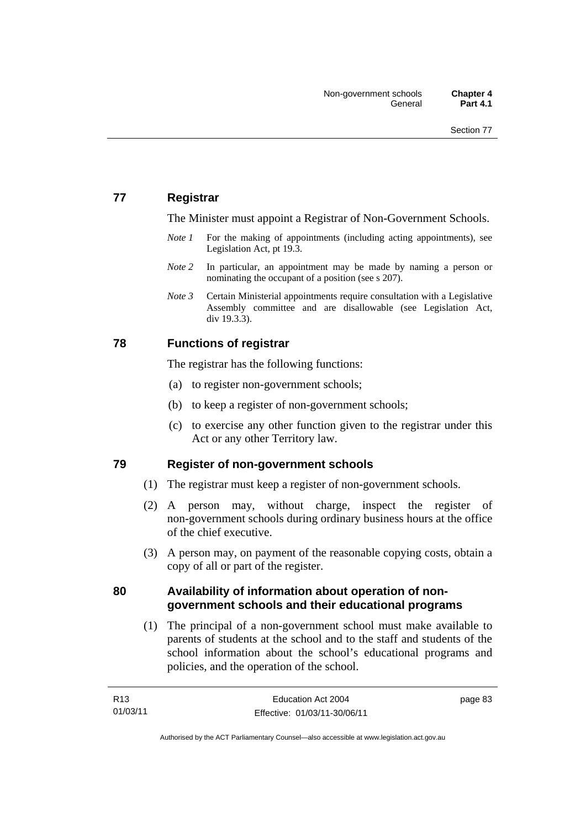### **77 Registrar**

The Minister must appoint a Registrar of Non-Government Schools.

- *Note 1* For the making of appointments (including acting appointments), see Legislation Act, pt 19.3.
- *Note* 2 In particular, an appointment may be made by naming a person or nominating the occupant of a position (see s 207).
- *Note 3* Certain Ministerial appointments require consultation with a Legislative Assembly committee and are disallowable (see Legislation Act, div 19.3.3).

### **78 Functions of registrar**

The registrar has the following functions:

- (a) to register non-government schools;
- (b) to keep a register of non-government schools;
- (c) to exercise any other function given to the registrar under this Act or any other Territory law.

### **79 Register of non-government schools**

- (1) The registrar must keep a register of non-government schools.
- (2) A person may, without charge, inspect the register of non-government schools during ordinary business hours at the office of the chief executive.
- (3) A person may, on payment of the reasonable copying costs, obtain a copy of all or part of the register.

### **80 Availability of information about operation of nongovernment schools and their educational programs**

(1) The principal of a non-government school must make available to parents of students at the school and to the staff and students of the school information about the school's educational programs and policies, and the operation of the school.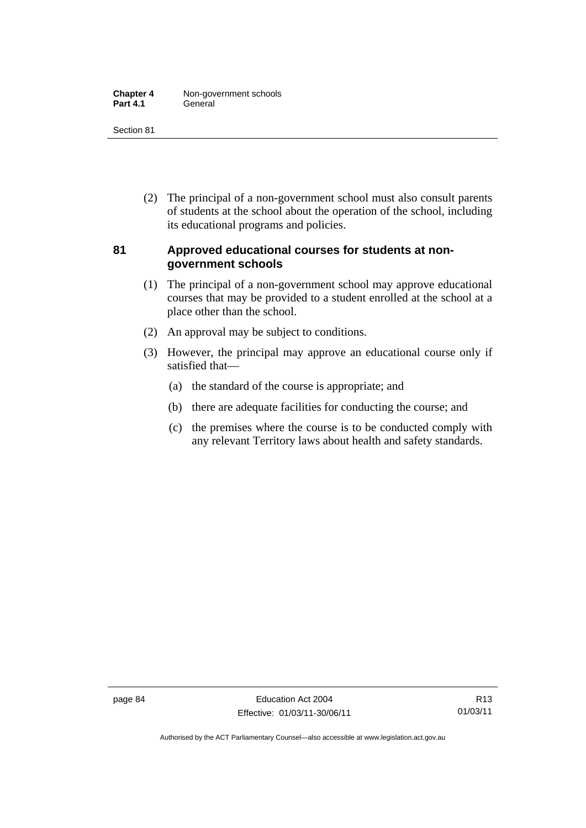| <b>Chapter 4</b> | Non-government schools |
|------------------|------------------------|
| <b>Part 4.1</b>  | General                |

Section 81

 (2) The principal of a non-government school must also consult parents of students at the school about the operation of the school, including its educational programs and policies.

### **81 Approved educational courses for students at nongovernment schools**

- (1) The principal of a non-government school may approve educational courses that may be provided to a student enrolled at the school at a place other than the school.
- (2) An approval may be subject to conditions.
- (3) However, the principal may approve an educational course only if satisfied that—
	- (a) the standard of the course is appropriate; and
	- (b) there are adequate facilities for conducting the course; and
	- (c) the premises where the course is to be conducted comply with any relevant Territory laws about health and safety standards.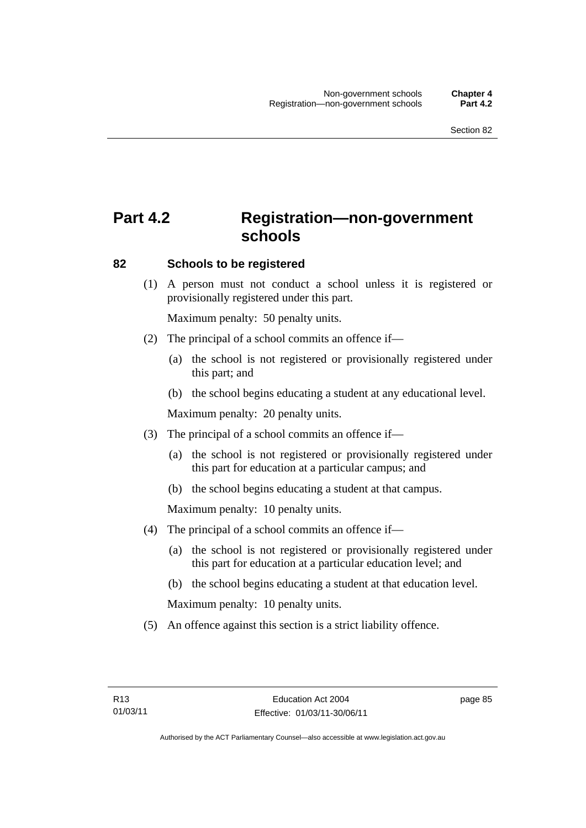# **Part 4.2 Registration—non-government schools**

### **82 Schools to be registered**

 (1) A person must not conduct a school unless it is registered or provisionally registered under this part.

Maximum penalty: 50 penalty units.

- (2) The principal of a school commits an offence if—
	- (a) the school is not registered or provisionally registered under this part; and
	- (b) the school begins educating a student at any educational level.

Maximum penalty: 20 penalty units.

- (3) The principal of a school commits an offence if—
	- (a) the school is not registered or provisionally registered under this part for education at a particular campus; and
	- (b) the school begins educating a student at that campus.

Maximum penalty: 10 penalty units.

- (4) The principal of a school commits an offence if—
	- (a) the school is not registered or provisionally registered under this part for education at a particular education level; and
	- (b) the school begins educating a student at that education level.

Maximum penalty: 10 penalty units.

(5) An offence against this section is a strict liability offence.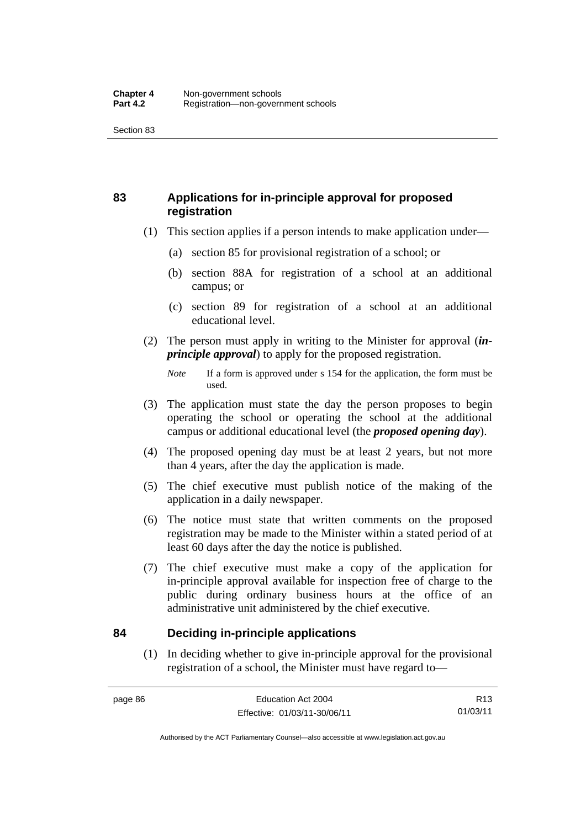### **83 Applications for in-principle approval for proposed registration**

- (1) This section applies if a person intends to make application under—
	- (a) section 85 for provisional registration of a school; or
	- (b) section 88A for registration of a school at an additional campus; or
	- (c) section 89 for registration of a school at an additional educational level.
- (2) The person must apply in writing to the Minister for approval (*inprinciple approval*) to apply for the proposed registration.

- (3) The application must state the day the person proposes to begin operating the school or operating the school at the additional campus or additional educational level (the *proposed opening day*).
- (4) The proposed opening day must be at least 2 years, but not more than 4 years, after the day the application is made.
- (5) The chief executive must publish notice of the making of the application in a daily newspaper.
- (6) The notice must state that written comments on the proposed registration may be made to the Minister within a stated period of at least 60 days after the day the notice is published.
- (7) The chief executive must make a copy of the application for in-principle approval available for inspection free of charge to the public during ordinary business hours at the office of an administrative unit administered by the chief executive.

### **84 Deciding in-principle applications**

(1) In deciding whether to give in-principle approval for the provisional registration of a school, the Minister must have regard to—

*Note* If a form is approved under s 154 for the application, the form must be used.

R13 01/03/11

Authorised by the ACT Parliamentary Counsel—also accessible at www.legislation.act.gov.au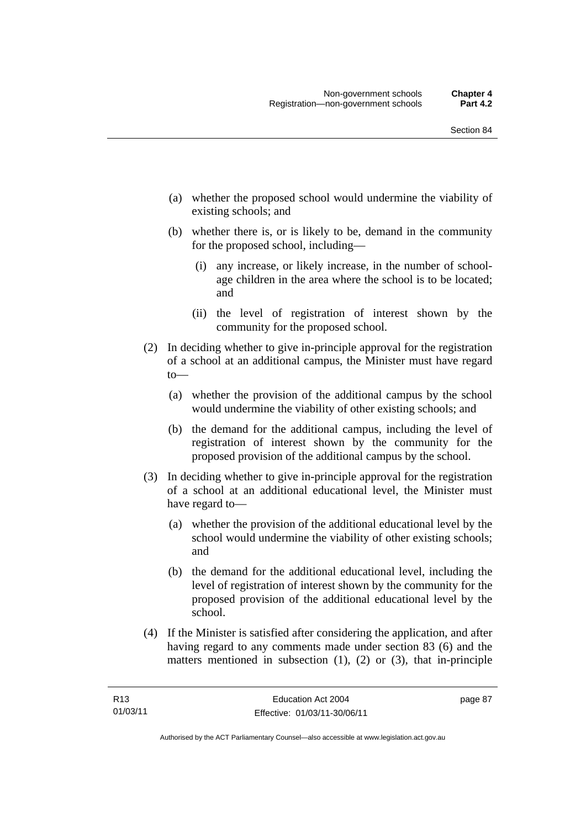- (a) whether the proposed school would undermine the viability of existing schools; and
- (b) whether there is, or is likely to be, demand in the community for the proposed school, including—
	- (i) any increase, or likely increase, in the number of schoolage children in the area where the school is to be located; and
	- (ii) the level of registration of interest shown by the community for the proposed school.
- (2) In deciding whether to give in-principle approval for the registration of a school at an additional campus, the Minister must have regard to—
	- (a) whether the provision of the additional campus by the school would undermine the viability of other existing schools; and
	- (b) the demand for the additional campus, including the level of registration of interest shown by the community for the proposed provision of the additional campus by the school.
- (3) In deciding whether to give in-principle approval for the registration of a school at an additional educational level, the Minister must have regard to—
	- (a) whether the provision of the additional educational level by the school would undermine the viability of other existing schools; and
	- (b) the demand for the additional educational level, including the level of registration of interest shown by the community for the proposed provision of the additional educational level by the school.
- (4) If the Minister is satisfied after considering the application, and after having regard to any comments made under section 83 (6) and the matters mentioned in subsection (1), (2) or (3), that in-principle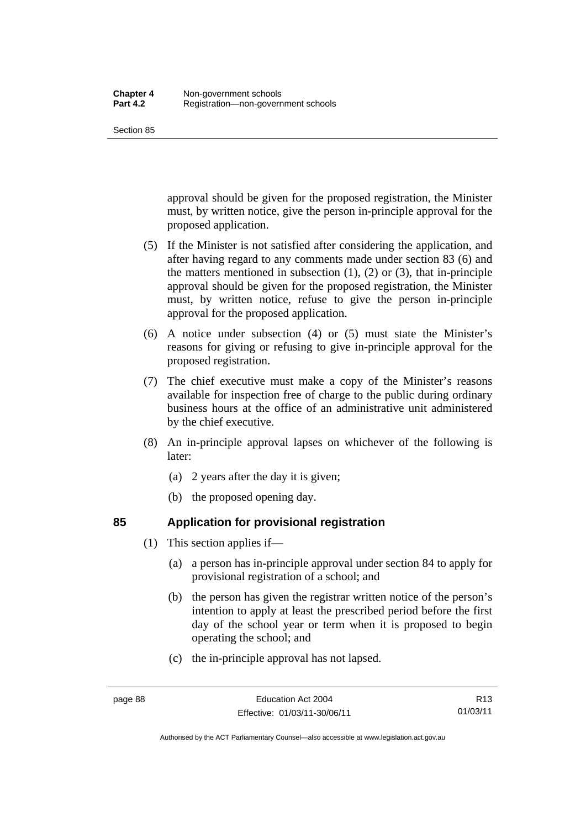Section 85

approval should be given for the proposed registration, the Minister must, by written notice, give the person in-principle approval for the proposed application.

- (5) If the Minister is not satisfied after considering the application, and after having regard to any comments made under section 83 (6) and the matters mentioned in subsection  $(1)$ ,  $(2)$  or  $(3)$ , that in-principle approval should be given for the proposed registration, the Minister must, by written notice, refuse to give the person in-principle approval for the proposed application.
- (6) A notice under subsection (4) or (5) must state the Minister's reasons for giving or refusing to give in-principle approval for the proposed registration.
- (7) The chief executive must make a copy of the Minister's reasons available for inspection free of charge to the public during ordinary business hours at the office of an administrative unit administered by the chief executive.
- (8) An in-principle approval lapses on whichever of the following is later:
	- (a) 2 years after the day it is given;
	- (b) the proposed opening day.

### **85 Application for provisional registration**

- (1) This section applies if—
	- (a) a person has in-principle approval under section 84 to apply for provisional registration of a school; and
	- (b) the person has given the registrar written notice of the person's intention to apply at least the prescribed period before the first day of the school year or term when it is proposed to begin operating the school; and
	- (c) the in-principle approval has not lapsed.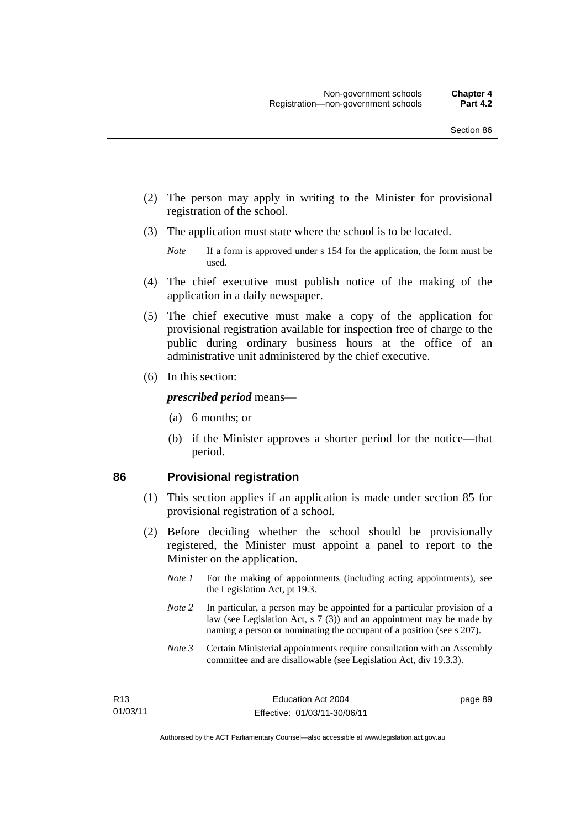- (2) The person may apply in writing to the Minister for provisional registration of the school.
- (3) The application must state where the school is to be located.
	- *Note* If a form is approved under s 154 for the application, the form must be used.
- (4) The chief executive must publish notice of the making of the application in a daily newspaper.
- (5) The chief executive must make a copy of the application for provisional registration available for inspection free of charge to the public during ordinary business hours at the office of an administrative unit administered by the chief executive.
- (6) In this section:

#### *prescribed period* means—

- (a) 6 months; or
- (b) if the Minister approves a shorter period for the notice—that period.

#### **86 Provisional registration**

- (1) This section applies if an application is made under section 85 for provisional registration of a school.
- (2) Before deciding whether the school should be provisionally registered, the Minister must appoint a panel to report to the Minister on the application.
	- *Note 1* For the making of appointments (including acting appointments), see the Legislation Act, pt 19.3.
	- *Note 2* In particular, a person may be appointed for a particular provision of a law (see Legislation Act, s 7 (3)) and an appointment may be made by naming a person or nominating the occupant of a position (see s 207).
	- *Note 3* Certain Ministerial appointments require consultation with an Assembly committee and are disallowable (see Legislation Act, div 19.3.3).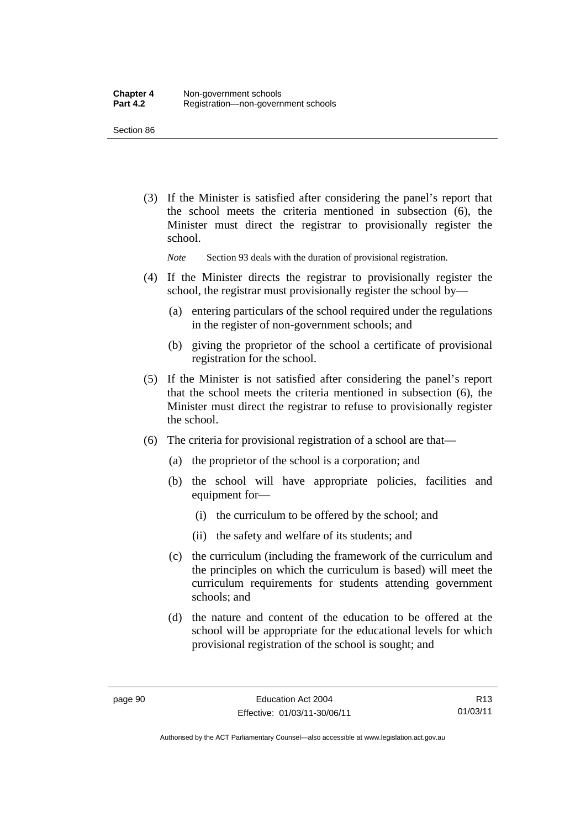Section 86

 (3) If the Minister is satisfied after considering the panel's report that the school meets the criteria mentioned in subsection (6), the Minister must direct the registrar to provisionally register the school.

*Note* Section 93 deals with the duration of provisional registration.

- (4) If the Minister directs the registrar to provisionally register the school, the registrar must provisionally register the school by—
	- (a) entering particulars of the school required under the regulations in the register of non-government schools; and
	- (b) giving the proprietor of the school a certificate of provisional registration for the school.
- (5) If the Minister is not satisfied after considering the panel's report that the school meets the criteria mentioned in subsection (6), the Minister must direct the registrar to refuse to provisionally register the school.
- (6) The criteria for provisional registration of a school are that—
	- (a) the proprietor of the school is a corporation; and
	- (b) the school will have appropriate policies, facilities and equipment for-
		- (i) the curriculum to be offered by the school; and
		- (ii) the safety and welfare of its students; and
	- (c) the curriculum (including the framework of the curriculum and the principles on which the curriculum is based) will meet the curriculum requirements for students attending government schools; and
	- (d) the nature and content of the education to be offered at the school will be appropriate for the educational levels for which provisional registration of the school is sought; and

R13 01/03/11

Authorised by the ACT Parliamentary Counsel—also accessible at www.legislation.act.gov.au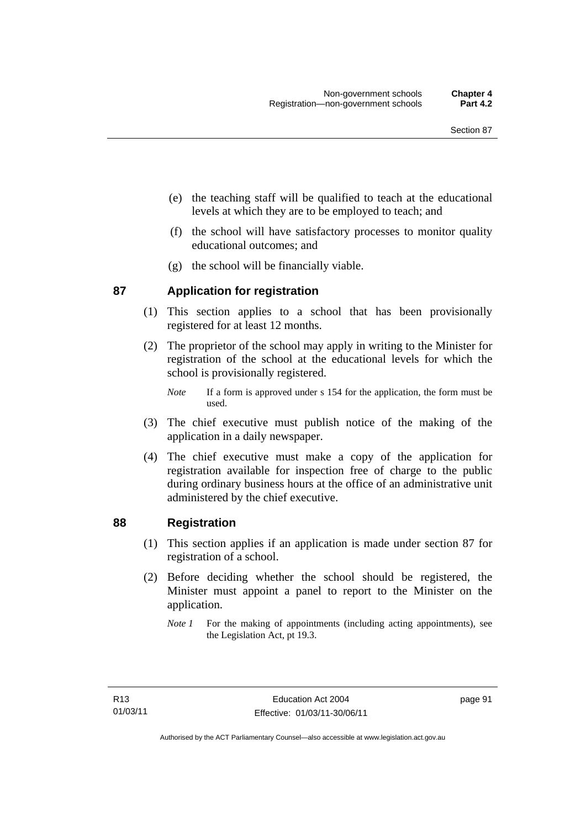- (e) the teaching staff will be qualified to teach at the educational levels at which they are to be employed to teach; and
- (f) the school will have satisfactory processes to monitor quality educational outcomes; and
- (g) the school will be financially viable.

### **87 Application for registration**

- (1) This section applies to a school that has been provisionally registered for at least 12 months.
- (2) The proprietor of the school may apply in writing to the Minister for registration of the school at the educational levels for which the school is provisionally registered.
	- *Note* If a form is approved under s 154 for the application, the form must be used.
- (3) The chief executive must publish notice of the making of the application in a daily newspaper.
- (4) The chief executive must make a copy of the application for registration available for inspection free of charge to the public during ordinary business hours at the office of an administrative unit administered by the chief executive.

### **88 Registration**

- (1) This section applies if an application is made under section 87 for registration of a school.
- (2) Before deciding whether the school should be registered, the Minister must appoint a panel to report to the Minister on the application.
	- *Note 1* For the making of appointments (including acting appointments), see the Legislation Act, pt 19.3.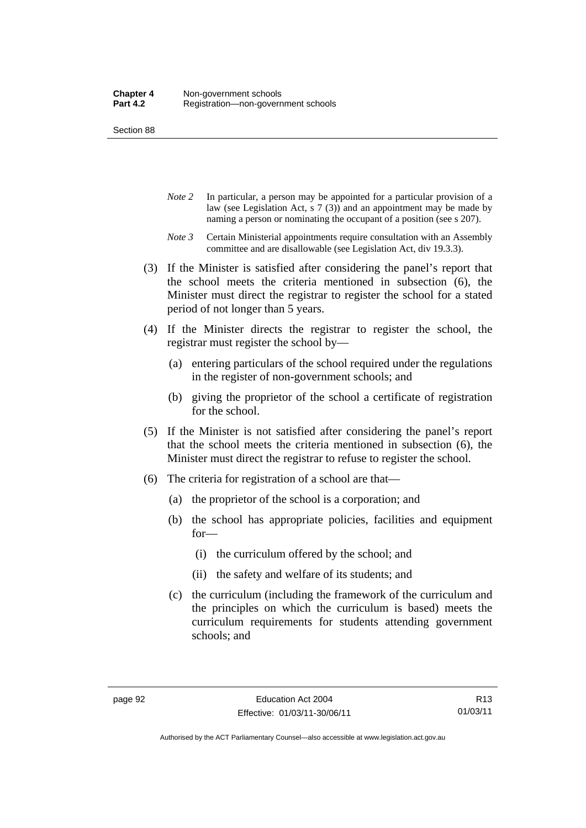Section 88

- *Note 2* In particular, a person may be appointed for a particular provision of a law (see Legislation Act, s 7 (3)) and an appointment may be made by naming a person or nominating the occupant of a position (see s 207).
- *Note 3* Certain Ministerial appointments require consultation with an Assembly committee and are disallowable (see Legislation Act, div 19.3.3).
- (3) If the Minister is satisfied after considering the panel's report that the school meets the criteria mentioned in subsection (6), the Minister must direct the registrar to register the school for a stated period of not longer than 5 years.
- (4) If the Minister directs the registrar to register the school, the registrar must register the school by—
	- (a) entering particulars of the school required under the regulations in the register of non-government schools; and
	- (b) giving the proprietor of the school a certificate of registration for the school.
- (5) If the Minister is not satisfied after considering the panel's report that the school meets the criteria mentioned in subsection (6), the Minister must direct the registrar to refuse to register the school.
- (6) The criteria for registration of a school are that—
	- (a) the proprietor of the school is a corporation; and
	- (b) the school has appropriate policies, facilities and equipment for—
		- (i) the curriculum offered by the school; and
		- (ii) the safety and welfare of its students; and
	- (c) the curriculum (including the framework of the curriculum and the principles on which the curriculum is based) meets the curriculum requirements for students attending government schools; and

R13 01/03/11

Authorised by the ACT Parliamentary Counsel—also accessible at www.legislation.act.gov.au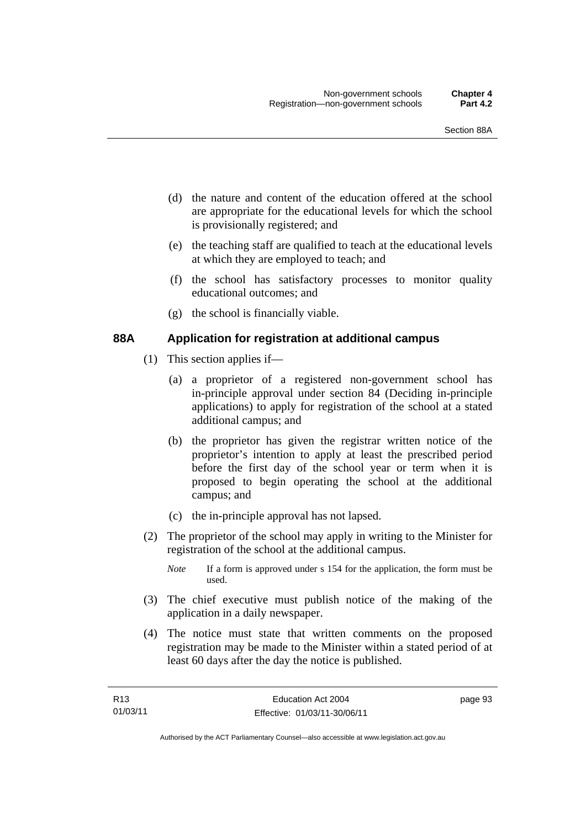- (d) the nature and content of the education offered at the school are appropriate for the educational levels for which the school is provisionally registered; and
- (e) the teaching staff are qualified to teach at the educational levels at which they are employed to teach; and
- (f) the school has satisfactory processes to monitor quality educational outcomes; and
- (g) the school is financially viable.

### **88A Application for registration at additional campus**

- (1) This section applies if—
	- (a) a proprietor of a registered non-government school has in-principle approval under section 84 (Deciding in-principle applications) to apply for registration of the school at a stated additional campus; and
	- (b) the proprietor has given the registrar written notice of the proprietor's intention to apply at least the prescribed period before the first day of the school year or term when it is proposed to begin operating the school at the additional campus; and
	- (c) the in-principle approval has not lapsed.
- (2) The proprietor of the school may apply in writing to the Minister for registration of the school at the additional campus.
	- *Note* If a form is approved under s 154 for the application, the form must be used.
- (3) The chief executive must publish notice of the making of the application in a daily newspaper.
- (4) The notice must state that written comments on the proposed registration may be made to the Minister within a stated period of at least 60 days after the day the notice is published.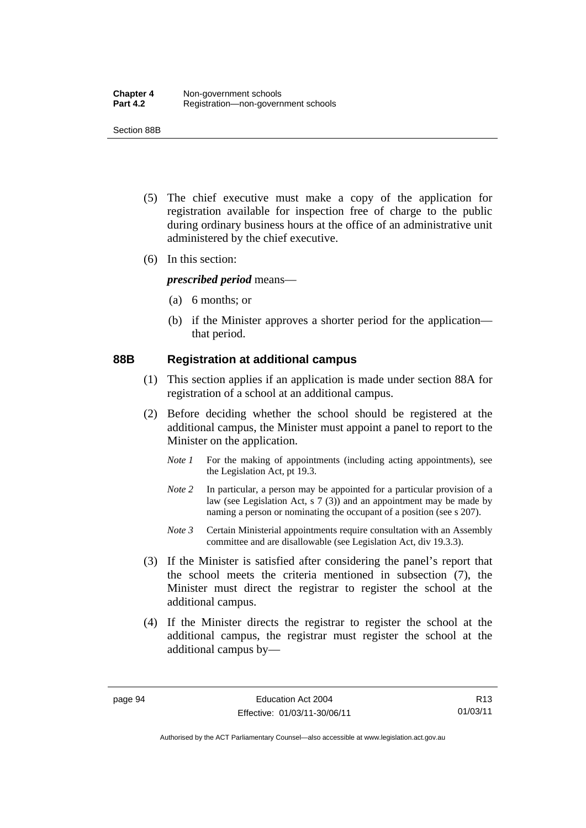Section 88B

- (5) The chief executive must make a copy of the application for registration available for inspection free of charge to the public during ordinary business hours at the office of an administrative unit administered by the chief executive.
- (6) In this section:

*prescribed period* means—

- (a) 6 months; or
- (b) if the Minister approves a shorter period for the application that period.

### **88B Registration at additional campus**

- (1) This section applies if an application is made under section 88A for registration of a school at an additional campus.
- (2) Before deciding whether the school should be registered at the additional campus, the Minister must appoint a panel to report to the Minister on the application.
	- *Note 1* For the making of appointments (including acting appointments), see the Legislation Act, pt 19.3.
	- *Note 2* In particular, a person may be appointed for a particular provision of a law (see Legislation Act, s 7 (3)) and an appointment may be made by naming a person or nominating the occupant of a position (see s 207).
	- *Note 3* Certain Ministerial appointments require consultation with an Assembly committee and are disallowable (see Legislation Act, div 19.3.3).
- (3) If the Minister is satisfied after considering the panel's report that the school meets the criteria mentioned in subsection (7), the Minister must direct the registrar to register the school at the additional campus.
- (4) If the Minister directs the registrar to register the school at the additional campus, the registrar must register the school at the additional campus by—

R13 01/03/11

Authorised by the ACT Parliamentary Counsel—also accessible at www.legislation.act.gov.au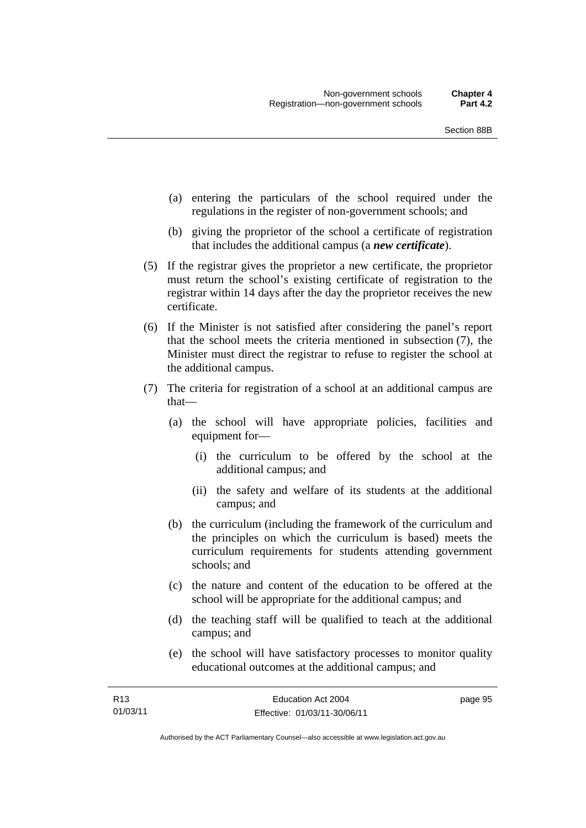- (a) entering the particulars of the school required under the regulations in the register of non-government schools; and
- (b) giving the proprietor of the school a certificate of registration that includes the additional campus (a *new certificate*).
- (5) If the registrar gives the proprietor a new certificate, the proprietor must return the school's existing certificate of registration to the registrar within 14 days after the day the proprietor receives the new certificate.
- (6) If the Minister is not satisfied after considering the panel's report that the school meets the criteria mentioned in subsection (7), the Minister must direct the registrar to refuse to register the school at the additional campus.
- (7) The criteria for registration of a school at an additional campus are that—
	- (a) the school will have appropriate policies, facilities and equipment for—
		- (i) the curriculum to be offered by the school at the additional campus; and
		- (ii) the safety and welfare of its students at the additional campus; and
	- (b) the curriculum (including the framework of the curriculum and the principles on which the curriculum is based) meets the curriculum requirements for students attending government schools; and
	- (c) the nature and content of the education to be offered at the school will be appropriate for the additional campus; and
	- (d) the teaching staff will be qualified to teach at the additional campus; and
	- (e) the school will have satisfactory processes to monitor quality educational outcomes at the additional campus; and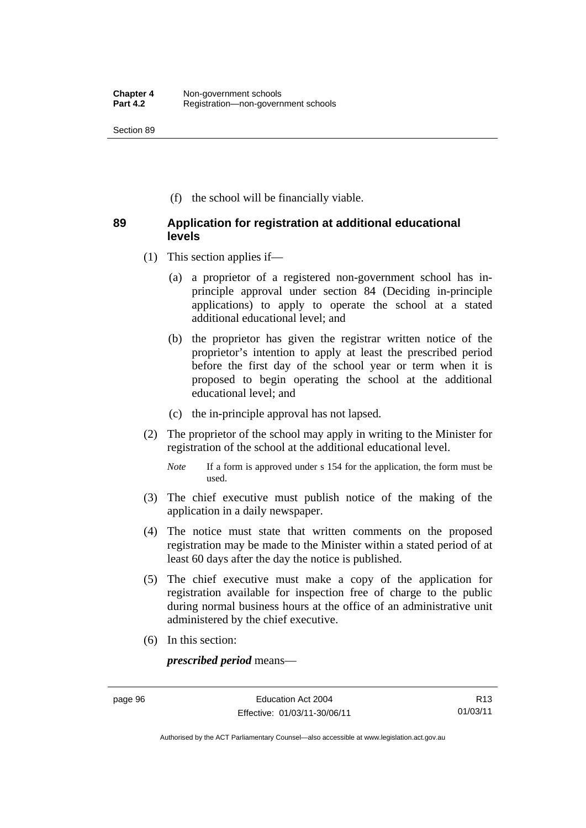Section 89

(f) the school will be financially viable.

### **89 Application for registration at additional educational levels**

- (1) This section applies if—
	- (a) a proprietor of a registered non-government school has inprinciple approval under section 84 (Deciding in-principle applications) to apply to operate the school at a stated additional educational level; and
	- (b) the proprietor has given the registrar written notice of the proprietor's intention to apply at least the prescribed period before the first day of the school year or term when it is proposed to begin operating the school at the additional educational level; and
	- (c) the in-principle approval has not lapsed.
- (2) The proprietor of the school may apply in writing to the Minister for registration of the school at the additional educational level.
	- *Note* If a form is approved under s 154 for the application, the form must be used.
- (3) The chief executive must publish notice of the making of the application in a daily newspaper.
- (4) The notice must state that written comments on the proposed registration may be made to the Minister within a stated period of at least 60 days after the day the notice is published.
- (5) The chief executive must make a copy of the application for registration available for inspection free of charge to the public during normal business hours at the office of an administrative unit administered by the chief executive.
- (6) In this section:

*prescribed period* means—

Authorised by the ACT Parliamentary Counsel—also accessible at www.legislation.act.gov.au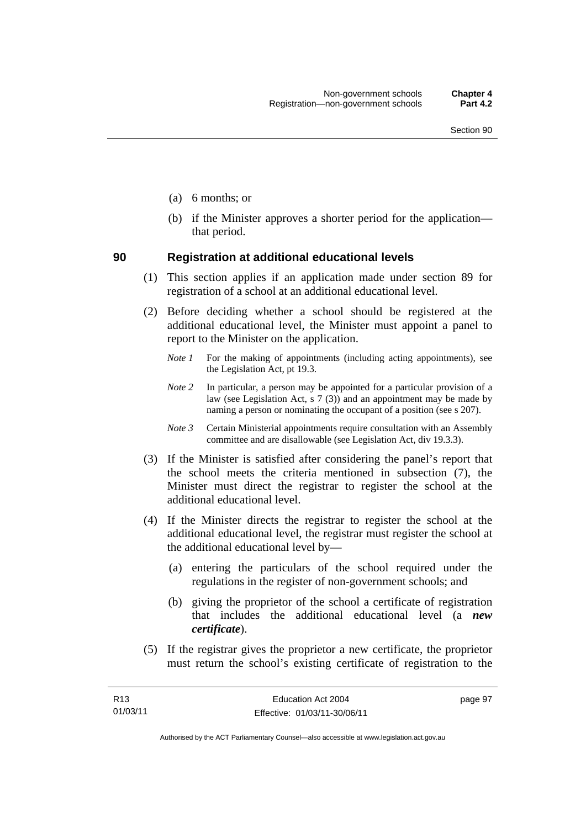- (a) 6 months; or
- (b) if the Minister approves a shorter period for the application that period.

#### **90 Registration at additional educational levels**

- (1) This section applies if an application made under section 89 for registration of a school at an additional educational level.
- (2) Before deciding whether a school should be registered at the additional educational level, the Minister must appoint a panel to report to the Minister on the application.
	- *Note 1* For the making of appointments (including acting appointments), see the Legislation Act, pt 19.3.
	- *Note 2* In particular, a person may be appointed for a particular provision of a law (see Legislation Act, s  $7(3)$ ) and an appointment may be made by naming a person or nominating the occupant of a position (see s 207).
	- *Note 3* Certain Ministerial appointments require consultation with an Assembly committee and are disallowable (see Legislation Act, div 19.3.3).
- (3) If the Minister is satisfied after considering the panel's report that the school meets the criteria mentioned in subsection (7), the Minister must direct the registrar to register the school at the additional educational level.
- (4) If the Minister directs the registrar to register the school at the additional educational level, the registrar must register the school at the additional educational level by—
	- (a) entering the particulars of the school required under the regulations in the register of non-government schools; and
	- (b) giving the proprietor of the school a certificate of registration that includes the additional educational level (a *new certificate*).
- (5) If the registrar gives the proprietor a new certificate, the proprietor must return the school's existing certificate of registration to the

page 97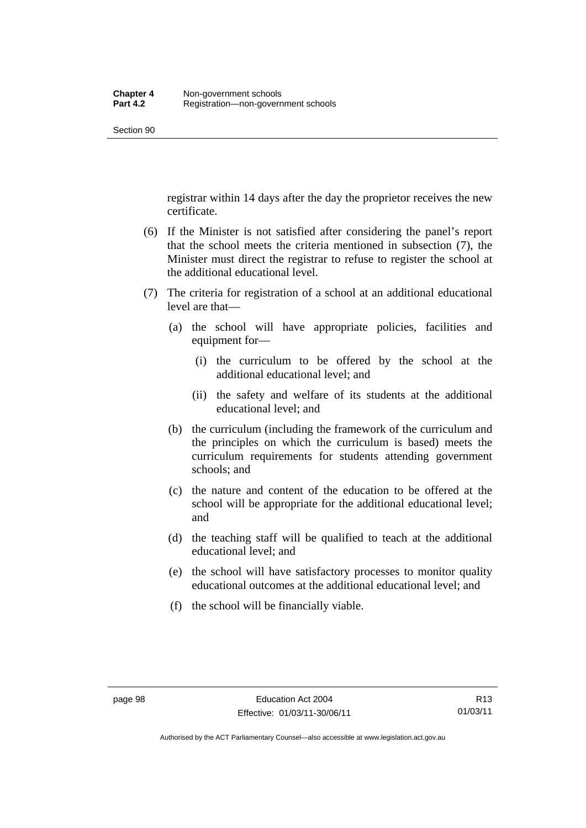registrar within 14 days after the day the proprietor receives the new certificate.

- (6) If the Minister is not satisfied after considering the panel's report that the school meets the criteria mentioned in subsection (7), the Minister must direct the registrar to refuse to register the school at the additional educational level.
- (7) The criteria for registration of a school at an additional educational level are that—
	- (a) the school will have appropriate policies, facilities and equipment for—
		- (i) the curriculum to be offered by the school at the additional educational level; and
		- (ii) the safety and welfare of its students at the additional educational level; and
	- (b) the curriculum (including the framework of the curriculum and the principles on which the curriculum is based) meets the curriculum requirements for students attending government schools; and
	- (c) the nature and content of the education to be offered at the school will be appropriate for the additional educational level; and
	- (d) the teaching staff will be qualified to teach at the additional educational level; and
	- (e) the school will have satisfactory processes to monitor quality educational outcomes at the additional educational level; and
	- (f) the school will be financially viable.

Authorised by the ACT Parliamentary Counsel—also accessible at www.legislation.act.gov.au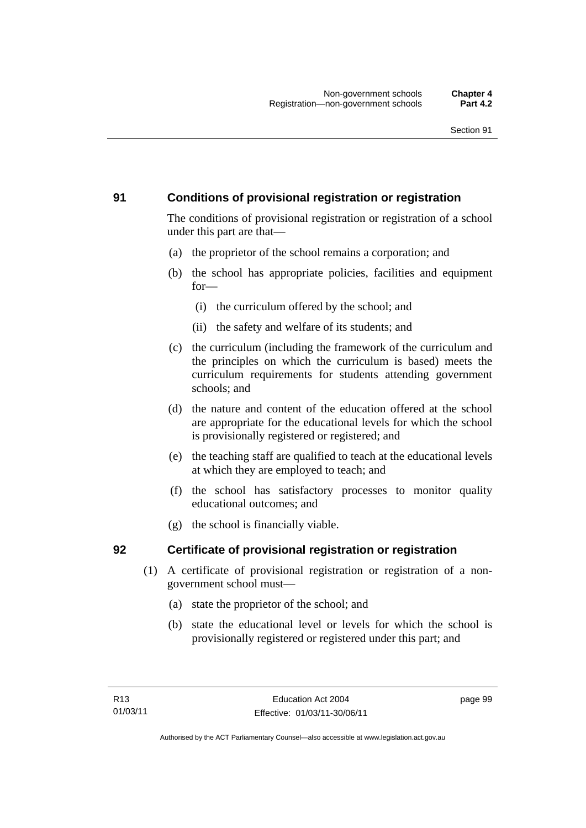### **91 Conditions of provisional registration or registration**

The conditions of provisional registration or registration of a school under this part are that—

- (a) the proprietor of the school remains a corporation; and
- (b) the school has appropriate policies, facilities and equipment for—
	- (i) the curriculum offered by the school; and
	- (ii) the safety and welfare of its students; and
- (c) the curriculum (including the framework of the curriculum and the principles on which the curriculum is based) meets the curriculum requirements for students attending government schools; and
- (d) the nature and content of the education offered at the school are appropriate for the educational levels for which the school is provisionally registered or registered; and
- (e) the teaching staff are qualified to teach at the educational levels at which they are employed to teach; and
- (f) the school has satisfactory processes to monitor quality educational outcomes; and
- (g) the school is financially viable.

### **92 Certificate of provisional registration or registration**

- (1) A certificate of provisional registration or registration of a nongovernment school must—
	- (a) state the proprietor of the school; and
	- (b) state the educational level or levels for which the school is provisionally registered or registered under this part; and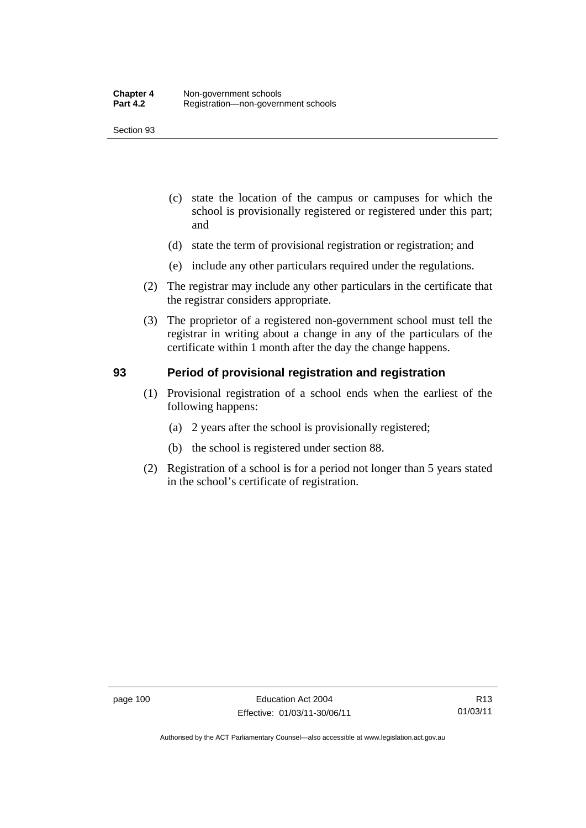- (c) state the location of the campus or campuses for which the school is provisionally registered or registered under this part; and
- (d) state the term of provisional registration or registration; and
- (e) include any other particulars required under the regulations.
- (2) The registrar may include any other particulars in the certificate that the registrar considers appropriate.
- (3) The proprietor of a registered non-government school must tell the registrar in writing about a change in any of the particulars of the certificate within 1 month after the day the change happens.

### **93 Period of provisional registration and registration**

- (1) Provisional registration of a school ends when the earliest of the following happens:
	- (a) 2 years after the school is provisionally registered;
	- (b) the school is registered under section 88.
- (2) Registration of a school is for a period not longer than 5 years stated in the school's certificate of registration.

Authorised by the ACT Parliamentary Counsel—also accessible at www.legislation.act.gov.au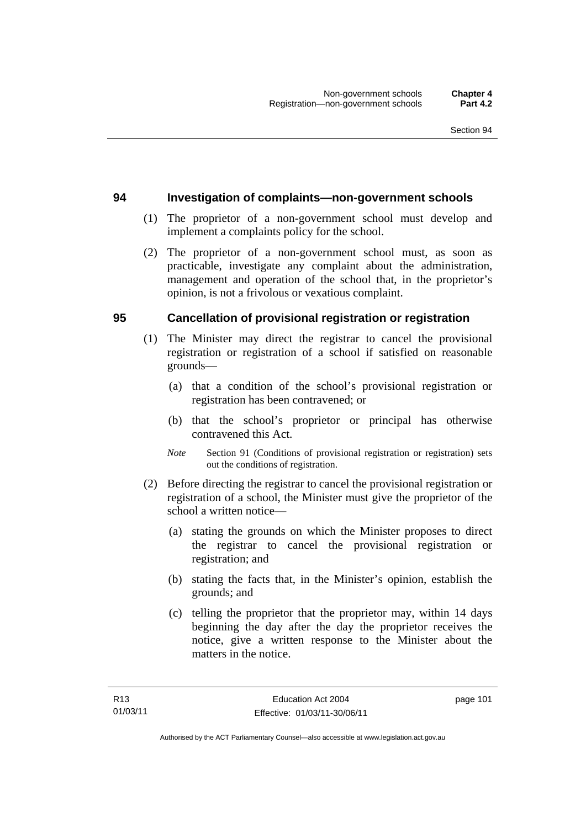### **94 Investigation of complaints—non-government schools**

- (1) The proprietor of a non-government school must develop and implement a complaints policy for the school.
- (2) The proprietor of a non-government school must, as soon as practicable, investigate any complaint about the administration, management and operation of the school that, in the proprietor's opinion, is not a frivolous or vexatious complaint.

### **95 Cancellation of provisional registration or registration**

- (1) The Minister may direct the registrar to cancel the provisional registration or registration of a school if satisfied on reasonable grounds—
	- (a) that a condition of the school's provisional registration or registration has been contravened; or
	- (b) that the school's proprietor or principal has otherwise contravened this Act.
	- *Note* Section 91 (Conditions of provisional registration or registration) sets out the conditions of registration.
- (2) Before directing the registrar to cancel the provisional registration or registration of a school, the Minister must give the proprietor of the school a written notice—
	- (a) stating the grounds on which the Minister proposes to direct the registrar to cancel the provisional registration or registration; and
	- (b) stating the facts that, in the Minister's opinion, establish the grounds; and
	- (c) telling the proprietor that the proprietor may, within 14 days beginning the day after the day the proprietor receives the notice, give a written response to the Minister about the matters in the notice.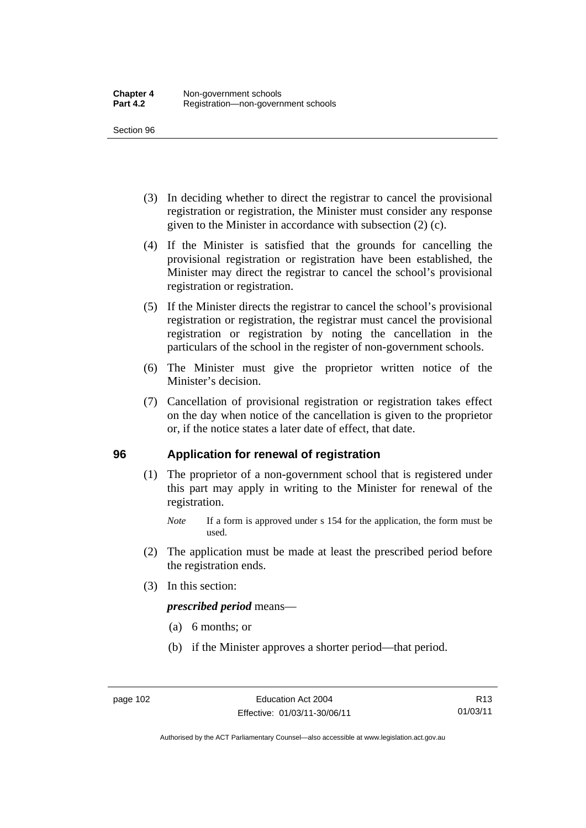- (3) In deciding whether to direct the registrar to cancel the provisional registration or registration, the Minister must consider any response given to the Minister in accordance with subsection (2) (c).
- (4) If the Minister is satisfied that the grounds for cancelling the provisional registration or registration have been established, the Minister may direct the registrar to cancel the school's provisional registration or registration.
- (5) If the Minister directs the registrar to cancel the school's provisional registration or registration, the registrar must cancel the provisional registration or registration by noting the cancellation in the particulars of the school in the register of non-government schools.
- (6) The Minister must give the proprietor written notice of the Minister's decision.
- (7) Cancellation of provisional registration or registration takes effect on the day when notice of the cancellation is given to the proprietor or, if the notice states a later date of effect, that date.

### **96 Application for renewal of registration**

- (1) The proprietor of a non-government school that is registered under this part may apply in writing to the Minister for renewal of the registration.
	- *Note* If a form is approved under s 154 for the application, the form must be used.
- (2) The application must be made at least the prescribed period before the registration ends.
- (3) In this section:

*prescribed period* means—

- (a) 6 months; or
- (b) if the Minister approves a shorter period—that period.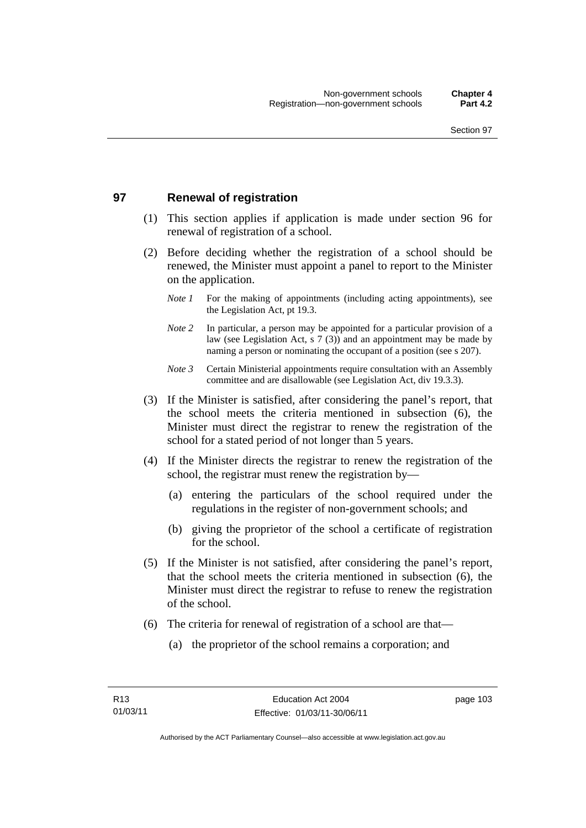### **97 Renewal of registration**

- (1) This section applies if application is made under section 96 for renewal of registration of a school.
- (2) Before deciding whether the registration of a school should be renewed, the Minister must appoint a panel to report to the Minister on the application.
	- *Note 1* For the making of appointments (including acting appointments), see the Legislation Act, pt 19.3.
	- *Note 2* In particular, a person may be appointed for a particular provision of a law (see Legislation Act, s 7 (3)) and an appointment may be made by naming a person or nominating the occupant of a position (see s 207).
	- *Note 3* Certain Ministerial appointments require consultation with an Assembly committee and are disallowable (see Legislation Act, div 19.3.3).
- (3) If the Minister is satisfied, after considering the panel's report, that the school meets the criteria mentioned in subsection (6), the Minister must direct the registrar to renew the registration of the school for a stated period of not longer than 5 years.
- (4) If the Minister directs the registrar to renew the registration of the school, the registrar must renew the registration by—
	- (a) entering the particulars of the school required under the regulations in the register of non-government schools; and
	- (b) giving the proprietor of the school a certificate of registration for the school.
- (5) If the Minister is not satisfied, after considering the panel's report, that the school meets the criteria mentioned in subsection (6), the Minister must direct the registrar to refuse to renew the registration of the school.
- (6) The criteria for renewal of registration of a school are that—
	- (a) the proprietor of the school remains a corporation; and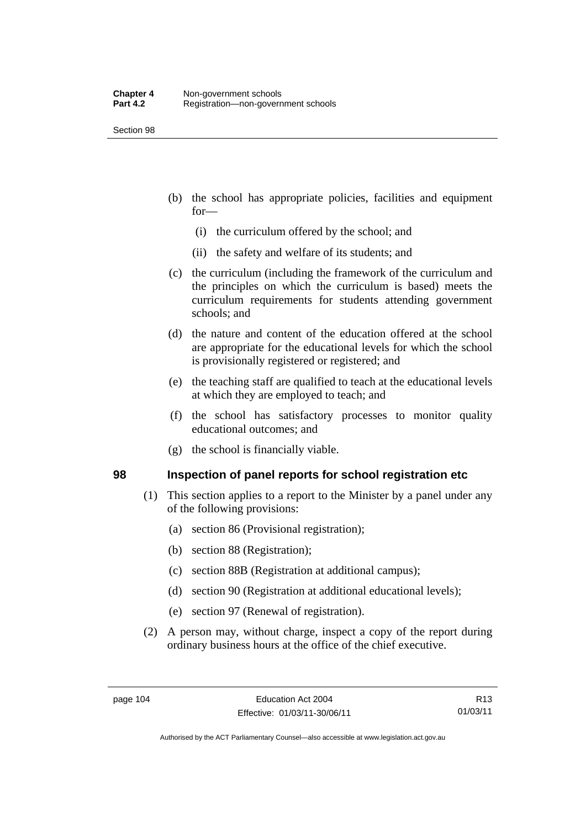- (b) the school has appropriate policies, facilities and equipment for—
	- (i) the curriculum offered by the school; and
	- (ii) the safety and welfare of its students; and
- (c) the curriculum (including the framework of the curriculum and the principles on which the curriculum is based) meets the curriculum requirements for students attending government schools; and
- (d) the nature and content of the education offered at the school are appropriate for the educational levels for which the school is provisionally registered or registered; and
- (e) the teaching staff are qualified to teach at the educational levels at which they are employed to teach; and
- (f) the school has satisfactory processes to monitor quality educational outcomes; and
- (g) the school is financially viable.

### **98 Inspection of panel reports for school registration etc**

- (1) This section applies to a report to the Minister by a panel under any of the following provisions:
	- (a) section 86 (Provisional registration);
	- (b) section 88 (Registration);
	- (c) section 88B (Registration at additional campus);
	- (d) section 90 (Registration at additional educational levels);
	- (e) section 97 (Renewal of registration).
- (2) A person may, without charge, inspect a copy of the report during ordinary business hours at the office of the chief executive.

R13 01/03/11

Authorised by the ACT Parliamentary Counsel—also accessible at www.legislation.act.gov.au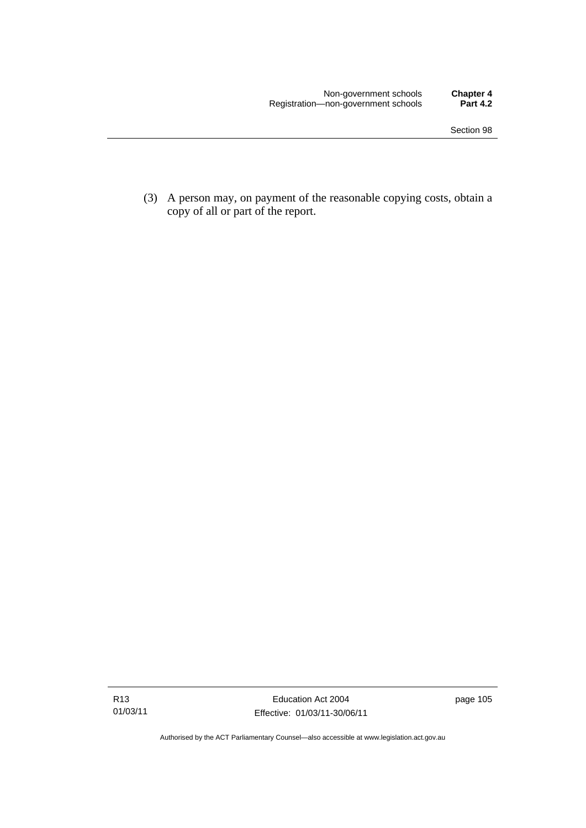(3) A person may, on payment of the reasonable copying costs, obtain a copy of all or part of the report.

page 105

Authorised by the ACT Parliamentary Counsel—also accessible at www.legislation.act.gov.au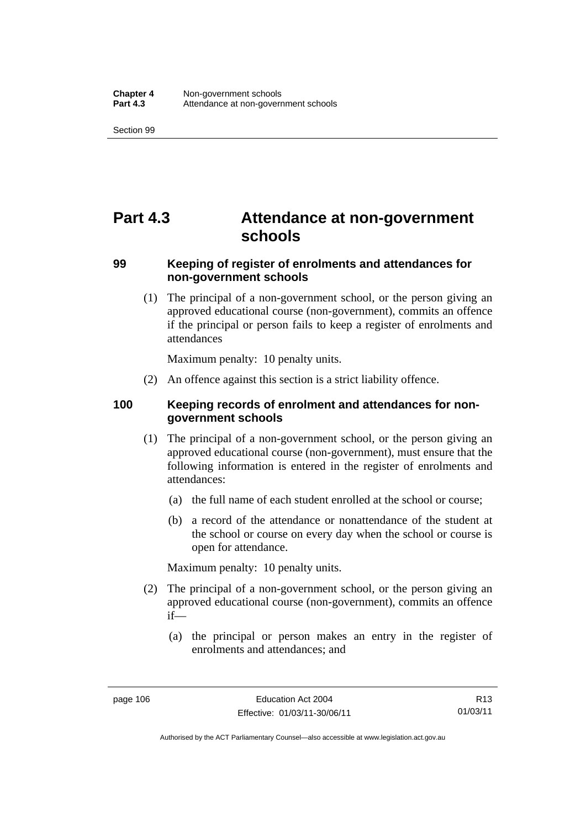# **Part 4.3 Attendance at non-government schools**

### **99 Keeping of register of enrolments and attendances for non-government schools**

 (1) The principal of a non-government school, or the person giving an approved educational course (non-government), commits an offence if the principal or person fails to keep a register of enrolments and attendances

Maximum penalty: 10 penalty units.

(2) An offence against this section is a strict liability offence.

### **100 Keeping records of enrolment and attendances for nongovernment schools**

- (1) The principal of a non-government school, or the person giving an approved educational course (non-government), must ensure that the following information is entered in the register of enrolments and attendances:
	- (a) the full name of each student enrolled at the school or course;
	- (b) a record of the attendance or nonattendance of the student at the school or course on every day when the school or course is open for attendance.

Maximum penalty: 10 penalty units.

- (2) The principal of a non-government school, or the person giving an approved educational course (non-government), commits an offence if—
	- (a) the principal or person makes an entry in the register of enrolments and attendances; and

R13 01/03/11

Authorised by the ACT Parliamentary Counsel—also accessible at www.legislation.act.gov.au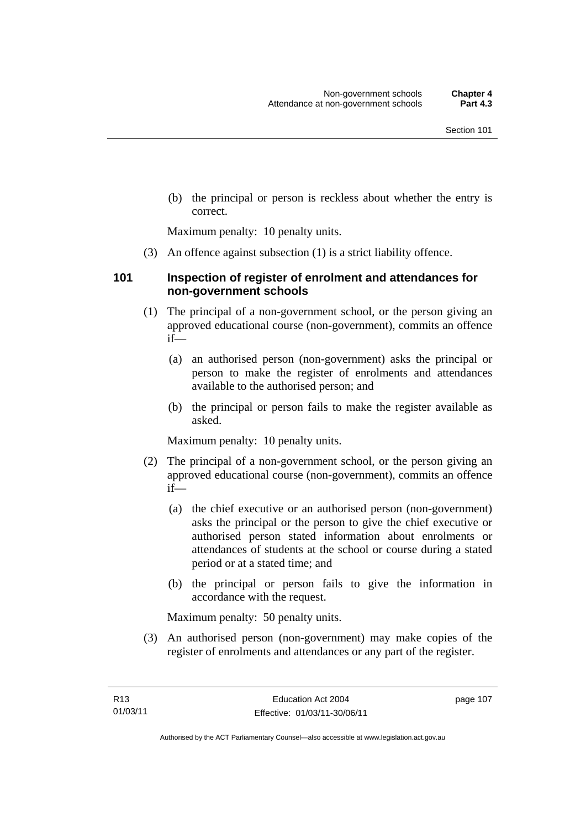(b) the principal or person is reckless about whether the entry is correct.

Maximum penalty: 10 penalty units.

(3) An offence against subsection (1) is a strict liability offence.

### **101 Inspection of register of enrolment and attendances for non-government schools**

- (1) The principal of a non-government school, or the person giving an approved educational course (non-government), commits an offence if—
	- (a) an authorised person (non-government) asks the principal or person to make the register of enrolments and attendances available to the authorised person; and
	- (b) the principal or person fails to make the register available as asked.

Maximum penalty: 10 penalty units.

- (2) The principal of a non-government school, or the person giving an approved educational course (non-government), commits an offence if—
	- (a) the chief executive or an authorised person (non-government) asks the principal or the person to give the chief executive or authorised person stated information about enrolments or attendances of students at the school or course during a stated period or at a stated time; and
	- (b) the principal or person fails to give the information in accordance with the request.

Maximum penalty: 50 penalty units.

 (3) An authorised person (non-government) may make copies of the register of enrolments and attendances or any part of the register.

page 107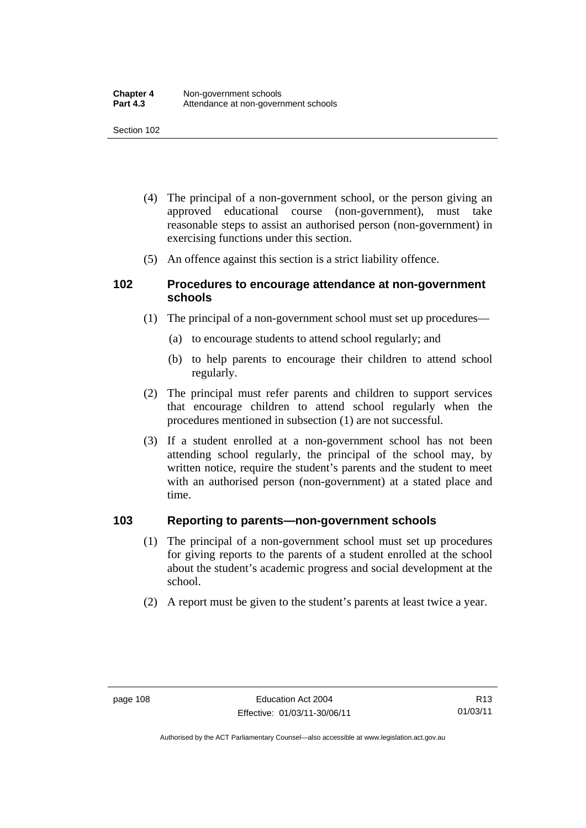- (4) The principal of a non-government school, or the person giving an approved educational course (non-government), must take reasonable steps to assist an authorised person (non-government) in exercising functions under this section.
- (5) An offence against this section is a strict liability offence.

### **102 Procedures to encourage attendance at non-government schools**

- (1) The principal of a non-government school must set up procedures—
	- (a) to encourage students to attend school regularly; and
	- (b) to help parents to encourage their children to attend school regularly.
- (2) The principal must refer parents and children to support services that encourage children to attend school regularly when the procedures mentioned in subsection (1) are not successful.
- (3) If a student enrolled at a non-government school has not been attending school regularly, the principal of the school may, by written notice, require the student's parents and the student to meet with an authorised person (non-government) at a stated place and time.

### **103 Reporting to parents—non-government schools**

- (1) The principal of a non-government school must set up procedures for giving reports to the parents of a student enrolled at the school about the student's academic progress and social development at the school.
- (2) A report must be given to the student's parents at least twice a year.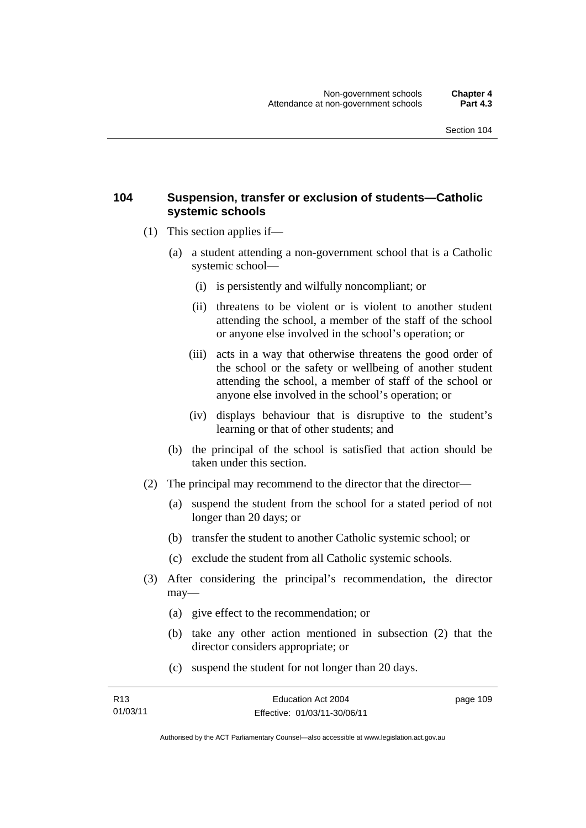### **104 Suspension, transfer or exclusion of students—Catholic systemic schools**

- (1) This section applies if—
	- (a) a student attending a non-government school that is a Catholic systemic school—
		- (i) is persistently and wilfully noncompliant; or
		- (ii) threatens to be violent or is violent to another student attending the school, a member of the staff of the school or anyone else involved in the school's operation; or
		- (iii) acts in a way that otherwise threatens the good order of the school or the safety or wellbeing of another student attending the school, a member of staff of the school or anyone else involved in the school's operation; or
		- (iv) displays behaviour that is disruptive to the student's learning or that of other students; and
	- (b) the principal of the school is satisfied that action should be taken under this section.
- (2) The principal may recommend to the director that the director—
	- (a) suspend the student from the school for a stated period of not longer than 20 days; or
	- (b) transfer the student to another Catholic systemic school; or
	- (c) exclude the student from all Catholic systemic schools.
- (3) After considering the principal's recommendation, the director may—
	- (a) give effect to the recommendation; or
	- (b) take any other action mentioned in subsection (2) that the director considers appropriate; or
	- (c) suspend the student for not longer than 20 days.

| R13      | Education Act 2004           | page 109 |
|----------|------------------------------|----------|
| 01/03/11 | Effective: 01/03/11-30/06/11 |          |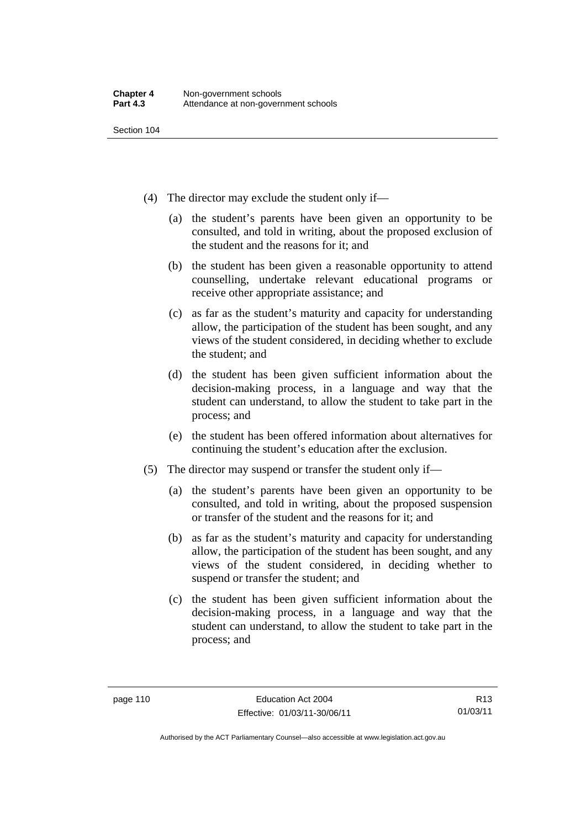- (4) The director may exclude the student only if—
	- (a) the student's parents have been given an opportunity to be consulted, and told in writing, about the proposed exclusion of the student and the reasons for it; and
	- (b) the student has been given a reasonable opportunity to attend counselling, undertake relevant educational programs or receive other appropriate assistance; and
	- (c) as far as the student's maturity and capacity for understanding allow, the participation of the student has been sought, and any views of the student considered, in deciding whether to exclude the student; and
	- (d) the student has been given sufficient information about the decision-making process, in a language and way that the student can understand, to allow the student to take part in the process; and
	- (e) the student has been offered information about alternatives for continuing the student's education after the exclusion.
- (5) The director may suspend or transfer the student only if—
	- (a) the student's parents have been given an opportunity to be consulted, and told in writing, about the proposed suspension or transfer of the student and the reasons for it; and
	- (b) as far as the student's maturity and capacity for understanding allow, the participation of the student has been sought, and any views of the student considered, in deciding whether to suspend or transfer the student; and
	- (c) the student has been given sufficient information about the decision-making process, in a language and way that the student can understand, to allow the student to take part in the process; and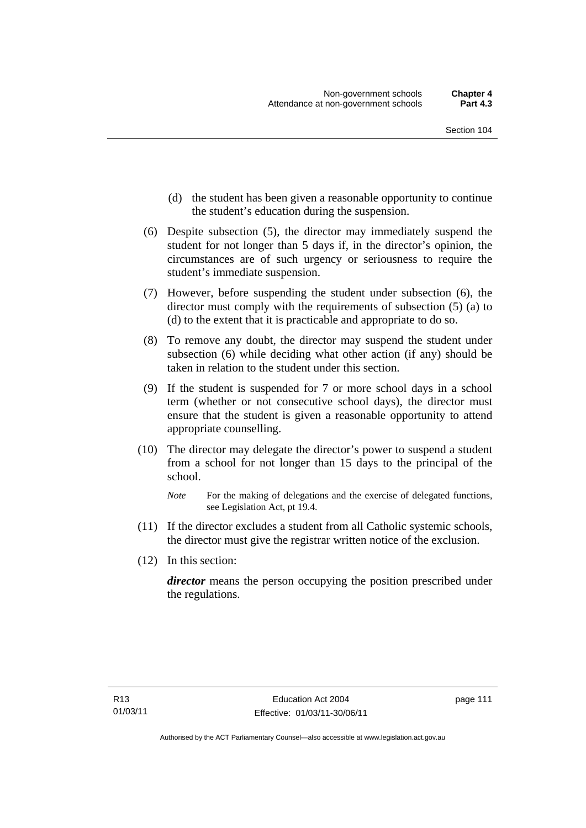- (d) the student has been given a reasonable opportunity to continue the student's education during the suspension.
- (6) Despite subsection (5), the director may immediately suspend the student for not longer than 5 days if, in the director's opinion, the circumstances are of such urgency or seriousness to require the student's immediate suspension.
- (7) However, before suspending the student under subsection (6), the director must comply with the requirements of subsection (5) (a) to (d) to the extent that it is practicable and appropriate to do so.
- (8) To remove any doubt, the director may suspend the student under subsection (6) while deciding what other action (if any) should be taken in relation to the student under this section.
- (9) If the student is suspended for 7 or more school days in a school term (whether or not consecutive school days), the director must ensure that the student is given a reasonable opportunity to attend appropriate counselling.
- (10) The director may delegate the director's power to suspend a student from a school for not longer than 15 days to the principal of the school.

- (11) If the director excludes a student from all Catholic systemic schools, the director must give the registrar written notice of the exclusion.
- (12) In this section:

*director* means the person occupying the position prescribed under the regulations.

*Note* For the making of delegations and the exercise of delegated functions, see Legislation Act, pt 19.4.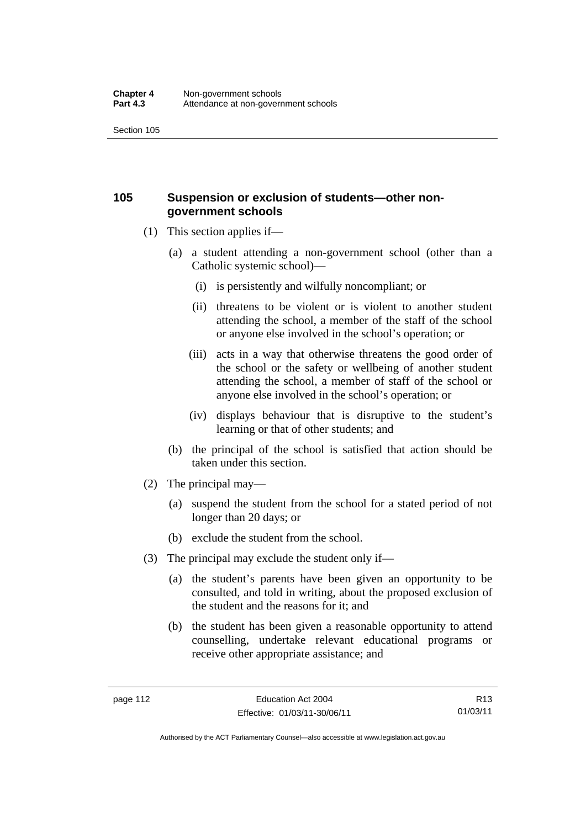### **105 Suspension or exclusion of students—other nongovernment schools**

- (1) This section applies if—
	- (a) a student attending a non-government school (other than a Catholic systemic school)—
		- (i) is persistently and wilfully noncompliant; or
		- (ii) threatens to be violent or is violent to another student attending the school, a member of the staff of the school or anyone else involved in the school's operation; or
		- (iii) acts in a way that otherwise threatens the good order of the school or the safety or wellbeing of another student attending the school, a member of staff of the school or anyone else involved in the school's operation; or
		- (iv) displays behaviour that is disruptive to the student's learning or that of other students; and
	- (b) the principal of the school is satisfied that action should be taken under this section.
- (2) The principal may—
	- (a) suspend the student from the school for a stated period of not longer than 20 days; or
	- (b) exclude the student from the school.
- (3) The principal may exclude the student only if—
	- (a) the student's parents have been given an opportunity to be consulted, and told in writing, about the proposed exclusion of the student and the reasons for it; and
	- (b) the student has been given a reasonable opportunity to attend counselling, undertake relevant educational programs or receive other appropriate assistance; and

R13 01/03/11

Authorised by the ACT Parliamentary Counsel—also accessible at www.legislation.act.gov.au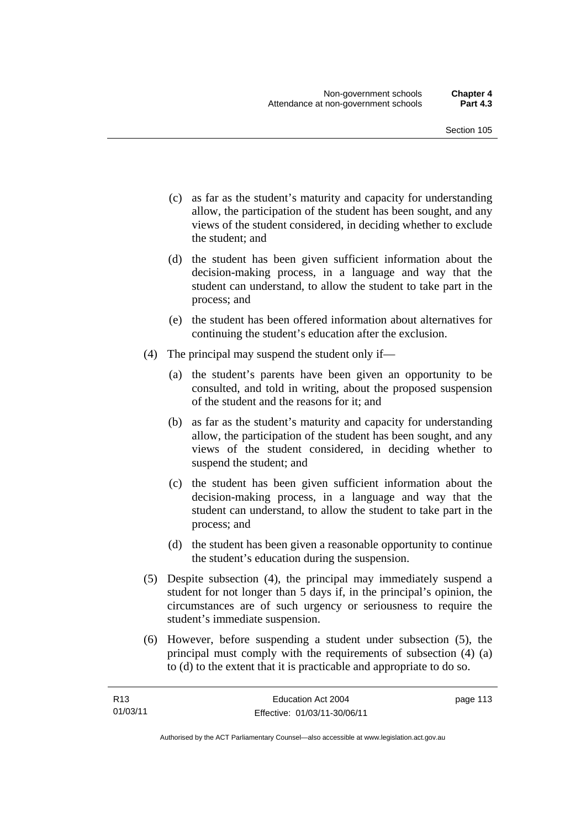- (c) as far as the student's maturity and capacity for understanding allow, the participation of the student has been sought, and any views of the student considered, in deciding whether to exclude the student; and
- (d) the student has been given sufficient information about the decision-making process, in a language and way that the student can understand, to allow the student to take part in the process; and
- (e) the student has been offered information about alternatives for continuing the student's education after the exclusion.
- (4) The principal may suspend the student only if—
	- (a) the student's parents have been given an opportunity to be consulted, and told in writing, about the proposed suspension of the student and the reasons for it; and
	- (b) as far as the student's maturity and capacity for understanding allow, the participation of the student has been sought, and any views of the student considered, in deciding whether to suspend the student; and
	- (c) the student has been given sufficient information about the decision-making process, in a language and way that the student can understand, to allow the student to take part in the process; and
	- (d) the student has been given a reasonable opportunity to continue the student's education during the suspension.
- (5) Despite subsection (4), the principal may immediately suspend a student for not longer than 5 days if, in the principal's opinion, the circumstances are of such urgency or seriousness to require the student's immediate suspension.
- (6) However, before suspending a student under subsection (5), the principal must comply with the requirements of subsection (4) (a) to (d) to the extent that it is practicable and appropriate to do so.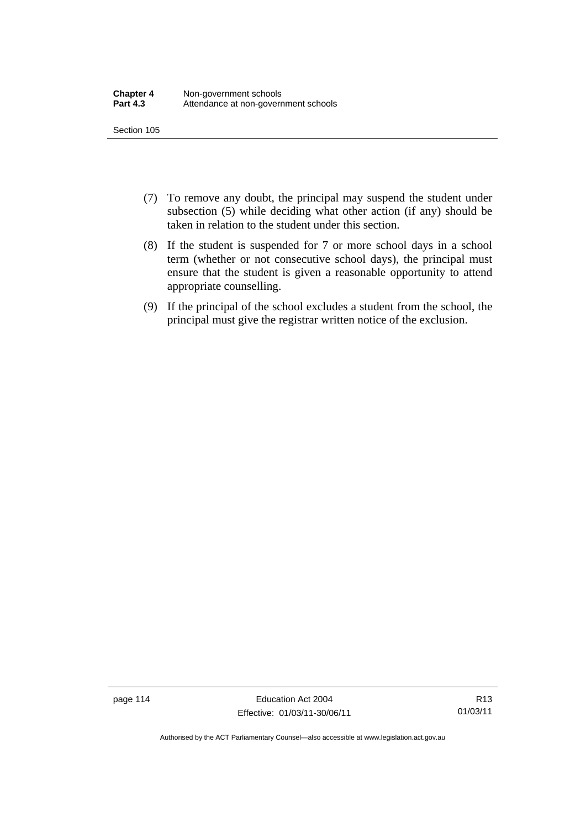- (7) To remove any doubt, the principal may suspend the student under subsection (5) while deciding what other action (if any) should be taken in relation to the student under this section.
- (8) If the student is suspended for 7 or more school days in a school term (whether or not consecutive school days), the principal must ensure that the student is given a reasonable opportunity to attend appropriate counselling.
- (9) If the principal of the school excludes a student from the school, the principal must give the registrar written notice of the exclusion.

page 114 Education Act 2004 Effective: 01/03/11-30/06/11

R13 01/03/11

Authorised by the ACT Parliamentary Counsel—also accessible at www.legislation.act.gov.au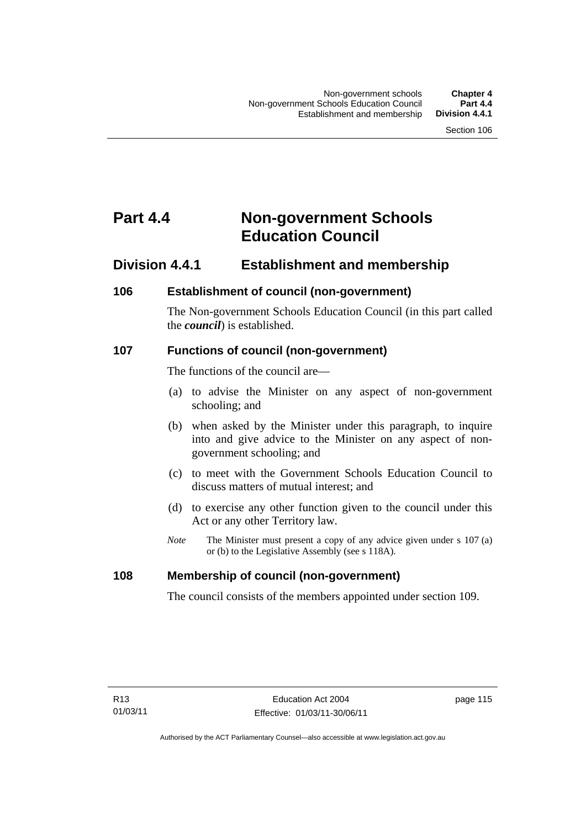# **Part 4.4 Non-government Schools Education Council**

### **Division 4.4.1 Establishment and membership**

### **106 Establishment of council (non-government)**

The Non-government Schools Education Council (in this part called the *council*) is established.

### **107 Functions of council (non-government)**

The functions of the council are—

- (a) to advise the Minister on any aspect of non-government schooling; and
- (b) when asked by the Minister under this paragraph, to inquire into and give advice to the Minister on any aspect of nongovernment schooling; and
- (c) to meet with the Government Schools Education Council to discuss matters of mutual interest; and
- (d) to exercise any other function given to the council under this Act or any other Territory law.
- *Note* The Minister must present a copy of any advice given under s 107 (a) or (b) to the Legislative Assembly (see s 118A).

### **108 Membership of council (non-government)**

The council consists of the members appointed under section 109.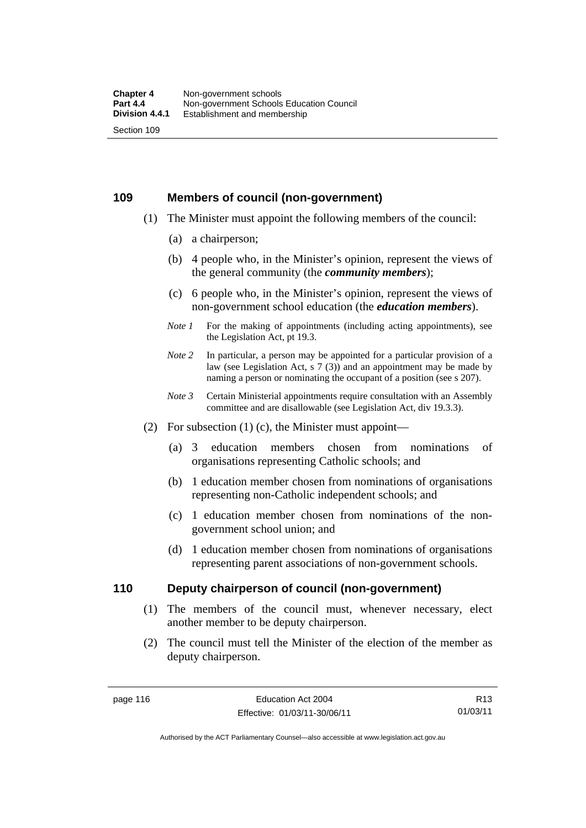### **109 Members of council (non-government)**

- (1) The Minister must appoint the following members of the council:
	- (a) a chairperson;
	- (b) 4 people who, in the Minister's opinion, represent the views of the general community (the *community members*);
	- (c) 6 people who, in the Minister's opinion, represent the views of non-government school education (the *education members*).
	- *Note 1* For the making of appointments (including acting appointments), see the Legislation Act, pt 19.3.
	- *Note 2* In particular, a person may be appointed for a particular provision of a law (see Legislation Act, s 7 (3)) and an appointment may be made by naming a person or nominating the occupant of a position (see s 207).
	- *Note 3* Certain Ministerial appointments require consultation with an Assembly committee and are disallowable (see Legislation Act, div 19.3.3).
- (2) For subsection  $(1)$  (c), the Minister must appoint—
	- (a) 3 education members chosen from nominations of organisations representing Catholic schools; and
	- (b) 1 education member chosen from nominations of organisations representing non-Catholic independent schools; and
	- (c) 1 education member chosen from nominations of the nongovernment school union; and
	- (d) 1 education member chosen from nominations of organisations representing parent associations of non-government schools.

### **110 Deputy chairperson of council (non-government)**

- (1) The members of the council must, whenever necessary, elect another member to be deputy chairperson.
- (2) The council must tell the Minister of the election of the member as deputy chairperson.

R13 01/03/11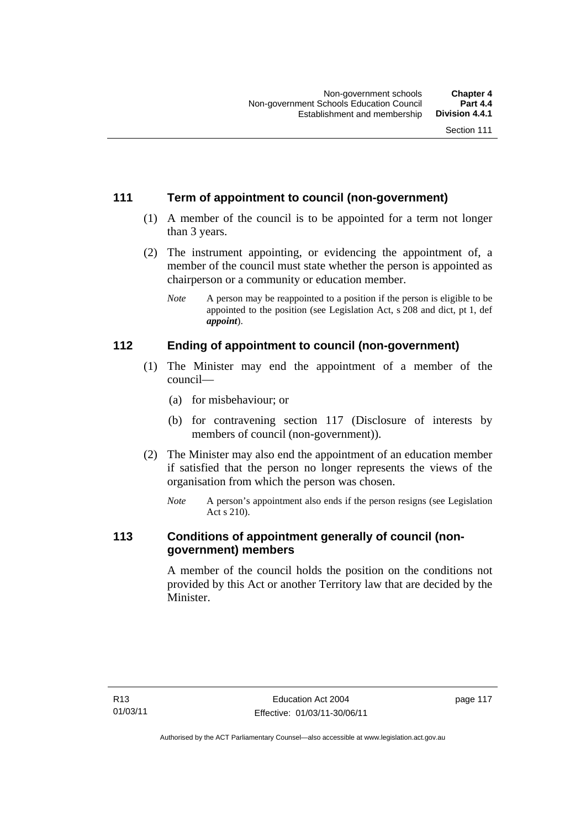### **111 Term of appointment to council (non-government)**

- (1) A member of the council is to be appointed for a term not longer than 3 years.
- (2) The instrument appointing, or evidencing the appointment of, a member of the council must state whether the person is appointed as chairperson or a community or education member.
	- *Note* A person may be reappointed to a position if the person is eligible to be appointed to the position (see Legislation Act, s 208 and dict, pt 1, def *appoint*).

### **112 Ending of appointment to council (non-government)**

- (1) The Minister may end the appointment of a member of the council—
	- (a) for misbehaviour; or
	- (b) for contravening section 117 (Disclosure of interests by members of council (non-government)).
- (2) The Minister may also end the appointment of an education member if satisfied that the person no longer represents the views of the organisation from which the person was chosen.
	- *Note* A person's appointment also ends if the person resigns (see Legislation Act s 210).

### **113 Conditions of appointment generally of council (nongovernment) members**

A member of the council holds the position on the conditions not provided by this Act or another Territory law that are decided by the Minister.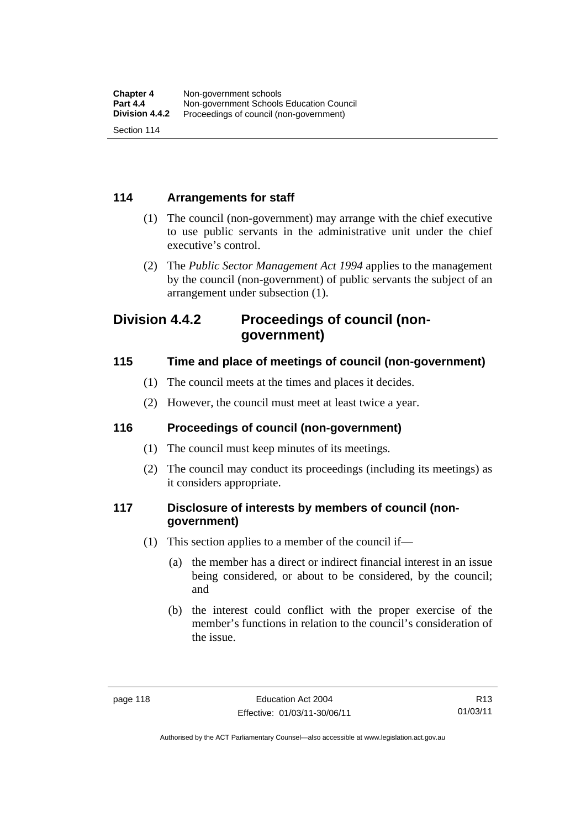### **114 Arrangements for staff**

- (1) The council (non-government) may arrange with the chief executive to use public servants in the administrative unit under the chief executive's control.
- (2) The *Public Sector Management Act 1994* applies to the management by the council (non-government) of public servants the subject of an arrangement under subsection (1).

### **Division 4.4.2 Proceedings of council (nongovernment)**

### **115 Time and place of meetings of council (non-government)**

- (1) The council meets at the times and places it decides.
- (2) However, the council must meet at least twice a year.

### **116 Proceedings of council (non-government)**

- (1) The council must keep minutes of its meetings.
- (2) The council may conduct its proceedings (including its meetings) as it considers appropriate.

### **117 Disclosure of interests by members of council (nongovernment)**

- (1) This section applies to a member of the council if—
	- (a) the member has a direct or indirect financial interest in an issue being considered, or about to be considered, by the council; and
	- (b) the interest could conflict with the proper exercise of the member's functions in relation to the council's consideration of the issue.

R13 01/03/11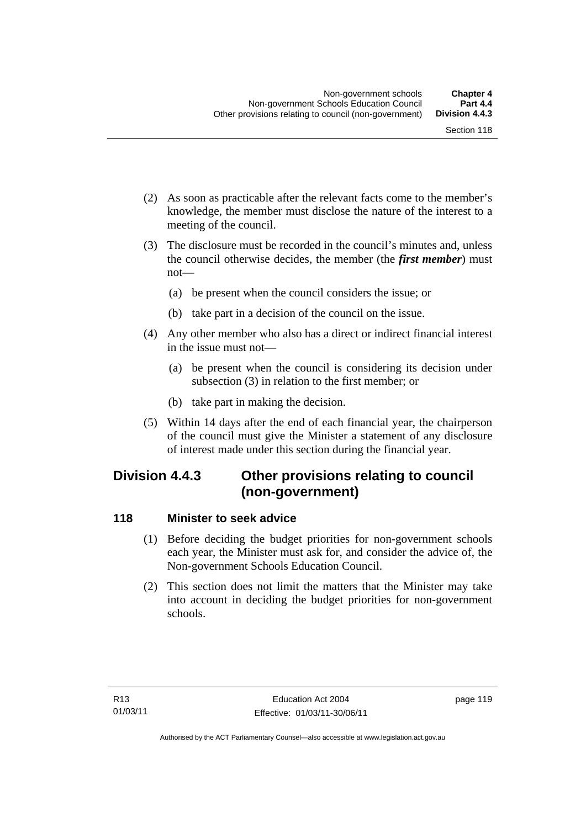- (2) As soon as practicable after the relevant facts come to the member's knowledge, the member must disclose the nature of the interest to a meeting of the council.
- (3) The disclosure must be recorded in the council's minutes and, unless the council otherwise decides, the member (the *first member*) must not—
	- (a) be present when the council considers the issue; or
	- (b) take part in a decision of the council on the issue.
- (4) Any other member who also has a direct or indirect financial interest in the issue must not—
	- (a) be present when the council is considering its decision under subsection (3) in relation to the first member; or
	- (b) take part in making the decision.
- (5) Within 14 days after the end of each financial year, the chairperson of the council must give the Minister a statement of any disclosure of interest made under this section during the financial year.

### **Division 4.4.3 Other provisions relating to council (non-government)**

### **118 Minister to seek advice**

- (1) Before deciding the budget priorities for non-government schools each year, the Minister must ask for, and consider the advice of, the Non-government Schools Education Council.
- (2) This section does not limit the matters that the Minister may take into account in deciding the budget priorities for non-government schools.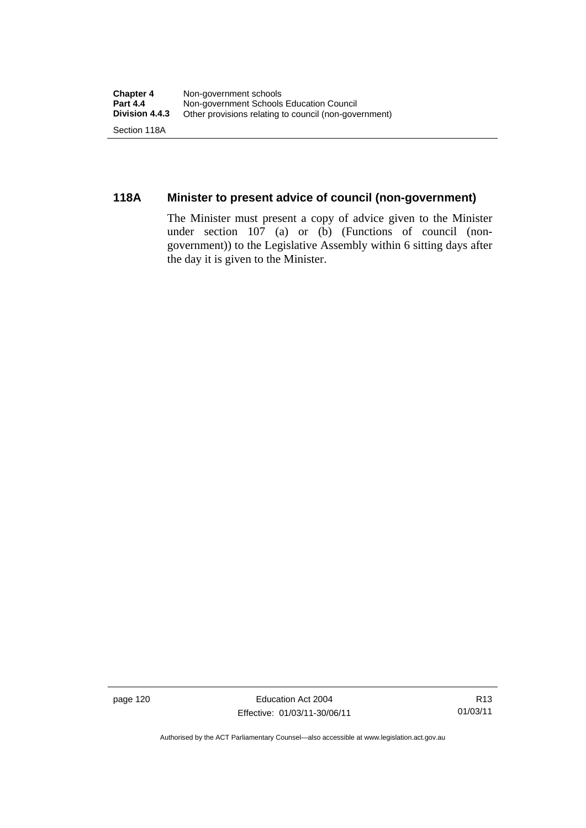### **118A Minister to present advice of council (non-government)**

The Minister must present a copy of advice given to the Minister under section 107 (a) or (b) (Functions of council (nongovernment)) to the Legislative Assembly within 6 sitting days after the day it is given to the Minister.

page 120 **Education Act 2004** Effective: 01/03/11-30/06/11

R13 01/03/11

Authorised by the ACT Parliamentary Counsel—also accessible at www.legislation.act.gov.au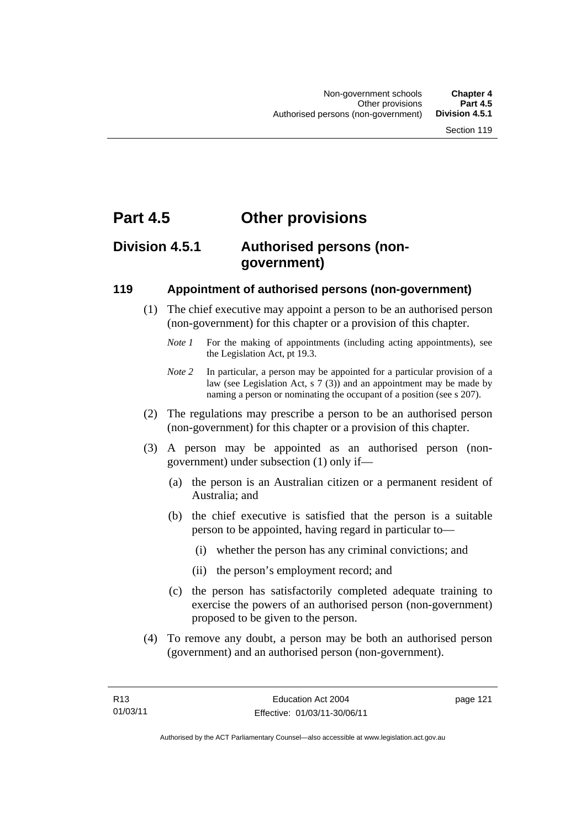## **Part 4.5 Other provisions**

### **Division 4.5.1 Authorised persons (nongovernment)**

### **119 Appointment of authorised persons (non-government)**

- (1) The chief executive may appoint a person to be an authorised person (non-government) for this chapter or a provision of this chapter.
	- *Note 1* For the making of appointments (including acting appointments), see the Legislation Act, pt 19.3.
	- *Note 2* In particular, a person may be appointed for a particular provision of a law (see Legislation Act, s 7 (3)) and an appointment may be made by naming a person or nominating the occupant of a position (see s 207).
- (2) The regulations may prescribe a person to be an authorised person (non-government) for this chapter or a provision of this chapter.
- (3) A person may be appointed as an authorised person (nongovernment) under subsection (1) only if—
	- (a) the person is an Australian citizen or a permanent resident of Australia; and
	- (b) the chief executive is satisfied that the person is a suitable person to be appointed, having regard in particular to—
		- (i) whether the person has any criminal convictions; and
		- (ii) the person's employment record; and
	- (c) the person has satisfactorily completed adequate training to exercise the powers of an authorised person (non-government) proposed to be given to the person.
- (4) To remove any doubt, a person may be both an authorised person (government) and an authorised person (non-government).

page 121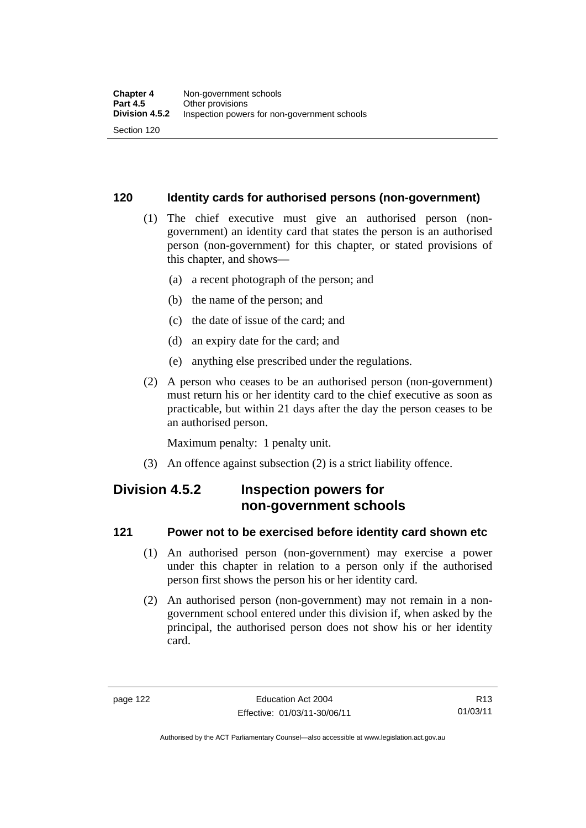### **120 Identity cards for authorised persons (non-government)**

- (1) The chief executive must give an authorised person (nongovernment) an identity card that states the person is an authorised person (non-government) for this chapter, or stated provisions of this chapter, and shows—
	- (a) a recent photograph of the person; and
	- (b) the name of the person; and
	- (c) the date of issue of the card; and
	- (d) an expiry date for the card; and
	- (e) anything else prescribed under the regulations.
- (2) A person who ceases to be an authorised person (non-government) must return his or her identity card to the chief executive as soon as practicable, but within 21 days after the day the person ceases to be an authorised person.

Maximum penalty: 1 penalty unit.

(3) An offence against subsection (2) is a strict liability offence.

### **Division 4.5.2 Inspection powers for non-government schools**

### **121 Power not to be exercised before identity card shown etc**

- (1) An authorised person (non-government) may exercise a power under this chapter in relation to a person only if the authorised person first shows the person his or her identity card.
- (2) An authorised person (non-government) may not remain in a nongovernment school entered under this division if, when asked by the principal, the authorised person does not show his or her identity card.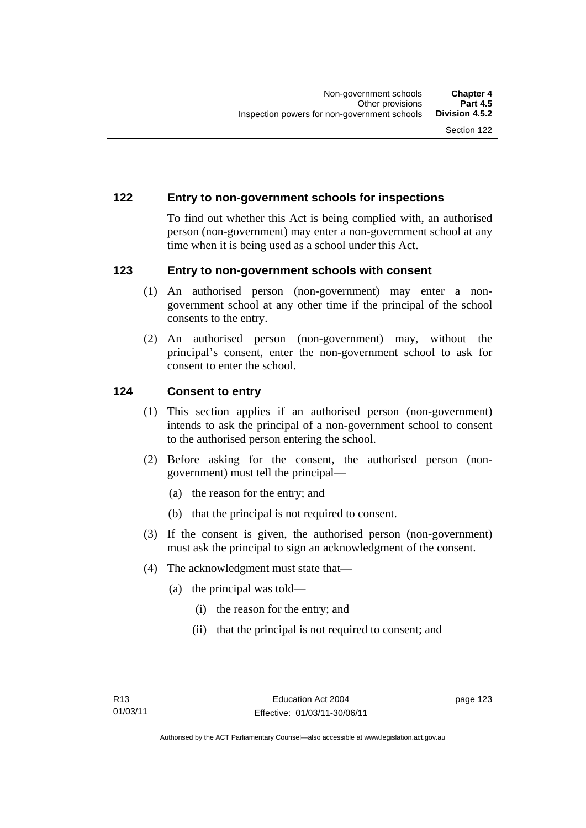### **122 Entry to non-government schools for inspections**

To find out whether this Act is being complied with, an authorised person (non-government) may enter a non-government school at any time when it is being used as a school under this Act.

### **123 Entry to non-government schools with consent**

- (1) An authorised person (non-government) may enter a nongovernment school at any other time if the principal of the school consents to the entry.
- (2) An authorised person (non-government) may, without the principal's consent, enter the non-government school to ask for consent to enter the school.

### **124 Consent to entry**

- (1) This section applies if an authorised person (non-government) intends to ask the principal of a non-government school to consent to the authorised person entering the school.
- (2) Before asking for the consent, the authorised person (nongovernment) must tell the principal—
	- (a) the reason for the entry; and
	- (b) that the principal is not required to consent.
- (3) If the consent is given, the authorised person (non-government) must ask the principal to sign an acknowledgment of the consent.
- (4) The acknowledgment must state that—
	- (a) the principal was told—
		- (i) the reason for the entry; and
		- (ii) that the principal is not required to consent; and

page 123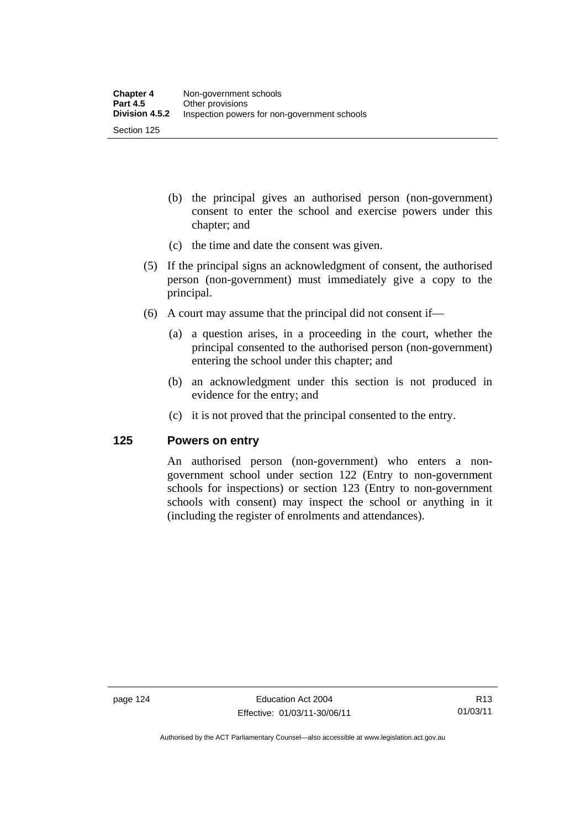- (b) the principal gives an authorised person (non-government) consent to enter the school and exercise powers under this chapter; and
- (c) the time and date the consent was given.
- (5) If the principal signs an acknowledgment of consent, the authorised person (non-government) must immediately give a copy to the principal.
- (6) A court may assume that the principal did not consent if—
	- (a) a question arises, in a proceeding in the court, whether the principal consented to the authorised person (non-government) entering the school under this chapter; and
	- (b) an acknowledgment under this section is not produced in evidence for the entry; and
	- (c) it is not proved that the principal consented to the entry.

### **125 Powers on entry**

An authorised person (non-government) who enters a nongovernment school under section 122 (Entry to non-government schools for inspections) or section 123 (Entry to non-government schools with consent) may inspect the school or anything in it (including the register of enrolments and attendances).

R13 01/03/11

Authorised by the ACT Parliamentary Counsel—also accessible at www.legislation.act.gov.au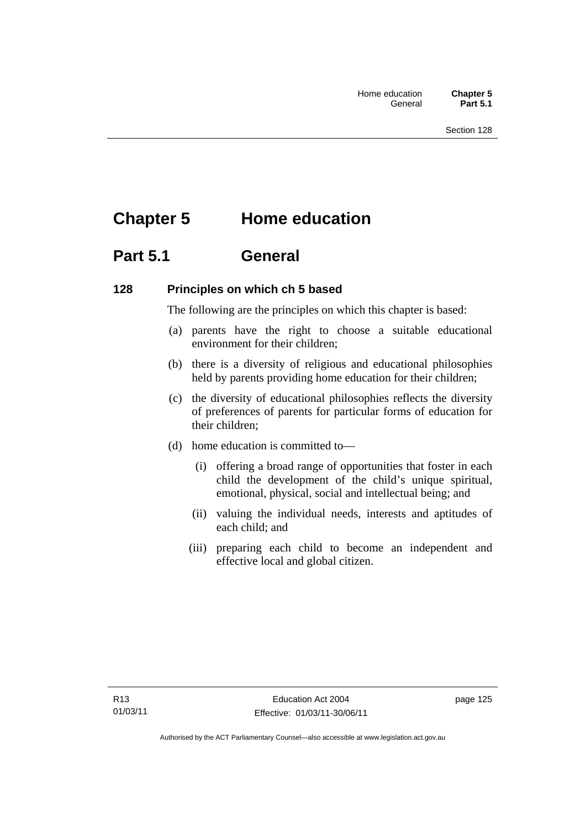# **Chapter 5 Home education**

## **Part 5.1 General**

### **128 Principles on which ch 5 based**

The following are the principles on which this chapter is based:

- (a) parents have the right to choose a suitable educational environment for their children;
- (b) there is a diversity of religious and educational philosophies held by parents providing home education for their children;
- (c) the diversity of educational philosophies reflects the diversity of preferences of parents for particular forms of education for their children;
- (d) home education is committed to—
	- (i) offering a broad range of opportunities that foster in each child the development of the child's unique spiritual, emotional, physical, social and intellectual being; and
	- (ii) valuing the individual needs, interests and aptitudes of each child; and
	- (iii) preparing each child to become an independent and effective local and global citizen.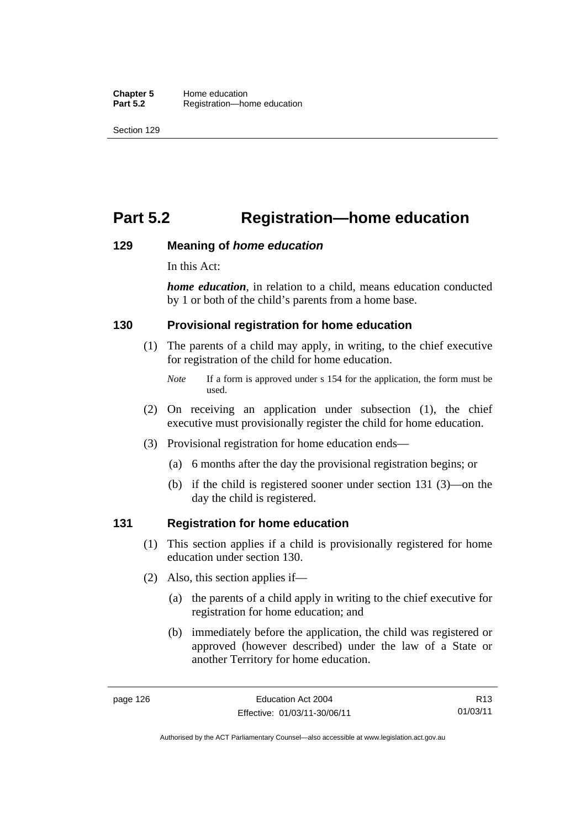# **Part 5.2 Registration—home education**

### **129 Meaning of** *home education*

In this Act:

*home education*, in relation to a child, means education conducted by 1 or both of the child's parents from a home base.

### **130 Provisional registration for home education**

- (1) The parents of a child may apply, in writing, to the chief executive for registration of the child for home education.
	- *Note* If a form is approved under s 154 for the application, the form must be used.
- (2) On receiving an application under subsection (1), the chief executive must provisionally register the child for home education.
- (3) Provisional registration for home education ends—
	- (a) 6 months after the day the provisional registration begins; or
	- (b) if the child is registered sooner under section 131 (3)—on the day the child is registered.

### **131 Registration for home education**

- (1) This section applies if a child is provisionally registered for home education under section 130.
- (2) Also, this section applies if—
	- (a) the parents of a child apply in writing to the chief executive for registration for home education; and
	- (b) immediately before the application, the child was registered or approved (however described) under the law of a State or another Territory for home education.

R13 01/03/11

Authorised by the ACT Parliamentary Counsel—also accessible at www.legislation.act.gov.au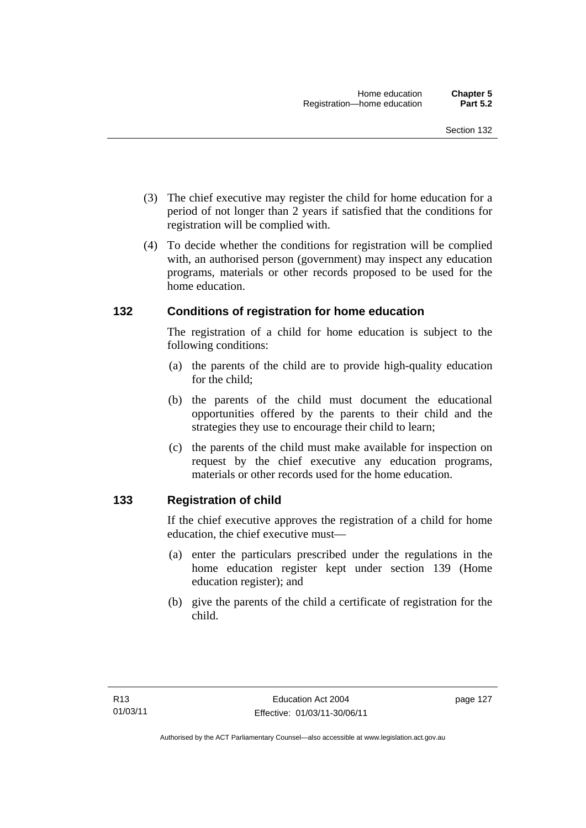- (3) The chief executive may register the child for home education for a period of not longer than 2 years if satisfied that the conditions for registration will be complied with.
- (4) To decide whether the conditions for registration will be complied with, an authorised person (government) may inspect any education programs, materials or other records proposed to be used for the home education.

### **132 Conditions of registration for home education**

The registration of a child for home education is subject to the following conditions:

- (a) the parents of the child are to provide high-quality education for the child;
- (b) the parents of the child must document the educational opportunities offered by the parents to their child and the strategies they use to encourage their child to learn;
- (c) the parents of the child must make available for inspection on request by the chief executive any education programs, materials or other records used for the home education.

### **133 Registration of child**

If the chief executive approves the registration of a child for home education, the chief executive must—

- (a) enter the particulars prescribed under the regulations in the home education register kept under section 139 (Home education register); and
- (b) give the parents of the child a certificate of registration for the child.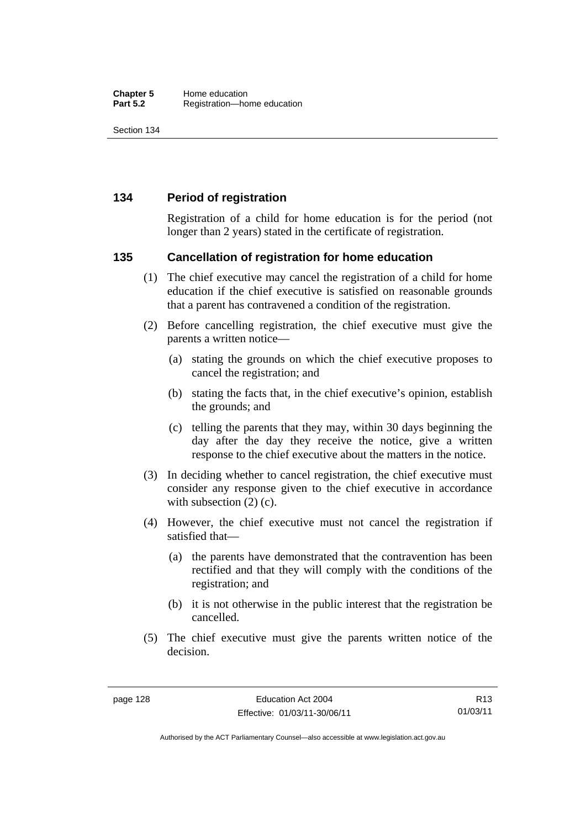### **134 Period of registration**

Registration of a child for home education is for the period (not longer than 2 years) stated in the certificate of registration.

### **135 Cancellation of registration for home education**

- (1) The chief executive may cancel the registration of a child for home education if the chief executive is satisfied on reasonable grounds that a parent has contravened a condition of the registration.
- (2) Before cancelling registration, the chief executive must give the parents a written notice—
	- (a) stating the grounds on which the chief executive proposes to cancel the registration; and
	- (b) stating the facts that, in the chief executive's opinion, establish the grounds; and
	- (c) telling the parents that they may, within 30 days beginning the day after the day they receive the notice, give a written response to the chief executive about the matters in the notice.
- (3) In deciding whether to cancel registration, the chief executive must consider any response given to the chief executive in accordance with subsection  $(2)$  (c).
- (4) However, the chief executive must not cancel the registration if satisfied that—
	- (a) the parents have demonstrated that the contravention has been rectified and that they will comply with the conditions of the registration; and
	- (b) it is not otherwise in the public interest that the registration be cancelled.
- (5) The chief executive must give the parents written notice of the decision.

R13 01/03/11

Authorised by the ACT Parliamentary Counsel—also accessible at www.legislation.act.gov.au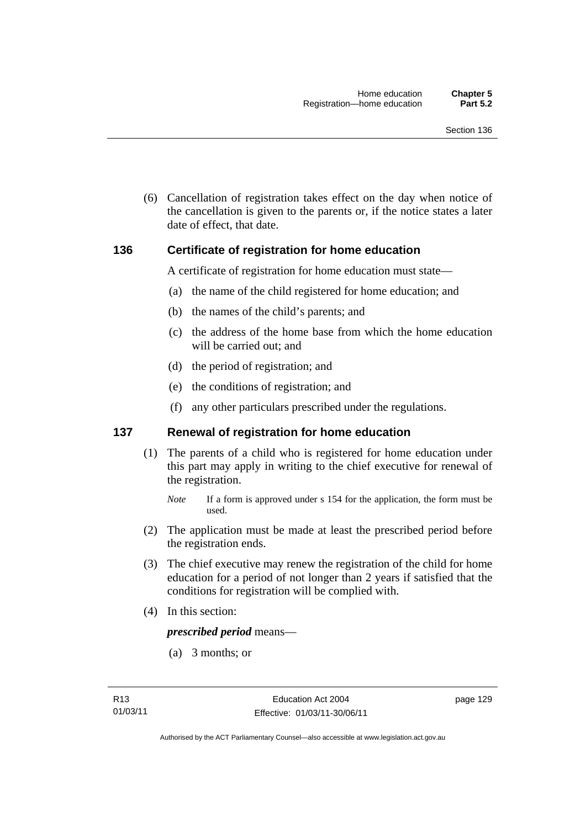(6) Cancellation of registration takes effect on the day when notice of the cancellation is given to the parents or, if the notice states a later date of effect, that date.

### **136 Certificate of registration for home education**

A certificate of registration for home education must state—

- (a) the name of the child registered for home education; and
- (b) the names of the child's parents; and
- (c) the address of the home base from which the home education will be carried out; and
- (d) the period of registration; and
- (e) the conditions of registration; and
- (f) any other particulars prescribed under the regulations.

### **137 Renewal of registration for home education**

(1) The parents of a child who is registered for home education under this part may apply in writing to the chief executive for renewal of the registration.

- (2) The application must be made at least the prescribed period before the registration ends.
- (3) The chief executive may renew the registration of the child for home education for a period of not longer than 2 years if satisfied that the conditions for registration will be complied with.
- (4) In this section:

### *prescribed period* means—

(a) 3 months; or

*Note* If a form is approved under s 154 for the application, the form must be used.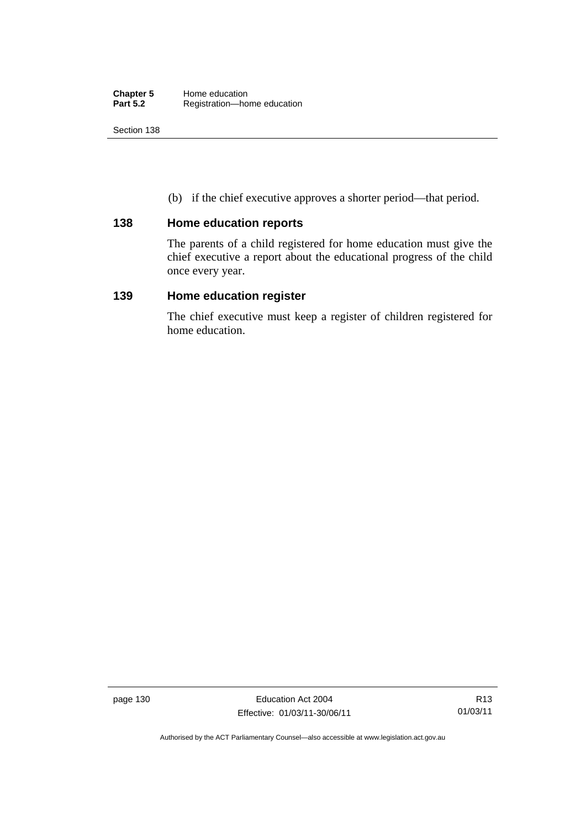(b) if the chief executive approves a shorter period—that period.

### **138 Home education reports**

The parents of a child registered for home education must give the chief executive a report about the educational progress of the child once every year.

### **139 Home education register**

The chief executive must keep a register of children registered for home education.

page 130 **Education Act 2004** Effective: 01/03/11-30/06/11

Authorised by the ACT Parliamentary Counsel—also accessible at www.legislation.act.gov.au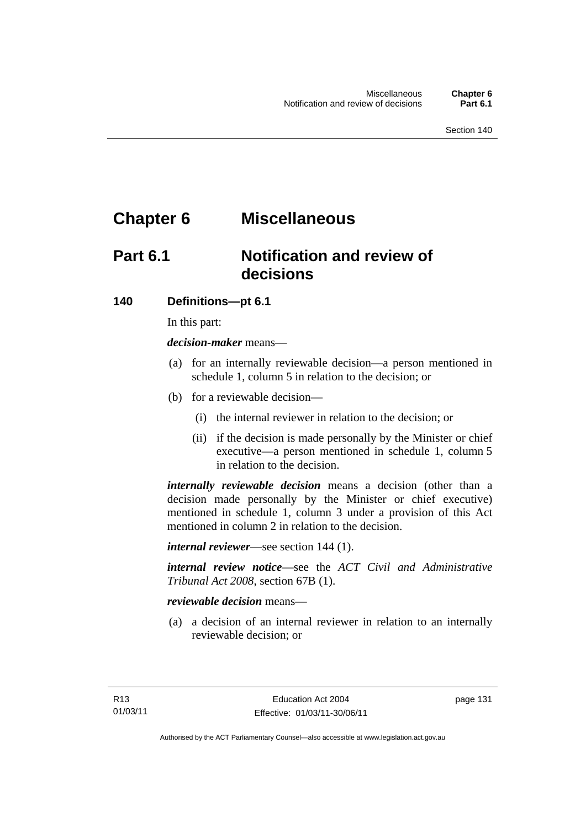# **Chapter 6 Miscellaneous**

# **Part 6.1 Notification and review of decisions**

### **140 Definitions***—***pt 6.1**

In this part:

*decision-maker* means—

- (a) for an internally reviewable decision—a person mentioned in schedule 1, column 5 in relation to the decision; or
- (b) for a reviewable decision—
	- (i) the internal reviewer in relation to the decision; or
	- (ii) if the decision is made personally by the Minister or chief executive—a person mentioned in schedule 1, column 5 in relation to the decision.

*internally reviewable decision* means a decision (other than a decision made personally by the Minister or chief executive) mentioned in schedule 1, column 3 under a provision of this Act mentioned in column 2 in relation to the decision.

*internal reviewer*—see section 144 (1).

*internal review notice*—see the *ACT Civil and Administrative Tribunal Act 2008*, section 67B (1).

### *reviewable decision* means—

 (a) a decision of an internal reviewer in relation to an internally reviewable decision; or

page 131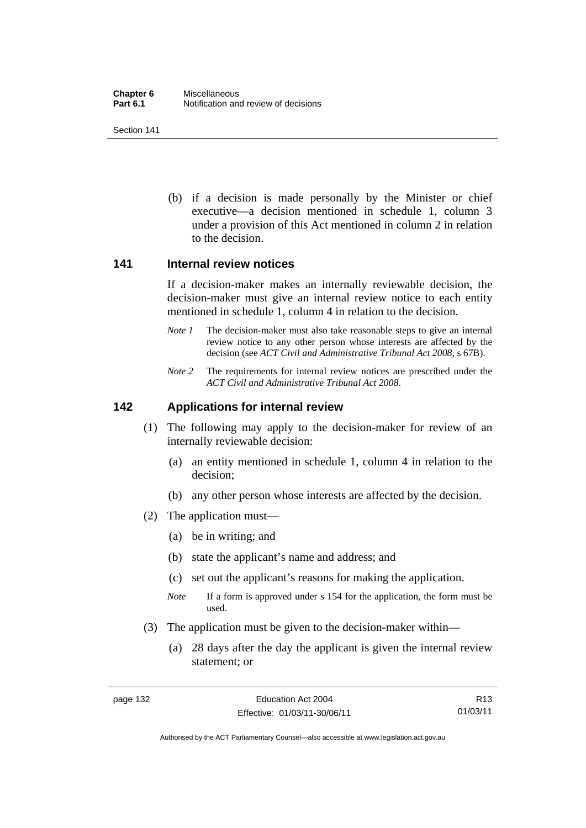(b) if a decision is made personally by the Minister or chief executive—a decision mentioned in schedule 1, column 3 under a provision of this Act mentioned in column 2 in relation to the decision.

#### **141 Internal review notices**

If a decision-maker makes an internally reviewable decision, the decision-maker must give an internal review notice to each entity mentioned in schedule 1, column 4 in relation to the decision.

- *Note 1* The decision-maker must also take reasonable steps to give an internal review notice to any other person whose interests are affected by the decision (see *ACT Civil and Administrative Tribunal Act 2008*, s 67B).
- *Note* 2 The requirements for internal review notices are prescribed under the *ACT Civil and Administrative Tribunal Act 2008*.

### **142 Applications for internal review**

- (1) The following may apply to the decision-maker for review of an internally reviewable decision:
	- (a) an entity mentioned in schedule 1, column 4 in relation to the decision;
	- (b) any other person whose interests are affected by the decision.
- (2) The application must—
	- (a) be in writing; and
	- (b) state the applicant's name and address; and
	- (c) set out the applicant's reasons for making the application.
	- *Note* If a form is approved under s 154 for the application, the form must be used.
- (3) The application must be given to the decision-maker within—
	- (a) 28 days after the day the applicant is given the internal review statement; or

R13 01/03/11

Authorised by the ACT Parliamentary Counsel—also accessible at www.legislation.act.gov.au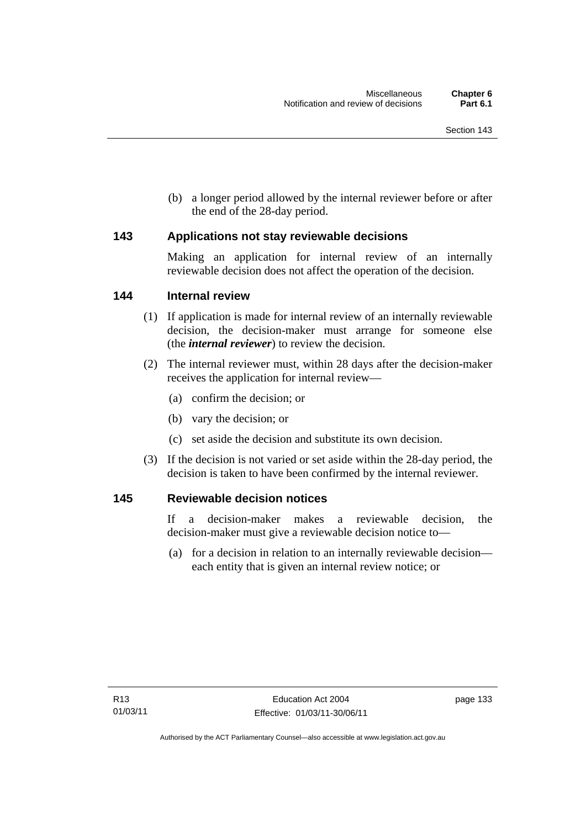(b) a longer period allowed by the internal reviewer before or after the end of the 28-day period.

## **143 Applications not stay reviewable decisions**

Making an application for internal review of an internally reviewable decision does not affect the operation of the decision.

## **144 Internal review**

- (1) If application is made for internal review of an internally reviewable decision, the decision-maker must arrange for someone else (the *internal reviewer*) to review the decision.
- (2) The internal reviewer must, within 28 days after the decision-maker receives the application for internal review—
	- (a) confirm the decision; or
	- (b) vary the decision; or
	- (c) set aside the decision and substitute its own decision.
- (3) If the decision is not varied or set aside within the 28-day period, the decision is taken to have been confirmed by the internal reviewer.

## **145 Reviewable decision notices**

If a decision-maker makes a reviewable decision, the decision-maker must give a reviewable decision notice to—

 (a) for a decision in relation to an internally reviewable decision each entity that is given an internal review notice; or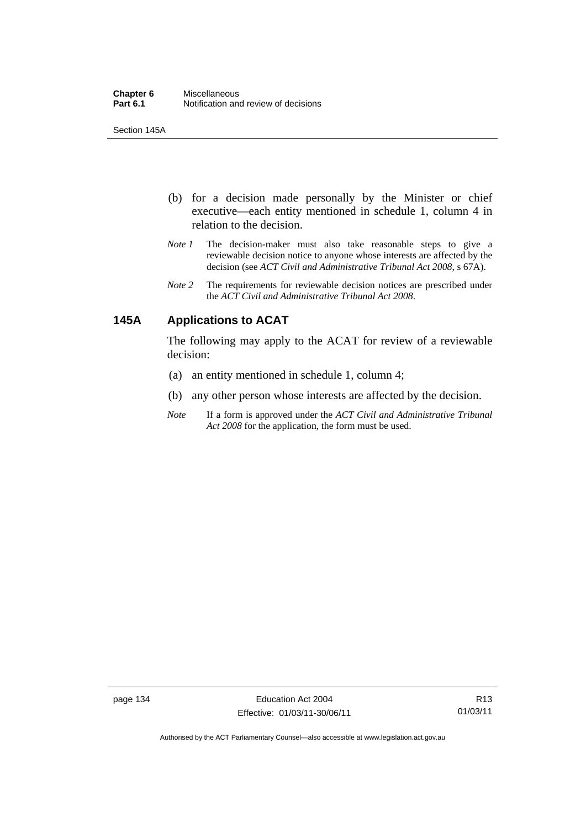Section 145A

- (b) for a decision made personally by the Minister or chief executive—each entity mentioned in schedule 1, column 4 in relation to the decision.
- *Note 1* The decision-maker must also take reasonable steps to give a reviewable decision notice to anyone whose interests are affected by the decision (see *ACT Civil and Administrative Tribunal Act 2008*, s 67A).
- *Note 2* The requirements for reviewable decision notices are prescribed under the *ACT Civil and Administrative Tribunal Act 2008*.

# **145A Applications to ACAT**

The following may apply to the ACAT for review of a reviewable decision:

- (a) an entity mentioned in schedule 1, column 4;
- (b) any other person whose interests are affected by the decision.
- *Note* If a form is approved under the *ACT Civil and Administrative Tribunal Act 2008* for the application, the form must be used.

Authorised by the ACT Parliamentary Counsel—also accessible at www.legislation.act.gov.au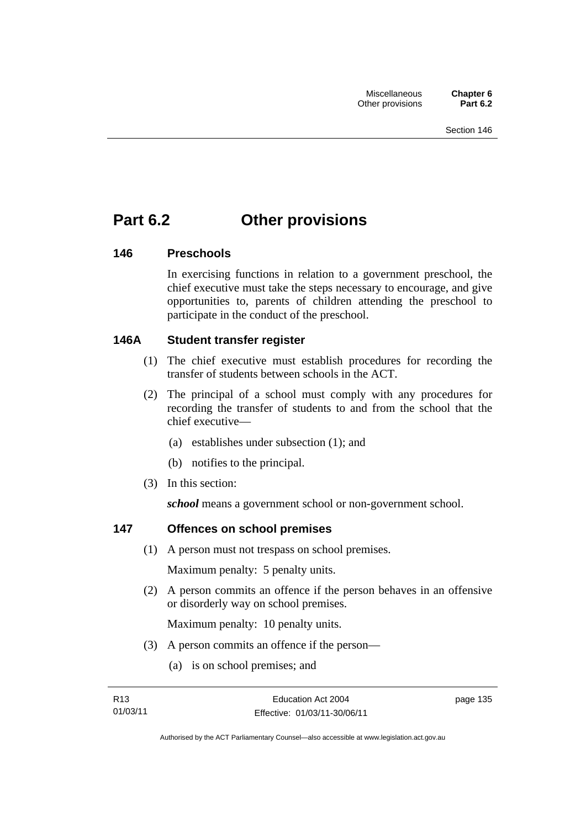# **Part 6.2 Other provisions**

## **146 Preschools**

In exercising functions in relation to a government preschool, the chief executive must take the steps necessary to encourage, and give opportunities to, parents of children attending the preschool to participate in the conduct of the preschool.

## **146A Student transfer register**

- (1) The chief executive must establish procedures for recording the transfer of students between schools in the ACT.
- (2) The principal of a school must comply with any procedures for recording the transfer of students to and from the school that the chief executive—
	- (a) establishes under subsection (1); and
	- (b) notifies to the principal.
- (3) In this section:

*school* means a government school or non-government school.

# **147 Offences on school premises**

(1) A person must not trespass on school premises.

Maximum penalty: 5 penalty units.

 (2) A person commits an offence if the person behaves in an offensive or disorderly way on school premises.

Maximum penalty: 10 penalty units.

- (3) A person commits an offence if the person—
	- (a) is on school premises; and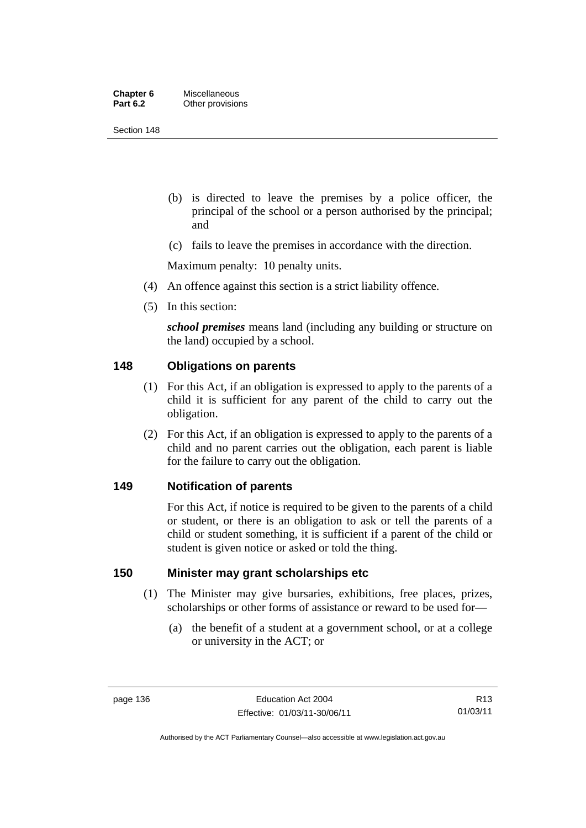| Chapter 6       | <b>Miscellaneous</b> |
|-----------------|----------------------|
| <b>Part 6.2</b> | Other provisions     |

Section 148

- (b) is directed to leave the premises by a police officer, the principal of the school or a person authorised by the principal; and
- (c) fails to leave the premises in accordance with the direction.

Maximum penalty: 10 penalty units.

- (4) An offence against this section is a strict liability offence.
- (5) In this section:

*school premises* means land (including any building or structure on the land) occupied by a school.

## **148 Obligations on parents**

- (1) For this Act, if an obligation is expressed to apply to the parents of a child it is sufficient for any parent of the child to carry out the obligation.
- (2) For this Act, if an obligation is expressed to apply to the parents of a child and no parent carries out the obligation, each parent is liable for the failure to carry out the obligation.

### **149 Notification of parents**

For this Act, if notice is required to be given to the parents of a child or student, or there is an obligation to ask or tell the parents of a child or student something, it is sufficient if a parent of the child or student is given notice or asked or told the thing.

## **150 Minister may grant scholarships etc**

- (1) The Minister may give bursaries, exhibitions, free places, prizes, scholarships or other forms of assistance or reward to be used for—
	- (a) the benefit of a student at a government school, or at a college or university in the ACT; or

Authorised by the ACT Parliamentary Counsel—also accessible at www.legislation.act.gov.au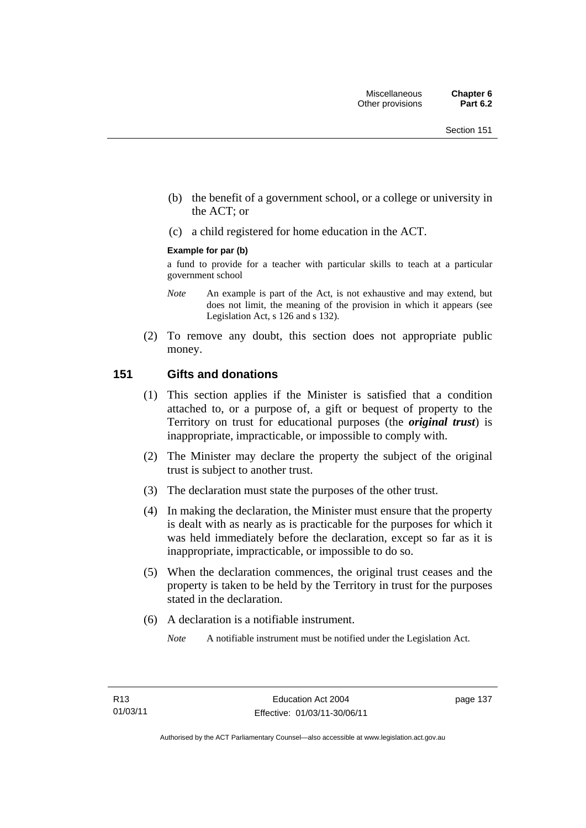- (b) the benefit of a government school, or a college or university in the ACT; or
- (c) a child registered for home education in the ACT.

#### **Example for par (b)**

a fund to provide for a teacher with particular skills to teach at a particular government school

- *Note* An example is part of the Act, is not exhaustive and may extend, but does not limit, the meaning of the provision in which it appears (see Legislation Act, s 126 and s 132).
- (2) To remove any doubt, this section does not appropriate public money.

## **151 Gifts and donations**

- (1) This section applies if the Minister is satisfied that a condition attached to, or a purpose of, a gift or bequest of property to the Territory on trust for educational purposes (the *original trust*) is inappropriate, impracticable, or impossible to comply with.
- (2) The Minister may declare the property the subject of the original trust is subject to another trust.
- (3) The declaration must state the purposes of the other trust.
- (4) In making the declaration, the Minister must ensure that the property is dealt with as nearly as is practicable for the purposes for which it was held immediately before the declaration, except so far as it is inappropriate, impracticable, or impossible to do so.
- (5) When the declaration commences, the original trust ceases and the property is taken to be held by the Territory in trust for the purposes stated in the declaration.
- (6) A declaration is a notifiable instrument.

*Note* A notifiable instrument must be notified under the Legislation Act.

page 137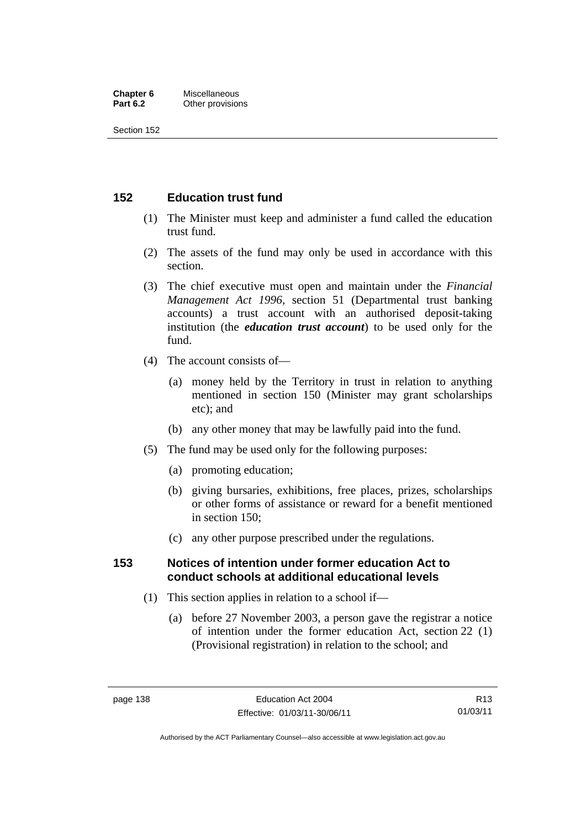#### **Chapter 6** Miscellaneous<br>**Part 6.2** Other provision **Other provisions**

Section 152

# **152 Education trust fund**

- (1) The Minister must keep and administer a fund called the education trust fund.
- (2) The assets of the fund may only be used in accordance with this section.
- (3) The chief executive must open and maintain under the *Financial Management Act 1996*, section 51 (Departmental trust banking accounts) a trust account with an authorised deposit-taking institution (the *education trust account*) to be used only for the fund.
- (4) The account consists of—
	- (a) money held by the Territory in trust in relation to anything mentioned in section 150 (Minister may grant scholarships etc); and
	- (b) any other money that may be lawfully paid into the fund.
- (5) The fund may be used only for the following purposes:
	- (a) promoting education;
	- (b) giving bursaries, exhibitions, free places, prizes, scholarships or other forms of assistance or reward for a benefit mentioned in section 150;
	- (c) any other purpose prescribed under the regulations.

## **153 Notices of intention under former education Act to conduct schools at additional educational levels**

- (1) This section applies in relation to a school if—
	- (a) before 27 November 2003, a person gave the registrar a notice of intention under the former education Act, section 22 (1) (Provisional registration) in relation to the school; and

Authorised by the ACT Parliamentary Counsel—also accessible at www.legislation.act.gov.au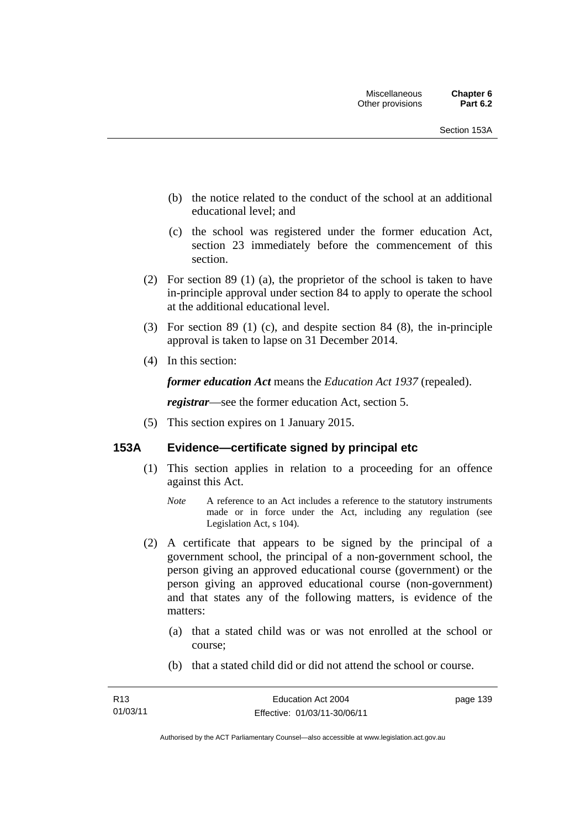- (b) the notice related to the conduct of the school at an additional educational level; and
- (c) the school was registered under the former education Act, section 23 immediately before the commencement of this section.
- (2) For section 89 (1) (a), the proprietor of the school is taken to have in-principle approval under section 84 to apply to operate the school at the additional educational level.
- (3) For section 89 (1) (c), and despite section 84 (8), the in-principle approval is taken to lapse on 31 December 2014.
- (4) In this section:

*former education Act* means the *Education Act 1937* (repealed).

*registrar*—see the former education Act, section 5.

(5) This section expires on 1 January 2015.

## **153A Evidence—certificate signed by principal etc**

- (1) This section applies in relation to a proceeding for an offence against this Act.
	- *Note* A reference to an Act includes a reference to the statutory instruments made or in force under the Act, including any regulation (see Legislation Act, s 104).
- (2) A certificate that appears to be signed by the principal of a government school, the principal of a non-government school, the person giving an approved educational course (government) or the person giving an approved educational course (non-government) and that states any of the following matters, is evidence of the matters:
	- (a) that a stated child was or was not enrolled at the school or course;
	- (b) that a stated child did or did not attend the school or course.

page 139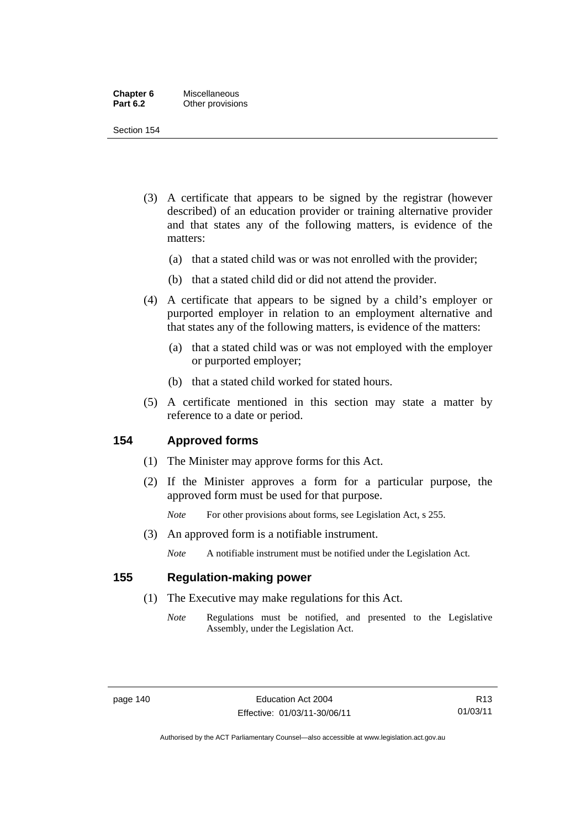| Chapter 6       | Miscellaneous    |
|-----------------|------------------|
| <b>Part 6.2</b> | Other provisions |

Section 154

- (3) A certificate that appears to be signed by the registrar (however described) of an education provider or training alternative provider and that states any of the following matters, is evidence of the matters:
	- (a) that a stated child was or was not enrolled with the provider;
	- (b) that a stated child did or did not attend the provider.
- (4) A certificate that appears to be signed by a child's employer or purported employer in relation to an employment alternative and that states any of the following matters, is evidence of the matters:
	- (a) that a stated child was or was not employed with the employer or purported employer;
	- (b) that a stated child worked for stated hours.
- (5) A certificate mentioned in this section may state a matter by reference to a date or period.

## **154 Approved forms**

- (1) The Minister may approve forms for this Act.
- (2) If the Minister approves a form for a particular purpose, the approved form must be used for that purpose.

*Note* For other provisions about forms, see Legislation Act, s 255.

(3) An approved form is a notifiable instrument.

*Note* A notifiable instrument must be notified under the Legislation Act.

## **155 Regulation-making power**

- (1) The Executive may make regulations for this Act.
	- *Note* Regulations must be notified, and presented to the Legislative Assembly, under the Legislation Act.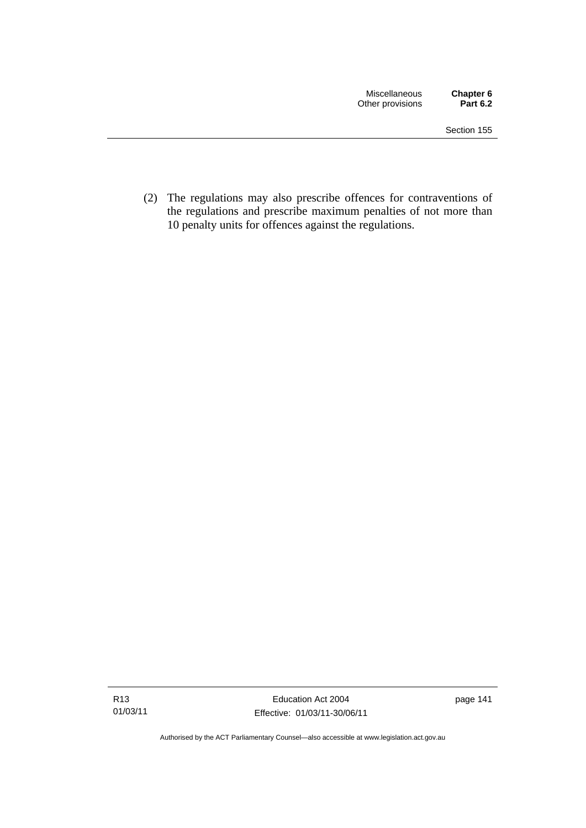(2) The regulations may also prescribe offences for contraventions of the regulations and prescribe maximum penalties of not more than 10 penalty units for offences against the regulations.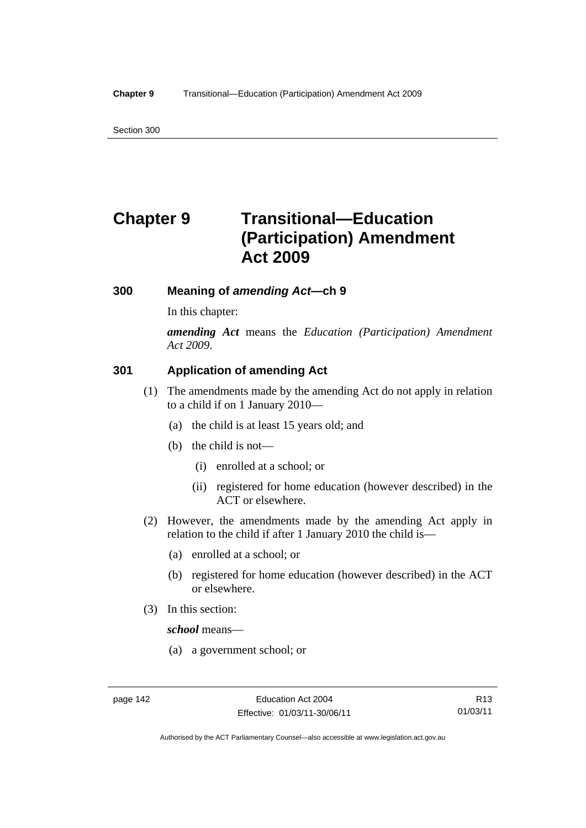Section 300

# **Chapter 9 Transitional—Education (Participation) Amendment Act 2009**

## **300 Meaning of** *amending Act***—ch 9**

In this chapter:

*amending Act* means the *Education (Participation) Amendment Act 2009*.

## **301 Application of amending Act**

- (1) The amendments made by the amending Act do not apply in relation to a child if on 1 January 2010—
	- (a) the child is at least 15 years old; and
	- (b) the child is not—
		- (i) enrolled at a school; or
		- (ii) registered for home education (however described) in the ACT or elsewhere.
- (2) However, the amendments made by the amending Act apply in relation to the child if after 1 January 2010 the child is—
	- (a) enrolled at a school; or
	- (b) registered for home education (however described) in the ACT or elsewhere.
- (3) In this section:

*school* means—

(a) a government school; or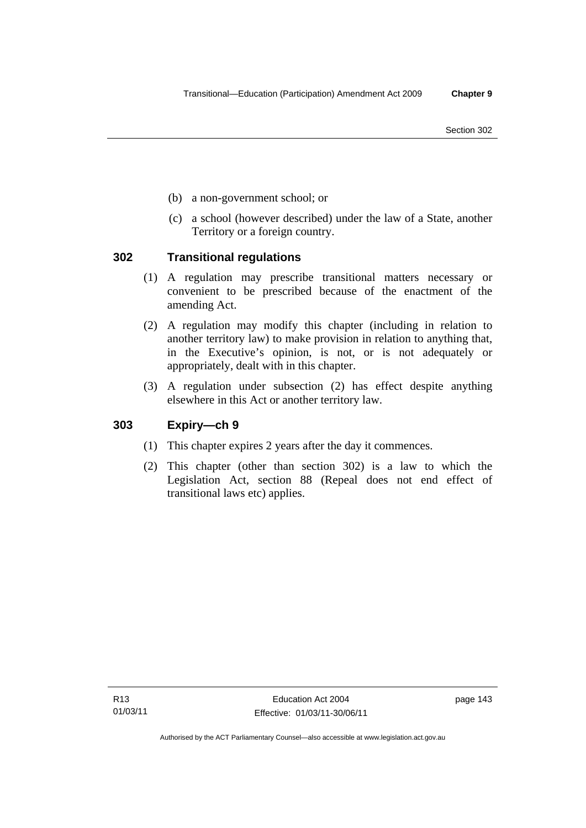- (b) a non-government school; or
- (c) a school (however described) under the law of a State, another Territory or a foreign country.

## **302 Transitional regulations**

- (1) A regulation may prescribe transitional matters necessary or convenient to be prescribed because of the enactment of the amending Act.
- (2) A regulation may modify this chapter (including in relation to another territory law) to make provision in relation to anything that, in the Executive's opinion, is not, or is not adequately or appropriately, dealt with in this chapter.
- (3) A regulation under subsection (2) has effect despite anything elsewhere in this Act or another territory law.

## **303 Expiry—ch 9**

- (1) This chapter expires 2 years after the day it commences.
- (2) This chapter (other than section 302) is a law to which the Legislation Act, section 88 (Repeal does not end effect of transitional laws etc) applies.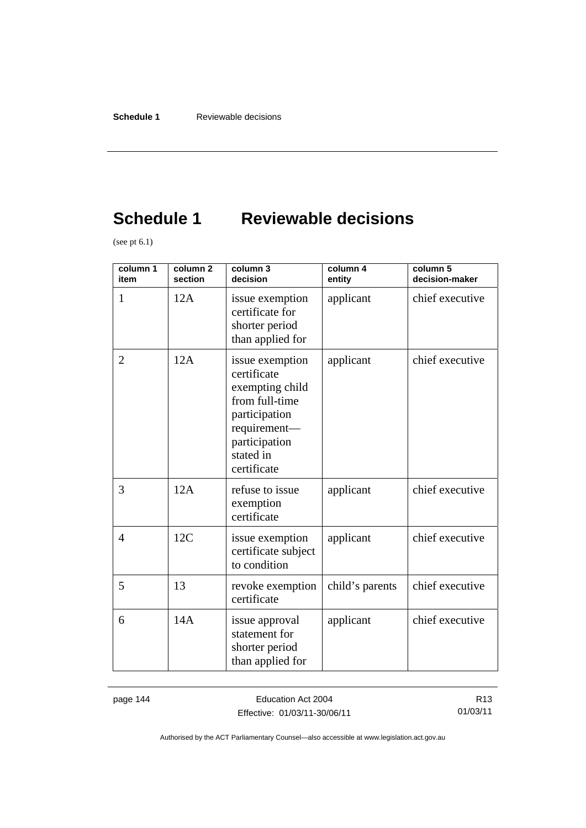# **Schedule 1 Reviewable decisions**

(see pt  $6.1$ )

| column 1<br>item | column 2<br>section | column 3<br>decision                                                                                                                              | column 4<br>entity | column 5<br>decision-maker |
|------------------|---------------------|---------------------------------------------------------------------------------------------------------------------------------------------------|--------------------|----------------------------|
| 1                | 12A                 | issue exemption<br>certificate for<br>shorter period<br>than applied for                                                                          | applicant          | chief executive            |
| $\overline{2}$   | 12A                 | issue exemption<br>certificate<br>exempting child<br>from full-time<br>participation<br>requirement-<br>participation<br>stated in<br>certificate | applicant          | chief executive            |
| 3                | 12A                 | refuse to issue<br>exemption<br>certificate                                                                                                       | applicant          | chief executive            |
| 4                | 12C                 | issue exemption<br>certificate subject<br>to condition                                                                                            | applicant          | chief executive            |
| 5                | 13                  | revoke exemption<br>certificate                                                                                                                   | child's parents    | chief executive            |
| 6                | 14A                 | issue approval<br>statement for<br>shorter period<br>than applied for                                                                             | applicant          | chief executive            |

page 144 **Education Act 2004** Effective: 01/03/11-30/06/11

R13 01/03/11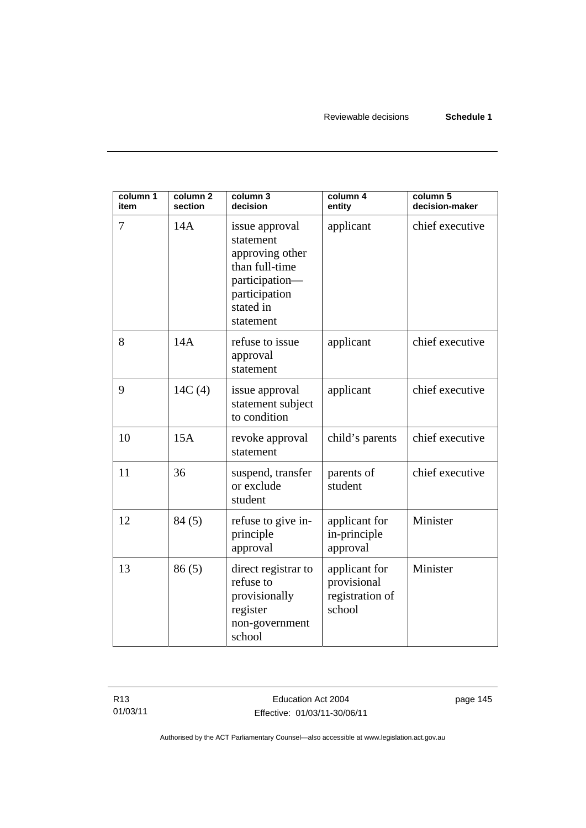| column 1<br>item | column <sub>2</sub><br>section | column 3<br>decision                                                                                                          | column 4<br>entity                                        | column 5<br>decision-maker |
|------------------|--------------------------------|-------------------------------------------------------------------------------------------------------------------------------|-----------------------------------------------------------|----------------------------|
| 7                | 14A                            | issue approval<br>statement<br>approving other<br>than full-time<br>participation-<br>participation<br>stated in<br>statement | applicant                                                 | chief executive            |
| 8                | 14A                            | refuse to issue<br>approval<br>statement                                                                                      | applicant                                                 | chief executive            |
| 9                | 14C(4)                         | issue approval<br>statement subject<br>to condition                                                                           | applicant                                                 | chief executive            |
| 10               | 15A                            | revoke approval<br>statement                                                                                                  | child's parents                                           | chief executive            |
| 11               | 36                             | suspend, transfer<br>or exclude<br>student                                                                                    | parents of<br>student                                     | chief executive            |
| 12               | 84(5)                          | refuse to give in-<br>principle<br>approval                                                                                   | applicant for<br>in-principle<br>approval                 | Minister                   |
| 13               | 86(5)                          | direct registrar to<br>refuse to<br>provisionally<br>register<br>non-government<br>school                                     | applicant for<br>provisional<br>registration of<br>school | Minister                   |

page 145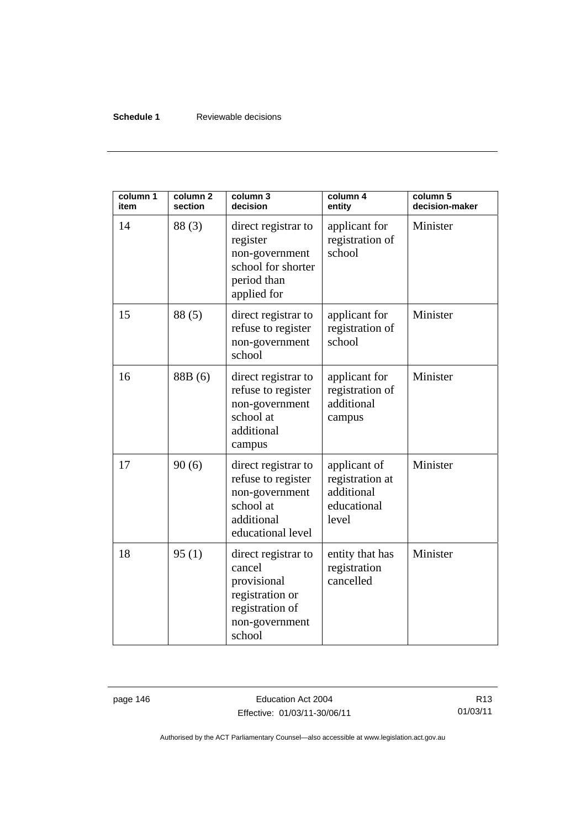### **Schedule 1** Reviewable decisions

| column 1<br>item | column <sub>2</sub><br>section | column 3<br>decision                                                                                           | column 4<br>entity                                                    | column 5<br>decision-maker |
|------------------|--------------------------------|----------------------------------------------------------------------------------------------------------------|-----------------------------------------------------------------------|----------------------------|
| 14               | 88(3)                          | direct registrar to<br>register<br>non-government<br>school for shorter<br>period than<br>applied for          | applicant for<br>registration of<br>school                            | Minister                   |
| 15               | 88(5)                          | direct registrar to<br>refuse to register<br>non-government<br>school                                          | applicant for<br>registration of<br>school                            | Minister                   |
| 16               | 88B (6)                        | direct registrar to<br>refuse to register<br>non-government<br>school at<br>additional<br>campus               | applicant for<br>registration of<br>additional<br>campus              | Minister                   |
| 17               | 90(6)                          | direct registrar to<br>refuse to register<br>non-government<br>school at<br>additional<br>educational level    | applicant of<br>registration at<br>additional<br>educational<br>level | Minister                   |
| 18               | 95(1)                          | direct registrar to<br>cancel<br>provisional<br>registration or<br>registration of<br>non-government<br>school | entity that has<br>registration<br>cancelled                          | Minister                   |

page 146 **Education Act 2004** Effective: 01/03/11-30/06/11

R13 01/03/11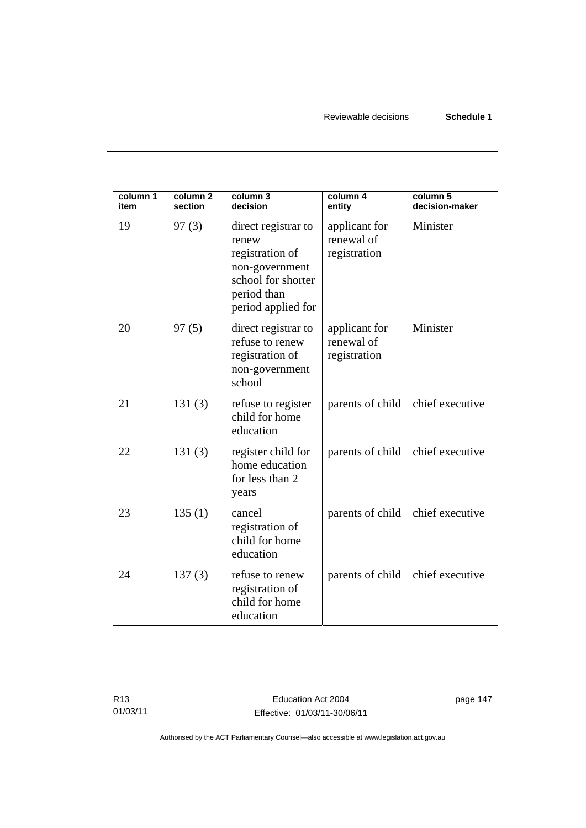| column 1<br>item | column <sub>2</sub><br>section | column 3<br>decision                                                                                                         | column 4<br>entity                          | column 5<br>decision-maker |
|------------------|--------------------------------|------------------------------------------------------------------------------------------------------------------------------|---------------------------------------------|----------------------------|
| 19               | 97(3)                          | direct registrar to<br>renew<br>registration of<br>non-government<br>school for shorter<br>period than<br>period applied for | applicant for<br>renewal of<br>registration | Minister                   |
| 20               | 97(5)                          | direct registrar to<br>refuse to renew<br>registration of<br>non-government<br>school                                        | applicant for<br>renewal of<br>registration | Minister                   |
| 21               | 131(3)                         | refuse to register<br>child for home<br>education                                                                            | parents of child                            | chief executive            |
| 22               | 131(3)                         | register child for<br>home education<br>for less than 2<br>years                                                             | parents of child                            | chief executive            |
| 23               | 135(1)                         | cancel<br>registration of<br>child for home<br>education                                                                     | parents of child                            | chief executive            |
| 24               | 137(3)                         | refuse to renew<br>registration of<br>child for home<br>education                                                            | parents of child                            | chief executive            |

page 147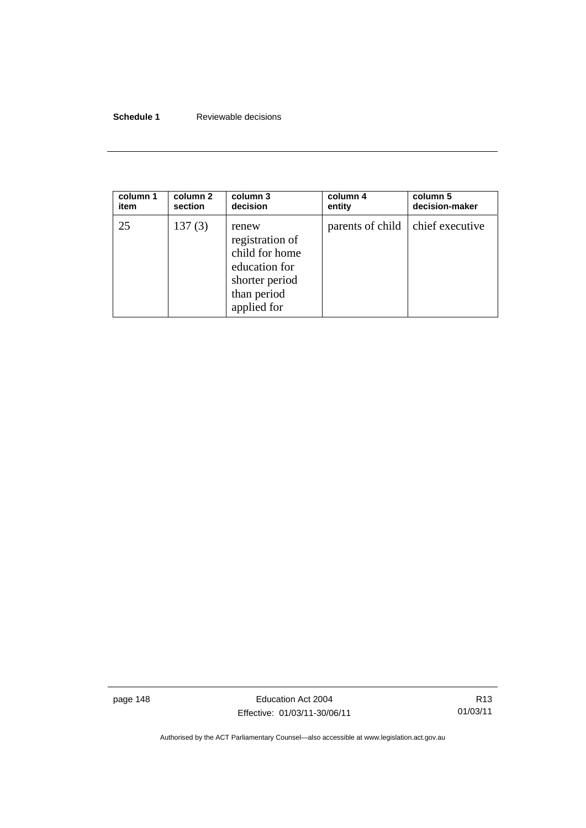## **Schedule 1** Reviewable decisions

| column 1 | column 2 | column 3                                                                                                    | column 4                           | column 5       |
|----------|----------|-------------------------------------------------------------------------------------------------------------|------------------------------------|----------------|
| item     | section  | decision                                                                                                    | entity                             | decision-maker |
| 25       | 137(3)   | renew<br>registration of<br>child for home<br>education for<br>shorter period<br>than period<br>applied for | parents of child   chief executive |                |

page 148 **Education Act 2004** Effective: 01/03/11-30/06/11

R13 01/03/11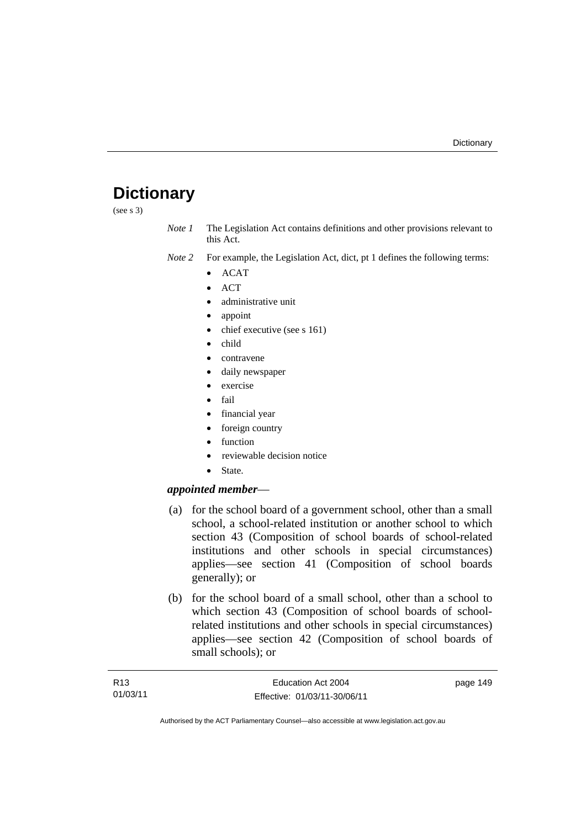# **Dictionary**

(see s 3)

*Note 1* The Legislation Act contains definitions and other provisions relevant to this Act.

- *Note 2* For example, the Legislation Act, dict, pt 1 defines the following terms:
	- ACAT
	- ACT
	- administrative unit
	- appoint
	- chief executive (see s 161)
	- child
	- contravene
	- daily newspaper
	- exercise
	- fail
	- financial year
	- foreign country
	- function
	- reviewable decision notice
	- State.

### *appointed member*—

- (a) for the school board of a government school, other than a small school, a school-related institution or another school to which section 43 (Composition of school boards of school-related institutions and other schools in special circumstances) applies—see section 41 (Composition of school boards generally); or
- (b) for the school board of a small school, other than a school to which section 43 (Composition of school boards of schoolrelated institutions and other schools in special circumstances) applies—see section 42 (Composition of school boards of small schools); or

| R13      | Education Act 2004           | page 149 |
|----------|------------------------------|----------|
| 01/03/11 | Effective: 01/03/11-30/06/11 |          |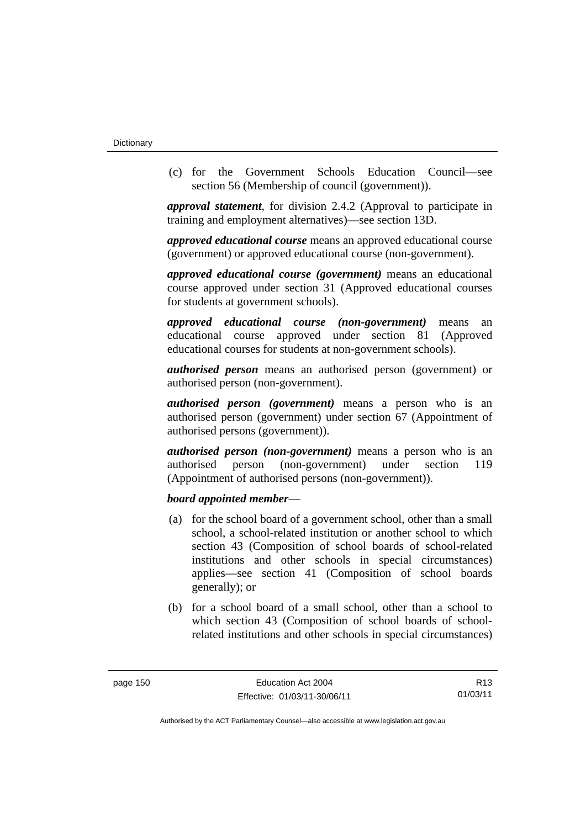(c) for the Government Schools Education Council—see section 56 (Membership of council (government)).

*approval statement*, for division 2.4.2 (Approval to participate in training and employment alternatives)—see section 13D.

*approved educational course* means an approved educational course (government) or approved educational course (non-government).

*approved educational course (government)* means an educational course approved under section 31 (Approved educational courses for students at government schools).

*approved educational course (non-government)* means an educational course approved under section 81 (Approved educational courses for students at non-government schools).

*authorised person* means an authorised person (government) or authorised person (non-government).

*authorised person (government)* means a person who is an authorised person (government) under section 67 (Appointment of authorised persons (government)).

*authorised person (non-government)* means a person who is an authorised person (non-government) under section 119 (Appointment of authorised persons (non-government)).

### *board appointed member*—

- (a) for the school board of a government school, other than a small school, a school-related institution or another school to which section 43 (Composition of school boards of school-related institutions and other schools in special circumstances) applies—see section 41 (Composition of school boards generally); or
- (b) for a school board of a small school, other than a school to which section 43 (Composition of school boards of schoolrelated institutions and other schools in special circumstances)

R13 01/03/11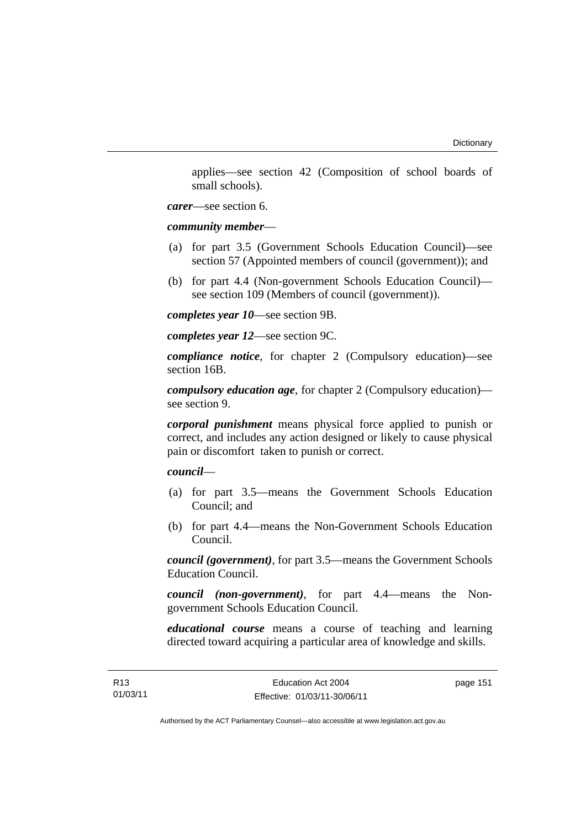applies—see section 42 (Composition of school boards of small schools).

*carer*—see section 6.

*community member*—

- (a) for part 3.5 (Government Schools Education Council)—see section 57 (Appointed members of council (government)); and
- (b) for part 4.4 (Non-government Schools Education Council) see section 109 (Members of council (government)).

*completes year 10*—see section 9B.

*completes year 12*—see section 9C.

*compliance notice*, for chapter 2 (Compulsory education)—see section 16B.

*compulsory education age*, for chapter 2 (Compulsory education) see section 9.

*corporal punishment* means physical force applied to punish or correct, and includes any action designed or likely to cause physical pain or discomfort taken to punish or correct.

*council*—

- (a) for part 3.5—means the Government Schools Education Council; and
- (b) for part 4.4—means the Non-Government Schools Education Council.

*council (government)*, for part 3.5—means the Government Schools Education Council.

*council (non-government)*, for part 4.4—means the Nongovernment Schools Education Council.

*educational course* means a course of teaching and learning directed toward acquiring a particular area of knowledge and skills.

page 151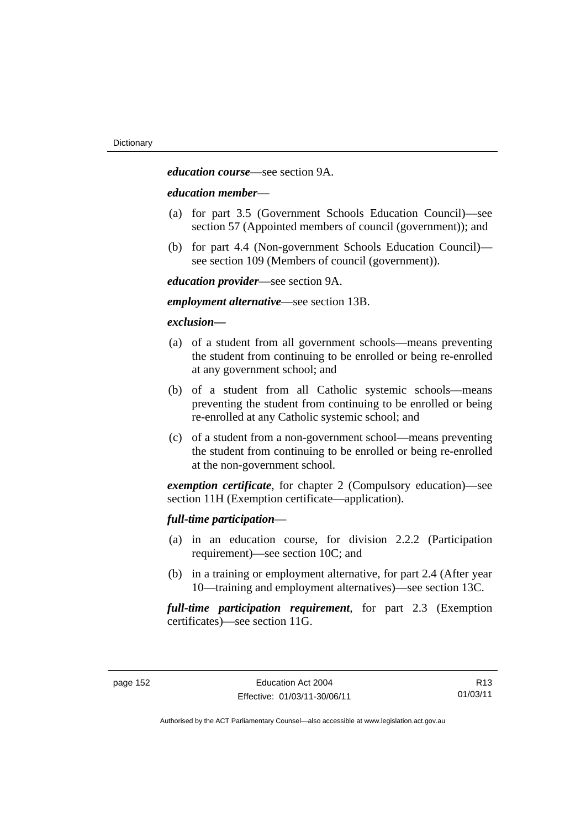*education course*—see section 9A.

#### *education member*—

- (a) for part 3.5 (Government Schools Education Council)—see section 57 (Appointed members of council (government)); and
- (b) for part 4.4 (Non-government Schools Education Council) see section 109 (Members of council (government)).

*education provider*—see section 9A.

*employment alternative*—see section 13B.

#### *exclusion***—**

- (a) of a student from all government schools—means preventing the student from continuing to be enrolled or being re-enrolled at any government school; and
- (b) of a student from all Catholic systemic schools—means preventing the student from continuing to be enrolled or being re-enrolled at any Catholic systemic school; and
- (c) of a student from a non-government school—means preventing the student from continuing to be enrolled or being re-enrolled at the non-government school.

*exemption certificate*, for chapter 2 (Compulsory education)—see section 11H (Exemption certificate—application).

### *full-time participation*—

- (a) in an education course, for division 2.2.2 (Participation requirement)—see section 10C; and
- (b) in a training or employment alternative, for part 2.4 (After year 10—training and employment alternatives)—see section 13C.

*full-time participation requirement*, for part 2.3 (Exemption certificates)—see section 11G.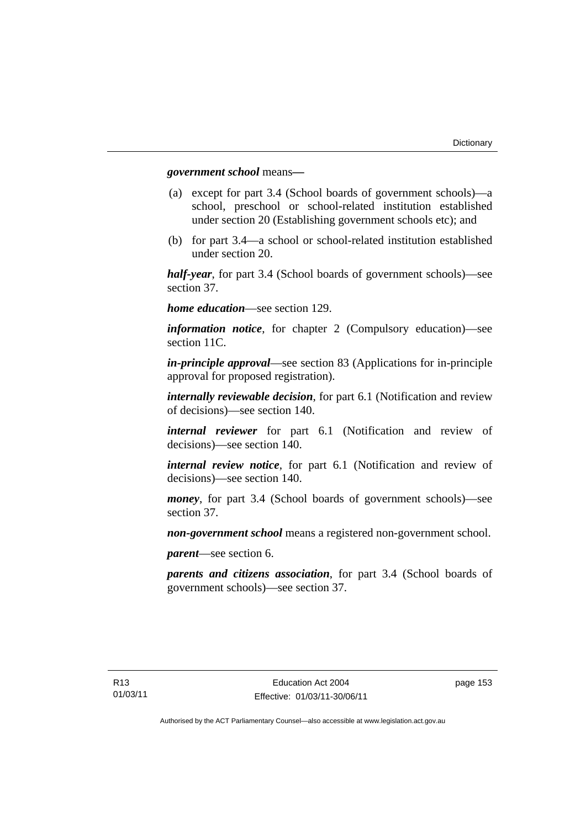#### *government school* means*—*

- (a) except for part 3.4 (School boards of government schools)—a school, preschool or school-related institution established under section 20 (Establishing government schools etc); and
- (b) for part 3.4—a school or school-related institution established under section 20.

*half-year*, for part 3.4 (School boards of government schools)—see section 37.

*home education*—see section 129.

*information notice*, for chapter 2 (Compulsory education)—see section 11C.

*in-principle approval*—see section 83 (Applications for in-principle approval for proposed registration).

*internally reviewable decision*, for part 6.1 (Notification and review of decisions)—see section 140.

*internal reviewer* for part 6.1 (Notification and review of decisions)—see section 140.

*internal review notice*, for part 6.1 (Notification and review of decisions)—see section 140.

*money*, for part 3.4 (School boards of government schools)—see section 37.

*non-government school* means a registered non-government school.

*parent*—see section 6.

*parents and citizens association*, for part 3.4 (School boards of government schools)—see section 37.

page 153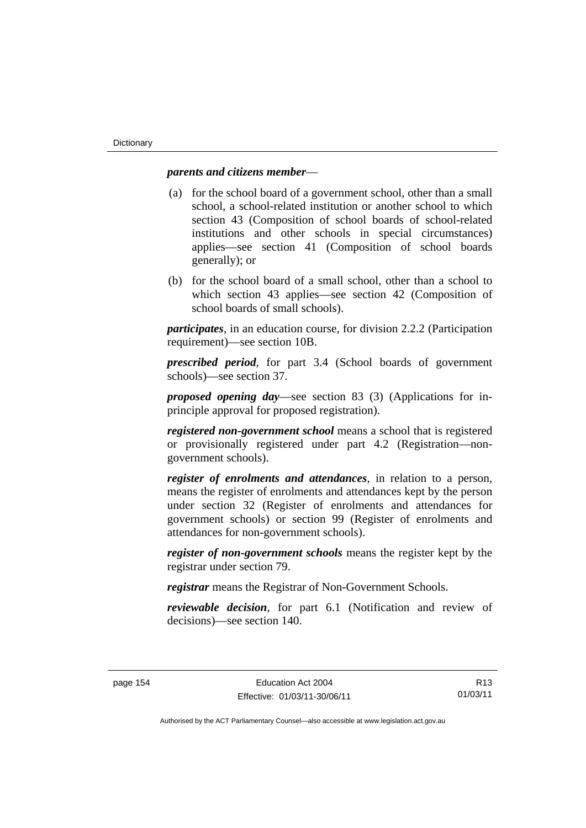## *parents and citizens member*—

- (a) for the school board of a government school, other than a small school, a school-related institution or another school to which section 43 (Composition of school boards of school-related institutions and other schools in special circumstances) applies—see section 41 (Composition of school boards generally); or
- (b) for the school board of a small school, other than a school to which section 43 applies—see section 42 (Composition of school boards of small schools).

*participates*, in an education course, for division 2.2.2 (Participation requirement)—see section 10B.

*prescribed period*, for part 3.4 (School boards of government schools)—see section 37.

*proposed opening day*—see section 83 (3) (Applications for inprinciple approval for proposed registration).

*registered non-government school* means a school that is registered or provisionally registered under part 4.2 (Registration—nongovernment schools).

*register of enrolments and attendances*, in relation to a person, means the register of enrolments and attendances kept by the person under section 32 (Register of enrolments and attendances for government schools) or section 99 (Register of enrolments and attendances for non-government schools).

*register of non-government schools* means the register kept by the registrar under section 79.

*registrar* means the Registrar of Non-Government Schools.

*reviewable decision*, for part 6.1 (Notification and review of decisions)—see section 140.

R13 01/03/11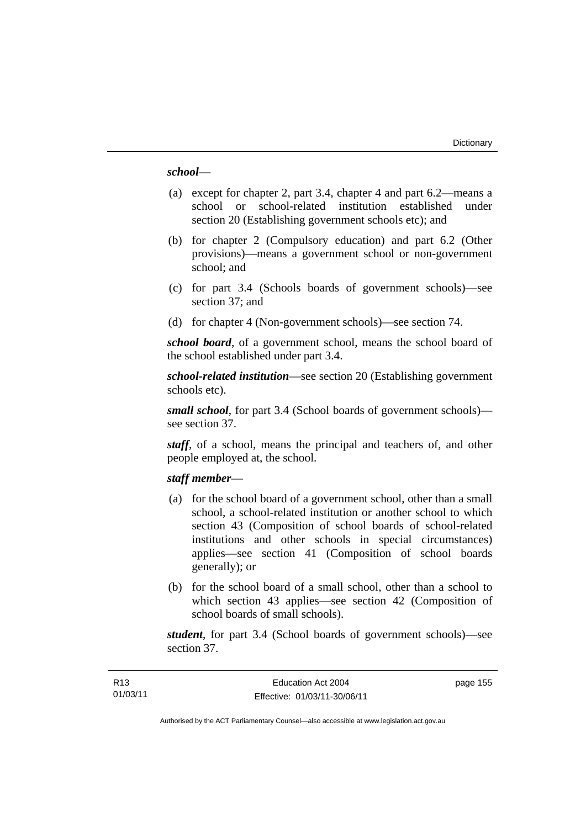#### *school*—

- (a) except for chapter 2, part 3.4, chapter 4 and part 6.2—means a school or school-related institution established under section 20 (Establishing government schools etc); and
- (b) for chapter 2 (Compulsory education) and part 6.2 (Other provisions)—means a government school or non-government school; and
- (c) for part 3.4 (Schools boards of government schools)—see section 37; and
- (d) for chapter 4 (Non-government schools)—see section 74.

*school board*, of a government school, means the school board of the school established under part 3.4.

*school-related institution*—see section 20 (Establishing government schools etc).

*small school*, for part 3.4 (School boards of government schools) see section 37.

*staff*, of a school, means the principal and teachers of, and other people employed at, the school.

#### *staff member*—

- (a) for the school board of a government school, other than a small school, a school-related institution or another school to which section 43 (Composition of school boards of school-related institutions and other schools in special circumstances) applies—see section 41 (Composition of school boards generally); or
- (b) for the school board of a small school, other than a school to which section 43 applies—see section 42 (Composition of school boards of small schools).

*student*, for part 3.4 (School boards of government schools)—see section 37.

page 155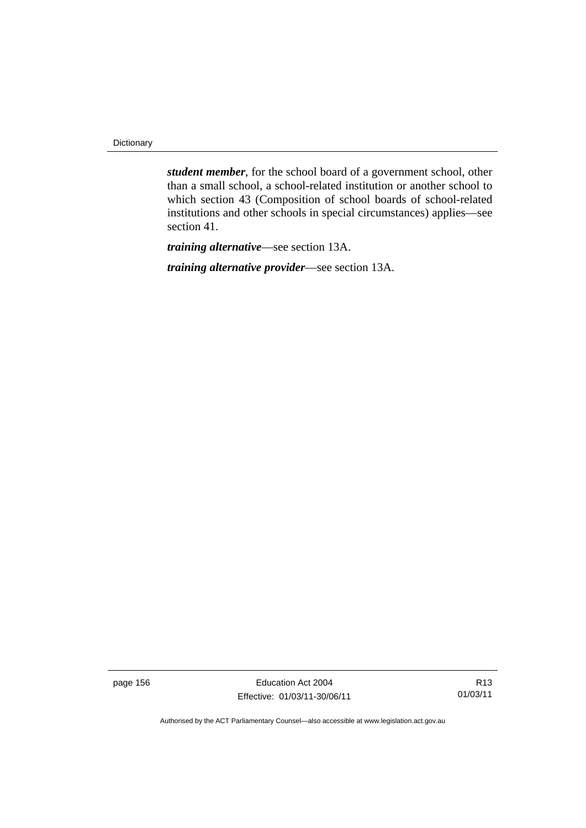**Dictionary** 

*student member*, for the school board of a government school, other than a small school, a school-related institution or another school to which section 43 (Composition of school boards of school-related institutions and other schools in special circumstances) applies—see section 41.

*training alternative*—see section 13A.

*training alternative provider*—see section 13A.

page 156 **Education Act 2004** Effective: 01/03/11-30/06/11

R13 01/03/11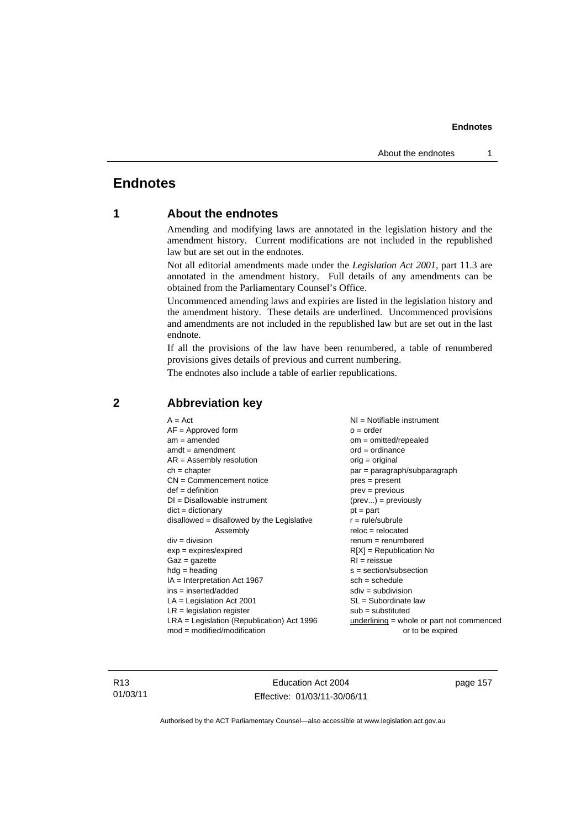# **Endnotes**

## **1 About the endnotes**

Amending and modifying laws are annotated in the legislation history and the amendment history. Current modifications are not included in the republished law but are set out in the endnotes.

Not all editorial amendments made under the *Legislation Act 2001*, part 11.3 are annotated in the amendment history. Full details of any amendments can be obtained from the Parliamentary Counsel's Office.

Uncommenced amending laws and expiries are listed in the legislation history and the amendment history. These details are underlined. Uncommenced provisions and amendments are not included in the republished law but are set out in the last endnote.

If all the provisions of the law have been renumbered, a table of renumbered provisions gives details of previous and current numbering.

The endnotes also include a table of earlier republications.

| $A = Act$                                    | $NI = Notifiable$ instrument              |
|----------------------------------------------|-------------------------------------------|
| $AF =$ Approved form                         | $o = order$                               |
| $am = amended$                               | $om = omitted/repealed$                   |
| $amdt = amendment$                           | $ord = ordinance$                         |
| $AR = Assembly resolution$                   | $orig = original$                         |
| $ch = chapter$                               | $par = paragraph/subparagraph$            |
| $CN =$ Commencement notice                   | $pres = present$                          |
| $def = definition$                           | $prev = previous$                         |
| $DI = Disallowable instrument$               | $(\text{prev}) = \text{previously}$       |
| $dict = dictionary$                          | $pt = part$                               |
| disallowed = disallowed by the Legislative   | $r = rule/subrule$                        |
| Assembly                                     | $reloc = relocated$                       |
| $div =$ division                             | $renum = renumbered$                      |
| $exp = expires/expired$                      | $R[X]$ = Republication No                 |
| $Gaz = gazette$                              | $RI = reissue$                            |
| $hdg = heading$                              | $s = section/subsection$                  |
| $IA = Interpretation Act 1967$               | $sch = schedule$                          |
| $ins = inserted/added$                       | $sdiv = subdivision$                      |
| $LA = Legislation Act 2001$                  | $SL = Subordinate$ law                    |
| $LR =$ legislation register                  | $sub =$ substituted                       |
| $LRA =$ Legislation (Republication) Act 1996 | underlining = whole or part not commenced |
| $mod = modified/modification$                | or to be expired                          |
|                                              |                                           |

## **2 Abbreviation key**

R13 01/03/11

Education Act 2004 Effective: 01/03/11-30/06/11 page 157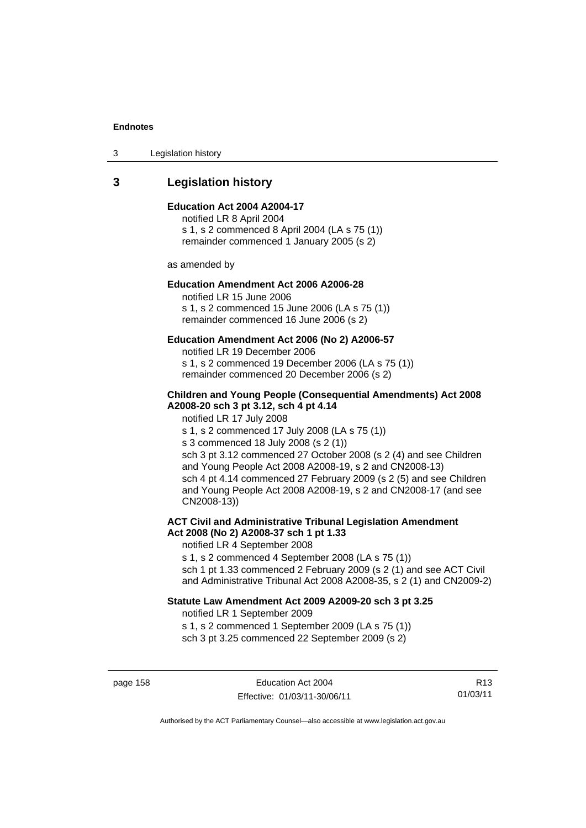3 Legislation history

# **3 Legislation history**

#### **Education Act 2004 A2004-17**

notified LR 8 April 2004 s 1, s 2 commenced 8 April 2004 (LA s 75 (1)) remainder commenced 1 January 2005 (s 2)

as amended by

#### **Education Amendment Act 2006 A2006-28**

notified LR 15 June 2006 s 1, s 2 commenced 15 June 2006 (LA s 75 (1)) remainder commenced 16 June 2006 (s 2)

#### **Education Amendment Act 2006 (No 2) A2006-57**

notified LR 19 December 2006 s 1, s 2 commenced 19 December 2006 (LA s 75 (1)) remainder commenced 20 December 2006 (s 2)

#### **Children and Young People (Consequential Amendments) Act 2008 A2008-20 sch 3 pt 3.12, sch 4 pt 4.14**

notified LR 17 July 2008

s 1, s 2 commenced 17 July 2008 (LA s 75 (1))

s 3 commenced 18 July 2008 (s 2 (1))

sch 3 pt 3.12 commenced 27 October 2008 (s 2 (4) and see Children and Young People Act 2008 A2008-19, s 2 and CN2008-13) sch 4 pt 4.14 commenced 27 February 2009 (s 2 (5) and see Children and Young People Act 2008 A2008-19, s 2 and CN2008-17 (and see CN2008-13))

## **ACT Civil and Administrative Tribunal Legislation Amendment Act 2008 (No 2) A2008-37 sch 1 pt 1.33**

notified LR 4 September 2008

s 1, s 2 commenced 4 September 2008 (LA s 75 (1))

sch 1 pt 1.33 commenced 2 February 2009 (s 2 (1) and see ACT Civil and Administrative Tribunal Act 2008 A2008-35, s 2 (1) and CN2009-2)

#### **Statute Law Amendment Act 2009 A2009-20 sch 3 pt 3.25**

notified LR 1 September 2009

s 1, s 2 commenced 1 September 2009 (LA s 75 (1)) sch 3 pt 3.25 commenced 22 September 2009 (s 2)

page 158 extending the Education Act 2004 Effective: 01/03/11-30/06/11

R13 01/03/11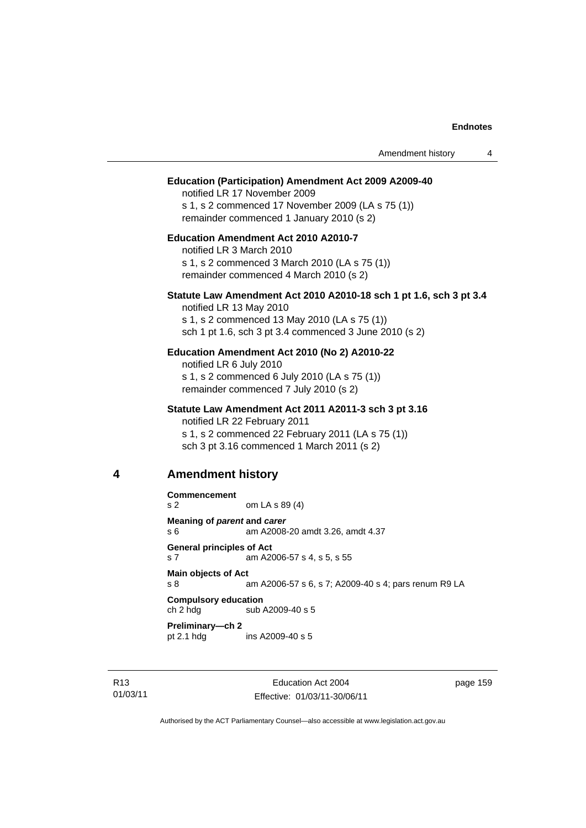|   |                                         |                                                                                                                                                                                               | Amendment history | 4 |
|---|-----------------------------------------|-----------------------------------------------------------------------------------------------------------------------------------------------------------------------------------------------|-------------------|---|
|   |                                         | <b>Education (Participation) Amendment Act 2009 A2009-40</b><br>notified LR 17 November 2009<br>s 1, s 2 commenced 17 November 2009 (LA s 75 (1))<br>remainder commenced 1 January 2010 (s 2) |                   |   |
|   |                                         | Education Amendment Act 2010 A2010-7<br>notified LR 3 March 2010<br>s 1, s 2 commenced 3 March 2010 (LA s 75 (1))<br>remainder commenced 4 March 2010 (s 2)                                   |                   |   |
|   | notified LR 13 May 2010                 | Statute Law Amendment Act 2010 A2010-18 sch 1 pt 1.6, sch 3 pt 3.4<br>s 1, s 2 commenced 13 May 2010 (LA s 75 (1))<br>sch 1 pt 1.6, sch 3 pt 3.4 commenced 3 June 2010 (s 2)                  |                   |   |
|   | notified LR 6 July 2010                 | Education Amendment Act 2010 (No 2) A2010-22<br>s 1, s 2 commenced 6 July 2010 (LA s 75 (1))<br>remainder commenced 7 July 2010 (s 2)                                                         |                   |   |
|   |                                         | Statute Law Amendment Act 2011 A2011-3 sch 3 pt 3.16<br>notified LR 22 February 2011<br>s 1, s 2 commenced 22 February 2011 (LA s 75 (1))<br>sch 3 pt 3.16 commenced 1 March 2011 (s 2)       |                   |   |
| 4 | <b>Amendment history</b>                |                                                                                                                                                                                               |                   |   |
|   | <b>Commencement</b><br>s 2              | om LA s 89 (4)                                                                                                                                                                                |                   |   |
|   | Meaning of parent and carer<br>s 6      | am A2008-20 amdt 3.26, amdt 4.37                                                                                                                                                              |                   |   |
|   | <b>General principles of Act</b><br>s 7 | am A2006-57 s 4, s 5, s 55                                                                                                                                                                    |                   |   |
|   | <b>Main objects of Act</b><br>s 8       | am A2006-57 s 6, s 7; A2009-40 s 4; pars renum R9 LA                                                                                                                                          |                   |   |
|   | <b>Compulsory education</b><br>ch 2 hdg | sub A2009-40 s 5                                                                                                                                                                              |                   |   |
|   | Preliminary-ch 2<br>pt $2.1$ hdg        | ins A2009-40 s 5                                                                                                                                                                              |                   |   |
|   |                                         |                                                                                                                                                                                               |                   |   |

R13 01/03/11

Education Act 2004 Effective: 01/03/11-30/06/11 page 159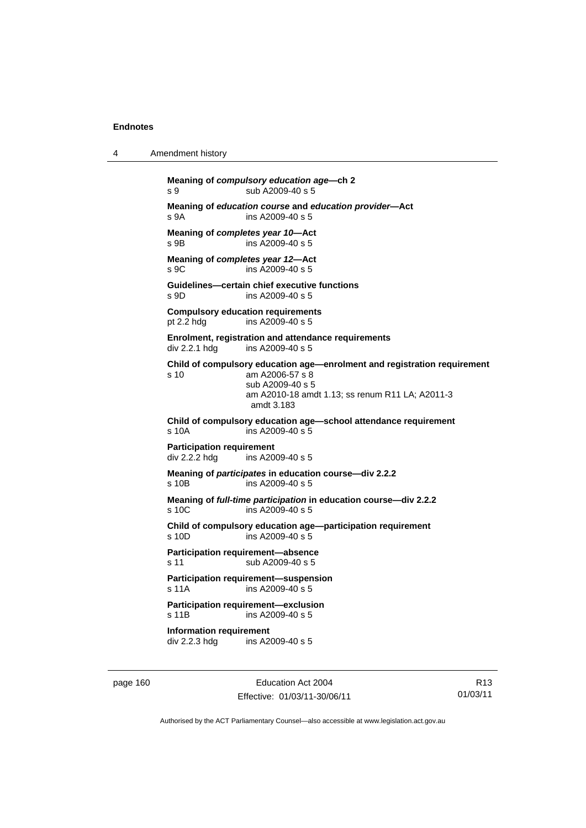4 Amendment history

```
Meaning of compulsory education age—ch 2 
s 9 sub A2009-40 s 5 
Meaning of education course and education provider—Act 
s 9A ins A2009-40 s 5 
Meaning of completes year 10—Act 
s 9B ins A2009-40 s 5
Meaning of completes year 12—Act 
s 9C ins A2009-40 s 5 
Guidelines—certain chief executive functions 
s 9D ins A2009-40 s 5 
Compulsory education requirements 
pt 2.2 hdg ins A2009-40 s 5 
Enrolment, registration and attendance requirements 
div 2.2.1 hdg ins A2009-40 s 5 
Child of compulsory education age—enrolment and registration requirement 
s 10 am A2006-57 s 8 
                 sub A2009-40 s 5 
                 am A2010-18 amdt 1.13; ss renum R11 LA; A2011-3 
                 amdt 3.183 
Child of compulsory education age—school attendance requirement 
s 10A ins A2009-40 s 5 
Participation requirement 
div 2.2.2 hdg ins A2009-40 s 5 
Meaning of participates in education course—div 2.2.2 
s 10B ins A2009-40 s 5
Meaning of full-time participation in education course—div 2.2.2 
s 10C ins A2009-40 s 5 
Child of compulsory education age—participation requirement 
s 10D ins A2009-40 s 5 
Participation requirement—absence 
s 11 sub A2009-40 s 5
Participation requirement—suspension 
s 11A ins A2009-40 s 5 
Participation requirement—exclusion 
s 11B ins A2009-40 s 5 
Information requirement<br>div 2.2.3 hdg ins A2
                ins A2009-40 s 5
```
page 160 **Education Act 2004** Effective: 01/03/11-30/06/11

R13 01/03/11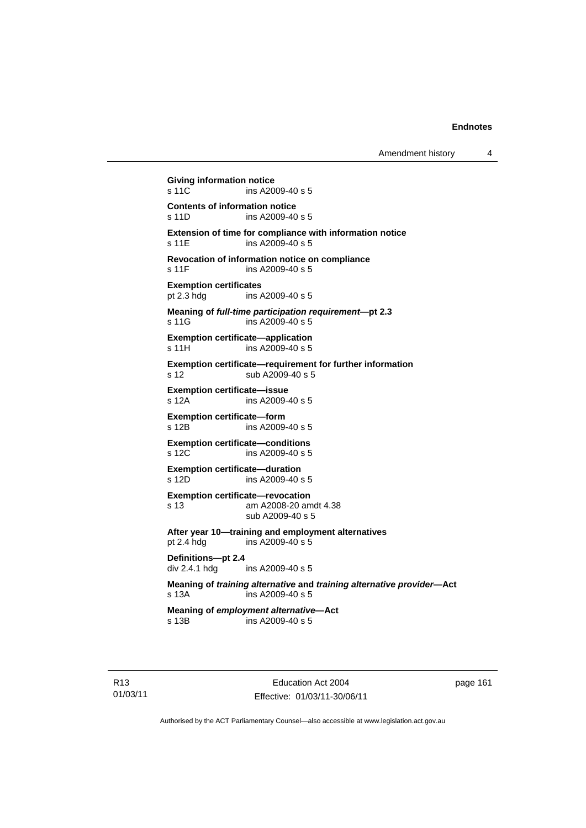Amendment history 4

**Giving information notice**  ins A2009-40 s 5 **Contents of information notice**  s 11D ins A2009-40 s 5 **Extension of time for compliance with information notice**  s 11E ins A2009-40 s 5 **Revocation of information notice on compliance**  s 11F ins A2009-40 s 5 **Exemption certificates**<br>pt 2.3 hdg ins / ins A2009-40 s 5 **Meaning of** *full-time participation requirement***—pt 2.3**  s 11G ins A2009-40 s 5 **Exemption certificate—application**  s 11H ins A2009-40 s 5 **Exemption certificate—requirement for further information**  s 12 sub A2009-40 s 5 **Exemption certificate—issue**  s 12A ins A2009-40 s 5 **Exemption certificate—form**  s 12B ins A2009-40 s 5 **Exemption certificate—conditions**  s 12C ins A2009-40 s 5 **Exemption certificate—duration**  s 12D ins A2009-40 s 5 **Exemption certificate—revocation**  s 13 am A2008-20 amdt 4.38 sub A2009-40 s 5 **After year 10—training and employment alternatives**  pt 2.4 hdg ins A2009-40 s 5 **Definitions—pt 2.4**  div 2.4.1 hdg ins A2009-40 s 5 **Meaning of** *training alternative* **and** *training alternative provider***—Act**  s 13A ins A2009-40 s 5 **Meaning of** *employment alternative***—Act**  s 13B ins A2009-40 s 5

R13 01/03/11

Education Act 2004 Effective: 01/03/11-30/06/11 page 161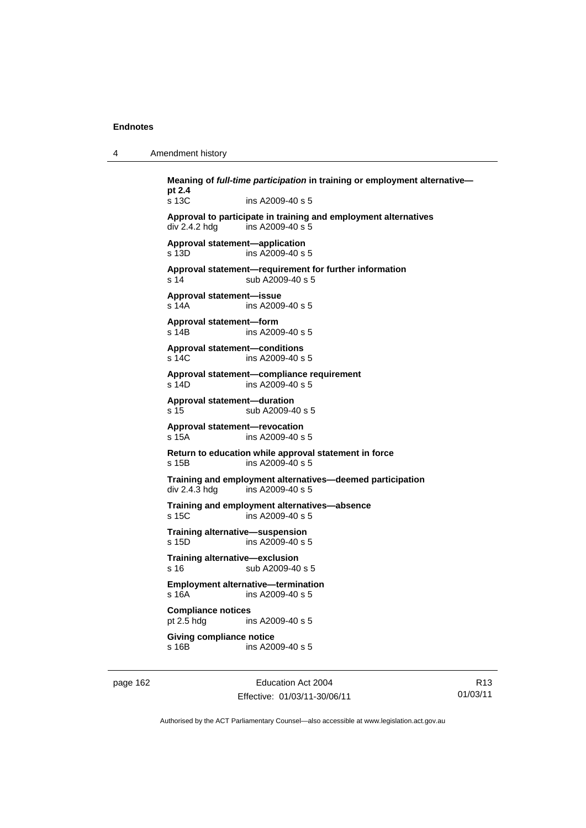4 Amendment history

|          | pt 2.4                                   | Meaning of <i>full-time participation</i> in training or employment alternative-    |      |
|----------|------------------------------------------|-------------------------------------------------------------------------------------|------|
|          | s 13C                                    | ins A2009-40 s 5                                                                    |      |
|          | div 2.4.2 hdg                            | Approval to participate in training and employment alternatives<br>ins A2009-40 s 5 |      |
|          | s 13D                                    | Approval statement-application<br>ins A2009-40 s 5                                  |      |
|          | s 14                                     | Approval statement-requirement for further information<br>sub A2009-40 s 5          |      |
|          | Approval statement-issue<br>s 14A        | ins A2009-40 s 5                                                                    |      |
|          | Approval statement-form<br>s 14B         | ins A2009-40 s 5                                                                    |      |
|          | s 14C                                    | <b>Approval statement-conditions</b><br>ins A2009-40 s 5                            |      |
|          | s 14D                                    | Approval statement—compliance requirement<br>ins A2009-40 s 5                       |      |
|          | Approval statement-duration<br>s 15      | sub A2009-40 s 5                                                                    |      |
|          | s 15A                                    | Approval statement-revocation<br>ins A2009-40 s 5                                   |      |
|          | s 15B                                    | Return to education while approval statement in force<br>ins A2009-40 s 5           |      |
|          | div 2.4.3 hdg                            | Training and employment alternatives—deemed participation<br>ins A2009-40 s 5       |      |
|          | s 15C                                    | Training and employment alternatives-absence<br>ins A2009-40 s 5                    |      |
|          | s 15D                                    | Training alternative-suspension<br>ins A2009-40 s 5                                 |      |
|          | Training alternative-exclusion<br>s 16   | sub A2009-40 s 5                                                                    |      |
|          | s <sub>16A</sub>                         | <b>Employment alternative-termination</b><br>ins A2009-40 s 5                       |      |
|          | <b>Compliance notices</b><br>pt 2.5 hdg  | ins A2009-40 s 5                                                                    |      |
|          | <b>Giving compliance notice</b><br>s 16B | ins A2009-40 s 5                                                                    |      |
| page 162 |                                          | Education Act 2004                                                                  |      |
|          |                                          | Effective: 01/03/11-30/06/11                                                        | 01/0 |

R13 01/03/11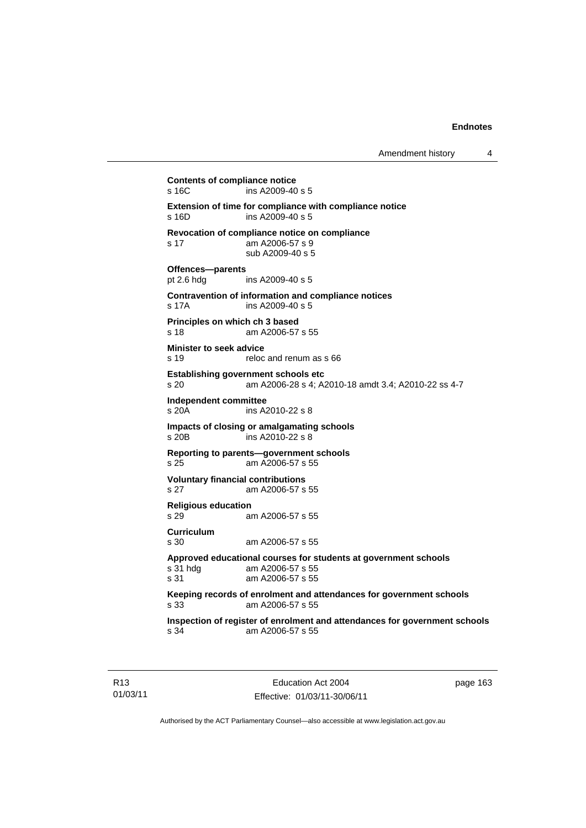**Contents of compliance notice**  s 16C ins A2009-40 s 5 **Extension of time for compliance with compliance notice**   $ins A2009-40 s 5$ **Revocation of compliance notice on compliance**  s 17 am A2006-57 s 9 sub A2009-40 s 5 **Offences—parents**  pt 2.6 hdg ins A2009-40 s 5 **Contravention of information and compliance notices**  s 17A ins A2009-40 s 5 **Principles on which ch 3 based**  s 18 am A2006-57 s 55 **Minister to seek advice**  s 19 reloc and renum as s 66 **Establishing government schools etc**  s 20 am A2006-28 s 4; A2010-18 amdt 3.4; A2010-22 ss 4-7 **Independent committee**  s 20A ins A2010-22 s 8 **Impacts of closing or amalgamating schools**   $\overline{S}$  ins A2010-22 s 8 **Reporting to parents—government schools**  s 25 am A2006-57 s 55 **Voluntary financial contributions**  s 27 am A2006-57 s 55 **Religious education**  s 29 am A2006-57 s 55 **Curriculum**  s 30 am A2006-57 s 55 **Approved educational courses for students at government schools**  s 31 hdg am A2006-57 s 55 s 31 am A2006-57 s 55 **Keeping records of enrolment and attendances for government schools**  s 33 am A2006-57 s 55 **Inspection of register of enrolment and attendances for government schools**  s 34 am A2006-57 s 55

R13 01/03/11

Education Act 2004 Effective: 01/03/11-30/06/11 page 163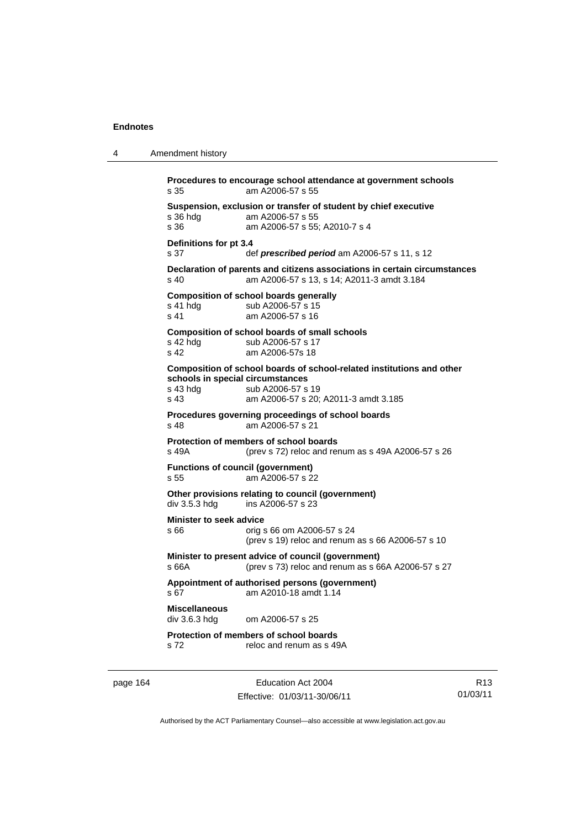```
4 Amendment history 
           Procedures to encourage school attendance at government schools 
           s 35 am A2006-57 s 55 
           Suspension, exclusion or transfer of student by chief executive 
                           am A2006-57 s 55
           s 36 am A2006-57 s 55; A2010-7 s 4 
           Definitions for pt 3.4 
           s 37 def prescribed period am A2006-57 s 11, s 12
           Declaration of parents and citizens associations in certain circumstances 
           s 40 am A2006-57 s 13, s 14; A2011-3 amdt 3.184 
           Composition of school boards generally 
           s 41 hdg sub A2006-57 s 15<br>s 41 am A2006-57 s 16
                           am A2006-57 s 16
           Composition of school boards of small schools 
           s 42 hdg sub A2006-57 s 17
           s 42 am A2006-57s 18 
           Composition of school boards of school-related institutions and other 
           schools in special circumstances 
           s 43 hdg sub A2006-57 s 19
           s 43 am A2006-57 s 20; A2011-3 amdt 3.185 
           Procedures governing proceedings of school boards 
           s 48 am A2006-57 s 21 
           Protection of members of school boards 
           s 49A (prev s 72) reloc and renum as s 49A A2006-57 s 26 
           Functions of council (government) 
           s 55 am A2006-57 s 22
           Other provisions relating to council (government) 
           div 3.5.3 hdg ins A2006-57 s 23 
           Minister to seek advice 
           s 66 orig s 66 om A2006-57 s 24 
                             (prev s 19) reloc and renum as s 66 A2006-57 s 10 
           Minister to present advice of council (government) 
           s 66A (prev s 73) reloc and renum as s 66A A2006-57 s 27 
           Appointment of authorised persons (government) 
           s 67 am A2010-18 amdt 1.14 
           Miscellaneous 
                           om A2006-57 s 25.
           Protection of members of school boards 
           s 72 reloc and renum as s 49A
```
page 164 Education Act 2004 Effective: 01/03/11-30/06/11

R13 01/03/11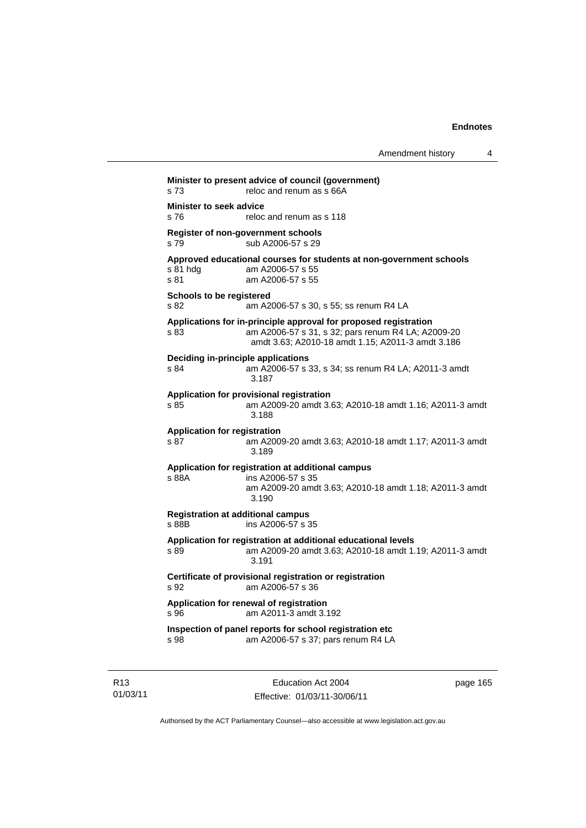| s 73                                        |                                                                                                                                                                             |
|---------------------------------------------|-----------------------------------------------------------------------------------------------------------------------------------------------------------------------------|
| <b>Minister to seek advice</b>              |                                                                                                                                                                             |
| s 76                                        | reloc and renum as s 118                                                                                                                                                    |
| s 79                                        | Register of non-government schools<br>sub A2006-57 s 29                                                                                                                     |
| s 81 hda<br>s 81                            | Approved educational courses for students at non-government schools<br>am A2006-57 s 55<br>am A2006-57 s 55                                                                 |
| <b>Schools to be registered</b><br>s 82     | am A2006-57 s 30, s 55; ss renum R4 LA                                                                                                                                      |
| s 83                                        | Applications for in-principle approval for proposed registration<br>am A2006-57 s 31, s 32; pars renum R4 LA; A2009-20<br>amdt 3.63; A2010-18 amdt 1.15; A2011-3 amdt 3.186 |
| s 84                                        | Deciding in-principle applications<br>am A2006-57 s 33, s 34; ss renum R4 LA; A2011-3 amdt<br>3.187                                                                         |
| s.85                                        | Application for provisional registration<br>am A2009-20 amdt 3.63; A2010-18 amdt 1.16; A2011-3 amdt<br>3.188                                                                |
| <b>Application for registration</b><br>s 87 | am A2009-20 amdt 3.63; A2010-18 amdt 1.17; A2011-3 amdt<br>3.189                                                                                                            |
| s 88A                                       | Application for registration at additional campus<br>ins A2006-57 s 35<br>am A2009-20 amdt 3.63; A2010-18 amdt 1.18; A2011-3 amdt<br>3.190                                  |
| s 88B                                       | <b>Registration at additional campus</b><br>ins A2006-57 s 35                                                                                                               |
| s 89                                        | Application for registration at additional educational levels<br>am A2009-20 amdt 3.63; A2010-18 amdt 1.19; A2011-3 amdt<br>3.191                                           |
| s 92                                        | Certificate of provisional registration or registration<br>am A2006-57 s 36                                                                                                 |
| s 96                                        | Application for renewal of registration<br>am A2011-3 amdt 3.192                                                                                                            |
| s 98                                        | Inspection of panel reports for school registration etc<br>am A2006-57 s 37; pars renum R4 LA                                                                               |

R13 01/03/11

Education Act 2004 Effective: 01/03/11-30/06/11 page 165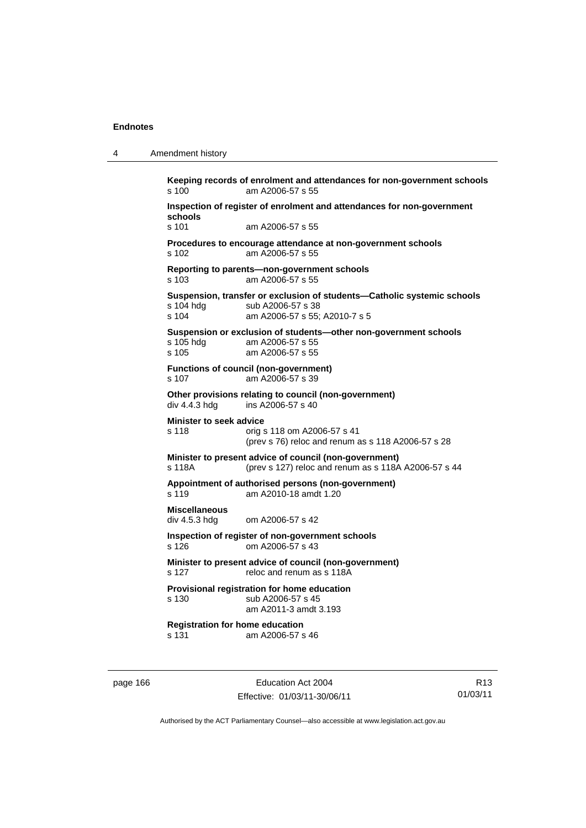4 Amendment history

|                                                 | Inspection of register of enrolment and attendances for non-government                                                        |
|-------------------------------------------------|-------------------------------------------------------------------------------------------------------------------------------|
| schools<br>s 101                                | am A2006-57 s 55                                                                                                              |
|                                                 |                                                                                                                               |
| s 102                                           | Procedures to encourage attendance at non-government schools<br>am A2006-57 s 55                                              |
| s 103                                           | Reporting to parents-non-government schools<br>am A2006-57 s 55                                                               |
| s 104 hdg<br>s 104                              | Suspension, transfer or exclusion of students-Catholic systemic schools<br>sub A2006-57 s 38<br>am A2006-57 s 55: A2010-7 s 5 |
| s 105 hdg<br>$s$ 105                            | Suspension or exclusion of students-other non-government schools<br>am A2006-57 s 55<br>am A2006-57 s 55                      |
| s 107                                           | <b>Functions of council (non-government)</b><br>am A2006-57 s 39                                                              |
| div 4.4.3 hdg                                   | Other provisions relating to council (non-government)<br>ins A2006-57 s 40                                                    |
| <b>Minister to seek advice</b><br>s 118         | orig s 118 om A2006-57 s 41<br>(prev s 76) reloc and renum as s 118 A2006-57 s 28                                             |
| s 118A                                          | Minister to present advice of council (non-government)<br>(prev s 127) reloc and renum as s 118A A2006-57 s 44                |
| s 119                                           | Appointment of authorised persons (non-government)<br>am A2010-18 amdt 1.20                                                   |
| <b>Miscellaneous</b><br>div 4.5.3 hdg           | om A2006-57 s 42                                                                                                              |
| s 126                                           | Inspection of register of non-government schools<br>om A2006-57 s 43                                                          |
| s 127                                           | Minister to present advice of council (non-government)<br>reloc and renum as s 118A                                           |
| s 130                                           | Provisional registration for home education<br>sub A2006-57 s 45<br>am A2011-3 amdt 3.193                                     |
| <b>Registration for home education</b><br>s 131 | am A2006-57 s 46                                                                                                              |

page 166 **Education Act 2004** Effective: 01/03/11-30/06/11

R13 01/03/11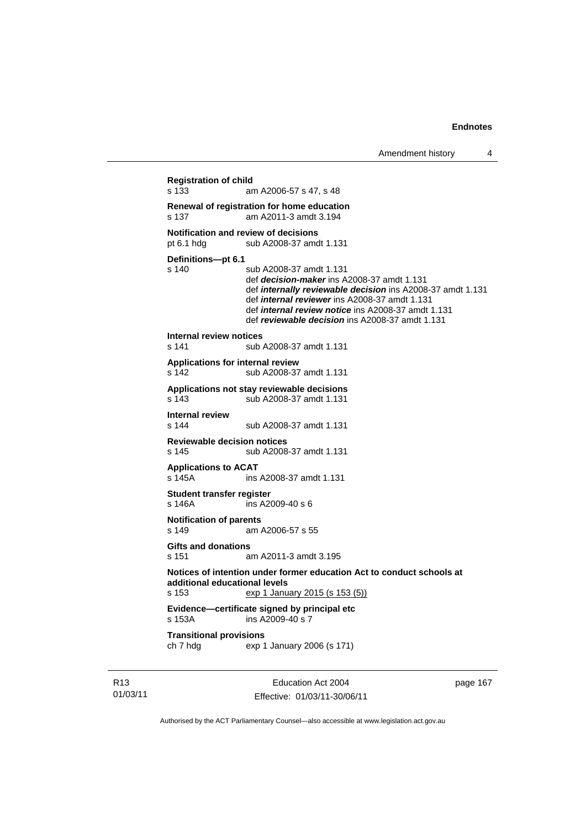```
Registration of child 
                 am A2006-57 s 47, s 48
Renewal of registration for home education 
                 am A2011-3 amdt 3.194
Notification and review of decisions 
pt 6.1 hdg sub A2008-37 amdt 1.131
Definitions—pt 6.1 
s 140 sub A2008-37 amdt 1.131 
                  def decision-maker ins A2008-37 amdt 1.131 
                  def internally reviewable decision ins A2008-37 amdt 1.131 
                  def internal reviewer ins A2008-37 amdt 1.131 
                  def internal review notice ins A2008-37 amdt 1.131 
                  def reviewable decision ins A2008-37 amdt 1.131 
Internal review notices 
                 sub A2008-37 amdt 1.131
Applications for internal review 
s 142 sub A2008-37 amdt 1.131 
Applications not stay reviewable decisions 
s 143 sub A2008-37 amdt 1.131 
Internal review 
                 sub A2008-37 amdt 1.131
Reviewable decision notices 
s 145 sub A2008-37 amdt 1.131 
Applications to ACAT 
                 ins A2008-37 amdt 1.131
Student transfer register 
s 146A ins A2009-40 s 6 
Notification of parents 
s 149 am A2006-57 s 55 
Gifts and donations 
s 151 am A2011-3 amdt 3.195 
Notices of intention under former education Act to conduct schools at 
additional educational levels 
s 153 exp 1 January 2015 (s 153 (5))
Evidence—certificate signed by principal etc 
s 153A ins A2009-40 s 7 
Transitional provisions 
ch 7 hdg exp 1 January 2006 (s 171)
```
R13 01/03/11

Education Act 2004 Effective: 01/03/11-30/06/11 page 167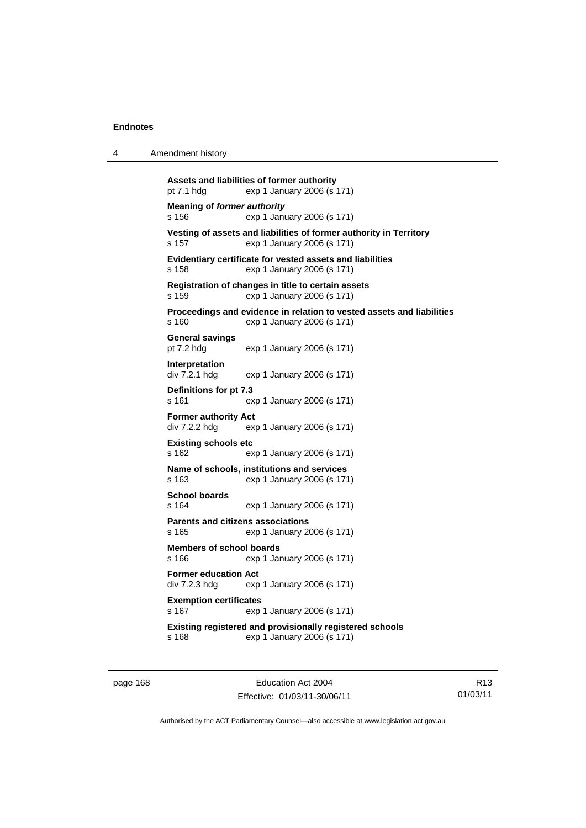| 4 | Amendment history |
|---|-------------------|
|---|-------------------|

```
Assets and liabilities of former authority 
pt 7.1 hdg exp 1 January 2006 (s 171) 
Meaning of former authority
s 156 exp 1 January 2006 (s 171) 
Vesting of assets and liabilities of former authority in Territory 
s 157 exp 1 January 2006 (s 171) 
Evidentiary certificate for vested assets and liabilities 
s 158 exp 1 January 2006 (s 171) 
Registration of changes in title to certain assets 
s 159 exp 1 January 2006 (s 171) 
Proceedings and evidence in relation to vested assets and liabilities 
s 160 exp 1 January 2006 (s 171) 
General savings 
pt 7.2 hdg exp 1 January 2006 (s 171) 
Interpretation 
div 7.2.1 hdg exp 1 January 2006 (s 171) 
Definitions for pt 7.3 
s 161 exp 1 January 2006 (s 171) 
Former authority Act 
div 7.2.2 hdg exp 1 January 2006 (s 171) 
Existing schools etc 
s 162 exp 1 January 2006 (s 171) 
Name of schools, institutions and services 
s 163 exp 1 January 2006 (s 171) 
School boards 
s 164 exp 1 January 2006 (s 171) 
Parents and citizens associations 
s 165 exp 1 January 2006 (s 171) 
Members of school boards 
s 166 exp 1 January 2006 (s 171) 
Former education Act 
div 7.2.3 hdg exp 1 January 2006 (s 171) 
Exemption certificates 
s 167 exp 1 January 2006 (s 171) 
Existing registered and provisionally registered schools 
s 168 exp 1 January 2006 (s 171)
```
page 168 **Education Act 2004** Effective: 01/03/11-30/06/11

R13 01/03/11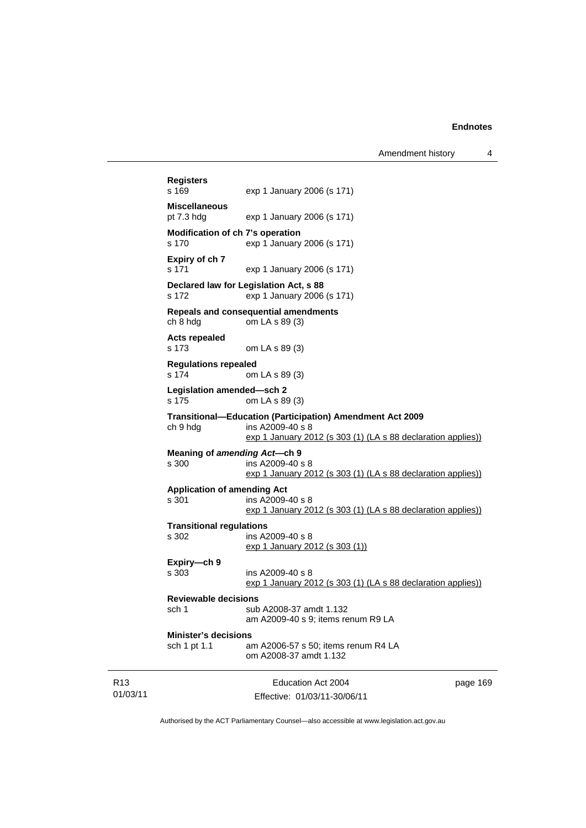|                                                                               |                                                                                                                                 | Education Act 2004<br>Effective: 01/03/11-30/06/11                                                                                            | page 169 |  |  |
|-------------------------------------------------------------------------------|---------------------------------------------------------------------------------------------------------------------------------|-----------------------------------------------------------------------------------------------------------------------------------------------|----------|--|--|
|                                                                               | <b>Minister's decisions</b><br>sch 1 pt 1.1                                                                                     | am A2006-57 s 50; items renum R4 LA<br>om A2008-37 amdt 1.132                                                                                 |          |  |  |
|                                                                               | sch 1                                                                                                                           | sub A2008-37 amdt 1.132<br>am A2009-40 s 9; items renum R9 LA                                                                                 |          |  |  |
|                                                                               | Expiry-ch 9<br>s 303<br><b>Reviewable decisions</b>                                                                             | ins A2009-40 s 8<br>exp 1 January 2012 (s 303 (1) (LA s 88 declaration applies))                                                              |          |  |  |
|                                                                               | <b>Transitional regulations</b><br>s 302                                                                                        | ins A2009-40 s 8<br>exp 1 January 2012 (s 303 (1))                                                                                            |          |  |  |
|                                                                               | <b>Application of amending Act</b><br>ins A2009-40 s 8<br>s 301<br>exp 1 January 2012 (s 303 (1) (LA s 88 declaration applies)) |                                                                                                                                               |          |  |  |
|                                                                               | Meaning of amending Act-ch 9<br>s 300                                                                                           | ins A2009-40 s 8<br>exp 1 January 2012 (s 303 (1) (LA s 88 declaration applies))                                                              |          |  |  |
|                                                                               | ch 9 hdg                                                                                                                        | Transitional-Education (Participation) Amendment Act 2009<br>ins A2009-40 s 8<br>exp 1 January 2012 (s 303 (1) (LA s 88 declaration applies)) |          |  |  |
| Legislation amended-sch 2<br>s 175<br>om LA s 89 (3)                          |                                                                                                                                 |                                                                                                                                               |          |  |  |
|                                                                               | <b>Regulations repealed</b><br>s 174<br>om LA s 89 (3)                                                                          |                                                                                                                                               |          |  |  |
|                                                                               | <b>Acts repealed</b><br>s 173                                                                                                   | om LA s 89 (3)                                                                                                                                |          |  |  |
|                                                                               | Repeals and consequential amendments<br>ch 8 hdg<br>om LA s 89 (3)                                                              |                                                                                                                                               |          |  |  |
| Declared law for Legislation Act, s 88<br>s 172<br>exp 1 January 2006 (s 171) |                                                                                                                                 |                                                                                                                                               |          |  |  |
|                                                                               | Expiry of ch 7<br>s 171                                                                                                         | exp 1 January 2006 (s 171)                                                                                                                    |          |  |  |
|                                                                               | Modification of ch 7's operation<br>s 170                                                                                       | exp 1 January 2006 (s 171)                                                                                                                    |          |  |  |
|                                                                               | <b>Miscellaneous</b><br>pt 7.3 hdg                                                                                              | exp 1 January 2006 (s 171)                                                                                                                    |          |  |  |
|                                                                               | Registers<br>s 169                                                                                                              | exp 1 January 2006 (s 171)                                                                                                                    |          |  |  |
|                                                                               |                                                                                                                                 |                                                                                                                                               |          |  |  |

Authorised by the ACT Parliamentary Counsel—also accessible at www.legislation.act.gov.au

R13 01/03/11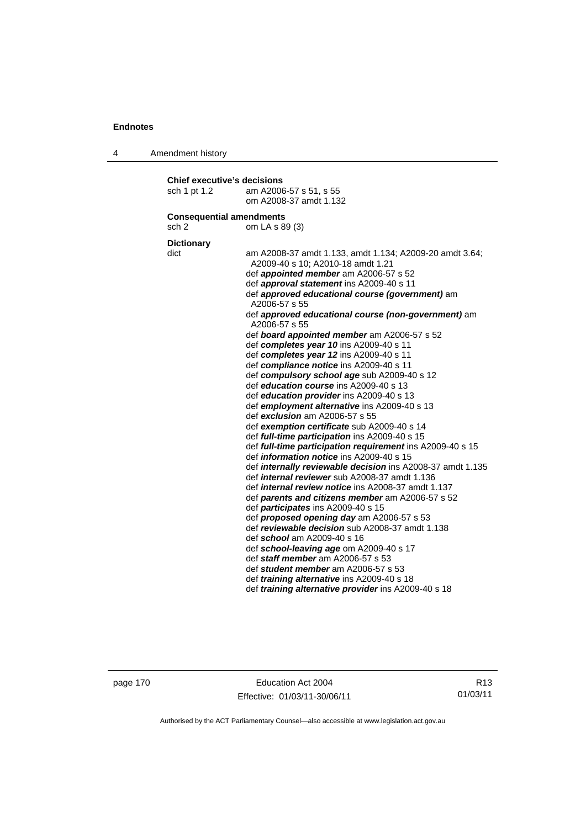4 Amendment history

| <b>Chief executive's decisions</b>          |                                                                                                              |  |  |  |  |  |  |
|---------------------------------------------|--------------------------------------------------------------------------------------------------------------|--|--|--|--|--|--|
| sch 1 pt 1.2                                | am A2006-57 s 51, s 55                                                                                       |  |  |  |  |  |  |
|                                             | om A2008-37 amdt 1.132                                                                                       |  |  |  |  |  |  |
| <b>Consequential amendments</b>             |                                                                                                              |  |  |  |  |  |  |
| sch 2                                       | om LA s 89 (3)                                                                                               |  |  |  |  |  |  |
|                                             |                                                                                                              |  |  |  |  |  |  |
| <b>Dictionary</b><br>dict                   |                                                                                                              |  |  |  |  |  |  |
|                                             | am A2008-37 amdt 1.133, amdt 1.134; A2009-20 amdt 3.64;<br>A2009-40 s 10; A2010-18 amdt 1.21                 |  |  |  |  |  |  |
|                                             | def <i>appointed member</i> am A2006-57 s 52                                                                 |  |  |  |  |  |  |
|                                             | def approval statement ins A2009-40 s 11                                                                     |  |  |  |  |  |  |
|                                             | def approved educational course (government) am                                                              |  |  |  |  |  |  |
|                                             | A2006-57 s 55                                                                                                |  |  |  |  |  |  |
|                                             | def approved educational course (non-government) am                                                          |  |  |  |  |  |  |
|                                             | A2006-57 s 55                                                                                                |  |  |  |  |  |  |
| def board appointed member am A2006-57 s 52 |                                                                                                              |  |  |  |  |  |  |
|                                             | def completes year 10 ins A2009-40 s 11                                                                      |  |  |  |  |  |  |
|                                             | def completes year 12 ins A2009-40 s 11                                                                      |  |  |  |  |  |  |
|                                             | def compliance notice ins A2009-40 s 11                                                                      |  |  |  |  |  |  |
|                                             | def compulsory school age sub A2009-40 s 12                                                                  |  |  |  |  |  |  |
|                                             | def education course ins A2009-40 s 13                                                                       |  |  |  |  |  |  |
|                                             | def education provider ins A2009-40 s 13                                                                     |  |  |  |  |  |  |
|                                             | def employment alternative ins A2009-40 s 13                                                                 |  |  |  |  |  |  |
|                                             | def exclusion am A2006-57 s 55                                                                               |  |  |  |  |  |  |
|                                             | def exemption certificate sub A2009-40 s 14                                                                  |  |  |  |  |  |  |
|                                             | def full-time participation ins A2009-40 s 15                                                                |  |  |  |  |  |  |
|                                             | def full-time participation requirement ins A2009-40 s 15<br>def <i>information notice</i> ins A2009-40 s 15 |  |  |  |  |  |  |
|                                             | def <i>internally reviewable decision</i> ins A2008-37 amdt 1.135                                            |  |  |  |  |  |  |
|                                             | def <i>internal reviewer</i> sub A2008-37 amdt 1.136                                                         |  |  |  |  |  |  |
|                                             | def <i>internal review notice</i> ins A2008-37 amdt 1.137                                                    |  |  |  |  |  |  |
|                                             | def parents and citizens member am A2006-57 s 52                                                             |  |  |  |  |  |  |
|                                             | def participates ins A2009-40 s 15                                                                           |  |  |  |  |  |  |
|                                             | def <i>proposed opening day</i> am A2006-57 s 53                                                             |  |  |  |  |  |  |
|                                             | def reviewable decision sub A2008-37 amdt 1.138                                                              |  |  |  |  |  |  |
|                                             | def school am A2009-40 s 16                                                                                  |  |  |  |  |  |  |
|                                             | def school-leaving age om A2009-40 s 17                                                                      |  |  |  |  |  |  |
|                                             | def staff member am A2006-57 s 53                                                                            |  |  |  |  |  |  |
|                                             | def student member am A2006-57 s 53                                                                          |  |  |  |  |  |  |
|                                             | def <i>training alternative</i> ins A2009-40 s 18                                                            |  |  |  |  |  |  |
|                                             | def <i>training alternative provider</i> ins A2009-40 s 18                                                   |  |  |  |  |  |  |
|                                             |                                                                                                              |  |  |  |  |  |  |

page 170 Education Act 2004 Effective: 01/03/11-30/06/11

R13 01/03/11

Authorised by the ACT Parliamentary Counsel—also accessible at www.legislation.act.gov.au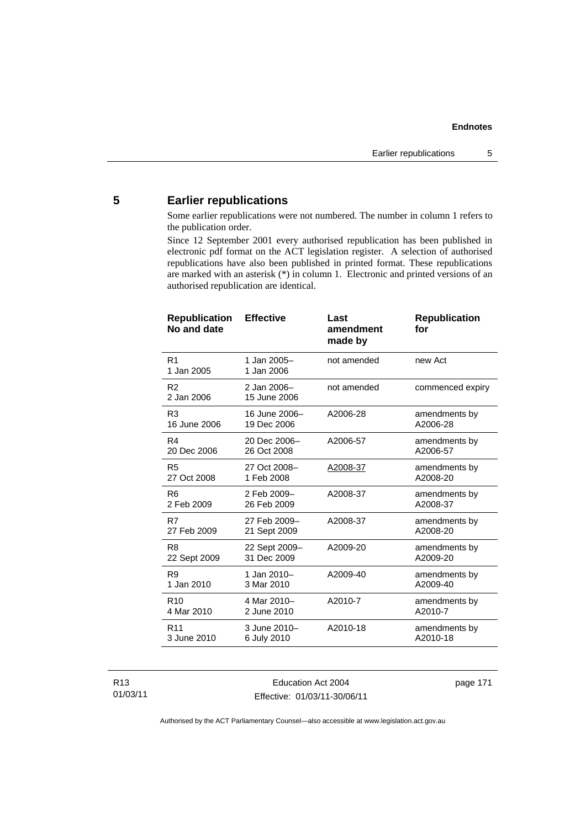# **5 Earlier republications**

Some earlier republications were not numbered. The number in column 1 refers to the publication order.

Since 12 September 2001 every authorised republication has been published in electronic pdf format on the ACT legislation register. A selection of authorised republications have also been published in printed format. These republications are marked with an asterisk (\*) in column 1. Electronic and printed versions of an authorised republication are identical.

| R <sub>1</sub><br>1 Jan 2005-<br>not amended<br>new Act<br>1 Jan 2005<br>1 Jan 2006<br>R <sub>2</sub><br>2 Jan 2006-<br>not amended<br>commenced expiry<br>2 Jan 2006<br>15 June 2006<br>16 June 2006-<br>R <sub>3</sub><br>A2006-28<br>amendments by<br>16 June 2006<br>19 Dec 2006<br>A2006-28<br>20 Dec 2006-<br>R4<br>A2006-57<br>amendments by<br>A2006-57<br>20 Dec 2006<br>26 Oct 2008<br>27 Oct 2008-<br>R <sub>5</sub><br>A2008-37<br>amendments by<br>27 Oct 2008<br>1 Feb 2008<br>A2008-20<br>2 Feb 2009-<br>R <sub>6</sub><br>A2008-37<br>amendments by<br>2 Feb 2009<br>26 Feb 2009<br>A2008-37<br>R7<br>27 Feb 2009-<br>A2008-37<br>amendments by<br>27 Feb 2009<br>A2008-20<br>21 Sept 2009<br>22 Sept 2009-<br>R <sub>8</sub><br>A2009-20<br>amendments by<br>31 Dec 2009<br>A2009-20<br>22 Sept 2009<br>R <sub>9</sub><br>1 Jan 2010-<br>A2009-40<br>amendments by<br>1 Jan 2010<br>3 Mar 2010<br>A2009-40<br>4 Mar 2010-<br>A2010-7<br>R <sub>10</sub><br>amendments by<br>4 Mar 2010<br>2 June 2010<br>A2010-7<br>A2010-18<br>R <sub>11</sub><br>3 June 2010-<br>amendments by<br>3 June 2010<br>A2010-18<br>6 July 2010 | <b>Republication</b><br>No and date | <b>Effective</b> | Last<br>amendment<br>made by | <b>Republication</b><br>for |
|---------------------------------------------------------------------------------------------------------------------------------------------------------------------------------------------------------------------------------------------------------------------------------------------------------------------------------------------------------------------------------------------------------------------------------------------------------------------------------------------------------------------------------------------------------------------------------------------------------------------------------------------------------------------------------------------------------------------------------------------------------------------------------------------------------------------------------------------------------------------------------------------------------------------------------------------------------------------------------------------------------------------------------------------------------------------------------------------------------------------------------------------|-------------------------------------|------------------|------------------------------|-----------------------------|
|                                                                                                                                                                                                                                                                                                                                                                                                                                                                                                                                                                                                                                                                                                                                                                                                                                                                                                                                                                                                                                                                                                                                             |                                     |                  |                              |                             |
|                                                                                                                                                                                                                                                                                                                                                                                                                                                                                                                                                                                                                                                                                                                                                                                                                                                                                                                                                                                                                                                                                                                                             |                                     |                  |                              |                             |
|                                                                                                                                                                                                                                                                                                                                                                                                                                                                                                                                                                                                                                                                                                                                                                                                                                                                                                                                                                                                                                                                                                                                             |                                     |                  |                              |                             |
|                                                                                                                                                                                                                                                                                                                                                                                                                                                                                                                                                                                                                                                                                                                                                                                                                                                                                                                                                                                                                                                                                                                                             |                                     |                  |                              |                             |
|                                                                                                                                                                                                                                                                                                                                                                                                                                                                                                                                                                                                                                                                                                                                                                                                                                                                                                                                                                                                                                                                                                                                             |                                     |                  |                              |                             |
|                                                                                                                                                                                                                                                                                                                                                                                                                                                                                                                                                                                                                                                                                                                                                                                                                                                                                                                                                                                                                                                                                                                                             |                                     |                  |                              |                             |
|                                                                                                                                                                                                                                                                                                                                                                                                                                                                                                                                                                                                                                                                                                                                                                                                                                                                                                                                                                                                                                                                                                                                             |                                     |                  |                              |                             |
|                                                                                                                                                                                                                                                                                                                                                                                                                                                                                                                                                                                                                                                                                                                                                                                                                                                                                                                                                                                                                                                                                                                                             |                                     |                  |                              |                             |
|                                                                                                                                                                                                                                                                                                                                                                                                                                                                                                                                                                                                                                                                                                                                                                                                                                                                                                                                                                                                                                                                                                                                             |                                     |                  |                              |                             |
|                                                                                                                                                                                                                                                                                                                                                                                                                                                                                                                                                                                                                                                                                                                                                                                                                                                                                                                                                                                                                                                                                                                                             |                                     |                  |                              |                             |
|                                                                                                                                                                                                                                                                                                                                                                                                                                                                                                                                                                                                                                                                                                                                                                                                                                                                                                                                                                                                                                                                                                                                             |                                     |                  |                              |                             |

R13 01/03/11

Education Act 2004 Effective: 01/03/11-30/06/11 page 171

Authorised by the ACT Parliamentary Counsel—also accessible at www.legislation.act.gov.au